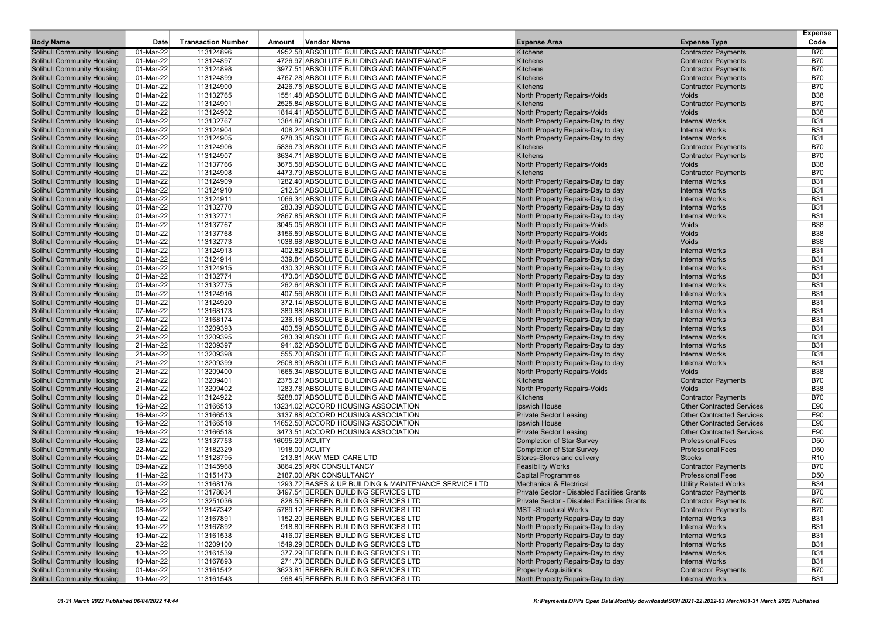|                                                                        |                         |                           |                 |                                                                                        |                                                                        |                                                | <b>Expense</b>           |
|------------------------------------------------------------------------|-------------------------|---------------------------|-----------------|----------------------------------------------------------------------------------------|------------------------------------------------------------------------|------------------------------------------------|--------------------------|
| <b>Body Name</b>                                                       | Date                    | <b>Transaction Number</b> | Amount          | Vendor Name                                                                            | <b>Expense Area</b>                                                    | <b>Expense Type</b>                            | Code                     |
| <b>Solihull Community Housing</b>                                      | 01-Mar-22               | 113124896                 |                 | 4952.58 ABSOLUTE BUILDING AND MAINTENANCE                                              | <b>Kitchens</b>                                                        | <b>Contractor Payments</b>                     | <b>B70</b>               |
| Solihull Community Housing                                             | 01-Mar-22               | 113124897                 |                 | 4726.97 ABSOLUTE BUILDING AND MAINTENANCE                                              | <b>Kitchens</b>                                                        | <b>Contractor Payments</b>                     | <b>B70</b>               |
| <b>Solihull Community Housing</b>                                      | 01-Mar-22               | 113124898                 |                 | 3977.51 ABSOLUTE BUILDING AND MAINTENANCE                                              | <b>Kitchens</b>                                                        | <b>Contractor Payments</b>                     | <b>B70</b>               |
| <b>Solihull Community Housing</b>                                      | 01-Mar-22               | 113124899                 |                 | 4767.28 ABSOLUTE BUILDING AND MAINTENANCE                                              | <b>Kitchens</b>                                                        | <b>Contractor Payments</b>                     | <b>B70</b>               |
| <b>Solihull Community Housing</b>                                      | 01-Mar-22               | 113124900                 |                 | 2426.75 ABSOLUTE BUILDING AND MAINTENANCE                                              | <b>Kitchens</b>                                                        | <b>Contractor Payments</b>                     | <b>B70</b>               |
| <b>Solihull Community Housing</b>                                      | 01-Mar-22               | 113132765                 |                 | 1551.48 ABSOLUTE BUILDING AND MAINTENANCE                                              | North Property Repairs-Voids                                           | Voids                                          | <b>B38</b>               |
| <b>Solihull Community Housing</b>                                      | 01-Mar-22               | 113124901                 |                 | 2525.84 ABSOLUTE BUILDING AND MAINTENANCE                                              | <b>Kitchens</b>                                                        | <b>Contractor Payments</b>                     | <b>B70</b>               |
| <b>Solihull Community Housing</b>                                      | 01-Mar-22               | 113124902                 |                 | 1814.41 ABSOLUTE BUILDING AND MAINTENANCE                                              | North Property Repairs-Voids                                           | Voids                                          | <b>B38</b>               |
| <b>Solihull Community Housing</b>                                      | 01-Mar-22               | 113132767                 |                 | 1384.87 ABSOLUTE BUILDING AND MAINTENANCE                                              | North Property Repairs-Day to day                                      | <b>Internal Works</b>                          | <b>B31</b>               |
| Solihull Community Housing                                             | 01-Mar-22               | 113124904                 |                 | 408.24 ABSOLUTE BUILDING AND MAINTENANCE                                               | North Property Repairs-Day to day                                      | <b>Internal Works</b>                          | <b>B31</b>               |
| <b>Solihull Community Housing</b>                                      | 01-Mar-22               | 113124905                 |                 | 978.35 ABSOLUTE BUILDING AND MAINTENANCE                                               | North Property Repairs-Day to day                                      | <b>Internal Works</b>                          | <b>B31</b>               |
| <b>Solihull Community Housing</b>                                      | 01-Mar-22               | 113124906                 |                 | 5836.73 ABSOLUTE BUILDING AND MAINTENANCE<br>3634.71 ABSOLUTE BUILDING AND MAINTENANCE | <b>Kitchens</b>                                                        | <b>Contractor Payments</b>                     | <b>B70</b>               |
| <b>Solihull Community Housing</b>                                      | 01-Mar-22               | 113124907                 |                 |                                                                                        | <b>Kitchens</b>                                                        | <b>Contractor Payments</b>                     | <b>B70</b>               |
| <b>Solihull Community Housing</b>                                      | 01-Mar-22               | 113137766                 |                 | 3675.58 ABSOLUTE BUILDING AND MAINTENANCE                                              | North Property Repairs-Voids                                           | Voids                                          | <b>B38</b>               |
| <b>Solihull Community Housing</b>                                      | 01-Mar-22               | 113124908                 |                 | 4473.79 ABSOLUTE BUILDING AND MAINTENANCE                                              | <b>Kitchens</b>                                                        | <b>Contractor Payments</b>                     | <b>B70</b>               |
| <b>Solihull Community Housing</b>                                      | 01-Mar-22               | 113124909                 |                 | 1282.40 ABSOLUTE BUILDING AND MAINTENANCE                                              | North Property Repairs-Day to day                                      | <b>Internal Works</b>                          | <b>B31</b>               |
| <b>Solihull Community Housing</b>                                      | 01-Mar-22               | 113124910                 |                 | 212.54 ABSOLUTE BUILDING AND MAINTENANCE                                               | North Property Repairs-Day to day                                      | <b>Internal Works</b>                          | <b>B31</b><br><b>B31</b> |
| <b>Solihull Community Housing</b>                                      | 01-Mar-22               | 113124911                 |                 | 1066.34 ABSOLUTE BUILDING AND MAINTENANCE                                              | North Property Repairs-Day to day                                      | <b>Internal Works</b>                          | <b>B31</b>               |
| <b>Solihull Community Housing</b>                                      | 01-Mar-22               | 113132770                 |                 | 283.39 ABSOLUTE BUILDING AND MAINTENANCE                                               | North Property Repairs-Day to day                                      | <b>Internal Works</b>                          |                          |
| <b>Solihull Community Housing</b>                                      | 01-Mar-22               | 113132771                 |                 | 2867.85 ABSOLUTE BUILDING AND MAINTENANCE                                              | North Property Repairs-Day to day                                      | <b>Internal Works</b>                          | <b>B31</b>               |
| <b>Solihull Community Housing</b>                                      | 01-Mar-22               | 113137767                 |                 | 3045.05 ABSOLUTE BUILDING AND MAINTENANCE<br>3156.59 ABSOLUTE BUILDING AND MAINTENANCE | North Property Repairs-Voids                                           | Voids                                          | <b>B38</b>               |
| <b>Solihull Community Housing</b>                                      | 01-Mar-22               | 113137768                 |                 | 1038.68 ABSOLUTE BUILDING AND MAINTENANCE                                              | North Property Repairs-Voids                                           | Voids                                          | <b>B38</b>               |
| <b>Solihull Community Housing</b>                                      | 01-Mar-22               | 113132773                 |                 |                                                                                        | North Property Repairs-Voids                                           | Voids                                          | <b>B38</b><br><b>B31</b> |
| <b>Solihull Community Housing</b>                                      | 01-Mar-22               | 113124913<br>113124914    |                 | 402.82 ABSOLUTE BUILDING AND MAINTENANCE                                               | North Property Repairs-Day to day<br>North Property Repairs-Day to day | <b>Internal Works</b>                          | <b>B31</b>               |
| <b>Solihull Community Housing</b>                                      | 01-Mar-22               |                           |                 | 339.84 ABSOLUTE BUILDING AND MAINTENANCE<br>430.32 ABSOLUTE BUILDING AND MAINTENANCE   |                                                                        | <b>Internal Works</b>                          | <b>B31</b>               |
| Solihull Community Housing                                             | 01-Mar-22               | 113124915<br>113132774    |                 | 473.04 ABSOLUTE BUILDING AND MAINTENANCE                                               | North Property Repairs-Day to day                                      | <b>Internal Works</b><br><b>Internal Works</b> | <b>B31</b>               |
| <b>Solihull Community Housing</b><br><b>Solihull Community Housing</b> | 01-Mar-22<br>01-Mar-22  | 113132775                 |                 | 262.64 ABSOLUTE BUILDING AND MAINTENANCE                                               | North Property Repairs-Day to day<br>North Property Repairs-Day to day | <b>Internal Works</b>                          | <b>B31</b>               |
| <b>Solihull Community Housing</b>                                      | 01-Mar-22               | 113124916                 |                 | 407.56 ABSOLUTE BUILDING AND MAINTENANCE                                               | North Property Repairs-Day to day                                      | <b>Internal Works</b>                          | <b>B31</b>               |
| <b>Solihull Community Housing</b>                                      | 01-Mar-22               | 113124920                 |                 | 372.14 ABSOLUTE BUILDING AND MAINTENANCE                                               | North Property Repairs-Day to day                                      | <b>Internal Works</b>                          | <b>B31</b>               |
| <b>Solihull Community Housing</b>                                      | 07-Mar-22               | 113168173                 |                 | 389.88 ABSOLUTE BUILDING AND MAINTENANCE                                               | North Property Repairs-Day to day                                      | <b>Internal Works</b>                          | <b>B31</b>               |
|                                                                        |                         | 113168174                 |                 | 236.16 ABSOLUTE BUILDING AND MAINTENANCE                                               | North Property Repairs-Day to day                                      | <b>Internal Works</b>                          | <b>B31</b>               |
| <b>Solihull Community Housing</b>                                      | 07-Mar-22               |                           |                 |                                                                                        |                                                                        | <b>Internal Works</b>                          | <b>B31</b>               |
| <b>Solihull Community Housing</b><br><b>Solihull Community Housing</b> | 21-Mar-22<br>21-Mar-22  | 113209393<br>113209395    |                 | 403.59 ABSOLUTE BUILDING AND MAINTENANCE<br>283.39 ABSOLUTE BUILDING AND MAINTENANCE   | North Property Repairs-Day to day<br>North Property Repairs-Day to day | <b>Internal Works</b>                          | <b>B31</b>               |
| <b>Solihull Community Housing</b>                                      | 21-Mar-22               | 113209397                 |                 | 941.62 ABSOLUTE BUILDING AND MAINTENANCE                                               | North Property Repairs-Day to day                                      | <b>Internal Works</b>                          | <b>B31</b>               |
| <b>Solihull Community Housing</b>                                      | 21-Mar-22               | 113209398                 |                 | 555.70 ABSOLUTE BUILDING AND MAINTENANCE                                               | North Property Repairs-Day to day                                      | <b>Internal Works</b>                          | <b>B31</b>               |
| <b>Solihull Community Housing</b>                                      | 21-Mar-22               | 113209399                 |                 | 2508.89 ABSOLUTE BUILDING AND MAINTENANCE                                              | North Property Repairs-Day to day                                      | <b>Internal Works</b>                          | <b>B31</b>               |
| <b>Solihull Community Housing</b>                                      | 21-Mar-22               | 113209400                 |                 | 1665.34 ABSOLUTE BUILDING AND MAINTENANCE                                              | North Property Repairs-Voids                                           | Voids                                          | <b>B38</b>               |
| Solihull Community Housing                                             | 21-Mar-22               | 113209401                 |                 | 2375.21 ABSOLUTE BUILDING AND MAINTENANCE                                              | <b>Kitchens</b>                                                        | <b>Contractor Payments</b>                     | <b>B70</b>               |
| <b>Solihull Community Housing</b>                                      | 21-Mar-22               | 113209402                 |                 | 1283.78 ABSOLUTE BUILDING AND MAINTENANCE                                              | North Property Repairs-Voids                                           | Voids                                          | <b>B38</b>               |
| <b>Solihull Community Housing</b>                                      | 01-Mar-22               | 113124922                 |                 | 5288.07 ABSOLUTE BUILDING AND MAINTENANCE                                              | <b>Kitchens</b>                                                        | <b>Contractor Payments</b>                     | <b>B70</b>               |
| <b>Solihull Community Housing</b>                                      | 16-Mar-22               | 113166513                 |                 | 13234.02 ACCORD HOUSING ASSOCIATION                                                    | Ipswich House                                                          | <b>Other Contracted Services</b>               | E90                      |
| <b>Solihull Community Housing</b>                                      | 16-Mar-22               | 113166513                 |                 | 3137.88 ACCORD HOUSING ASSOCIATION                                                     | <b>Private Sector Leasing</b>                                          | <b>Other Contracted Services</b>               | E90                      |
| Solihull Community Housing                                             | 16-Mar-22               | 113166518                 |                 | 14652.50 ACCORD HOUSING ASSOCIATION                                                    | Ipswich House                                                          | <b>Other Contracted Services</b>               | E90                      |
| <b>Solihull Community Housing</b>                                      | 16-Mar-22               | 113166518                 |                 | 3473.51 ACCORD HOUSING ASSOCIATION                                                     | <b>Private Sector Leasing</b>                                          | <b>Other Contracted Services</b>               | E90                      |
| <b>Solihull Community Housing</b>                                      | 08-Mar-22               | 113137753                 | 16095.29 ACUITY |                                                                                        | <b>Completion of Star Survey</b>                                       | <b>Professional Fees</b>                       | D <sub>50</sub>          |
| <b>Solihull Community Housing</b>                                      | 22-Mar-22               | 113182329                 |                 | 1918.00 ACUITY                                                                         | <b>Completion of Star Survey</b>                                       | <b>Professional Fees</b>                       | D <sub>50</sub>          |
| <b>Solihull Community Housing</b>                                      | 01-Mar-22               | 113128795                 |                 | 213.81 AKW MEDI CARE LTD                                                               | Stores-Stores and delivery                                             | <b>Stocks</b>                                  | R <sub>10</sub>          |
| <b>Solihull Community Housing</b>                                      | 09-Mar-22               | 113145968                 |                 | 3864.25 ARK CONSULTANCY                                                                | <b>Feasibility Works</b>                                               | <b>Contractor Payments</b>                     | <b>B70</b>               |
| <b>Solihull Community Housing</b>                                      | 11-Mar-22               | 113151473                 |                 | 2187.00 ARK CONSULTANCY                                                                | <b>Capital Programmes</b>                                              | <b>Professional Fees</b>                       | D <sub>50</sub>          |
| <b>Solihull Community Housing</b>                                      | 01-Mar-22               | 113168176                 |                 | 1293.72 BASES & UP BUILDING & MAINTENANCE SERVICE LTD                                  | <b>Mechanical &amp; Electrical</b>                                     | <b>Utility Related Works</b>                   | <b>B34</b>               |
| <b>Solihull Community Housing</b>                                      | 16-Mar-22               | 113178634                 |                 | 3497.54 BERBEN BUILDING SERVICES LTD                                                   | Private Sector - Disabled Facilities Grants                            | <b>Contractor Payments</b>                     | <b>B70</b>               |
| <b>Solihull Community Housing</b>                                      | 16-Mar-22               | 113251036                 |                 | 828.50 BERBEN BUILDING SERVICES LTD                                                    | Private Sector - Disabled Facilities Grants                            | <b>Contractor Payments</b>                     | <b>B70</b>               |
| <b>Solihull Community Housing</b>                                      | $\overline{08}$ -Mar-22 | 113147342                 |                 | 5789.12 BERBEN BUILDING SERVICES LTD                                                   | <b>MST</b> -Structural Works                                           | <b>Contractor Payments</b>                     | <b>B70</b>               |
| <b>Solihull Community Housing</b>                                      | 10-Mar-22               | 113167891                 |                 | 1152.20 BERBEN BUILDING SERVICES LTD                                                   | North Property Repairs-Day to day                                      | <b>Internal Works</b>                          | <b>B31</b>               |
| <b>Solihull Community Housing</b>                                      | 10-Mar-22               | 113167892                 |                 | 918.80 BERBEN BUILDING SERVICES LTD                                                    | North Property Repairs-Day to day                                      | <b>Internal Works</b>                          | <b>B31</b>               |
| <b>Solihull Community Housing</b>                                      | 10-Mar-22               | 113161538                 |                 | 416.07 BERBEN BUILDING SERVICES LTD                                                    | North Property Repairs-Day to day                                      | <b>Internal Works</b>                          | <b>B31</b>               |
| Solihull Community Housing                                             | 23-Mar-22               | 113209100                 |                 | 1549.29 BERBEN BUILDING SERVICES LTD                                                   | North Property Repairs-Day to day                                      | <b>Internal Works</b>                          | <b>B31</b>               |
| <b>Solihull Community Housing</b>                                      | 10-Mar-22               | 113161539                 |                 | 377.29 BERBEN BUILDING SERVICES LTD                                                    | North Property Repairs-Day to day                                      | <b>Internal Works</b>                          | <b>B31</b>               |
| <b>Solihull Community Housing</b>                                      | 10-Mar-22               | 113167893                 |                 | 271.73 BERBEN BUILDING SERVICES LTD                                                    | North Property Repairs-Day to day                                      | <b>Internal Works</b>                          | <b>B31</b>               |
| <b>Solihull Community Housing</b>                                      | 01-Mar-22               | 113161542                 |                 | 3623.81 BERBEN BUILDING SERVICES LTD                                                   | <b>Property Acquisitions</b>                                           | <b>Contractor Payments</b>                     | <b>B70</b>               |
| <b>Solihull Community Housing</b>                                      | 10-Mar-22               | 113161543                 |                 | 968.45 BERBEN BUILDING SERVICES LTD                                                    | North Property Repairs-Day to day                                      | <b>Internal Works</b>                          | <b>B31</b>               |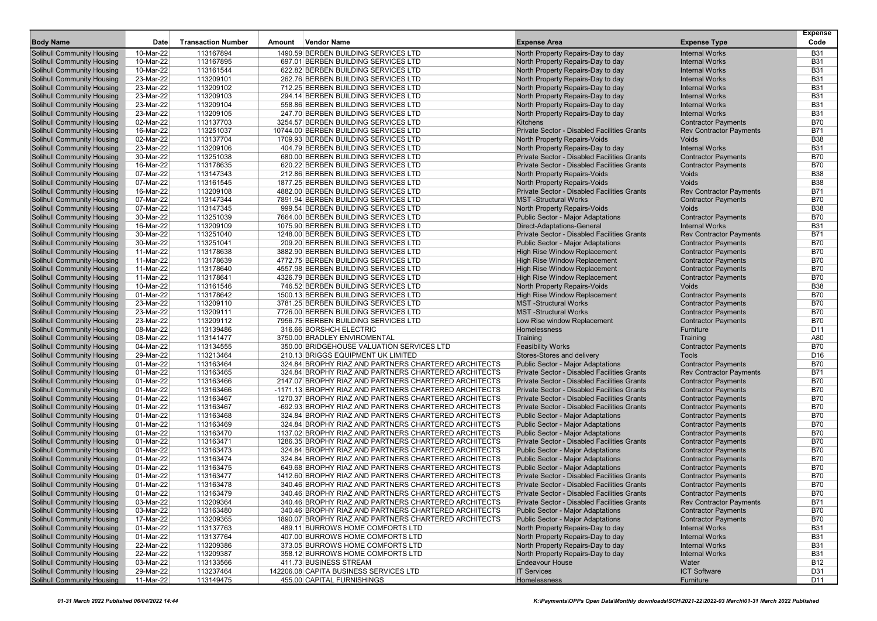|                                                                        |                        |                           |        |                                                                               |                                                                                    |                                                | <b>Expense</b>           |
|------------------------------------------------------------------------|------------------------|---------------------------|--------|-------------------------------------------------------------------------------|------------------------------------------------------------------------------------|------------------------------------------------|--------------------------|
| <b>Body Name</b>                                                       | Date                   | <b>Transaction Number</b> | Amount | Vendor Name                                                                   | <b>Expense Area</b>                                                                | <b>Expense Type</b>                            | Code                     |
| <b>Solihull Community Housing</b>                                      | 10-Mar-22              | 113167894                 |        | 1490.59 BERBEN BUILDING SERVICES LTD                                          | North Property Repairs-Day to day                                                  | <b>Internal Works</b>                          | <b>B31</b>               |
| <b>Solihull Community Housing</b>                                      | 10-Mar-22              | 113167895                 |        | 697.01 BERBEN BUILDING SERVICES LTD                                           | North Property Repairs-Day to day                                                  | <b>Internal Works</b>                          | <b>B31</b>               |
| <b>Solihull Community Housing</b>                                      | 10-Mar-22              | 113161544                 |        | 622.82 BERBEN BUILDING SERVICES LTD                                           | North Property Repairs-Day to day                                                  | <b>Internal Works</b>                          | <b>B31</b>               |
| <b>Solihull Community Housing</b>                                      | 23-Mar-22              | 113209101                 |        | 262.76 BERBEN BUILDING SERVICES LTD                                           | North Property Repairs-Day to day                                                  | <b>Internal Works</b>                          | <b>B31</b>               |
| <b>Solihull Community Housing</b>                                      | 23-Mar-22              | 113209102                 |        | 712.25 BERBEN BUILDING SERVICES LTD                                           | North Property Repairs-Day to day                                                  | <b>Internal Works</b>                          | <b>B31</b>               |
| <b>Solihull Community Housing</b>                                      | 23-Mar-22              | 113209103                 |        | 294.14 BERBEN BUILDING SERVICES LTD                                           | North Property Repairs-Day to day                                                  | <b>Internal Works</b>                          | <b>B31</b>               |
| <b>Solihull Community Housing</b>                                      | 23-Mar-22              | 113209104                 |        | 558.86 BERBEN BUILDING SERVICES LTD                                           | North Property Repairs-Day to day                                                  | <b>Internal Works</b>                          | <b>B31</b>               |
| <b>Solihull Community Housing</b>                                      | 23-Mar-22              | 113209105                 |        | 247.70 BERBEN BUILDING SERVICES LTD                                           | North Property Repairs-Day to day                                                  | <b>Internal Works</b>                          | <b>B31</b>               |
| <b>Solihull Community Housing</b>                                      | 02-Mar-22              | 113137703                 |        | 3254.57 BERBEN BUILDING SERVICES LTD                                          | Kitchens                                                                           | <b>Contractor Payments</b>                     | <b>B70</b>               |
| <b>Solihull Community Housing</b>                                      | 16-Mar-22              | 113251037<br>113137704    |        | 10744.00 BERBEN BUILDING SERVICES LTD<br>1709.93 BERBEN BUILDING SERVICES LTD | Private Sector - Disabled Facilities Grants<br><b>North Property Repairs-Voids</b> | <b>Rev Contractor Payments</b><br><b>Voids</b> | <b>B71</b><br><b>B38</b> |
| <b>Solihull Community Housing</b>                                      | 02-Mar-22              |                           |        | 404.79 BERBEN BUILDING SERVICES LTD                                           |                                                                                    | <b>Internal Works</b>                          | <b>B31</b>               |
| <b>Solihull Community Housing</b><br><b>Solihull Community Housing</b> | 23-Mar-22<br>30-Mar-22 | 113209106<br>113251038    |        | 680.00 BERBEN BUILDING SERVICES LTD                                           | North Property Repairs-Day to day<br>Private Sector - Disabled Facilities Grants   | <b>Contractor Payments</b>                     | <b>B70</b>               |
| <b>Solihull Community Housing</b>                                      | 16-Mar-22              | 113178635                 |        | 620.22 BERBEN BUILDING SERVICES LTD                                           | Private Sector - Disabled Facilities Grants                                        | <b>Contractor Payments</b>                     | <b>B70</b>               |
| <b>Solihull Community Housing</b>                                      | 07-Mar-22              | 113147343                 |        | 212.86 BERBEN BUILDING SERVICES LTD                                           | North Property Repairs-Voids                                                       | Voids                                          | <b>B38</b>               |
| <b>Solihull Community Housing</b>                                      | 07-Mar-22              | 113161545                 |        | 1877.25 BERBEN BUILDING SERVICES LTD                                          | North Property Repairs-Voids                                                       | <b>Voids</b>                                   | <b>B38</b>               |
| <b>Solihull Community Housing</b>                                      | 16-Mar-22              | 113209108                 |        | 4882.00 BERBEN BUILDING SERVICES LTD                                          | Private Sector - Disabled Facilities Grants                                        | <b>Rev Contractor Payments</b>                 | <b>B71</b>               |
| <b>Solihull Community Housing</b>                                      | 07-Mar-22              | 113147344                 |        | 7891.94 BERBEN BUILDING SERVICES LTD                                          | <b>MST</b> -Structural Works                                                       | <b>Contractor Payments</b>                     | <b>B70</b>               |
| <b>Solihull Community Housing</b>                                      | 07-Mar-22              | 113147345                 |        | 999.54 BERBEN BUILDING SERVICES LTD                                           | <b>North Property Repairs-Voids</b>                                                | Voids                                          | <b>B38</b>               |
| <b>Solihull Community Housing</b>                                      | 30-Mar-22              | 113251039                 |        | 7664.00 BERBEN BUILDING SERVICES LTD                                          | <b>Public Sector - Major Adaptations</b>                                           | <b>Contractor Payments</b>                     | <b>B70</b>               |
| <b>Solihull Community Housing</b>                                      | 16-Mar-22              | 113209109                 |        | 1075.90 BERBEN BUILDING SERVICES LTD                                          | <b>Direct-Adaptations-General</b>                                                  | <b>Internal Works</b>                          | <b>B31</b>               |
| <b>Solihull Community Housing</b>                                      | 30-Mar-22              | 113251040                 |        | 1248.00 BERBEN BUILDING SERVICES LTD                                          | Private Sector - Disabled Facilities Grants                                        | <b>Rev Contractor Payments</b>                 | <b>B71</b>               |
| <b>Solihull Community Housing</b>                                      | 30-Mar-22              | 113251041                 |        | 209.20 BERBEN BUILDING SERVICES LTD                                           | <b>Public Sector - Major Adaptations</b>                                           | <b>Contractor Payments</b>                     | <b>B70</b>               |
| <b>Solihull Community Housing</b>                                      | 11-Mar-22              | 113178638                 |        | 3882.90 BERBEN BUILDING SERVICES LTD                                          | High Rise Window Replacement                                                       | <b>Contractor Payments</b>                     | <b>B70</b>               |
| <b>Solihull Community Housing</b>                                      | 11-Mar-22              | 113178639                 |        | 4772.75 BERBEN BUILDING SERVICES LTD                                          | <b>High Rise Window Replacement</b>                                                | <b>Contractor Payments</b>                     | <b>B70</b>               |
| <b>Solihull Community Housing</b>                                      | 11-Mar-22              | 113178640                 |        | 4557.98 BERBEN BUILDING SERVICES LTD                                          | <b>High Rise Window Replacement</b>                                                | <b>Contractor Payments</b>                     | <b>B70</b>               |
| <b>Solihull Community Housing</b>                                      | 11-Mar-22              | 113178641                 |        | 4326.79 BERBEN BUILDING SERVICES LTD                                          | High Rise Window Replacement                                                       | <b>Contractor Payments</b>                     | <b>B70</b>               |
| <b>Solihull Community Housing</b>                                      | 10-Mar-22              | 113161546                 |        | 746.52 BERBEN BUILDING SERVICES LTD                                           | <b>North Property Repairs-Voids</b>                                                | <b>Voids</b>                                   | <b>B38</b>               |
| <b>Solihull Community Housing</b>                                      | 01-Mar-22              | 113178642                 |        | 1500.13 BERBEN BUILDING SERVICES LTD                                          | <b>High Rise Window Replacement</b>                                                | <b>Contractor Payments</b>                     | <b>B70</b>               |
| <b>Solihull Community Housing</b>                                      | 23-Mar-22              | 113209110                 |        | 3781.25 BERBEN BUILDING SERVICES LTD                                          | <b>MST</b> -Structural Works                                                       | <b>Contractor Payments</b>                     | <b>B70</b>               |
| <b>Solihull Community Housing</b>                                      | 23-Mar-22              | 113209111                 |        | 7726.00 BERBEN BUILDING SERVICES LTD                                          | <b>MST</b> -Structural Works                                                       | <b>Contractor Payments</b>                     | <b>B70</b>               |
| <b>Solihull Community Housing</b>                                      | 23-Mar-22              | 113209112                 |        | 7956.75 BERBEN BUILDING SERVICES LTD                                          | Low Rise window Replacement                                                        | <b>Contractor Payments</b>                     | <b>B70</b>               |
| <b>Solihull Community Housing</b>                                      | 08-Mar-22              | 113139486                 |        | 316.66 BORSHCH ELECTRIC                                                       | Homelessness                                                                       | Furniture                                      | D <sub>11</sub>          |
| <b>Solihull Community Housing</b>                                      | 08-Mar-22              | 113141477                 |        | 3750.00 BRADLEY ENVIROMENTAL                                                  | Training                                                                           | Training                                       | A80                      |
| <b>Solihull Community Housing</b>                                      | 04-Mar-22              | 113134555                 |        | 350.00 BRIDGEHOUSE VALUATION SERVICES LTD                                     | <b>Feasibility Works</b>                                                           | <b>Contractor Payments</b>                     | <b>B70</b>               |
| <b>Solihull Community Housing</b>                                      | 29-Mar-22              | 113213464                 |        | 210.13 BRIGGS EQUIPMENT UK LIMITED                                            | Stores-Stores and delivery                                                         | <b>Tools</b>                                   | D <sub>16</sub>          |
| <b>Solihull Community Housing</b>                                      | 01-Mar-22              | 113163464                 |        | 324.84 BROPHY RIAZ AND PARTNERS CHARTERED ARCHITECTS                          | <b>Public Sector - Major Adaptations</b>                                           | <b>Contractor Payments</b>                     | <b>B70</b>               |
| <b>Solihull Community Housing</b>                                      | 01-Mar-22              | 113163465                 |        | 324.84 BROPHY RIAZ AND PARTNERS CHARTERED ARCHITECTS                          | Private Sector - Disabled Facilities Grants                                        | <b>Rev Contractor Payments</b>                 | <b>B71</b>               |
| <b>Solihull Community Housing</b>                                      | 01-Mar-22              | 113163466                 |        | 2147.07 BROPHY RIAZ AND PARTNERS CHARTERED ARCHITECTS                         | Private Sector - Disabled Facilities Grants                                        | <b>Contractor Payments</b>                     | <b>B70</b>               |
| <b>Solihull Community Housing</b>                                      | 01-Mar-22              | 113163466                 |        | -1171.13 BROPHY RIAZ AND PARTNERS CHARTERED ARCHITECTS                        | Private Sector - Disabled Facilities Grants                                        | <b>Contractor Payments</b>                     | <b>B70</b>               |
| <b>Solihull Community Housing</b>                                      | 01-Mar-22              | 113163467                 |        | 1270.37 BROPHY RIAZ AND PARTNERS CHARTERED ARCHITECTS                         | <b>Private Sector - Disabled Facilities Grants</b>                                 | <b>Contractor Payments</b>                     | <b>B70</b>               |
| <b>Solihull Community Housing</b>                                      | 01-Mar-22              | 113163467                 |        | -692.93 BROPHY RIAZ AND PARTNERS CHARTERED ARCHITECTS                         | Private Sector - Disabled Facilities Grants                                        | <b>Contractor Payments</b>                     | <b>B70</b>               |
| <b>Solihull Community Housing</b>                                      | 01-Mar-22              | 113163468                 |        | 324.84 BROPHY RIAZ AND PARTNERS CHARTERED ARCHITECTS                          | <b>Public Sector - Major Adaptations</b>                                           | <b>Contractor Payments</b>                     | <b>B70</b>               |
| <b>Solihull Community Housing</b>                                      | 01-Mar-22              | 113163469                 |        | 324.84 BROPHY RIAZ AND PARTNERS CHARTERED ARCHITECTS                          | <b>Public Sector - Major Adaptations</b>                                           | <b>Contractor Payments</b>                     | <b>B70</b>               |
| <b>Solihull Community Housing</b>                                      | $01-Mar-22$            | 113163470                 |        | 1137.02 BROPHY RIAZ AND PARTNERS CHARTERED ARCHITECTS                         | <b>Public Sector - Major Adaptations</b>                                           | <b>Contractor Payments</b>                     | <b>B70</b>               |
| <b>Solihull Community Housing</b>                                      | 01-Mar-22              | 113163471                 |        | 1286.35 BROPHY RIAZ AND PARTNERS CHARTERED ARCHITECTS                         | Private Sector - Disabled Facilities Grants                                        | <b>Contractor Payments</b>                     | <b>B70</b>               |
| Solihull Community Housing                                             | 01-Mar-22              | 113163473                 |        | 324.84 BROPHY RIAZ AND PARTNERS CHARTERED ARCHITECTS                          | <b>Public Sector - Major Adaptations</b>                                           | <b>Contractor Payments</b>                     | <b>B70</b>               |
| <b>Solihull Community Housing</b>                                      | 01-Mar-22              | 113163474                 |        | 324.84 BROPHY RIAZ AND PARTNERS CHARTERED ARCHITECTS                          | <b>Public Sector - Major Adaptations</b>                                           | <b>Contractor Payments</b>                     | <b>B70</b>               |
| <b>Solihull Community Housing</b>                                      | 01-Mar-22              | 113163475                 |        | 649.68 BROPHY RIAZ AND PARTNERS CHARTERED ARCHITECTS                          | <b>Public Sector - Major Adaptations</b>                                           | <b>Contractor Payments</b>                     | <b>B70</b>               |
| <b>Solihull Community Housing</b>                                      | 01-Mar-22              | 113163477                 |        | 1412.60 BROPHY RIAZ AND PARTNERS CHARTERED ARCHITECTS                         | Private Sector - Disabled Facilities Grants                                        | <b>Contractor Payments</b>                     | <b>B70</b>               |
| Solihull Community Housing                                             | 01-Mar-22              | 113163478                 |        | 340.46 BROPHY RIAZ AND PARTNERS CHARTERED ARCHITECTS                          | Private Sector - Disabled Facilities Grants                                        | <b>Contractor Payments</b>                     | <b>B70</b>               |
| <b>Solihull Community Housing</b>                                      | 01-Mar-22              | 113163479                 |        | 340.46 BROPHY RIAZ AND PARTNERS CHARTERED ARCHITECTS                          | <b>Private Sector - Disabled Facilities Grants</b>                                 | <b>Contractor Payments</b>                     | <b>B70</b>               |
| Solihull Community Housing                                             | 03-Mar-22              | 113209364                 |        | 340.46 BROPHY RIAZ AND PARTNERS CHARTERED ARCHITECTS                          | Private Sector - Disabled Facilities Grants                                        | <b>Rev Contractor Payments</b>                 | <b>B71</b>               |
| <b>Solihull Community Housing</b>                                      | 03-Mar-22              | 113163480                 |        | 340.46 BROPHY RIAZ AND PARTNERS CHARTERED ARCHITECTS                          | <b>Public Sector - Major Adaptations</b>                                           | <b>Contractor Payments</b>                     | <b>B70</b>               |
| <b>Solihull Community Housing</b>                                      | 17-Mar-22              | 113209365                 |        | 1890.07 BROPHY RIAZ AND PARTNERS CHARTERED ARCHITECTS                         | <b>Public Sector - Major Adaptations</b>                                           | <b>Contractor Payments</b>                     | <b>B70</b>               |
| <b>Solihull Community Housing</b>                                      | 01-Mar-22              | 113137763                 |        | 489.11 BURROWS HOME COMFORTS LTD                                              | North Property Repairs-Day to day<br>North Property Repairs-Day to day             | <b>Internal Works</b>                          | <b>B31</b>               |
| Solihull Community Housing                                             | 01-Mar-22              | 113137764                 |        | 407.00 BURROWS HOME COMFORTS LTD                                              | North Property Repairs-Day to day                                                  | <b>Internal Works</b>                          | <b>B31</b>               |
| Solihull Community Housing                                             | 22-Mar-22<br>22-Mar-22 | 113209386                 |        | 373.05 BURROWS HOME COMFORTS LTD                                              |                                                                                    | <b>Internal Works</b>                          | <b>B31</b>               |
| Solihull Community Housing<br><b>Solihull Community Housing</b>        |                        | 113209387                 |        | 358.12 BURROWS HOME COMFORTS LTD                                              | North Property Repairs-Day to day                                                  | <b>Internal Works</b>                          | <b>B31</b>               |
| <b>Solihull Community Housing</b>                                      | 03-Mar-22<br>29-Mar-22 | 113133566<br>113237464    |        | 411.73 BUSINESS STREAM<br>142206.08 CAPITA BUSINESS SERVICES LTD              | <b>Endeavour House</b><br><b>IT Services</b>                                       | Water<br><b>ICT Software</b>                   | <b>B12</b><br>D31        |
| <b>Solihull Community Housing</b>                                      | 11-Mar-22              | 113149475                 |        | 455.00 CAPITAL FURNISHINGS                                                    | Homelessness                                                                       | Furniture                                      | D <sub>11</sub>          |
|                                                                        |                        |                           |        |                                                                               |                                                                                    |                                                |                          |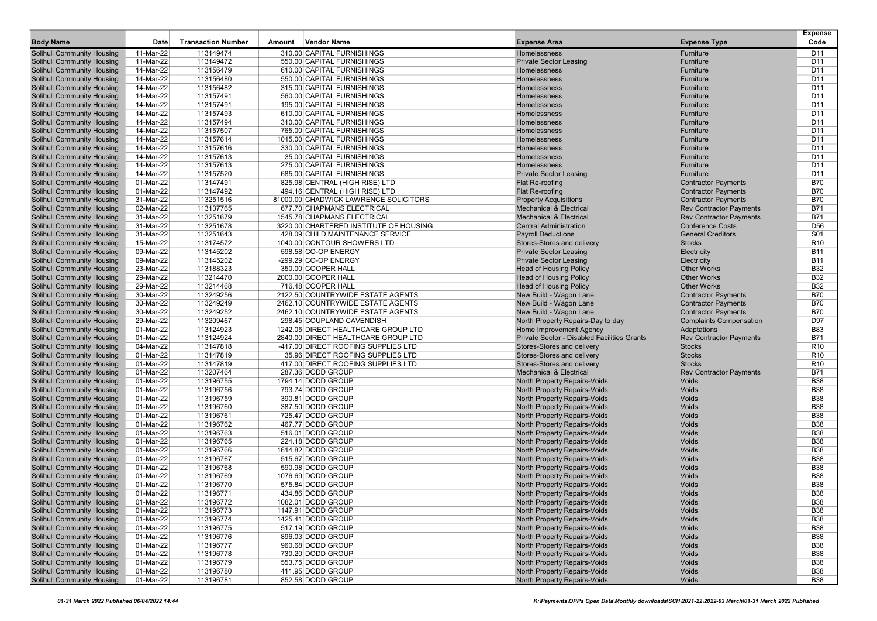|                                                                        |                        |                           |        |                                                                     |                                                                    |                                                              | <b>Expense</b>                     |
|------------------------------------------------------------------------|------------------------|---------------------------|--------|---------------------------------------------------------------------|--------------------------------------------------------------------|--------------------------------------------------------------|------------------------------------|
| <b>Body Name</b>                                                       | Date                   | <b>Transaction Number</b> | Amount | <b>Vendor Name</b>                                                  | <b>Expense Area</b>                                                | <b>Expense Type</b>                                          | Code                               |
| Solihull Community Housing                                             | 11-Mar-22              | 113149474                 |        | 310.00 CAPITAL FURNISHINGS                                          | Homelessness                                                       | Furniture                                                    | D <sub>11</sub>                    |
| <b>Solihull Community Housing</b>                                      | 11-Mar-22              | 113149472                 |        | 550.00 CAPITAL FURNISHINGS                                          | <b>Private Sector Leasing</b>                                      | Furniture                                                    | D <sub>11</sub>                    |
| <b>Solihull Community Housing</b>                                      | 14-Mar-22              | 113156479                 |        | 610.00 CAPITAL FURNISHINGS                                          | Homelessness                                                       | Furniture                                                    | D <sub>11</sub>                    |
| <b>Solihull Community Housing</b>                                      | 14-Mar-22              | 113156480                 |        | 550.00 CAPITAL FURNISHINGS                                          | Homelessness                                                       | Furniture                                                    | D <sub>11</sub>                    |
| <b>Solihull Community Housing</b>                                      | 14-Mar-22              | 113156482                 |        | 315.00 CAPITAL FURNISHINGS                                          | Homelessness                                                       | Furniture                                                    | D <sub>11</sub>                    |
| <b>Solihull Community Housing</b>                                      | 14-Mar-22              | 113157491                 |        | 560.00 CAPITAL FURNISHINGS                                          | Homelessness                                                       | Furniture                                                    | D <sub>11</sub>                    |
| <b>Solihull Community Housing</b>                                      | 14-Mar-22<br>14-Mar-22 | 113157491                 |        | 195.00 CAPITAL FURNISHINGS                                          | Homelessness<br>Homelessness                                       | Furniture                                                    | D <sub>11</sub><br>D <sub>11</sub> |
| <b>Solihull Community Housing</b>                                      |                        | 113157493                 |        | 610.00 CAPITAL FURNISHINGS                                          |                                                                    | Furniture                                                    | D <sub>11</sub>                    |
| <b>Solihull Community Housing</b>                                      | 14-Mar-22              | 113157494                 |        | 310.00 CAPITAL FURNISHINGS<br>765.00 CAPITAL FURNISHINGS            | Homelessness<br>Homelessness                                       | Furniture<br>Furniture                                       | D <sub>11</sub>                    |
| <b>Solihull Community Housing</b><br><b>Solihull Community Housing</b> | 14-Mar-22<br>14-Mar-22 | 113157507<br>113157614    |        | 1015.00 CAPITAL FURNISHINGS                                         | Homelessness                                                       | Furniture                                                    | D <sub>11</sub>                    |
| <b>Solihull Community Housing</b>                                      | 14-Mar-22              | 113157616                 |        |                                                                     | Homelessness                                                       | Furniture                                                    | D11                                |
| <b>Solihull Community Housing</b>                                      | 14-Mar-22              | 113157613                 |        | 330.00 CAPITAL FURNISHINGS<br>35.00 CAPITAL FURNISHINGS             | Homelessness                                                       | Furniture                                                    | D <sub>11</sub>                    |
| <b>Solihull Community Housing</b>                                      |                        | 113157613                 |        | 275.00 CAPITAL FURNISHINGS                                          | Homelessness                                                       | Furniture                                                    | D11                                |
| <b>Solihull Community Housing</b>                                      | 14-Mar-22<br>14-Mar-22 | 113157520                 |        | 685.00 CAPITAL FURNISHINGS                                          | <b>Private Sector Leasing</b>                                      | Furniture                                                    | D <sub>11</sub>                    |
| <b>Solihull Community Housing</b>                                      | 01-Mar-22              | 113147491                 |        |                                                                     |                                                                    |                                                              | <b>B70</b>                         |
| <b>Solihull Community Housing</b>                                      | 01-Mar-22              | 113147492                 |        | 825.98 CENTRAL (HIGH RISE) LTD<br>494.16 CENTRAL (HIGH RISE) LTD    | Flat Re-roofing                                                    | <b>Contractor Payments</b><br><b>Contractor Payments</b>     | <b>B70</b>                         |
| <b>Solihull Community Housing</b>                                      |                        | 113251516                 |        |                                                                     | Flat Re-roofing                                                    |                                                              | <b>B70</b>                         |
| <b>Solihull Community Housing</b>                                      | 31-Mar-22<br>02-Mar-22 | 113137765                 |        | 81000.00 CHADWICK LAWRENCE SOLICITORS<br>677.70 CHAPMANS ELECTRICAL | <b>Property Acquisitions</b><br><b>Mechanical &amp; Electrical</b> | <b>Contractor Payments</b><br><b>Rev Contractor Payments</b> | <b>B71</b>                         |
| <b>Solihull Community Housing</b>                                      | 31-Mar-22              | 113251679                 |        | 1545.78 CHAPMANS ELECTRICAL                                         | <b>Mechanical &amp; Electrical</b>                                 | <b>Rev Contractor Payments</b>                               | <b>B71</b>                         |
| <b>Solihull Community Housing</b>                                      | 31-Mar-22              | 113251678                 |        | 3220.00 CHARTERED INSTITUTE OF HOUSING                              | <b>Central Administration</b>                                      | <b>Conference Costs</b>                                      | D <sub>56</sub>                    |
| <b>Solihull Community Housing</b>                                      | 31-Mar-22              | 113251643                 |        | 428.09 CHILD MAINTENANCE SERVICE                                    | <b>Payroll Deductions</b>                                          | <b>General Creditors</b>                                     | <b>S01</b>                         |
| <b>Solihull Community Housing</b>                                      | 15-Mar-22              | 113174572                 |        | 1040.00 CONTOUR SHOWERS LTD                                         | Stores-Stores and delivery                                         | <b>Stocks</b>                                                | R <sub>10</sub>                    |
| <b>Solihull Community Housing</b>                                      | 09-Mar-22              | 113145202                 |        | 598.58 CO-OP ENERGY                                                 | <b>Private Sector Leasing</b>                                      | Electricity                                                  | <b>B11</b>                         |
| <b>Solihull Community Housing</b>                                      | 09-Mar-22              | 113145202                 |        | -299.29 CO-OP ENERGY                                                | <b>Private Sector Leasing</b>                                      | Electricity                                                  | <b>B11</b>                         |
| <b>Solihull Community Housing</b>                                      | 23-Mar-22              | 113188323                 |        | 350.00 COOPER HALL                                                  | <b>Head of Housing Policy</b>                                      | <b>Other Works</b>                                           | <b>B32</b>                         |
| <b>Solihull Community Housing</b>                                      | 29-Mar-22              | 113214470                 |        | 2000.00 COOPER HALL                                                 | <b>Head of Housing Policy</b>                                      | <b>Other Works</b>                                           | <b>B32</b>                         |
| <b>Solihull Community Housing</b>                                      | 29-Mar-22              | 113214468                 |        | 716.48 COOPER HALL                                                  | <b>Head of Housing Policy</b>                                      | <b>Other Works</b>                                           | <b>B32</b>                         |
| <b>Solihull Community Housing</b>                                      | 30-Mar-22              | 113249256                 |        | 2122.50 COUNTRYWIDE ESTATE AGENTS                                   | New Build - Wagon Lane                                             | <b>Contractor Payments</b>                                   | <b>B70</b>                         |
| <b>Solihull Community Housing</b>                                      | 30-Mar-22              | 113249249                 |        | 2462.10 COUNTRYWIDE ESTATE AGENTS                                   | New Build - Wagon Lane                                             | <b>Contractor Payments</b>                                   | <b>B70</b>                         |
| <b>Solihull Community Housing</b>                                      | 30-Mar-22              | 113249252                 |        | 2462.10 COUNTRYWIDE ESTATE AGENTS                                   | New Build - Wagon Lane                                             | <b>Contractor Payments</b>                                   | <b>B70</b>                         |
| <b>Solihull Community Housing</b>                                      | 29-Mar-22              | 113209467                 |        | 298.45 COUPLAND CAVENDISH                                           | North Property Repairs-Day to day                                  | <b>Complaints Compensation</b>                               | D97                                |
| <b>Solihull Community Housing</b>                                      | 01-Mar-22              | 113124923                 |        | 1242.05 DIRECT HEALTHCARE GROUP LTD                                 | Home Improvement Agency                                            | Adaptations                                                  | <b>B83</b>                         |
| <b>Solihull Community Housing</b>                                      | 01-Mar-22              | 113124924                 |        | 2840.00 DIRECT HEALTHCARE GROUP LTD                                 | Private Sector - Disabled Facilities Grants                        | <b>Rev Contractor Payments</b>                               | <b>B71</b>                         |
| <b>Solihull Community Housing</b>                                      | 04-Mar-22              | 113147818                 |        | -417.00 DIRECT ROOFING SUPPLIES LTD                                 | Stores-Stores and delivery                                         | <b>Stocks</b>                                                | R <sub>10</sub>                    |
| <b>Solihull Community Housing</b>                                      | 01-Mar-22              | 113147819                 |        | 35.96 DIRECT ROOFING SUPPLIES LTD                                   | Stores-Stores and delivery                                         | <b>Stocks</b>                                                | R <sub>10</sub>                    |
| <b>Solihull Community Housing</b>                                      | 01-Mar-22              | 113147819                 |        | 417.00 DIRECT ROOFING SUPPLIES LTD                                  | Stores-Stores and delivery                                         | <b>Stocks</b>                                                | R <sub>10</sub>                    |
| <b>Solihull Community Housing</b>                                      | 01-Mar-22              | 113207464                 |        | 287.36 DODD GROUP                                                   | <b>Mechanical &amp; Electrical</b>                                 | <b>Rev Contractor Payments</b>                               | <b>B71</b>                         |
| <b>Solihull Community Housing</b>                                      | 01-Mar-22              | 113196755                 |        | 1794.14 DODD GROUP                                                  | North Property Repairs-Voids                                       | Voids                                                        | <b>B38</b>                         |
| <b>Solihull Community Housing</b>                                      | 01-Mar-22              | 113196756                 |        | 793.74 DODD GROUP                                                   | <b>North Property Repairs-Voids</b>                                | Voids                                                        | <b>B38</b>                         |
| <b>Solihull Community Housing</b>                                      | 01-Mar-22              | 113196759                 |        | 390.81 DODD GROUP                                                   | <b>North Property Repairs-Voids</b>                                | Voids                                                        | <b>B38</b>                         |
| <b>Solihull Community Housing</b>                                      | 01-Mar-22              | 113196760                 |        | 387.50 DODD GROUP                                                   | <b>North Property Repairs-Voids</b>                                | Voids                                                        | <b>B38</b>                         |
| <b>Solihull Community Housing</b>                                      | 01-Mar-22              | 113196761                 |        | 725.47 DODD GROUP                                                   | <b>North Property Repairs-Voids</b>                                | Voids                                                        | <b>B38</b>                         |
| <b>Solihull Community Housing</b>                                      | 01-Mar-22              | 113196762                 |        | 467.77 DODD GROUP                                                   | North Property Repairs-Voids                                       | Voids                                                        | <b>B38</b>                         |
| <b>Solihull Community Housing</b>                                      | 01-Mar-22              | 113196763                 |        | 516.01 DODD GROUP                                                   | <b>North Property Repairs-Voids</b>                                | Voids                                                        | <b>B38</b>                         |
| <b>Solihull Community Housing</b>                                      | 01-Mar-22              | 113196765                 |        | 224.18 DODD GROUP                                                   | <b>North Property Repairs-Voids</b>                                | Voids                                                        | <b>B38</b>                         |
| <b>Solihull Community Housing</b>                                      | 01-Mar-22              | 113196766                 |        | 1614.82 DODD GROUP                                                  | North Property Repairs-Voids                                       | Voids                                                        | <b>B38</b>                         |
| <b>Solihull Community Housing</b>                                      | 01-Mar-22              | 113196767                 |        | 515.67 DODD GROUP                                                   | North Property Repairs-Voids                                       | Voids                                                        | <b>B38</b>                         |
| <b>Solihull Community Housing</b>                                      | 01-Mar-22              | 113196768                 |        | 590.98 DODD GROUP                                                   | <b>North Property Repairs-Voids</b>                                | Voids                                                        | <b>B38</b>                         |
| Solihull Community Housing                                             | 01-Mar-22              | 113196769                 |        | 1076.69 DODD GROUP                                                  | <b>North Property Repairs-Voids</b>                                | Voids                                                        | <b>B38</b>                         |
| <b>Solihull Community Housing</b>                                      | 01-Mar-22              | 113196770                 |        | 575.84 DODD GROUP                                                   | <b>North Property Repairs-Voids</b>                                | Voids                                                        | <b>B38</b>                         |
| <b>Solihull Community Housing</b>                                      | 01-Mar-22              | 113196771                 |        | 434.86 DODD GROUP                                                   | North Property Repairs-Voids                                       | Voids                                                        | <b>B38</b>                         |
| <b>Solihull Community Housing</b>                                      | 01-Mar-22              | 113196772                 |        | 1082.01 DODD GROUP                                                  | North Property Repairs-Voids                                       | Voids                                                        | <b>B38</b>                         |
| <b>Solihull Community Housing</b>                                      | 01-Mar-22              | 113196773                 |        | 1147.91 DODD GROUP                                                  | North Property Repairs-Voids                                       | Voids                                                        | <b>B38</b>                         |
| <b>Solihull Community Housing</b>                                      | 01-Mar-22              | 113196774                 |        | 1425.41 DODD GROUP                                                  | North Property Repairs-Voids                                       | Voids                                                        | <b>B38</b>                         |
| <b>Solihull Community Housing</b>                                      | 01-Mar-22              | 113196775                 |        | 517.19 DODD GROUP                                                   | North Property Repairs-Voids                                       | Voids                                                        | <b>B38</b>                         |
| <b>Solihull Community Housing</b>                                      | 01-Mar-22              | 113196776                 |        | 896.03 DODD GROUP                                                   | North Property Repairs-Voids                                       | Voids                                                        | <b>B38</b>                         |
| <b>Solihull Community Housing</b>                                      | 01-Mar-22              | 113196777                 |        | 960.68 DODD GROUP                                                   | North Property Repairs-Voids                                       | Voids                                                        | <b>B38</b>                         |
| <b>Solihull Community Housing</b>                                      | 01-Mar-22              | 113196778                 |        | 730.20 DODD GROUP                                                   | North Property Repairs-Voids                                       | Voids                                                        | <b>B38</b>                         |
| <b>Solihull Community Housing</b>                                      | 01-Mar-22              | 113196779                 |        | 553.75 DODD GROUP                                                   | North Property Repairs-Voids                                       | Voids                                                        | <b>B38</b>                         |
| <b>Solihull Community Housing</b>                                      | 01-Mar-22              | 113196780                 |        | 411.95 DODD GROUP                                                   | North Property Repairs-Voids                                       | Voids                                                        | <b>B38</b>                         |
| <b>Solihull Community Housing</b>                                      | 01-Mar-22              | 113196781                 |        | 852.58 DODD GROUP                                                   | North Property Repairs-Voids                                       | Voids                                                        | <b>B38</b>                         |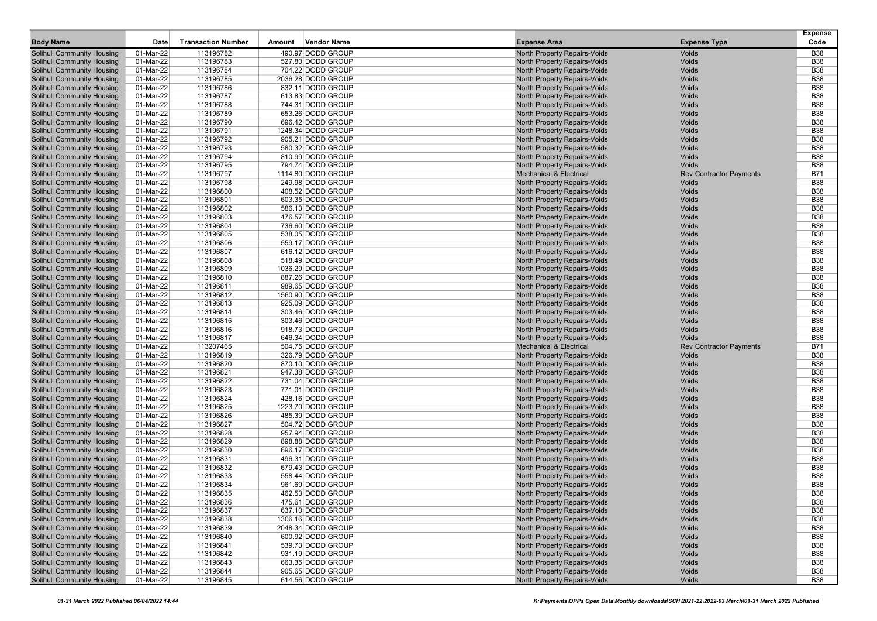| <b>Body Name</b>                  | Date        | <b>Transaction Number</b> | Amount | <b>Vendor Name</b> | <b>Expense Area</b>                 | <b>Expense Type</b>            | <b>Expense</b><br>Code |
|-----------------------------------|-------------|---------------------------|--------|--------------------|-------------------------------------|--------------------------------|------------------------|
| Solihull Community Housing        | 01-Mar-22   | 113196782                 |        | 490.97 DODD GROUP  | North Property Repairs-Voids        | Voids                          | <b>B38</b>             |
| <b>Solihull Community Housing</b> | 01-Mar-22   | 113196783                 |        | 527.80 DODD GROUP  | North Property Repairs-Voids        | Voids                          | <b>B38</b>             |
| <b>Solihull Community Housing</b> | 01-Mar-22   | 113196784                 |        | 704.22 DODD GROUP  | North Property Repairs-Voids        | Voids                          | <b>B38</b>             |
| <b>Solihull Community Housing</b> | 01-Mar-22   | 113196785                 |        | 2036.28 DODD GROUP | North Property Repairs-Voids        | Voids                          | <b>B38</b>             |
| <b>Solihull Community Housing</b> | 01-Mar-22   | 113196786                 |        | 832.11 DODD GROUP  | North Property Repairs-Voids        | Voids                          | <b>B38</b>             |
| <b>Solihull Community Housing</b> | 01-Mar-22   | 113196787                 |        | 613.83 DODD GROUP  | North Property Repairs-Voids        | Voids                          | <b>B38</b>             |
| <b>Solihull Community Housing</b> | 01-Mar-22   | 113196788                 |        | 744.31 DODD GROUP  | North Property Repairs-Voids        | Voids                          | <b>B38</b>             |
| <b>Solihull Community Housing</b> | 01-Mar-22   | 113196789                 |        | 653.26 DODD GROUP  | <b>North Property Repairs-Voids</b> | Voids                          | <b>B38</b>             |
| <b>Solihull Community Housing</b> | 01-Mar-22   | 113196790                 |        | 696.42 DODD GROUP  | <b>North Property Repairs-Voids</b> | Voids                          | <b>B38</b>             |
| <b>Solihull Community Housing</b> | 01-Mar-22   | 113196791                 |        | 1248.34 DODD GROUP | North Property Repairs-Voids        | Voids                          | <b>B38</b>             |
| <b>Solihull Community Housing</b> | 01-Mar-22   | 113196792                 |        | 905.21 DODD GROUP  | North Property Repairs-Voids        | Voids                          | <b>B38</b>             |
| <b>Solihull Community Housing</b> | 01-Mar-22   | 113196793                 |        | 580.32 DODD GROUP  | North Property Repairs-Voids        | Voids                          | <b>B38</b>             |
| <b>Solihull Community Housing</b> | 01-Mar-22   | 113196794                 |        | 810.99 DODD GROUP  | North Property Repairs-Voids        | Voids                          | <b>B38</b>             |
| <b>Solihull Community Housing</b> | 01-Mar-22   | 113196795                 |        | 794.74 DODD GROUP  | North Property Repairs-Voids        | Voids                          | <b>B38</b>             |
| <b>Solihull Community Housing</b> | 01-Mar-22   | 113196797                 |        | 1114.80 DODD GROUP | <b>Mechanical &amp; Electrical</b>  | <b>Rev Contractor Payments</b> | <b>B71</b>             |
| <b>Solihull Community Housing</b> | 01-Mar-22   | 113196798                 |        | 249.98 DODD GROUP  | <b>North Property Repairs-Voids</b> | Voids                          | <b>B38</b>             |
| <b>Solihull Community Housing</b> | 01-Mar-22   | 113196800                 |        | 408.52 DODD GROUP  | <b>North Property Repairs-Voids</b> | Voids                          | <b>B38</b>             |
| <b>Solihull Community Housing</b> | 01-Mar-22   | 113196801                 |        | 603.35 DODD GROUP  | North Property Repairs-Voids        | Voids                          | <b>B38</b>             |
| <b>Solihull Community Housing</b> | 01-Mar-22   | 113196802                 |        | 586.13 DODD GROUP  | North Property Repairs-Voids        | Voids                          | <b>B38</b>             |
| <b>Solihull Community Housing</b> | 01-Mar-22   | 113196803                 |        | 476.57 DODD GROUP  | <b>North Property Repairs-Voids</b> | Voids                          | <b>B38</b>             |
| <b>Solihull Community Housing</b> | 01-Mar-22   | 113196804                 |        | 736.60 DODD GROUP  | <b>North Property Repairs-Voids</b> | Voids                          | <b>B38</b>             |
| <b>Solihull Community Housing</b> | 01-Mar-22   | 113196805                 |        | 538.05 DODD GROUP  | North Property Repairs-Voids        | Voids                          | <b>B38</b>             |
| <b>Solihull Community Housing</b> | 01-Mar-22   | 113196806                 |        | 559.17 DODD GROUP  | North Property Repairs-Voids        | Voids                          | <b>B38</b>             |
| Solihull Community Housing        | 01-Mar-22   | 113196807                 |        | 616.12 DODD GROUP  | North Property Repairs-Voids        | Voids                          | <b>B38</b>             |
| <b>Solihull Community Housing</b> | 01-Mar-22   | 113196808                 |        | 518.49 DODD GROUP  | North Property Repairs-Voids        | Voids                          | <b>B38</b>             |
| <b>Solihull Community Housing</b> | 01-Mar-22   | 113196809                 |        | 1036.29 DODD GROUP | North Property Repairs-Voids        | Voids                          | <b>B38</b>             |
| <b>Solihull Community Housing</b> | 01-Mar-22   | 113196810                 |        | 887.26 DODD GROUP  | North Property Repairs-Voids        | Voids                          | <b>B38</b>             |
| <b>Solihull Community Housing</b> | 01-Mar-22   | 113196811                 |        | 989.65 DODD GROUP  | North Property Repairs-Voids        | Voids                          | <b>B38</b>             |
| Solihull Community Housing        | 01-Mar-22   | 113196812                 |        | 1560.90 DODD GROUP | <b>North Property Repairs-Voids</b> | Voids                          | <b>B38</b>             |
| <b>Solihull Community Housing</b> | 01-Mar-22   | 113196813                 |        | 925.09 DODD GROUP  | <b>North Property Repairs-Voids</b> | Voids                          | <b>B38</b>             |
| <b>Solihull Community Housing</b> | 01-Mar-22   | 113196814                 |        | 303.46 DODD GROUP  | North Property Repairs-Voids        | Voids                          | <b>B38</b>             |
| <b>Solihull Community Housing</b> | 01-Mar-22   | 113196815                 |        | 303.46 DODD GROUP  | North Property Repairs-Voids        | Voids                          | <b>B38</b>             |
| <b>Solihull Community Housing</b> | 01-Mar-22   | 113196816                 |        | 918.73 DODD GROUP  | North Property Repairs-Voids        | Voids                          | <b>B38</b>             |
| <b>Solihull Community Housing</b> | 01-Mar-22   | 113196817                 |        | 646.34 DODD GROUP  | North Property Repairs-Voids        | Voids                          | <b>B38</b>             |
| <b>Solihull Community Housing</b> | 01-Mar-22   | 113207465                 |        | 504.75 DODD GROUP  | <b>Mechanical &amp; Electrical</b>  | <b>Rev Contractor Payments</b> | B71                    |
| <b>Solihull Community Housing</b> | 01-Mar-22   | 113196819                 |        | 326.79 DODD GROUP  | <b>North Property Repairs-Voids</b> | Voids                          | <b>B38</b>             |
| <b>Solihull Community Housing</b> | 01-Mar-22   | 113196820                 |        | 870.10 DODD GROUP  | <b>North Property Repairs-Voids</b> | Voids                          | <b>B38</b>             |
| <b>Solihull Community Housing</b> | 01-Mar-22   | 113196821                 |        | 947.38 DODD GROUP  | <b>North Property Repairs-Voids</b> | Voids                          | <b>B38</b>             |
| <b>Solihull Community Housing</b> | 01-Mar-22   | 113196822                 |        | 731.04 DODD GROUP  | North Property Repairs-Voids        | Voids                          | <b>B38</b>             |
| <b>Solihull Community Housing</b> | 01-Mar-22   | 113196823                 |        | 771.01 DODD GROUP  | North Property Repairs-Voids        | Voids                          | <b>B38</b>             |
| <b>Solihull Community Housing</b> | 01-Mar-22   | 113196824                 |        | 428.16 DODD GROUP  | <b>North Property Repairs-Voids</b> | Voids                          | <b>B38</b>             |
| <b>Solihull Community Housing</b> | 01-Mar-22   | 113196825                 |        | 1223.70 DODD GROUP | <b>North Property Repairs-Voids</b> | Voids                          | <b>B38</b>             |
| <b>Solihull Community Housing</b> | 01-Mar-22   | 113196826                 |        | 485.39 DODD GROUP  | North Property Repairs-Voids        | Voids                          | <b>B38</b>             |
| <b>Solihull Community Housing</b> | 01-Mar-22   | 113196827                 |        | 504.72 DODD GROUP  | North Property Repairs-Voids        | Voids                          | <b>B38</b>             |
| Solihull Community Housing        | 01-Mar-22   | 113196828                 |        | 957.94 DODD GROUP  | <b>North Property Repairs-Voids</b> | Voids                          | <b>B38</b>             |
| Solihull Community Housing        | 01-Mar-22   | 113196829                 |        | 898.88 DODD GROUP  | <b>North Property Repairs-Voids</b> | Voids                          | <b>B38</b>             |
| <b>Solihull Community Housing</b> | 01-Mar-22   | 113196830                 |        | 696.17 DODD GROUP  | North Property Repairs-Voids        | Voids                          | <b>B38</b>             |
| <b>Solihull Community Housing</b> | 01-Mar-22   | 113196831                 |        | 496.31 DODD GROUP  | North Property Repairs-Voids        | Voids                          | <b>B38</b>             |
| <b>Solihull Community Housing</b> | 01-Mar-22   | 113196832                 |        | 679.43 DODD GROUP  | North Property Repairs-Voids        | Voids                          | <b>B38</b>             |
| <b>Solihull Community Housing</b> | 01-Mar-22   | 113196833                 |        | 558.44 DODD GROUP  | <b>North Property Repairs-Voids</b> | Voids                          | <b>B38</b>             |
| Solihull Community Housing        | 01-Mar-22   | 113196834                 |        | 961.69 DODD GROUP  | <b>North Property Repairs-Voids</b> | Voids                          | <b>B38</b>             |
| <b>Solihull Community Housing</b> | 01-Mar-22   | 113196835                 |        | 462.53 DODD GROUP  | North Property Repairs-Voids        | Voids                          | <b>B38</b>             |
| <b>Solihull Community Housing</b> | 01-Mar-22   | 113196836                 |        | 475.61 DODD GROUP  | North Property Repairs-Voids        | Voids                          | <b>B38</b>             |
| <b>Solihull Community Housing</b> | 01-Mar-22   | 113196837                 |        | 637.10 DODD GROUP  | North Property Repairs-Voids        | Voids                          | <b>B38</b>             |
| <b>Solihull Community Housing</b> | 01-Mar-22   | 113196838                 |        | 1306.16 DODD GROUP | North Property Repairs-Voids        | Voids                          | <b>B38</b>             |
| <b>Solihull Community Housing</b> | 01-Mar-22   | 113196839                 |        | 2048.34 DODD GROUP | North Property Repairs-Voids        | Voids                          | <b>B38</b>             |
| <b>Solihull Community Housing</b> | 01-Mar-22   | 113196840                 |        | 600.92 DODD GROUP  | North Property Repairs-Voids        | Voids                          | <b>B38</b>             |
| <b>Solihull Community Housing</b> | 01-Mar-22   | 113196841                 |        | 539.73 DODD GROUP  | North Property Repairs-Voids        | Voids                          | <b>B38</b>             |
| <b>Solihull Community Housing</b> | 01-Mar-22   | 113196842                 |        | 931.19 DODD GROUP  | North Property Repairs-Voids        | Voids                          | <b>B38</b>             |
| <b>Solihull Community Housing</b> | 01-Mar-22   | 113196843                 |        | 663.35 DODD GROUP  | North Property Repairs-Voids        | Voids                          | <b>B38</b>             |
| <b>Solihull Community Housing</b> | 01-Mar-22   | 113196844                 |        | 905.65 DODD GROUP  | North Property Repairs-Voids        | Voids                          | <b>B38</b>             |
| <b>Solihull Community Housing</b> | $01-Mar-22$ | 113196845                 |        | 614.56 DODD GROUP  | North Property Repairs-Voids        | Voids                          | <b>B38</b>             |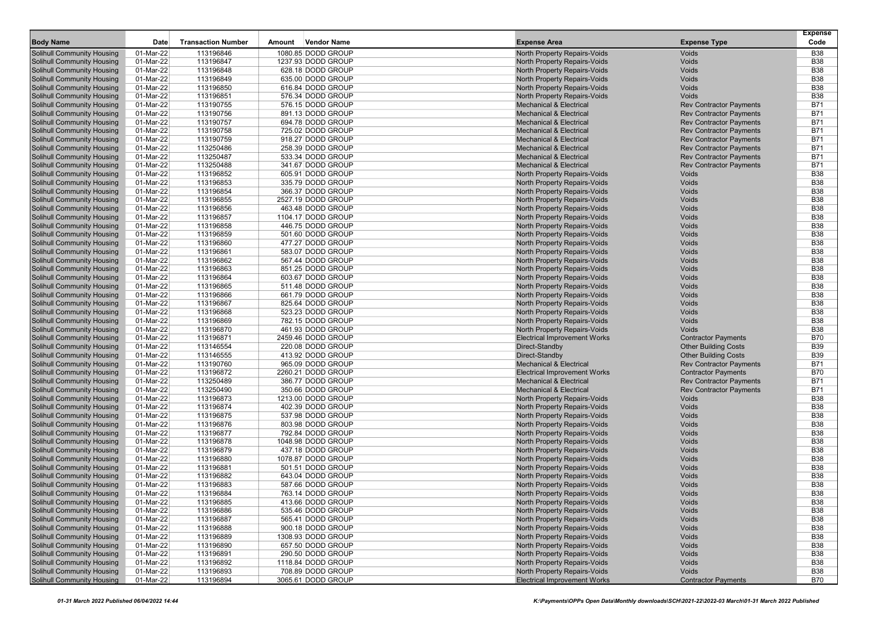|                                                                        | Date                   | <b>Transaction Number</b> |        | <b>Vendor Name</b>                      |                                                                     |                                | <b>Expense</b><br>Code   |
|------------------------------------------------------------------------|------------------------|---------------------------|--------|-----------------------------------------|---------------------------------------------------------------------|--------------------------------|--------------------------|
| <b>Body Name</b>                                                       |                        |                           | Amount |                                         | <b>Expense Area</b>                                                 | <b>Expense Type</b>            |                          |
| Solihull Community Housing                                             | 01-Mar-22              | 113196846<br>113196847    |        | 1080.85 DODD GROUP                      | North Property Repairs-Voids                                        | Voids                          | <b>B38</b><br><b>B38</b> |
| <b>Solihull Community Housing</b><br><b>Solihull Community Housing</b> | 01-Mar-22<br>01-Mar-22 | 113196848                 |        | 1237.93 DODD GROUP<br>628.18 DODD GROUP | North Property Repairs-Voids<br>North Property Repairs-Voids        | Voids<br>Voids                 | <b>B38</b>               |
| <b>Solihull Community Housing</b>                                      | 01-Mar-22              | 113196849                 |        | 635.00 DODD GROUP                       | North Property Repairs-Voids                                        | Voids                          | <b>B38</b>               |
| <b>Solihull Community Housing</b>                                      | 01-Mar-22              | 113196850                 |        | 616.84 DODD GROUP                       | North Property Repairs-Voids                                        | Voids                          | <b>B38</b>               |
| <b>Solihull Community Housing</b>                                      | 01-Mar-22              | 113196851                 |        | 576.34 DODD GROUP                       | North Property Repairs-Voids                                        | Voids                          | <b>B38</b>               |
| <b>Solihull Community Housing</b>                                      | 01-Mar-22              | 113190755                 |        | 576.15 DODD GROUP                       | <b>Mechanical &amp; Electrical</b>                                  | <b>Rev Contractor Payments</b> | <b>B71</b>               |
| Solihull Community Housing                                             | 01-Mar-22              | 113190756                 |        | 891.13 DODD GROUP                       | <b>Mechanical &amp; Electrical</b>                                  | <b>Rev Contractor Payments</b> | B71                      |
| <b>Solihull Community Housing</b>                                      | 01-Mar-22              | 113190757                 |        | 694.78 DODD GROUP                       | <b>Mechanical &amp; Electrical</b>                                  | <b>Rev Contractor Payments</b> | <b>B71</b>               |
| <b>Solihull Community Housing</b>                                      | 01-Mar-22              | 113190758                 |        | 725.02 DODD GROUP                       | <b>Mechanical &amp; Electrical</b>                                  | <b>Rev Contractor Payments</b> | <b>B71</b>               |
| <b>Solihull Community Housing</b>                                      | 01-Mar-22              | 113190759                 |        | 918.27 DODD GROUP                       | <b>Mechanical &amp; Electrical</b>                                  | <b>Rev Contractor Payments</b> | B71                      |
| <b>Solihull Community Housing</b>                                      | 01-Mar-22              | 113250486                 |        | 258.39 DODD GROUP                       | <b>Mechanical &amp; Electrical</b>                                  | <b>Rev Contractor Payments</b> | <b>B71</b>               |
| <b>Solihull Community Housing</b>                                      | 01-Mar-22              | 113250487                 |        | 533.34 DODD GROUP                       | <b>Mechanical &amp; Electrical</b>                                  | <b>Rev Contractor Payments</b> | <b>B71</b>               |
| <b>Solihull Community Housing</b>                                      | 01-Mar-22              | 113250488                 |        | 341.67 DODD GROUP                       | <b>Mechanical &amp; Electrical</b>                                  | <b>Rev Contractor Payments</b> | <b>B71</b>               |
| <b>Solihull Community Housing</b>                                      | 01-Mar-22              | 113196852                 |        | 605.91 DODD GROUP                       | North Property Repairs-Voids                                        | Voids                          | <b>B38</b>               |
| Solihull Community Housing                                             | 01-Mar-22              | 113196853                 |        | 335.79 DODD GROUP                       | North Property Repairs-Voids                                        | Voids                          | <b>B38</b>               |
| <b>Solihull Community Housing</b>                                      | 01-Mar-22              | 113196854                 |        | 366.37 DODD GROUP                       | North Property Repairs-Voids                                        | Voids                          | <b>B38</b>               |
| <b>Solihull Community Housing</b>                                      | 01-Mar-22              | 113196855                 |        | 2527.19 DODD GROUP                      | North Property Repairs-Voids                                        | Voids                          | <b>B38</b>               |
| <b>Solihull Community Housing</b>                                      | 01-Mar-22              | 113196856                 |        | 463.48 DODD GROUP                       | North Property Repairs-Voids                                        | Voids                          | <b>B38</b>               |
| <b>Solihull Community Housing</b>                                      | 01-Mar-22              | 113196857                 |        | 1104.17 DODD GROUP                      | North Property Repairs-Voids                                        | Voids                          | <b>B38</b>               |
| <b>Solihull Community Housing</b>                                      | 01-Mar-22              | 113196858                 |        | 446.75 DODD GROUP                       | North Property Repairs-Voids                                        | Voids                          | <b>B38</b>               |
| <b>Solihull Community Housing</b>                                      | 01-Mar-22              | 113196859                 |        | 501.60 DODD GROUP                       | North Property Repairs-Voids                                        | Voids                          | <b>B38</b>               |
| <b>Solihull Community Housing</b>                                      | 01-Mar-22              | 113196860                 |        | 477.27 DODD GROUP                       | North Property Repairs-Voids                                        | Voids                          | <b>B38</b>               |
| <b>Solihull Community Housing</b>                                      | 01-Mar-22              | 113196861                 |        | 583.07 DODD GROUP                       | North Property Repairs-Voids                                        | Voids                          | <b>B38</b>               |
| <b>Solihull Community Housing</b>                                      | 01-Mar-22              | 113196862                 |        | 567.44 DODD GROUP                       | <b>North Property Repairs-Voids</b>                                 | Voids                          | <b>B38</b>               |
| <b>Solihull Community Housing</b>                                      | 01-Mar-22<br>01-Mar-22 | 113196863<br>113196864    |        | 851.25 DODD GROUP<br>603.67 DODD GROUP  | North Property Repairs-Voids                                        | Voids<br>Voids                 | <b>B38</b><br><b>B38</b> |
| <b>Solihull Community Housing</b><br><b>Solihull Community Housing</b> | 01-Mar-22              | 113196865                 |        | 511.48 DODD GROUP                       | North Property Repairs-Voids<br>North Property Repairs-Voids        | Voids                          | <b>B38</b>               |
| Solihull Community Housing                                             | 01-Mar-22              | 113196866                 |        | 661.79 DODD GROUP                       | <b>North Property Repairs-Voids</b>                                 | Voids                          | <b>B38</b>               |
| <b>Solihull Community Housing</b>                                      | 01-Mar-22              | 113196867                 |        | 825.64 DODD GROUP                       | North Property Repairs-Voids                                        | Voids                          | <b>B38</b>               |
| <b>Solihull Community Housing</b>                                      | 01-Mar-22              | 113196868                 |        | 523.23 DODD GROUP                       | North Property Repairs-Voids                                        | Voids                          | <b>B38</b>               |
| <b>Solihull Community Housing</b>                                      | 01-Mar-22              | 113196869                 |        | 782.15 DODD GROUP                       | North Property Repairs-Voids                                        | Voids                          | <b>B38</b>               |
| <b>Solihull Community Housing</b>                                      | 01-Mar-22              | 113196870                 |        | 461.93 DODD GROUP                       | North Property Repairs-Voids                                        | Voids                          | <b>B38</b>               |
| <b>Solihull Community Housing</b>                                      | 01-Mar-22              | 113196871                 |        | 2459.46 DODD GROUP                      | <b>Electrical Improvement Works</b>                                 | <b>Contractor Payments</b>     | <b>B70</b>               |
| <b>Solihull Community Housing</b>                                      | 01-Mar-22              | 113146554                 |        | 220.08 DODD GROUP                       | Direct-Standby                                                      | <b>Other Building Costs</b>    | <b>B39</b>               |
| <b>Solihull Community Housing</b>                                      | 01-Mar-22              | 113146555                 |        | 413.92 DODD GROUP                       | Direct-Standby                                                      | <b>Other Building Costs</b>    | <b>B39</b>               |
| <b>Solihull Community Housing</b>                                      | 01-Mar-22              | 113190760                 |        | 965.09 DODD GROUP                       | <b>Mechanical &amp; Electrical</b>                                  | <b>Rev Contractor Payments</b> | B71                      |
| <b>Solihull Community Housing</b>                                      | 01-Mar-22              | 113196872                 |        | 2260.21 DODD GROUP                      | <b>Electrical Improvement Works</b>                                 | <b>Contractor Payments</b>     | <b>B70</b>               |
| <b>Solihull Community Housing</b>                                      | 01-Mar-22              | 113250489                 |        | 386.77 DODD GROUP                       | <b>Mechanical &amp; Electrical</b>                                  | <b>Rev Contractor Payments</b> | <b>B71</b>               |
| <b>Solihull Community Housing</b>                                      | 01-Mar-22              | 113250490                 |        | 350.66 DODD GROUP                       | <b>Mechanical &amp; Electrical</b>                                  | <b>Rev Contractor Payments</b> | B71                      |
| <b>Solihull Community Housing</b>                                      | 01-Mar-22              | 113196873                 |        | 1213.00 DODD GROUP                      | North Property Repairs-Voids                                        | Voids                          | <b>B38</b>               |
| <b>Solihull Community Housing</b>                                      | 01-Mar-22              | 113196874                 |        | 402.39 DODD GROUP                       | North Property Repairs-Voids                                        | Voids                          | <b>B38</b>               |
| <b>Solihull Community Housing</b>                                      | 01-Mar-22              | 113196875                 |        | 537.98 DODD GROUP                       | North Property Repairs-Voids                                        | Voids                          | <b>B38</b>               |
| <b>Solihull Community Housing</b>                                      | 01-Mar-22              | 113196876                 |        | 803.98 DODD GROUP                       | North Property Repairs-Voids                                        | Voids                          | <b>B38</b>               |
| Solihull Community Housing                                             | 01-Mar-22              | 113196877                 |        | 792.84 DODD GROUP                       | North Property Repairs-Voids                                        | Voids                          | <b>B38</b>               |
| <b>Solihull Community Housing</b>                                      | 01-Mar-22              | 113196878                 |        | 1048.98 DODD GROUP                      | North Property Repairs-Voids                                        | Voids                          | <b>B38</b>               |
| <b>Solihull Community Housing</b>                                      | 01-Mar-22              | 113196879                 |        | 437.18 DODD GROUP                       | North Property Repairs-Voids                                        | Voids                          | <b>B38</b>               |
| <b>Solihull Community Housing</b>                                      | 01-Mar-22              | 113196880                 |        | 1078.87 DODD GROUP                      | North Property Repairs-Voids                                        | Voids                          | <b>B38</b>               |
| <b>Solihull Community Housing</b>                                      | 01-Mar-22              | 113196881                 |        | 501.51 DODD GROUP                       | North Property Repairs-Voids                                        | Voids<br>Voids                 | <b>B38</b><br><b>B38</b> |
| Solihull Community Housing<br><b>Solihull Community Housing</b>        | 01-Mar-22<br>01-Mar-22 | 113196882<br>113196883    |        | 643.04 DODD GROUP<br>587.66 DODD GROUP  | North Property Repairs-Voids<br><b>North Property Repairs-Voids</b> | Voids                          | <b>B38</b>               |
| Solihull Community Housing                                             | 01-Mar-22              | 113196884                 |        | 763.14 DODD GROUP                       | North Property Repairs-Voids                                        | Voids                          | <b>B38</b>               |
| Solihull Community Housing                                             | 01-Mar-22              | 113196885                 |        | 413.66 DODD GROUP                       | North Property Repairs-Voids                                        | Voids                          | <b>B38</b>               |
| <b>Solihull Community Housing</b>                                      | 01-Mar-22              | 113196886                 |        | 535.46 DODD GROUP                       | North Property Repairs-Voids                                        | Voids                          | <b>B38</b>               |
| Solihull Community Housing                                             | 01-Mar-22              | 113196887                 |        | 565.41 DODD GROUP                       | North Property Repairs-Voids                                        | Voids                          | <b>B38</b>               |
| <b>Solihull Community Housing</b>                                      | 01-Mar-22              | 113196888                 |        | 900.18 DODD GROUP                       | North Property Repairs-Voids                                        | Voids                          | <b>B38</b>               |
| Solihull Community Housing                                             | 01-Mar-22              | 113196889                 |        | 1308.93 DODD GROUP                      | North Property Repairs-Voids                                        | Voids                          | <b>B38</b>               |
| Solihull Community Housing                                             | 01-Mar-22              | 113196890                 |        | 657.50 DODD GROUP                       | North Property Repairs-Voids                                        | Voids                          | <b>B38</b>               |
| Solihull Community Housing                                             | 01-Mar-22              | 113196891                 |        | 290.50 DODD GROUP                       | North Property Repairs-Voids                                        | Voids                          | <b>B38</b>               |
| <b>Solihull Community Housing</b>                                      | 01-Mar-22              | 113196892                 |        | 1118.84 DODD GROUP                      | North Property Repairs-Voids                                        | Voids                          | <b>B38</b>               |
| <b>Solihull Community Housing</b>                                      | 01-Mar-22              | 113196893                 |        | 708.89 DODD GROUP                       | North Property Repairs-Voids                                        | Voids                          | <b>B38</b>               |
| Solihull Community Housing                                             | 01-Mar-22              | 113196894                 |        | 3065.61 DODD GROUP                      | <b>Electrical Improvement Works</b>                                 | <b>Contractor Payments</b>     | <b>B70</b>               |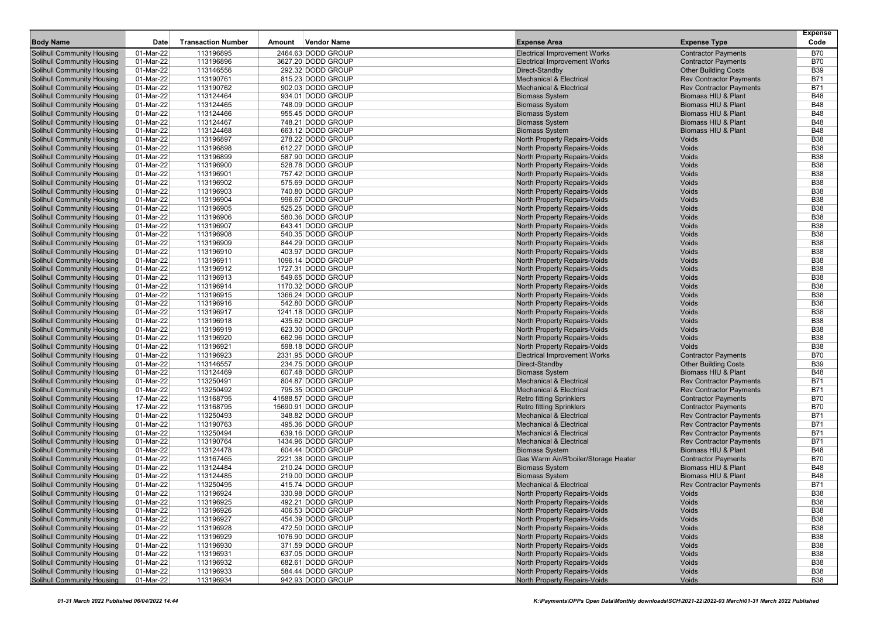| <b>Body Name</b>                                                       | Date                   | <b>Transaction Number</b> | Amount | <b>Vendor Name</b>                     | <b>Expense Area</b>                                                   | <b>Expense Type</b>                                          | <b>Expense</b><br>Code   |
|------------------------------------------------------------------------|------------------------|---------------------------|--------|----------------------------------------|-----------------------------------------------------------------------|--------------------------------------------------------------|--------------------------|
|                                                                        |                        | 113196895                 |        | 2464.63 DODD GROUP                     |                                                                       |                                                              |                          |
| Solihull Community Housing<br><b>Solihull Community Housing</b>        | 01-Mar-22              | 113196896                 |        | 3627.20 DODD GROUP                     | <b>Electrical Improvement Works</b>                                   | <b>Contractor Payments</b>                                   | <b>B70</b><br><b>B70</b> |
| <b>Solihull Community Housing</b>                                      | 01-Mar-22<br>01-Mar-22 | 113146556                 |        | 292.32 DODD GROUP                      | <b>Electrical Improvement Works</b><br>Direct-Standby                 | <b>Contractor Payments</b><br><b>Other Building Costs</b>    | <b>B39</b>               |
| <b>Solihull Community Housing</b>                                      | 01-Mar-22              | 113190761                 |        | 815.23 DODD GROUP                      | <b>Mechanical &amp; Electrical</b>                                    | <b>Rev Contractor Payments</b>                               | <b>B71</b>               |
| <b>Solihull Community Housing</b>                                      | 01-Mar-22              | 113190762                 |        | 902.03 DODD GROUP                      | <b>Mechanical &amp; Electrical</b>                                    | <b>Rev Contractor Payments</b>                               | <b>B71</b>               |
| <b>Solihull Community Housing</b>                                      | 01-Mar-22              | 113124464                 |        | 934.01 DODD GROUP                      | <b>Biomass System</b>                                                 | Biomass HIU & Plant                                          | <b>B48</b>               |
| <b>Solihull Community Housing</b>                                      | 01-Mar-22              | 113124465                 |        | 748.09 DODD GROUP                      | <b>Biomass System</b>                                                 | Biomass HIU & Plant                                          | <b>B48</b>               |
| <b>Solihull Community Housing</b>                                      | 01-Mar-22              | 113124466                 |        | 955.45 DODD GROUP                      | <b>Biomass System</b>                                                 | Biomass HIU & Plant                                          | <b>B48</b>               |
| <b>Solihull Community Housing</b>                                      | 01-Mar-22              | 113124467                 |        | 748.21 DODD GROUP                      | <b>Biomass System</b>                                                 | Biomass HIU & Plant                                          | <b>B48</b>               |
| <b>Solihull Community Housing</b>                                      | 01-Mar-22              | 113124468                 |        | 663.12 DODD GROUP                      | <b>Biomass System</b>                                                 | Biomass HIU & Plant                                          | <b>B48</b>               |
| <b>Solihull Community Housing</b>                                      | 01-Mar-22              | 113196897                 |        | 278.22 DODD GROUP                      | North Property Repairs-Voids                                          | Voids                                                        | <b>B38</b>               |
| <b>Solihull Community Housing</b>                                      | 01-Mar-22              | 113196898                 |        | 612.27 DODD GROUP                      | North Property Repairs-Voids                                          | Voids                                                        | <b>B38</b>               |
| <b>Solihull Community Housing</b>                                      | 01-Mar-22              | 113196899                 |        | 587.90 DODD GROUP                      | North Property Repairs-Voids                                          | Voids                                                        | <b>B38</b>               |
| <b>Solihull Community Housing</b>                                      | 01-Mar-22              | 113196900                 |        | 528.78 DODD GROUP                      | North Property Repairs-Voids                                          | Voids                                                        | <b>B38</b>               |
| <b>Solihull Community Housing</b>                                      | 01-Mar-22              | 113196901                 |        | 757.42 DODD GROUP                      | North Property Repairs-Voids                                          | Voids                                                        | <b>B38</b>               |
| <b>Solihull Community Housing</b>                                      | 01-Mar-22              | 113196902                 |        | 575.69 DODD GROUP                      | North Property Repairs-Voids                                          | Voids                                                        | <b>B38</b>               |
| <b>Solihull Community Housing</b>                                      | 01-Mar-22              | 113196903                 |        | 740.80 DODD GROUP                      | North Property Repairs-Voids                                          | Voids                                                        | <b>B38</b>               |
| <b>Solihull Community Housing</b>                                      | 01-Mar-22              | 113196904                 |        | 996.67 DODD GROUP                      | North Property Repairs-Voids                                          | Voids                                                        | <b>B38</b>               |
| <b>Solihull Community Housing</b>                                      | 01-Mar-22              | 113196905                 |        | 525.25 DODD GROUP                      | North Property Repairs-Voids                                          | Voids                                                        | <b>B38</b>               |
| <b>Solihull Community Housing</b>                                      | 01-Mar-22              | 113196906                 |        | 580.36 DODD GROUP                      | North Property Repairs-Voids                                          | Voids                                                        | <b>B38</b>               |
| <b>Solihull Community Housing</b>                                      | 01-Mar-22              | 113196907                 |        | 643.41 DODD GROUP                      | North Property Repairs-Voids                                          | Voids                                                        | <b>B38</b>               |
| <b>Solihull Community Housing</b>                                      | 01-Mar-22              | 113196908                 |        | 540.35 DODD GROUP                      | North Property Repairs-Voids                                          | Voids                                                        | <b>B38</b>               |
| <b>Solihull Community Housing</b>                                      | 01-Mar-22              | 113196909                 |        | 844.29 DODD GROUP                      | North Property Repairs-Voids                                          | Voids                                                        | <b>B38</b>               |
| <b>Solihull Community Housing</b>                                      | 01-Mar-22              | 113196910                 |        | 403.97 DODD GROUP                      | North Property Repairs-Voids                                          | Voids                                                        | <b>B38</b>               |
| <b>Solihull Community Housing</b>                                      | 01-Mar-22              | 113196911                 |        | 1096.14 DODD GROUP                     | North Property Repairs-Voids                                          | Voids                                                        | <b>B38</b>               |
| <b>Solihull Community Housing</b>                                      | 01-Mar-22              | 113196912                 |        | 1727.31 DODD GROUP                     | North Property Repairs-Voids                                          | Voids                                                        | <b>B38</b>               |
| <b>Solihull Community Housing</b>                                      | 01-Mar-22              | 113196913                 |        | 549.65 DODD GROUP                      | North Property Repairs-Voids                                          | Voids                                                        | <b>B38</b>               |
| <b>Solihull Community Housing</b>                                      | 01-Mar-22              | 113196914                 |        | 1170.32 DODD GROUP                     | North Property Repairs-Voids                                          | Voids                                                        | <b>B38</b>               |
| <b>Solihull Community Housing</b>                                      | 01-Mar-22              | 113196915                 |        | 1366.24 DODD GROUP                     | North Property Repairs-Voids                                          | Voids                                                        | <b>B38</b>               |
| <b>Solihull Community Housing</b>                                      | 01-Mar-22              | 113196916                 |        | 542.80 DODD GROUP                      | North Property Repairs-Voids                                          | Voids                                                        | <b>B38</b>               |
| <b>Solihull Community Housing</b>                                      | 01-Mar-22              | 113196917                 |        | 1241.18 DODD GROUP                     | North Property Repairs-Voids                                          | Voids                                                        | <b>B38</b>               |
| <b>Solihull Community Housing</b>                                      | 01-Mar-22              | 113196918                 |        | 435.62 DODD GROUP                      | North Property Repairs-Voids                                          | Voids                                                        | <b>B38</b>               |
| <b>Solihull Community Housing</b>                                      | 01-Mar-22              | 113196919                 |        | 623.30 DODD GROUP                      | North Property Repairs-Voids                                          | Voids                                                        | <b>B38</b>               |
| <b>Solihull Community Housing</b>                                      | 01-Mar-22              | 113196920                 |        | 662.96 DODD GROUP                      | North Property Repairs-Voids                                          | Voids                                                        | <b>B38</b>               |
| <b>Solihull Community Housing</b>                                      | 01-Mar-22              | 113196921                 |        | 598.18 DODD GROUP                      | North Property Repairs-Voids                                          | Voids                                                        | <b>B38</b>               |
| <b>Solihull Community Housing</b>                                      | 01-Mar-22              | 113196923                 |        | 2331.95 DODD GROUP                     | <b>Electrical Improvement Works</b>                                   | <b>Contractor Payments</b>                                   | <b>B70</b>               |
| <b>Solihull Community Housing</b>                                      | 01-Mar-22              | 113146557                 |        | 234.75 DODD GROUP                      | Direct-Standby                                                        | <b>Other Building Costs</b>                                  | <b>B39</b>               |
| <b>Solihull Community Housing</b>                                      | 01-Mar-22              | 113124469                 |        | 607.48 DODD GROUP                      | <b>Biomass System</b>                                                 | Biomass HIU & Plant                                          | <b>B48</b>               |
| <b>Solihull Community Housing</b>                                      | 01-Mar-22              | 113250491                 |        | 804.87 DODD GROUP                      | <b>Mechanical &amp; Electrical</b>                                    | <b>Rev Contractor Payments</b>                               | <b>B71</b>               |
| <b>Solihull Community Housing</b>                                      | 01-Mar-22              | 113250492                 |        | 795.35 DODD GROUP                      | <b>Mechanical &amp; Electrical</b>                                    | <b>Rev Contractor Payments</b>                               | B71                      |
| <b>Solihull Community Housing</b>                                      | 17-Mar-22              | 113168795                 |        | 41588.57 DODD GROUP                    | <b>Retro fitting Sprinklers</b>                                       | <b>Contractor Payments</b>                                   | <b>B70</b><br><b>B70</b> |
| <b>Solihull Community Housing</b><br><b>Solihull Community Housing</b> | 17-Mar-22<br>01-Mar-22 | 113168795<br>113250493    |        | 15690.91 DODD GROUP                    | <b>Retro fitting Sprinklers</b><br><b>Mechanical &amp; Electrical</b> | <b>Contractor Payments</b><br><b>Rev Contractor Payments</b> | <b>B71</b>               |
| <b>Solihull Community Housing</b>                                      | 01-Mar-22              | 113190763                 |        | 348.82 DODD GROUP<br>495.36 DODD GROUP | <b>Mechanical &amp; Electrical</b>                                    | <b>Rev Contractor Payments</b>                               | <b>B71</b>               |
| Solihull Community Housing                                             | 01-Mar-22              | 113250494                 |        | 639.16 DODD GROUP                      | <b>Mechanical &amp; Electrical</b>                                    | <b>Rev Contractor Payments</b>                               | B71                      |
| <b>Solihull Community Housing</b>                                      | 01-Mar-22              | 113190764                 |        | 1434.96 DODD GROUP                     | <b>Mechanical &amp; Electrical</b>                                    | <b>Rev Contractor Payments</b>                               | <b>B71</b>               |
| <b>Solihull Community Housing</b>                                      | 01-Mar-22              | 113124478                 |        | 604.44 DODD GROUP                      | <b>Biomass System</b>                                                 | Biomass HIU & Plant                                          | <b>B48</b>               |
| <b>Solihull Community Housing</b>                                      | 01-Mar-22              | 113167465                 |        | 2221.38 DODD GROUP                     | Gas Warm Air/B'boiler/Storage Heater                                  | <b>Contractor Payments</b>                                   | <b>B70</b>               |
| <b>Solihull Community Housing</b>                                      | 01-Mar-22              | 113124484                 |        | 210.24 DODD GROUP                      | <b>Biomass System</b>                                                 | Biomass HIU & Plant                                          | <b>B48</b>               |
| <b>Solihull Community Housing</b>                                      | 01-Mar-22              | 113124485                 |        | 219.00 DODD GROUP                      | <b>Biomass System</b>                                                 | Biomass HIU & Plant                                          | <b>B48</b>               |
| <b>Solihull Community Housing</b>                                      | 01-Mar-22              | 113250495                 |        | 415.74 DODD GROUP                      | <b>Mechanical &amp; Electrical</b>                                    | <b>Rev Contractor Payments</b>                               | <b>B71</b>               |
| Solihull Community Housing                                             | 01-Mar-22              | 113196924                 |        | 330.98 DODD GROUP                      | North Property Repairs-Voids                                          | Voids                                                        | <b>B38</b>               |
| Solihull Community Housing                                             | 01-Mar-22              | 113196925                 |        | 492.21 DODD GROUP                      | North Property Repairs-Voids                                          | Voids                                                        | <b>B38</b>               |
| <b>Solihull Community Housing</b>                                      | 01-Mar-22              | 113196926                 |        | 406.53 DODD GROUP                      | North Property Repairs-Voids                                          | Voids                                                        | <b>B38</b>               |
| Solihull Community Housing                                             | 01-Mar-22              | 113196927                 |        | 454.39 DODD GROUP                      | North Property Repairs-Voids                                          | Voids                                                        | <b>B38</b>               |
| <b>Solihull Community Housing</b>                                      | 01-Mar-22              | 113196928                 |        | 472.50 DODD GROUP                      | North Property Repairs-Voids                                          | Voids                                                        | <b>B38</b>               |
| Solihull Community Housing                                             | 01-Mar-22              | 113196929                 |        | 1076.90 DODD GROUP                     | North Property Repairs-Voids                                          | Voids                                                        | <b>B38</b>               |
| Solihull Community Housing                                             | 01-Mar-22              | 113196930                 |        | 371.59 DODD GROUP                      | North Property Repairs-Voids                                          | Voids                                                        | <b>B38</b>               |
| Solihull Community Housing                                             | 01-Mar-22              | 113196931                 |        | 637.05 DODD GROUP                      | North Property Repairs-Voids                                          | Voids                                                        | <b>B38</b>               |
| <b>Solihull Community Housing</b>                                      | 01-Mar-22              | 113196932                 |        | 682.61 DODD GROUP                      | North Property Repairs-Voids                                          | Voids                                                        | <b>B38</b>               |
| <b>Solihull Community Housing</b>                                      | 01-Mar-22              | 113196933                 |        | 584.44 DODD GROUP                      | North Property Repairs-Voids                                          | Voids                                                        | <b>B38</b>               |
| Solihull Community Housing                                             | 01-Mar-22              | 113196934                 |        | 942.93 DODD GROUP                      | North Property Repairs-Voids                                          | Voids                                                        | <b>B38</b>               |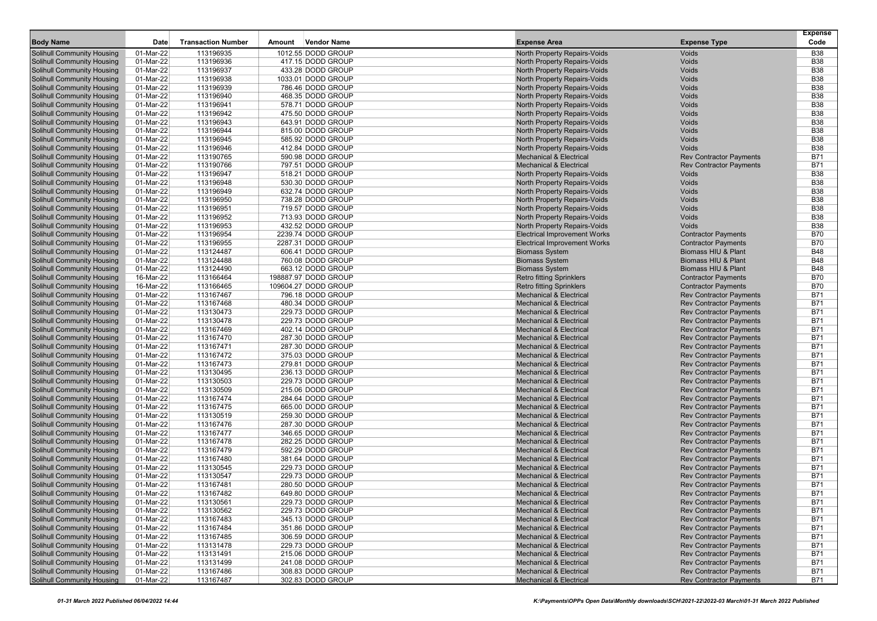| <b>Body Name</b>                                                       | Date                   | <b>Transaction Number</b> | Amount | <b>Vendor Name</b>                      | <b>Expense Area</b>                                                      | <b>Expense Type</b>                                              | <b>Expense</b><br>Code   |
|------------------------------------------------------------------------|------------------------|---------------------------|--------|-----------------------------------------|--------------------------------------------------------------------------|------------------------------------------------------------------|--------------------------|
|                                                                        |                        |                           |        |                                         |                                                                          |                                                                  |                          |
| Solihull Community Housing                                             | 01-Mar-22              | 113196935                 |        | 1012.55 DODD GROUP                      | North Property Repairs-Voids                                             | Voids                                                            | <b>B38</b>               |
| Solihull Community Housing                                             | 01-Mar-22              | 113196936                 |        | 417.15 DODD GROUP                       | North Property Repairs-Voids                                             | Voids                                                            | <b>B38</b>               |
| <b>Solihull Community Housing</b><br><b>Solihull Community Housing</b> | 01-Mar-22<br>01-Mar-22 | 113196937<br>113196938    |        | 433.28 DODD GROUP<br>1033.01 DODD GROUP | North Property Repairs-Voids<br>North Property Repairs-Voids             | Voids<br>Voids                                                   | <b>B38</b><br><b>B38</b> |
| <b>Solihull Community Housing</b>                                      | 01-Mar-22              | 113196939                 |        | 786.46 DODD GROUP                       | <b>North Property Repairs-Voids</b>                                      | Voids                                                            | <b>B38</b>               |
| <b>Solihull Community Housing</b>                                      | 01-Mar-22              | 113196940                 |        | 468.35 DODD GROUP                       | North Property Repairs-Voids                                             | Voids                                                            | <b>B38</b>               |
| <b>Solihull Community Housing</b>                                      | 01-Mar-22              | 113196941                 |        | 578.71 DODD GROUP                       | North Property Repairs-Voids                                             | Voids                                                            | <b>B38</b>               |
| <b>Solihull Community Housing</b>                                      | 01-Mar-22              | 113196942                 |        | 475.50 DODD GROUP                       | <b>North Property Repairs-Voids</b>                                      | Voids                                                            | <b>B38</b>               |
| <b>Solihull Community Housing</b>                                      | 01-Mar-22              | 113196943                 |        | 643.91 DODD GROUP                       | North Property Repairs-Voids                                             | Voids                                                            | <b>B38</b>               |
| <b>Solihull Community Housing</b>                                      | 01-Mar-22              | 113196944                 |        | 815.00 DODD GROUP                       | North Property Repairs-Voids                                             | Voids                                                            | <b>B38</b>               |
| <b>Solihull Community Housing</b>                                      | 01-Mar-22              | 113196945                 |        | 585.92 DODD GROUP                       | North Property Repairs-Voids                                             | Voids                                                            | <b>B38</b>               |
| <b>Solihull Community Housing</b>                                      | 01-Mar-22              | 113196946                 |        | 412.84 DODD GROUP                       | <b>North Property Repairs-Voids</b>                                      | Voids                                                            | <b>B38</b>               |
| <b>Solihull Community Housing</b>                                      | 01-Mar-22              | 113190765                 |        | 590.98 DODD GROUP                       | <b>Mechanical &amp; Electrical</b>                                       | <b>Rev Contractor Payments</b>                                   | <b>B71</b>               |
| <b>Solihull Community Housing</b>                                      | 01-Mar-22              | 113190766                 |        | 797.51 DODD GROUP                       | <b>Mechanical &amp; Electrical</b>                                       | <b>Rev Contractor Payments</b>                                   | <b>B71</b>               |
| <b>Solihull Community Housing</b>                                      | 01-Mar-22              | 113196947                 |        | 518.21 DODD GROUP                       | North Property Repairs-Voids                                             | Voids                                                            | <b>B38</b>               |
| <b>Solihull Community Housing</b>                                      | 01-Mar-22              | 113196948                 |        | 530.30 DODD GROUP                       | North Property Repairs-Voids                                             | Voids                                                            | <b>B38</b>               |
| <b>Solihull Community Housing</b>                                      | 01-Mar-22              | 113196949                 |        | 632.74 DODD GROUP                       | <b>North Property Repairs-Voids</b>                                      | Voids                                                            | <b>B38</b>               |
| <b>Solihull Community Housing</b>                                      | 01-Mar-22              | 113196950                 |        | 738.28 DODD GROUP                       | North Property Repairs-Voids                                             | Voids                                                            | <b>B38</b>               |
| <b>Solihull Community Housing</b>                                      | 01-Mar-22              | 113196951                 |        | 719.57 DODD GROUP                       | North Property Repairs-Voids                                             | Voids                                                            | <b>B38</b>               |
| <b>Solihull Community Housing</b>                                      | 01-Mar-22              | 113196952                 |        | 713.93 DODD GROUP                       | North Property Repairs-Voids                                             | Voids                                                            | <b>B38</b>               |
| <b>Solihull Community Housing</b>                                      | 01-Mar-22              | 113196953                 |        | 432.52 DODD GROUP                       | North Property Repairs-Voids                                             | Voids                                                            | <b>B38</b>               |
| <b>Solihull Community Housing</b>                                      | 01-Mar-22              | 113196954                 |        | 2239.74 DODD GROUP                      | <b>Electrical Improvement Works</b>                                      | <b>Contractor Payments</b>                                       | <b>B70</b>               |
| <b>Solihull Community Housing</b>                                      | 01-Mar-22              | 113196955                 |        | 2287.31 DODD GROUP                      | <b>Electrical Improvement Works</b>                                      | <b>Contractor Payments</b>                                       | <b>B70</b>               |
| <b>Solihull Community Housing</b>                                      | 01-Mar-22              | 113124487                 |        | 606.41 DODD GROUP                       | <b>Biomass System</b>                                                    | Biomass HIU & Plant                                              | <b>B48</b>               |
| <b>Solihull Community Housing</b>                                      | 01-Mar-22              | 113124488                 |        | 760.08 DODD GROUP                       | <b>Biomass System</b>                                                    | Biomass HIU & Plant                                              | <b>B48</b>               |
| <b>Solihull Community Housing</b>                                      | 01-Mar-22              | 113124490                 |        | 663.12 DODD GROUP                       | <b>Biomass System</b>                                                    | Biomass HIU & Plant                                              | <b>B48</b>               |
| <b>Solihull Community Housing</b>                                      | 16-Mar-22              | 113166464                 |        | 198887.97 DODD GROUP                    | <b>Retro fitting Sprinklers</b>                                          | <b>Contractor Payments</b>                                       | <b>B70</b>               |
| <b>Solihull Community Housing</b>                                      | 16-Mar-22              | 113166465                 |        | 109604.27 DODD GROUP                    | <b>Retro fitting Sprinklers</b>                                          | <b>Contractor Payments</b>                                       | <b>B70</b>               |
| <b>Solihull Community Housing</b>                                      | 01-Mar-22              | 113167467                 |        | 796.18 DODD GROUP                       | <b>Mechanical &amp; Electrical</b>                                       | <b>Rev Contractor Payments</b>                                   | B71                      |
| <b>Solihull Community Housing</b>                                      | 01-Mar-22              | 113167468                 |        | 480.34 DODD GROUP                       | <b>Mechanical &amp; Electrical</b>                                       | <b>Rev Contractor Payments</b>                                   | <b>B71</b>               |
| <b>Solihull Community Housing</b>                                      | 01-Mar-22              | 113130473                 |        | 229.73 DODD GROUP                       | <b>Mechanical &amp; Electrical</b>                                       | <b>Rev Contractor Payments</b>                                   | <b>B71</b>               |
| <b>Solihull Community Housing</b>                                      | 01-Mar-22              | 113130478                 |        | 229.73 DODD GROUP                       | <b>Mechanical &amp; Electrical</b>                                       | <b>Rev Contractor Payments</b>                                   | B71                      |
| <b>Solihull Community Housing</b><br><b>Solihull Community Housing</b> | 01-Mar-22<br>01-Mar-22 | 113167469<br>113167470    |        | 402.14 DODD GROUP<br>287.30 DODD GROUP  | <b>Mechanical &amp; Electrical</b><br><b>Mechanical &amp; Electrical</b> | <b>Rev Contractor Payments</b><br><b>Rev Contractor Payments</b> | <b>B71</b><br><b>B71</b> |
| <b>Solihull Community Housing</b>                                      | 01-Mar-22              | 113167471                 |        | 287.30 DODD GROUP                       | <b>Mechanical &amp; Electrical</b>                                       | <b>Rev Contractor Payments</b>                                   | <b>B71</b>               |
| <b>Solihull Community Housing</b>                                      | 01-Mar-22              | 113167472                 |        | 375.03 DODD GROUP                       | <b>Mechanical &amp; Electrical</b>                                       | <b>Rev Contractor Payments</b>                                   | <b>B71</b>               |
| <b>Solihull Community Housing</b>                                      | 01-Mar-22              | 113167473                 |        | 279.81 DODD GROUP                       | <b>Mechanical &amp; Electrical</b>                                       | <b>Rev Contractor Payments</b>                                   | B71                      |
| <b>Solihull Community Housing</b>                                      | 01-Mar-22              | 113130495                 |        | 236.13 DODD GROUP                       | <b>Mechanical &amp; Electrical</b>                                       | <b>Rev Contractor Payments</b>                                   | <b>B71</b>               |
| <b>Solihull Community Housing</b>                                      | 01-Mar-22              | 113130503                 |        | 229.73 DODD GROUP                       | <b>Mechanical &amp; Electrical</b>                                       | <b>Rev Contractor Payments</b>                                   | <b>B71</b>               |
| <b>Solihull Community Housing</b>                                      | 01-Mar-22              | 113130509                 |        | 215.06 DODD GROUP                       | <b>Mechanical &amp; Electrical</b>                                       | <b>Rev Contractor Payments</b>                                   | B71                      |
| <b>Solihull Community Housing</b>                                      | 01-Mar-22              | 113167474                 |        | 284.64 DODD GROUP                       | <b>Mechanical &amp; Electrical</b>                                       | <b>Rev Contractor Payments</b>                                   | <b>B71</b>               |
| <b>Solihull Community Housing</b>                                      | 01-Mar-22              | 113167475                 |        | 665.00 DODD GROUP                       | <b>Mechanical &amp; Electrical</b>                                       | <b>Rev Contractor Payments</b>                                   | B71                      |
| <b>Solihull Community Housing</b>                                      | 01-Mar-22              | 113130519                 |        | 259.30 DODD GROUP                       | <b>Mechanical &amp; Electrical</b>                                       | <b>Rev Contractor Payments</b>                                   | <b>B71</b>               |
| <b>Solihull Community Housing</b>                                      | 01-Mar-22              | 113167476                 |        | 287.30 DODD GROUP                       | <b>Mechanical &amp; Electrical</b>                                       | <b>Rev Contractor Payments</b>                                   | <b>B71</b>               |
| <b>Solihull Community Housing</b>                                      | 01-Mar-22              | 113167477                 |        | 346.65 DODD GROUP                       | <b>Mechanical &amp; Electrical</b>                                       | <b>Rev Contractor Payments</b>                                   | B71                      |
| Solihull Community Housing                                             | 01-Mar-22              | 113167478                 |        | 282.25 DODD GROUP                       | <b>Mechanical &amp; Electrical</b>                                       | <b>Rev Contractor Payments</b>                                   | <b>B71</b>               |
| <b>Solihull Community Housing</b>                                      | 01-Mar-22              | 113167479                 |        | 592.29 DODD GROUP                       | <b>Mechanical &amp; Electrical</b>                                       | <b>Rev Contractor Payments</b>                                   | <b>B71</b>               |
| <b>Solihull Community Housing</b>                                      | 01-Mar-22              | 113167480                 |        | 381.64 DODD GROUP                       | <b>Mechanical &amp; Electrical</b>                                       | <b>Rev Contractor Payments</b>                                   | <b>B71</b>               |
| <b>Solihull Community Housing</b>                                      | 01-Mar-22              | 113130545                 |        | 229.73 DODD GROUP                       | <b>Mechanical &amp; Electrical</b>                                       | <b>Rev Contractor Payments</b>                                   | <b>B71</b>               |
| <b>Solihull Community Housing</b>                                      | 01-Mar-22              | 113130547                 |        | 229.73 DODD GROUP                       | <b>Mechanical &amp; Electrical</b>                                       | <b>Rev Contractor Payments</b>                                   | B71                      |
| Solihull Community Housing                                             | 01-Mar-22              | 113167481                 |        | 280.50 DODD GROUP                       | <b>Mechanical &amp; Electrical</b>                                       | <b>Rev Contractor Payments</b>                                   | B71                      |
| <b>Solihull Community Housing</b>                                      | 01-Mar-22              | 113167482                 |        | 649.80 DODD GROUP                       | <b>Mechanical &amp; Electrical</b>                                       | <b>Rev Contractor Payments</b>                                   | B71                      |
| <b>Solihull Community Housing</b>                                      | 01-Mar-22              | 113130561                 |        | 229.73 DODD GROUP                       | <b>Mechanical &amp; Electrical</b>                                       | <b>Rev Contractor Payments</b>                                   | <b>B71</b>               |
| <b>Solihull Community Housing</b>                                      | 01-Mar-22              | 113130562                 |        | 229.73 DODD GROUP                       | <b>Mechanical &amp; Electrical</b>                                       | <b>Rev Contractor Payments</b>                                   | <b>B71</b>               |
| <b>Solihull Community Housing</b>                                      | 01-Mar-22              | 113167483                 |        | 345.13 DODD GROUP                       | <b>Mechanical &amp; Electrical</b>                                       | <b>Rev Contractor Payments</b>                                   | <b>B71</b>               |
| Solihull Community Housing                                             | 01-Mar-22              | 113167484                 |        | 351.86 DODD GROUP                       | <b>Mechanical &amp; Electrical</b>                                       | <b>Rev Contractor Payments</b>                                   | <b>B71</b>               |
| <b>Solihull Community Housing</b>                                      | 01-Mar-22              | 113167485                 |        | 306.59 DODD GROUP                       | <b>Mechanical &amp; Electrical</b>                                       | <b>Rev Contractor Payments</b>                                   | <b>B71</b>               |
| <b>Solihull Community Housing</b>                                      | 01-Mar-22              | 113131478                 |        | 229.73 DODD GROUP                       | <b>Mechanical &amp; Electrical</b>                                       | <b>Rev Contractor Payments</b>                                   | <b>B71</b>               |
| <b>Solihull Community Housing</b>                                      | 01-Mar-22              | 113131491                 |        | 215.06 DODD GROUP                       | <b>Mechanical &amp; Electrical</b>                                       | <b>Rev Contractor Payments</b>                                   | <b>B71</b>               |
| <b>Solihull Community Housing</b><br><b>Solihull Community Housing</b> | 01-Mar-22<br>01-Mar-22 | 113131499<br>113167486    |        | 241.08 DODD GROUP<br>308.83 DODD GROUP  | <b>Mechanical &amp; Electrical</b><br><b>Mechanical &amp; Electrical</b> | <b>Rev Contractor Payments</b><br><b>Rev Contractor Payments</b> | <b>B71</b><br><b>B71</b> |
| <b>Solihull Community Housing</b>                                      | 01-Mar-22              | 113167487                 |        | 302.83 DODD GROUP                       | <b>Mechanical &amp; Electrical</b>                                       | <b>Rev Contractor Payments</b>                                   | <b>B71</b>               |
|                                                                        |                        |                           |        |                                         |                                                                          |                                                                  |                          |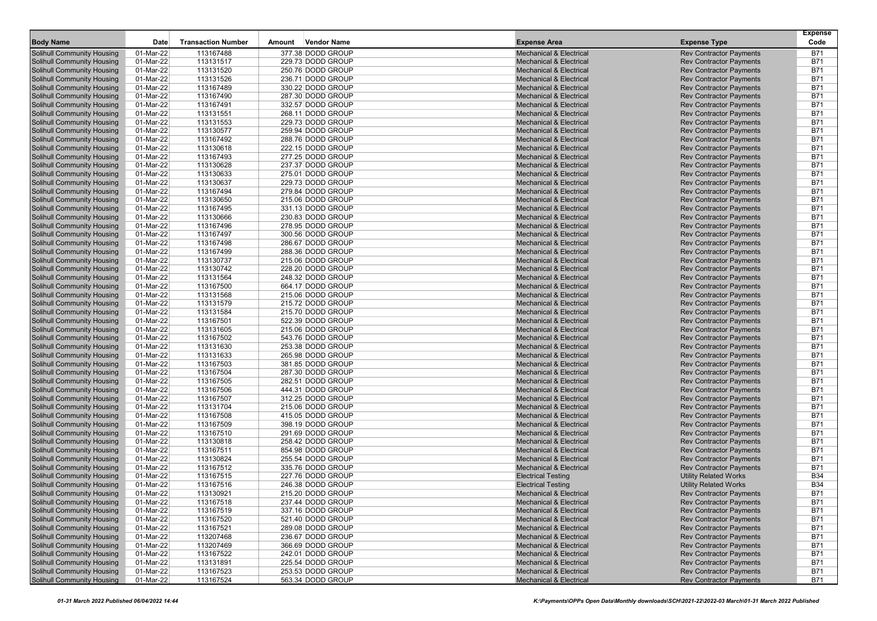|                                                                        |                        |                           |        |                                        |                                                                          |                                                                  | <b>Expense</b>           |
|------------------------------------------------------------------------|------------------------|---------------------------|--------|----------------------------------------|--------------------------------------------------------------------------|------------------------------------------------------------------|--------------------------|
| <b>Body Name</b>                                                       | Date                   | <b>Transaction Number</b> | Amount | <b>Vendor Name</b>                     | <b>Expense Area</b>                                                      | <b>Expense Type</b>                                              | Code                     |
| Solihull Community Housing                                             | 01-Mar-22              | 113167488                 |        | 377.38 DODD GROUP                      | <b>Mechanical &amp; Electrical</b><br><b>Mechanical &amp; Electrical</b> | <b>Rev Contractor Payments</b>                                   | <b>B71</b><br><b>B71</b> |
| <b>Solihull Community Housing</b><br><b>Solihull Community Housing</b> | 01-Mar-22<br>01-Mar-22 | 113131517<br>113131520    |        | 229.73 DODD GROUP<br>250.76 DODD GROUP | <b>Mechanical &amp; Electrical</b>                                       | <b>Rev Contractor Payments</b><br><b>Rev Contractor Payments</b> | B71                      |
| <b>Solihull Community Housing</b>                                      | 01-Mar-22              | 113131526                 |        | 236.71 DODD GROUP                      | <b>Mechanical &amp; Electrical</b>                                       | <b>Rev Contractor Payments</b>                                   | <b>B71</b>               |
| <b>Solihull Community Housing</b>                                      | 01-Mar-22              | 113167489                 |        | 330.22 DODD GROUP                      | <b>Mechanical &amp; Electrical</b>                                       | <b>Rev Contractor Payments</b>                                   | <b>B71</b>               |
| <b>Solihull Community Housing</b>                                      | 01-Mar-22              | 113167490                 |        | 287.30 DODD GROUP                      | <b>Mechanical &amp; Electrical</b>                                       | <b>Rev Contractor Payments</b>                                   | <b>B71</b>               |
| <b>Solihull Community Housing</b>                                      | 01-Mar-22              | 113167491                 |        | 332.57 DODD GROUP                      | <b>Mechanical &amp; Electrical</b>                                       | <b>Rev Contractor Payments</b>                                   | <b>B71</b>               |
| <b>Solihull Community Housing</b>                                      | 01-Mar-22              | 113131551                 |        | 268.11 DODD GROUP                      | <b>Mechanical &amp; Electrical</b>                                       | <b>Rev Contractor Payments</b>                                   | B71                      |
| <b>Solihull Community Housing</b>                                      | 01-Mar-22              | 113131553                 |        | 229.73 DODD GROUP                      | <b>Mechanical &amp; Electrical</b>                                       | <b>Rev Contractor Payments</b>                                   | <b>B71</b>               |
| <b>Solihull Community Housing</b>                                      | 01-Mar-22              | 113130577                 |        | 259.94 DODD GROUP                      | <b>Mechanical &amp; Electrical</b>                                       | <b>Rev Contractor Payments</b>                                   | <b>B71</b>               |
| <b>Solihull Community Housing</b>                                      | $01$ -Mar-22           | 113167492                 |        | 288.76 DODD GROUP                      | <b>Mechanical &amp; Electrical</b>                                       | <b>Rev Contractor Payments</b>                                   | B71                      |
| <b>Solihull Community Housing</b>                                      | 01-Mar-22              | 113130618                 |        | 222.15 DODD GROUP                      | <b>Mechanical &amp; Electrical</b>                                       | <b>Rev Contractor Payments</b>                                   | <b>B71</b>               |
| <b>Solihull Community Housing</b>                                      | 01-Mar-22              | 113167493                 |        | 277.25 DODD GROUP                      | <b>Mechanical &amp; Electrical</b>                                       | <b>Rev Contractor Payments</b>                                   | <b>B71</b>               |
| <b>Solihull Community Housing</b>                                      | 01-Mar-22              | 113130628                 |        | 237.37 DODD GROUP                      | <b>Mechanical &amp; Electrical</b>                                       | <b>Rev Contractor Payments</b>                                   | <b>B71</b>               |
| <b>Solihull Community Housing</b>                                      | 01-Mar-22              | 113130633                 |        | 275.01 DODD GROUP                      | <b>Mechanical &amp; Electrical</b>                                       | <b>Rev Contractor Payments</b>                                   | <b>B71</b>               |
| <b>Solihull Community Housing</b>                                      | 01-Mar-22              | 113130637                 |        | 229.73 DODD GROUP                      | <b>Mechanical &amp; Electrical</b>                                       | <b>Rev Contractor Payments</b>                                   | B71                      |
| <b>Solihull Community Housing</b>                                      | 01-Mar-22              | 113167494                 |        | 279.84 DODD GROUP                      | <b>Mechanical &amp; Electrical</b>                                       | <b>Rev Contractor Payments</b>                                   | <b>B71</b>               |
| <b>Solihull Community Housing</b>                                      | 01-Mar-22              | 113130650                 |        | 215.06 DODD GROUP                      | <b>Mechanical &amp; Electrical</b>                                       | <b>Rev Contractor Payments</b>                                   | <b>B71</b>               |
| <b>Solihull Community Housing</b>                                      | 01-Mar-22              | 113167495                 |        | 331.13 DODD GROUP                      | <b>Mechanical &amp; Electrical</b>                                       | <b>Rev Contractor Payments</b>                                   | B71                      |
| <b>Solihull Community Housing</b>                                      | 01-Mar-22              | 113130666                 |        | 230.83 DODD GROUP                      | <b>Mechanical &amp; Electrical</b>                                       | <b>Rev Contractor Payments</b>                                   | <b>B71</b>               |
| <b>Solihull Community Housing</b><br><b>Solihull Community Housing</b> | 01-Mar-22<br>01-Mar-22 | 113167496<br>113167497    |        | 278.95 DODD GROUP<br>300.56 DODD GROUP | <b>Mechanical &amp; Electrical</b><br><b>Mechanical &amp; Electrical</b> | <b>Rev Contractor Payments</b><br><b>Rev Contractor Payments</b> | <b>B71</b><br><b>B71</b> |
| <b>Solihull Community Housing</b>                                      | 01-Mar-22              | 113167498                 |        | 286.67 DODD GROUP                      | <b>Mechanical &amp; Electrical</b>                                       | <b>Rev Contractor Payments</b>                                   | <b>B71</b>               |
| <b>Solihull Community Housing</b>                                      | 01-Mar-22              | 113167499                 |        | 288.36 DODD GROUP                      | <b>Mechanical &amp; Electrical</b>                                       | <b>Rev Contractor Payments</b>                                   | B71                      |
| <b>Solihull Community Housing</b>                                      | 01-Mar-22              | 113130737                 |        | 215.06 DODD GROUP                      | <b>Mechanical &amp; Electrical</b>                                       | <b>Rev Contractor Payments</b>                                   | <b>B71</b>               |
| <b>Solihull Community Housing</b>                                      | 01-Mar-22              | 113130742                 |        | 228.20 DODD GROUP                      | <b>Mechanical &amp; Electrical</b>                                       | <b>Rev Contractor Payments</b>                                   | <b>B71</b>               |
| <b>Solihull Community Housing</b>                                      | 01-Mar-22              | 113131564                 |        | 248.32 DODD GROUP                      | <b>Mechanical &amp; Electrical</b>                                       | <b>Rev Contractor Payments</b>                                   | B71                      |
| <b>Solihull Community Housing</b>                                      | 01-Mar-22              | 113167500                 |        | 664.17 DODD GROUP                      | <b>Mechanical &amp; Electrical</b>                                       | <b>Rev Contractor Payments</b>                                   | <b>B71</b>               |
| <b>Solihull Community Housing</b>                                      | 01-Mar-22              | 113131568                 |        | 215.06 DODD GROUP                      | <b>Mechanical &amp; Electrical</b>                                       | <b>Rev Contractor Payments</b>                                   | <b>B71</b>               |
| <b>Solihull Community Housing</b>                                      | 01-Mar-22              | 113131579                 |        | 215.72 DODD GROUP                      | <b>Mechanical &amp; Electrical</b>                                       | <b>Rev Contractor Payments</b>                                   | <b>B71</b>               |
| <b>Solihull Community Housing</b>                                      | 01-Mar-22              | 113131584                 |        | 215.70 DODD GROUP                      | <b>Mechanical &amp; Electrical</b>                                       | <b>Rev Contractor Payments</b>                                   | <b>B71</b>               |
| <b>Solihull Community Housing</b>                                      | 01-Mar-22              | 113167501                 |        | 522.39 DODD GROUP                      | <b>Mechanical &amp; Electrical</b>                                       | <b>Rev Contractor Payments</b>                                   | B71                      |
| <b>Solihull Community Housing</b>                                      | 01-Mar-22              | 113131605                 |        | 215.06 DODD GROUP                      | <b>Mechanical &amp; Electrical</b>                                       | <b>Rev Contractor Payments</b>                                   | <b>B71</b>               |
| <b>Solihull Community Housing</b>                                      | 01-Mar-22              | 113167502                 |        | 543.76 DODD GROUP                      | <b>Mechanical &amp; Electrical</b>                                       | <b>Rev Contractor Payments</b>                                   | <b>B71</b>               |
| <b>Solihull Community Housing</b>                                      | 01-Mar-22              | 113131630                 |        | 253.38 DODD GROUP                      | <b>Mechanical &amp; Electrical</b>                                       | <b>Rev Contractor Payments</b>                                   | <b>B71</b>               |
| <b>Solihull Community Housing</b>                                      | 01-Mar-22              | 113131633                 |        | 265.98 DODD GROUP                      | <b>Mechanical &amp; Electrical</b>                                       | <b>Rev Contractor Payments</b>                                   | <b>B71</b>               |
| <b>Solihull Community Housing</b>                                      | 01-Mar-22              | 113167503                 |        | 381.85 DODD GROUP                      | <b>Mechanical &amp; Electrical</b>                                       | <b>Rev Contractor Payments</b>                                   | B71                      |
| <b>Solihull Community Housing</b>                                      | 01-Mar-22              | 113167504                 |        | 287.30 DODD GROUP                      | <b>Mechanical &amp; Electrical</b>                                       | <b>Rev Contractor Payments</b>                                   | <b>B71</b>               |
| <b>Solihull Community Housing</b>                                      | 01-Mar-22              | 113167505                 |        | 282.51 DODD GROUP                      | <b>Mechanical &amp; Electrical</b>                                       | <b>Rev Contractor Payments</b>                                   | <b>B71</b>               |
| <b>Solihull Community Housing</b>                                      | 01-Mar-22              | 113167506                 |        | 444.31 DODD GROUP                      | <b>Mechanical &amp; Electrical</b>                                       | <b>Rev Contractor Payments</b>                                   | B71                      |
| <b>Solihull Community Housing</b>                                      | 01-Mar-22              | 113167507                 |        | 312.25 DODD GROUP                      | <b>Mechanical &amp; Electrical</b>                                       | <b>Rev Contractor Payments</b>                                   | <b>B71</b>               |
| <b>Solihull Community Housing</b>                                      | 01-Mar-22              | 113131704                 |        | 215.06 DODD GROUP                      | <b>Mechanical &amp; Electrical</b>                                       | <b>Rev Contractor Payments</b>                                   | <b>B71</b>               |
| <b>Solihull Community Housing</b>                                      | 01-Mar-22              | 113167508                 |        | 415.05 DODD GROUP<br>398.19 DODD GROUP | <b>Mechanical &amp; Electrical</b><br><b>Mechanical &amp; Electrical</b> | <b>Rev Contractor Payments</b>                                   | <b>B71</b><br><b>B71</b> |
| <b>Solihull Community Housing</b><br><b>Solihull Community Housing</b> | 01-Mar-22<br>01-Mar-22 | 113167509<br>113167510    |        | 291.69 DODD GROUP                      | <b>Mechanical &amp; Electrical</b>                                       | <b>Rev Contractor Payments</b><br><b>Rev Contractor Payments</b> | B71                      |
| <b>Solihull Community Housing</b>                                      | 01-Mar-22              | 113130818                 |        | 258.42 DODD GROUP                      | <b>Mechanical &amp; Electrical</b>                                       | <b>Rev Contractor Payments</b>                                   | <b>B71</b>               |
| <b>Solihull Community Housing</b>                                      | 01-Mar-22              | 113167511                 |        | 854.98 DODD GROUP                      | <b>Mechanical &amp; Electrical</b>                                       | <b>Rev Contractor Payments</b>                                   | <b>B71</b>               |
| <b>Solihull Community Housing</b>                                      | 01-Mar-22              | 113130824                 |        | 255.54 DODD GROUP                      | <b>Mechanical &amp; Electrical</b>                                       | <b>Rev Contractor Payments</b>                                   | B71                      |
| <b>Solihull Community Housing</b>                                      | 01-Mar-22              | 113167512                 |        | 335.76 DODD GROUP                      | <b>Mechanical &amp; Electrical</b>                                       | <b>Rev Contractor Payments</b>                                   | <b>B71</b>               |
| <b>Solihull Community Housing</b>                                      | 01-Mar-22              | 113167515                 |        | 227.76 DODD GROUP                      | <b>Electrical Testing</b>                                                | <b>Utility Related Works</b>                                     | <b>B34</b>               |
| <b>Solihull Community Housing</b>                                      | 01-Mar-22              | 113167516                 |        | 246.38 DODD GROUP                      | <b>Electrical Testing</b>                                                | <b>Utility Related Works</b>                                     | <b>B34</b>               |
| Solihull Community Housing                                             | 01-Mar-22              | 113130921                 |        | 215.20 DODD GROUP                      | Mechanical & Electrical                                                  | <b>Rev Contractor Payments</b>                                   | B71                      |
| Solihull Community Housing                                             | 01-Mar-22              | 113167518                 |        | 237.44 DODD GROUP                      | <b>Mechanical &amp; Electrical</b>                                       | <b>Rev Contractor Payments</b>                                   | <b>B71</b>               |
| <b>Solihull Community Housing</b>                                      | 01-Mar-22              | 113167519                 |        | 337.16 DODD GROUP                      | <b>Mechanical &amp; Electrical</b>                                       | <b>Rev Contractor Payments</b>                                   | <b>B71</b>               |
| <b>Solihull Community Housing</b>                                      | 01-Mar-22              | 113167520                 |        | 521.40 DODD GROUP                      | <b>Mechanical &amp; Electrical</b>                                       | <b>Rev Contractor Payments</b>                                   | <b>B71</b>               |
| <b>Solihull Community Housing</b>                                      | 01-Mar-22              | 113167521                 |        | 289.08 DODD GROUP                      | <b>Mechanical &amp; Electrical</b>                                       | <b>Rev Contractor Payments</b>                                   | <b>B71</b>               |
| Solihull Community Housing                                             | 01-Mar-22              | 113207468                 |        | 236.67 DODD GROUP                      | <b>Mechanical &amp; Electrical</b>                                       | <b>Rev Contractor Payments</b>                                   | <b>B71</b>               |
| Solihull Community Housing                                             | 01-Mar-22              | 113207469                 |        | 366.69 DODD GROUP                      | <b>Mechanical &amp; Electrical</b>                                       | <b>Rev Contractor Payments</b>                                   | <b>B71</b>               |
| Solihull Community Housing                                             | 01-Mar-22              | 113167522                 |        | 242.01 DODD GROUP                      | <b>Mechanical &amp; Electrical</b>                                       | <b>Rev Contractor Payments</b>                                   | <b>B71</b>               |
| <b>Solihull Community Housing</b>                                      | 01-Mar-22              | 113131891                 |        | 225.54 DODD GROUP                      | <b>Mechanical &amp; Electrical</b>                                       | <b>Rev Contractor Payments</b>                                   | <b>B71</b>               |
| <b>Solihull Community Housing</b>                                      | 01-Mar-22              | 113167523                 |        | 253.53 DODD GROUP                      | <b>Mechanical &amp; Electrical</b>                                       | <b>Rev Contractor Payments</b>                                   | <b>B71</b>               |
| <b>Solihull Community Housing</b>                                      | 01-Mar-22              | 113167524                 |        | 563.34 DODD GROUP                      | <b>Mechanical &amp; Electrical</b>                                       | <b>Rev Contractor Payments</b>                                   | <b>B71</b>               |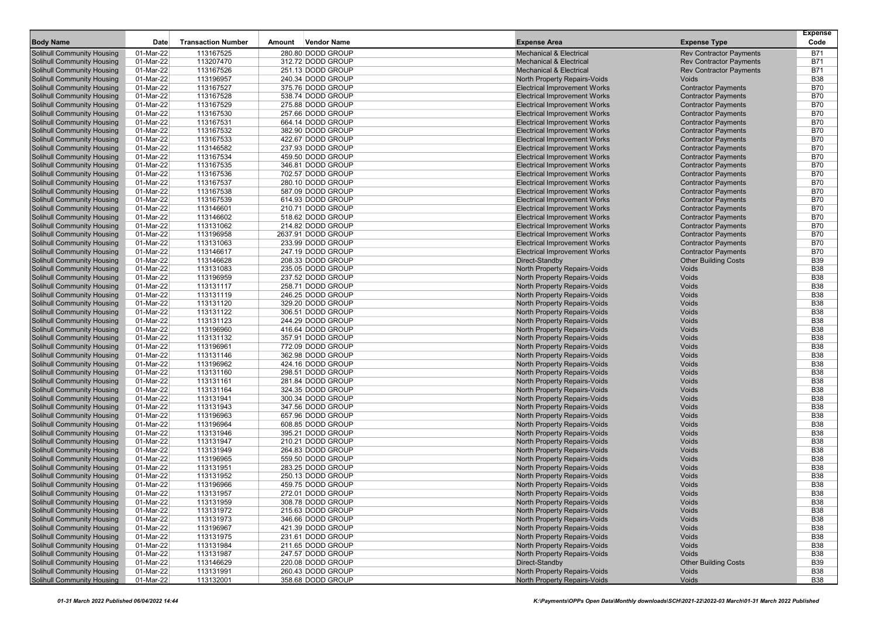| <b>Body Name</b>                                                | Date                   | <b>Transaction Number</b> | Amount | <b>Vendor Name</b>                     | <b>Expense Area</b>                                          | <b>Expense Type</b>            | <b>Expense</b><br>Code   |
|-----------------------------------------------------------------|------------------------|---------------------------|--------|----------------------------------------|--------------------------------------------------------------|--------------------------------|--------------------------|
| <b>Solihull Community Housing</b>                               | 01-Mar-22              | 113167525                 |        | 280.80 DODD GROUP                      | <b>Mechanical &amp; Electrical</b>                           | <b>Rev Contractor Payments</b> | <b>B71</b>               |
| <b>Solihull Community Housing</b>                               | 01-Mar-22              | 113207470                 |        | 312.72 DODD GROUP                      | <b>Mechanical &amp; Electrical</b>                           | <b>Rev Contractor Payments</b> | <b>B71</b>               |
| <b>Solihull Community Housing</b>                               | 01-Mar-22              | 113167526                 |        | 251.13 DODD GROUP                      | <b>Mechanical &amp; Electrical</b>                           | <b>Rev Contractor Payments</b> | B71                      |
| <b>Solihull Community Housing</b>                               | 01-Mar-22              | 113196957                 |        | 240.34 DODD GROUP                      | North Property Repairs-Voids                                 | Voids                          | <b>B38</b>               |
| <b>Solihull Community Housing</b>                               | 01-Mar-22              | 113167527                 |        | 375.76 DODD GROUP                      | <b>Electrical Improvement Works</b>                          | <b>Contractor Payments</b>     | <b>B70</b>               |
| Solihull Community Housing                                      | 01-Mar-22              | 113167528                 |        | 538.74 DODD GROUP                      | <b>Electrical Improvement Works</b>                          | <b>Contractor Payments</b>     | <b>B70</b>               |
| <b>Solihull Community Housing</b>                               | 01-Mar-22              | 113167529                 |        | 275.88 DODD GROUP                      | <b>Electrical Improvement Works</b>                          | <b>Contractor Payments</b>     | <b>B70</b>               |
| <b>Solihull Community Housing</b>                               | 01-Mar-22              | 113167530                 |        | 257.66 DODD GROUP                      | <b>Electrical Improvement Works</b>                          | <b>Contractor Payments</b>     | <b>B70</b>               |
| <b>Solihull Community Housing</b>                               | 01-Mar-22              | 113167531                 |        | 664.14 DODD GROUP                      | <b>Electrical Improvement Works</b>                          | <b>Contractor Payments</b>     | <b>B70</b>               |
| <b>Solihull Community Housing</b>                               | 01-Mar-22              | 113167532                 |        | 382.90 DODD GROUP                      | <b>Electrical Improvement Works</b>                          | <b>Contractor Payments</b>     | <b>B70</b>               |
| Solihull Community Housing                                      | 01-Mar-22              | 113167533                 |        | 422.67 DODD GROUP                      | <b>Electrical Improvement Works</b>                          | <b>Contractor Payments</b>     | <b>B70</b>               |
| <b>Solihull Community Housing</b>                               | 01-Mar-22              | 113146582                 |        | 237.93 DODD GROUP                      | <b>Electrical Improvement Works</b>                          | <b>Contractor Payments</b>     | <b>B70</b>               |
| <b>Solihull Community Housing</b>                               | 01-Mar-22              | 113167534                 |        | 459.50 DODD GROUP                      | <b>Electrical Improvement Works</b>                          | <b>Contractor Payments</b>     | <b>B70</b>               |
| <b>Solihull Community Housing</b>                               | 01-Mar-22              | 113167535                 |        | 346.81 DODD GROUP                      | <b>Electrical Improvement Works</b>                          | <b>Contractor Payments</b>     | <b>B70</b>               |
| <b>Solihull Community Housing</b>                               | 01-Mar-22              | 113167536                 |        | 702.57 DODD GROUP                      | <b>Electrical Improvement Works</b>                          | <b>Contractor Payments</b>     | <b>B70</b>               |
| <b>Solihull Community Housing</b>                               | 01-Mar-22              | 113167537                 |        | 280.10 DODD GROUP                      | <b>Electrical Improvement Works</b>                          | <b>Contractor Payments</b>     | <b>B70</b>               |
| <b>Solihull Community Housing</b>                               | 01-Mar-22              | 113167538                 |        | 587.09 DODD GROUP                      | <b>Electrical Improvement Works</b>                          | <b>Contractor Payments</b>     | <b>B70</b>               |
| <b>Solihull Community Housing</b>                               | 01-Mar-22              | 113167539                 |        | 614.93 DODD GROUP                      | <b>Electrical Improvement Works</b>                          | <b>Contractor Payments</b>     | <b>B70</b>               |
| <b>Solihull Community Housing</b>                               | 01-Mar-22              | 113146601                 |        | 210.71 DODD GROUP                      | <b>Electrical Improvement Works</b>                          | <b>Contractor Payments</b>     | <b>B70</b>               |
| <b>Solihull Community Housing</b>                               | 01-Mar-22              | 113146602                 |        | 518.62 DODD GROUP                      | <b>Electrical Improvement Works</b>                          | <b>Contractor Payments</b>     | <b>B70</b>               |
| <b>Solihull Community Housing</b>                               | 01-Mar-22              | 113131062                 |        | 214.82 DODD GROUP                      | <b>Electrical Improvement Works</b>                          | <b>Contractor Payments</b>     | <b>B70</b>               |
| <b>Solihull Community Housing</b>                               | 01-Mar-22              | 113196958                 |        | 2637.91 DODD GROUP                     | <b>Electrical Improvement Works</b>                          | <b>Contractor Payments</b>     | <b>B70</b>               |
| <b>Solihull Community Housing</b>                               | 01-Mar-22              | 113131063                 |        | 233.99 DODD GROUP                      | <b>Electrical Improvement Works</b>                          | <b>Contractor Payments</b>     | <b>B70</b>               |
| Solihull Community Housing                                      | 01-Mar-22              | 113146617                 |        | 247.19 DODD GROUP                      | <b>Electrical Improvement Works</b>                          | <b>Contractor Payments</b>     | <b>B70</b>               |
| <b>Solihull Community Housing</b>                               | 01-Mar-22              | 113146628                 |        | 208.33 DODD GROUP                      | Direct-Standby                                               | <b>Other Building Costs</b>    | <b>B39</b>               |
| <b>Solihull Community Housing</b>                               | 01-Mar-22              | 113131083                 |        | 235.05 DODD GROUP                      | North Property Repairs-Voids                                 | Voids                          | <b>B38</b>               |
| <b>Solihull Community Housing</b>                               | 01-Mar-22              | 113196959                 |        | 237.52 DODD GROUP                      | North Property Repairs-Voids                                 | Voids                          | <b>B38</b>               |
| <b>Solihull Community Housing</b>                               | 01-Mar-22              | 113131117                 |        | 258.71 DODD GROUP                      | North Property Repairs-Voids                                 | Voids                          | <b>B38</b>               |
| <b>Solihull Community Housing</b>                               | 01-Mar-22              | 113131119                 |        | 246.25 DODD GROUP                      | North Property Repairs-Voids                                 | Voids                          | <b>B38</b>               |
| <b>Solihull Community Housing</b>                               | 01-Mar-22              | 113131120                 |        | 329.20 DODD GROUP                      | North Property Repairs-Voids                                 | Voids                          | <b>B38</b>               |
| <b>Solihull Community Housing</b>                               | 01-Mar-22              | 113131122                 |        | 306.51 DODD GROUP                      | North Property Repairs-Voids                                 | Voids                          | <b>B38</b><br><b>B38</b> |
| Solihull Community Housing<br><b>Solihull Community Housing</b> | 01-Mar-22<br>01-Mar-22 | 113131123<br>113196960    |        | 244.29 DODD GROUP<br>416.64 DODD GROUP | North Property Repairs-Voids                                 | Voids<br>Voids                 | <b>B38</b>               |
| <b>Solihull Community Housing</b>                               | 01-Mar-22              | 113131132                 |        | 357.91 DODD GROUP                      | North Property Repairs-Voids                                 | Voids                          | <b>B38</b>               |
| Solihull Community Housing                                      | 01-Mar-22              | 113196961                 |        | 772.09 DODD GROUP                      | North Property Repairs-Voids<br>North Property Repairs-Voids | Voids                          | <b>B38</b>               |
| <b>Solihull Community Housing</b>                               | 01-Mar-22              | 113131146                 |        | 362.98 DODD GROUP                      | North Property Repairs-Voids                                 | Voids                          | <b>B38</b>               |
| <b>Solihull Community Housing</b>                               | 01-Mar-22              | 113196962                 |        | 424.16 DODD GROUP                      | North Property Repairs-Voids                                 | Voids                          | <b>B38</b>               |
| <b>Solihull Community Housing</b>                               | 01-Mar-22              | 113131160                 |        | 298.51 DODD GROUP                      | North Property Repairs-Voids                                 | Voids                          | <b>B38</b>               |
| <b>Solihull Community Housing</b>                               | 01-Mar-22              | 113131161                 |        | 281.84 DODD GROUP                      | North Property Repairs-Voids                                 | Voids                          | <b>B38</b>               |
| <b>Solihull Community Housing</b>                               | 01-Mar-22              | 113131164                 |        | 324.35 DODD GROUP                      | North Property Repairs-Voids                                 | Voids                          | <b>B38</b>               |
| <b>Solihull Community Housing</b>                               | 01-Mar-22              | 113131941                 |        | 300.34 DODD GROUP                      | North Property Repairs-Voids                                 | Voids                          | <b>B38</b>               |
| <b>Solihull Community Housing</b>                               | 01-Mar-22              | 113131943                 |        | 347.56 DODD GROUP                      | North Property Repairs-Voids                                 | Voids                          | <b>B38</b>               |
| <b>Solihull Community Housing</b>                               | 01-Mar-22              | 113196963                 |        | 657.96 DODD GROUP                      | North Property Repairs-Voids                                 | Voids                          | <b>B38</b>               |
| <b>Solihull Community Housing</b>                               | 01-Mar-22              | 113196964                 |        | 608.85 DODD GROUP                      | North Property Repairs-Voids                                 | Voids                          | <b>B38</b>               |
| Solihull Community Housing                                      | 01-Mar-22              | 113131946                 |        | 395.21 DODD GROUP                      | <b>North Property Repairs-Voids</b>                          | Voids                          | <b>B38</b>               |
| Solihull Community Housing                                      | 01-Mar-22              | 113131947                 |        | 210.21 DODD GROUP                      | North Property Repairs-Voids                                 | Voids                          | <b>B38</b>               |
| Solihull Community Housing                                      | 01-Mar-22              | 113131949                 |        | 264.83 DODD GROUP                      | North Property Repairs-Voids                                 | Voids                          | <b>B38</b>               |
| <b>Solihull Community Housing</b>                               | 01-Mar-22              | 113196965                 |        | 559.50 DODD GROUP                      | North Property Repairs-Voids                                 | Voids                          | <b>B38</b>               |
| <b>Solihull Community Housing</b>                               | 01-Mar-22              | 113131951                 |        | 283.25 DODD GROUP                      | <b>North Property Repairs-Voids</b>                          | Voids                          | <b>B38</b>               |
| <b>Solihull Community Housing</b>                               | 01-Mar-22              | 113131952                 |        | 250.13 DODD GROUP                      | <b>North Property Repairs-Voids</b>                          | Voids                          | <b>B38</b>               |
| Solihull Community Housing                                      | 01-Mar-22              | 113196966                 |        | 459.75 DODD GROUP                      | North Property Repairs-Voids                                 | Voids                          | <b>B38</b>               |
| <b>Solihull Community Housing</b>                               | 01-Mar-22              | 113131957                 |        | 272.01 DODD GROUP                      | North Property Repairs-Voids                                 | Voids                          | <b>B38</b>               |
| Solihull Community Housing                                      | 01-Mar-22              | 113131959                 |        | 308.78 DODD GROUP                      | North Property Repairs-Voids                                 | Voids                          | <b>B38</b>               |
| <b>Solihull Community Housing</b>                               | 01-Mar-22              | 113131972                 |        | 215.63 DODD GROUP                      | North Property Repairs-Voids                                 | Voids                          | <b>B38</b>               |
| <b>Solihull Community Housing</b>                               | 01-Mar-22              | 113131973                 |        | 346.66 DODD GROUP                      | North Property Repairs-Voids                                 | Voids                          | <b>B38</b>               |
| Solihull Community Housing                                      | 01-Mar-22              | 113196967                 |        | 421.39 DODD GROUP                      | North Property Repairs-Voids                                 | Voids                          | <b>B38</b>               |
| Solihull Community Housing                                      | 01-Mar-22              | 113131975                 |        | 231.61 DODD GROUP                      | North Property Repairs-Voids                                 | Voids                          | <b>B38</b>               |
| Solihull Community Housing                                      | 01-Mar-22              | 113131984                 |        | 211.65 DODD GROUP                      | North Property Repairs-Voids                                 | Voids                          | <b>B38</b>               |
| Solihull Community Housing                                      | 01-Mar-22              | 113131987                 |        | 247.57 DODD GROUP                      | North Property Repairs-Voids                                 | Voids                          | <b>B38</b>               |
| <b>Solihull Community Housing</b>                               | 01-Mar-22              | 113146629                 |        | 220.08 DODD GROUP                      | Direct-Standby                                               | <b>Other Building Costs</b>    | <b>B39</b>               |
| <b>Solihull Community Housing</b>                               | 01-Mar-22              | 113131991                 |        | 260.43 DODD GROUP                      | North Property Repairs-Voids                                 | Voids                          | <b>B38</b>               |
| <b>Solihull Community Housing</b>                               | 01-Mar-22              | 113132001                 |        | 358.68 DODD GROUP                      | North Property Repairs-Voids                                 | Voids                          | <b>B38</b>               |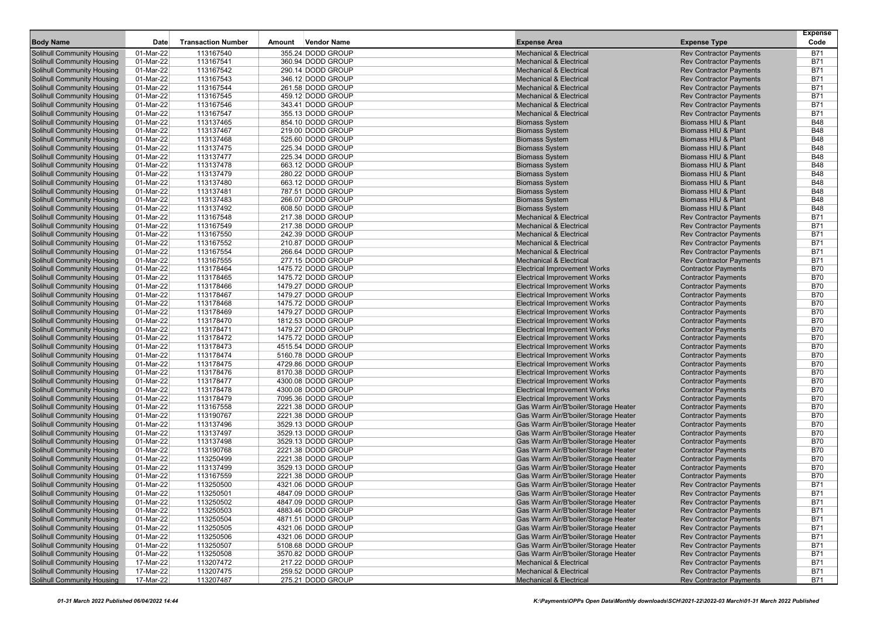| <b>Body Name</b>                                                       | Date                   | <b>Transaction Number</b> | Amount | Vendor Name                            | <b>Expense Area</b>                                                      | <b>Expense Type</b>                                              | <b>Expense</b><br>Code   |
|------------------------------------------------------------------------|------------------------|---------------------------|--------|----------------------------------------|--------------------------------------------------------------------------|------------------------------------------------------------------|--------------------------|
|                                                                        |                        |                           |        |                                        |                                                                          |                                                                  |                          |
| Solihull Community Housing                                             | 01-Mar-22              | 113167540                 |        | 355.24 DODD GROUP                      | <b>Mechanical &amp; Electrical</b>                                       | <b>Rev Contractor Payments</b>                                   | <b>B71</b>               |
| <b>Solihull Community Housing</b>                                      | 01-Mar-22              | 113167541                 |        | 360.94 DODD GROUP                      | <b>Mechanical &amp; Electrical</b>                                       | <b>Rev Contractor Payments</b>                                   | <b>B71</b>               |
| <b>Solihull Community Housing</b>                                      | 01-Mar-22              | 113167542                 |        | 290.14 DODD GROUP<br>346.12 DODD GROUP | <b>Mechanical &amp; Electrical</b><br><b>Mechanical &amp; Electrical</b> | <b>Rev Contractor Payments</b>                                   | <b>B71</b><br><b>B71</b> |
| <b>Solihull Community Housing</b><br><b>Solihull Community Housing</b> | 01-Mar-22<br>01-Mar-22 | 113167543<br>113167544    |        | 261.58 DODD GROUP                      | <b>Mechanical &amp; Electrical</b>                                       | <b>Rev Contractor Payments</b><br><b>Rev Contractor Payments</b> | <b>B71</b>               |
| <b>Solihull Community Housing</b>                                      | 01-Mar-22              | 113167545                 |        | 459.12 DODD GROUP                      | <b>Mechanical &amp; Electrical</b>                                       | <b>Rev Contractor Payments</b>                                   | <b>B71</b>               |
| <b>Solihull Community Housing</b>                                      | 01-Mar-22              | 113167546                 |        | 343.41 DODD GROUP                      | <b>Mechanical &amp; Electrical</b>                                       | <b>Rev Contractor Payments</b>                                   | <b>B71</b>               |
| <b>Solihull Community Housing</b>                                      | 01-Mar-22              | 113167547                 |        | 355.13 DODD GROUP                      | <b>Mechanical &amp; Electrical</b>                                       | <b>Rev Contractor Payments</b>                                   | <b>B71</b>               |
| <b>Solihull Community Housing</b>                                      | 01-Mar-22              | 113137465                 |        | 854.10 DODD GROUP                      | <b>Biomass System</b>                                                    | Biomass HIU & Plant                                              | <b>B48</b>               |
| <b>Solihull Community Housing</b>                                      | 01-Mar-22              | 113137467                 |        | 219.00 DODD GROUP                      | <b>Biomass System</b>                                                    | Biomass HIU & Plant                                              | <b>B48</b>               |
| <b>Solihull Community Housing</b>                                      | 01-Mar-22              | 113137468                 |        | 525.60 DODD GROUP                      | <b>Biomass System</b>                                                    | Biomass HIU & Plant                                              | <b>B48</b>               |
| <b>Solihull Community Housing</b>                                      | 01-Mar-22              | 113137475                 |        | 225.34 DODD GROUP                      | <b>Biomass System</b>                                                    | Biomass HIU & Plant                                              | <b>B48</b>               |
| <b>Solihull Community Housing</b>                                      | 01-Mar-22              | 113137477                 |        | 225.34 DODD GROUP                      | <b>Biomass System</b>                                                    | Biomass HIU & Plant                                              | <b>B48</b>               |
| <b>Solihull Community Housing</b>                                      | 01-Mar-22              | 113137478                 |        | 663.12 DODD GROUP                      | <b>Biomass System</b>                                                    | Biomass HIU & Plant                                              | <b>B48</b>               |
| <b>Solihull Community Housing</b>                                      | 01-Mar-22              | 113137479                 |        | 280.22 DODD GROUP                      | <b>Biomass System</b>                                                    | Biomass HIU & Plant                                              | <b>B48</b>               |
| <b>Solihull Community Housing</b>                                      | 01-Mar-22              | 113137480                 |        | 663.12 DODD GROUP                      | <b>Biomass System</b>                                                    | Biomass HIU & Plant                                              | <b>B48</b>               |
| <b>Solihull Community Housing</b>                                      | 01-Mar-22              | 113137481                 |        | 787.51 DODD GROUP                      | <b>Biomass System</b>                                                    | Biomass HIU & Plant                                              | <b>B48</b>               |
| <b>Solihull Community Housing</b>                                      | 01-Mar-22              | 113137483                 |        | 266.07 DODD GROUP                      | <b>Biomass System</b>                                                    | Biomass HIU & Plant                                              | <b>B48</b>               |
| <b>Solihull Community Housing</b>                                      | 01-Mar-22              | 113137492                 |        | 608.50 DODD GROUP                      | <b>Biomass System</b>                                                    | Biomass HIU & Plant                                              | <b>B48</b>               |
| <b>Solihull Community Housing</b>                                      | 01-Mar-22              | 113167548                 |        | 217.38 DODD GROUP                      | <b>Mechanical &amp; Electrical</b>                                       | <b>Rev Contractor Payments</b>                                   | <b>B71</b>               |
| <b>Solihull Community Housing</b>                                      | 01-Mar-22              | 113167549                 |        | 217.38 DODD GROUP                      | <b>Mechanical &amp; Electrical</b>                                       | <b>Rev Contractor Payments</b>                                   | <b>B71</b>               |
| <b>Solihull Community Housing</b>                                      | 01-Mar-22              | 113167550                 |        | 242.39 DODD GROUP                      | <b>Mechanical &amp; Electrical</b>                                       | <b>Rev Contractor Payments</b>                                   | <b>B71</b>               |
| <b>Solihull Community Housing</b>                                      | 01-Mar-22              | 113167552                 |        | 210.87 DODD GROUP                      | <b>Mechanical &amp; Electrical</b>                                       | <b>Rev Contractor Payments</b>                                   | <b>B71</b>               |
| <b>Solihull Community Housing</b>                                      | 01-Mar-22              | 113167554                 |        | 266.64 DODD GROUP                      | <b>Mechanical &amp; Electrical</b>                                       | <b>Rev Contractor Payments</b>                                   | <b>B71</b>               |
| <b>Solihull Community Housing</b>                                      | 01-Mar-22              | 113167555                 |        | 277.15 DODD GROUP                      | <b>Mechanical &amp; Electrical</b>                                       | <b>Rev Contractor Payments</b>                                   | <b>B71</b>               |
| <b>Solihull Community Housing</b>                                      | 01-Mar-22              | 113178464                 |        | 1475.72 DODD GROUP                     | <b>Electrical Improvement Works</b>                                      | <b>Contractor Payments</b>                                       | <b>B70</b>               |
| <b>Solihull Community Housing</b>                                      | 01-Mar-22              | 113178465                 |        | 1475.72 DODD GROUP                     | <b>Electrical Improvement Works</b>                                      | <b>Contractor Payments</b>                                       | <b>B70</b>               |
| <b>Solihull Community Housing</b>                                      | 01-Mar-22              | 113178466                 |        | 1479.27 DODD GROUP                     | <b>Electrical Improvement Works</b>                                      | <b>Contractor Payments</b>                                       | <b>B70</b>               |
| <b>Solihull Community Housing</b>                                      | 01-Mar-22              | 113178467                 |        | 1479.27 DODD GROUP                     | <b>Electrical Improvement Works</b>                                      | <b>Contractor Payments</b>                                       | <b>B70</b>               |
| <b>Solihull Community Housing</b>                                      | 01-Mar-22              | 113178468                 |        | 1475.72 DODD GROUP                     | <b>Electrical Improvement Works</b>                                      | <b>Contractor Payments</b>                                       | <b>B70</b>               |
| <b>Solihull Community Housing</b>                                      | 01-Mar-22              | 113178469                 |        | 1479.27 DODD GROUP                     | <b>Electrical Improvement Works</b>                                      | <b>Contractor Payments</b>                                       | <b>B70</b>               |
| <b>Solihull Community Housing</b>                                      | 01-Mar-22              | 113178470                 |        | 1812.53 DODD GROUP                     | <b>Electrical Improvement Works</b>                                      | <b>Contractor Payments</b>                                       | <b>B70</b>               |
| <b>Solihull Community Housing</b>                                      | 01-Mar-22              | 113178471                 |        | 1479.27 DODD GROUP                     | <b>Electrical Improvement Works</b>                                      | <b>Contractor Payments</b>                                       | <b>B70</b>               |
| <b>Solihull Community Housing</b>                                      | 01-Mar-22              | 113178472                 |        | 1475.72 DODD GROUP                     | <b>Electrical Improvement Works</b>                                      | <b>Contractor Payments</b>                                       | <b>B70</b>               |
| <b>Solihull Community Housing</b>                                      | 01-Mar-22              | 113178473                 |        | 4515.54 DODD GROUP                     | <b>Electrical Improvement Works</b>                                      | <b>Contractor Payments</b>                                       | <b>B70</b>               |
| <b>Solihull Community Housing</b>                                      | 01-Mar-22              | 113178474                 |        | 5160.78 DODD GROUP                     | <b>Electrical Improvement Works</b>                                      | <b>Contractor Payments</b>                                       | <b>B70</b>               |
| <b>Solihull Community Housing</b>                                      | 01-Mar-22              | 113178475                 |        | 4729.86 DODD GROUP                     | <b>Electrical Improvement Works</b>                                      | <b>Contractor Payments</b>                                       | <b>B70</b>               |
| <b>Solihull Community Housing</b>                                      | 01-Mar-22              | 113178476                 |        | 8170.38 DODD GROUP                     | <b>Electrical Improvement Works</b>                                      | <b>Contractor Payments</b>                                       | <b>B70</b>               |
| <b>Solihull Community Housing</b>                                      | 01-Mar-22              | 113178477                 |        | 4300.08 DODD GROUP                     | <b>Electrical Improvement Works</b>                                      | <b>Contractor Payments</b>                                       | <b>B70</b>               |
| <b>Solihull Community Housing</b>                                      | 01-Mar-22              | 113178478                 |        | 4300.08 DODD GROUP                     | <b>Electrical Improvement Works</b>                                      | <b>Contractor Payments</b>                                       | <b>B70</b>               |
| <b>Solihull Community Housing</b>                                      | 01-Mar-22              | 113178479                 |        | 7095.36 DODD GROUP                     | <b>Electrical Improvement Works</b>                                      | <b>Contractor Payments</b>                                       | <b>B70</b>               |
| <b>Solihull Community Housing</b>                                      | 01-Mar-22              | 113167558                 |        | 2221.38 DODD GROUP                     | Gas Warm Air/B'boiler/Storage Heater                                     | <b>Contractor Payments</b>                                       | <b>B70</b>               |
| <b>Solihull Community Housing</b>                                      | 01-Mar-22              | 113190767                 |        | 2221.38 DODD GROUP                     | Gas Warm Air/B'boiler/Storage Heater                                     | <b>Contractor Payments</b>                                       | <b>B70</b>               |
| <b>Solihull Community Housing</b>                                      | 01-Mar-22              | 113137496                 |        | 3529.13 DODD GROUP                     | Gas Warm Air/B'boiler/Storage Heater                                     | <b>Contractor Payments</b>                                       | <b>B70</b>               |
| <b>Solihull Community Housing</b>                                      | 01-Mar-22              | 113137497                 |        | 3529.13 DODD GROUP                     | Gas Warm Air/B'boiler/Storage Heater                                     | <b>Contractor Payments</b>                                       | <b>B70</b>               |
| <b>Solihull Community Housing</b>                                      | 01-Mar-22              | 113137498                 |        | 3529.13 DODD GROUP                     | Gas Warm Air/B'boiler/Storage Heater                                     | <b>Contractor Payments</b>                                       | <b>B70</b>               |
| Solihull Community Housing                                             | 01-Mar-22              | 113190768                 |        | 2221.38 DODD GROUP                     | Gas Warm Air/B'boiler/Storage Heater                                     | <b>Contractor Payments</b>                                       | <b>B70</b>               |
| <b>Solihull Community Housing</b>                                      | 01-Mar-22              | 113250499                 |        | 2221.38 DODD GROUP                     | Gas Warm Air/B'boiler/Storage Heater                                     | <b>Contractor Payments</b>                                       | <b>B70</b>               |
| <b>Solihull Community Housing</b>                                      | 01-Mar-22              | 113137499                 |        | 3529.13 DODD GROUP                     | Gas Warm Air/B'boiler/Storage Heater                                     | <b>Contractor Payments</b>                                       | <b>B70</b>               |
| <b>Solihull Community Housing</b>                                      | 01-Mar-22              | 113167559                 |        | 2221.38 DODD GROUP                     | Gas Warm Air/B'boiler/Storage Heater                                     | <b>Contractor Payments</b>                                       | <b>B70</b>               |
| <b>Solihull Community Housing</b>                                      | 01-Mar-22              | 113250500                 |        | 4321.06 DODD GROUP                     | Gas Warm Air/B'boiler/Storage Heater                                     | <b>Rev Contractor Payments</b>                                   | <b>B71</b>               |
| Solihull Community Housing                                             | 01-Mar-22              | 113250501                 |        | 4847.09 DODD GROUP                     | Gas Warm Air/B'boiler/Storage Heater                                     | <b>Rev Contractor Payments</b>                                   | <b>B71</b>               |
| <b>Solihull Community Housing</b>                                      | 01-Mar-22              | 113250502                 |        | 4847.09 DODD GROUP                     | Gas Warm Air/B'boiler/Storage Heater                                     | <b>Rev Contractor Payments</b>                                   | <b>B71</b>               |
| <b>Solihull Community Housing</b>                                      | 01-Mar-22              | 113250503                 |        | 4883.46 DODD GROUP                     | Gas Warm Air/B'boiler/Storage Heater                                     | <b>Rev Contractor Payments</b>                                   | <b>B71</b>               |
| <b>Solihull Community Housing</b>                                      | 01-Mar-22              | 113250504                 |        | 4871.51 DODD GROUP                     | Gas Warm Air/B'boiler/Storage Heater                                     | <b>Rev Contractor Payments</b>                                   | <b>B71</b>               |
| <b>Solihull Community Housing</b>                                      | 01-Mar-22              | 113250505                 |        | 4321.06 DODD GROUP                     | Gas Warm Air/B'boiler/Storage Heater                                     | <b>Rev Contractor Payments</b>                                   | <b>B71</b>               |
| Solihull Community Housing                                             | 01-Mar-22              | 113250506                 |        | 4321.06 DODD GROUP                     | Gas Warm Air/B'boiler/Storage Heater                                     | <b>Rev Contractor Payments</b>                                   | <b>B71</b>               |
| Solihull Community Housing                                             | 01-Mar-22              | 113250507                 |        | 5108.68 DODD GROUP                     | Gas Warm Air/B'boiler/Storage Heater                                     | <b>Rev Contractor Payments</b>                                   | <b>B71</b>               |
| Solihull Community Housing                                             | 01-Mar-22              | 113250508                 |        | 3570.82 DODD GROUP                     | Gas Warm Air/B'boiler/Storage Heater                                     | <b>Rev Contractor Payments</b>                                   | <b>B71</b>               |
| <b>Solihull Community Housing</b>                                      | 17-Mar-22              | 113207472                 |        | 217.22 DODD GROUP                      | <b>Mechanical &amp; Electrical</b>                                       | <b>Rev Contractor Payments</b>                                   | <b>B71</b>               |
| <b>Solihull Community Housing</b>                                      | 17-Mar-22              | 113207475                 |        | 259.52 DODD GROUP                      | <b>Mechanical &amp; Electrical</b>                                       | <b>Rev Contractor Payments</b>                                   | <b>B71</b>               |
| <b>Solihull Community Housing</b>                                      | 17-Mar-22              | 113207487                 |        | 275.21 DODD GROUP                      | <b>Mechanical &amp; Electrical</b>                                       | <b>Rev Contractor Payments</b>                                   | <b>B71</b>               |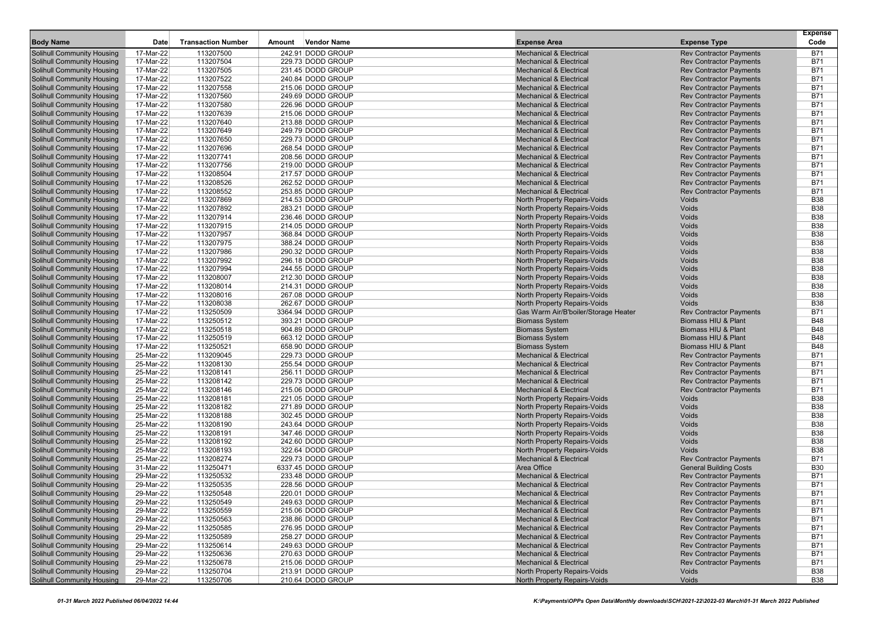|                                                                        |                        |                           |        |                                        |                                                                          |                                                                  | <b>Expense</b>           |
|------------------------------------------------------------------------|------------------------|---------------------------|--------|----------------------------------------|--------------------------------------------------------------------------|------------------------------------------------------------------|--------------------------|
| <b>Body Name</b>                                                       | Date                   | <b>Transaction Number</b> | Amount | <b>Vendor Name</b>                     | <b>Expense Area</b>                                                      | <b>Expense Type</b>                                              | Code                     |
| Solihull Community Housing                                             | 17-Mar-22              | 113207500                 |        | 242.91 DODD GROUP                      | <b>Mechanical &amp; Electrical</b>                                       | <b>Rev Contractor Payments</b>                                   | <b>B71</b>               |
| <b>Solihull Community Housing</b>                                      | 17-Mar-22              | 113207504                 |        | 229.73 DODD GROUP                      | <b>Mechanical &amp; Electrical</b>                                       | <b>Rev Contractor Payments</b>                                   | <b>B71</b>               |
| <b>Solihull Community Housing</b><br><b>Solihull Community Housing</b> | 17-Mar-22<br>17-Mar-22 | 113207505<br>113207522    |        | 231.45 DODD GROUP<br>240.84 DODD GROUP | <b>Mechanical &amp; Electrical</b><br><b>Mechanical &amp; Electrical</b> | <b>Rev Contractor Payments</b><br><b>Rev Contractor Payments</b> | B71<br><b>B71</b>        |
| <b>Solihull Community Housing</b>                                      | 17-Mar-22              | 113207558                 |        | 215.06 DODD GROUP                      | <b>Mechanical &amp; Electrical</b>                                       | <b>Rev Contractor Payments</b>                                   | <b>B71</b>               |
| <b>Solihull Community Housing</b>                                      | 17-Mar-22              | 113207560                 |        | 249.69 DODD GROUP                      | <b>Mechanical &amp; Electrical</b>                                       | <b>Rev Contractor Payments</b>                                   | <b>B71</b>               |
| <b>Solihull Community Housing</b>                                      | 17-Mar-22              | 113207580                 |        | 226.96 DODD GROUP                      | <b>Mechanical &amp; Electrical</b>                                       | <b>Rev Contractor Payments</b>                                   | <b>B71</b>               |
| <b>Solihull Community Housing</b>                                      | 17-Mar-22              | 113207639                 |        | 215.06 DODD GROUP                      | <b>Mechanical &amp; Electrical</b>                                       | <b>Rev Contractor Payments</b>                                   | B71                      |
| <b>Solihull Community Housing</b>                                      | 17-Mar-22              | 113207640                 |        | 213.88 DODD GROUP                      | <b>Mechanical &amp; Electrical</b>                                       | <b>Rev Contractor Payments</b>                                   | <b>B71</b>               |
| <b>Solihull Community Housing</b>                                      | 17-Mar-22              | 113207649                 |        | 249.79 DODD GROUP                      | <b>Mechanical &amp; Electrical</b>                                       | <b>Rev Contractor Payments</b>                                   | <b>B71</b>               |
| <b>Solihull Community Housing</b>                                      | 17-Mar-22              | 113207650                 |        | 229.73 DODD GROUP                      | <b>Mechanical &amp; Electrical</b>                                       | <b>Rev Contractor Payments</b>                                   | B71                      |
| <b>Solihull Community Housing</b>                                      | 17-Mar-22              | 113207696                 |        | 268.54 DODD GROUP                      | <b>Mechanical &amp; Electrical</b>                                       | <b>Rev Contractor Payments</b>                                   | <b>B71</b>               |
| <b>Solihull Community Housing</b>                                      | 17-Mar-22              | 113207741                 |        | 208.56 DODD GROUP                      | <b>Mechanical &amp; Electrical</b>                                       | <b>Rev Contractor Payments</b>                                   | <b>B71</b>               |
| <b>Solihull Community Housing</b>                                      | 17-Mar-22              | 113207756                 |        | 219.00 DODD GROUP                      | <b>Mechanical &amp; Electrical</b>                                       | <b>Rev Contractor Payments</b>                                   | <b>B71</b>               |
| <b>Solihull Community Housing</b>                                      | 17-Mar-22              | 113208504                 |        | 217.57 DODD GROUP                      | <b>Mechanical &amp; Electrical</b>                                       | <b>Rev Contractor Payments</b>                                   | <b>B71</b>               |
| <b>Solihull Community Housing</b>                                      | 17-Mar-22              | 113208526                 |        | 262.52 DODD GROUP                      | <b>Mechanical &amp; Electrical</b>                                       | <b>Rev Contractor Payments</b>                                   | B71                      |
| <b>Solihull Community Housing</b>                                      | 17-Mar-22              | 113208552                 |        | 253.85 DODD GROUP                      | <b>Mechanical &amp; Electrical</b>                                       | <b>Rev Contractor Payments</b>                                   | <b>B71</b>               |
| <b>Solihull Community Housing</b>                                      | 17-Mar-22              | 113207869                 |        | 214.53 DODD GROUP                      | North Property Repairs-Voids                                             | Voids                                                            | <b>B38</b>               |
| <b>Solihull Community Housing</b>                                      | 17-Mar-22              | 113207892                 |        | 283.21 DODD GROUP                      | North Property Repairs-Voids                                             | Voids                                                            | <b>B38</b>               |
| <b>Solihull Community Housing</b>                                      | 17-Mar-22              | 113207914                 |        | 236.46 DODD GROUP                      | North Property Repairs-Voids                                             | Voids                                                            | <b>B38</b>               |
| <b>Solihull Community Housing</b><br><b>Solihull Community Housing</b> | 17-Mar-22<br>17-Mar-22 | 113207915<br>113207957    |        | 214.05 DODD GROUP<br>368.84 DODD GROUP | North Property Repairs-Voids<br>North Property Repairs-Voids             | Voids<br>Voids                                                   | <b>B38</b><br><b>B38</b> |
| <b>Solihull Community Housing</b>                                      | 17-Mar-22              | 113207975                 |        | 388.24 DODD GROUP                      | North Property Repairs-Voids                                             | Voids                                                            | <b>B38</b>               |
| <b>Solihull Community Housing</b>                                      | 17-Mar-22              | 113207986                 |        | 290.32 DODD GROUP                      | North Property Repairs-Voids                                             | Voids                                                            | <b>B38</b>               |
| <b>Solihull Community Housing</b>                                      | 17-Mar-22              | 113207992                 |        | 296.18 DODD GROUP                      | North Property Repairs-Voids                                             | Voids                                                            | <b>B38</b>               |
| <b>Solihull Community Housing</b>                                      | 17-Mar-22              | 113207994                 |        | 244.55 DODD GROUP                      | North Property Repairs-Voids                                             | Voids                                                            | <b>B38</b>               |
| <b>Solihull Community Housing</b>                                      | 17-Mar-22              | 113208007                 |        | 212.30 DODD GROUP                      | North Property Repairs-Voids                                             | Voids                                                            | <b>B38</b>               |
| <b>Solihull Community Housing</b>                                      | 17-Mar-22              | 113208014                 |        | 214.31 DODD GROUP                      | North Property Repairs-Voids                                             | Voids                                                            | <b>B38</b>               |
| <b>Solihull Community Housing</b>                                      | 17-Mar-22              | 113208016                 |        | 267.08 DODD GROUP                      | North Property Repairs-Voids                                             | Voids                                                            | <b>B38</b>               |
| <b>Solihull Community Housing</b>                                      | 17-Mar-22              | 113208038                 |        | 262.67 DODD GROUP                      | North Property Repairs-Voids                                             | Voids                                                            | <b>B38</b>               |
| <b>Solihull Community Housing</b>                                      | 17-Mar-22              | 113250509                 |        | 3364.94 DODD GROUP                     | Gas Warm Air/B'boiler/Storage Heater                                     | <b>Rev Contractor Payments</b>                                   | <b>B71</b>               |
| <b>Solihull Community Housing</b>                                      | 17-Mar-22              | 113250512                 |        | 393.21 DODD GROUP                      | <b>Biomass System</b>                                                    | Biomass HIU & Plant                                              | <b>B48</b>               |
| <b>Solihull Community Housing</b>                                      | 17-Mar-22              | 113250518                 |        | 904.89 DODD GROUP                      | <b>Biomass System</b>                                                    | Biomass HIU & Plant                                              | <b>B48</b>               |
| <b>Solihull Community Housing</b>                                      | 17-Mar-22              | 113250519                 |        | 663.12 DODD GROUP                      | <b>Biomass System</b>                                                    | Biomass HIU & Plant                                              | <b>B48</b>               |
| <b>Solihull Community Housing</b>                                      | 17-Mar-22              | 113250521                 |        | 658.90 DODD GROUP                      | <b>Biomass System</b>                                                    | Biomass HIU & Plant                                              | <b>B48</b>               |
| <b>Solihull Community Housing</b>                                      | 25-Mar-22              | 113209045                 |        | 229.73 DODD GROUP                      | <b>Mechanical &amp; Electrical</b>                                       | <b>Rev Contractor Payments</b>                                   | <b>B71</b>               |
| <b>Solihull Community Housing</b>                                      | 25-Mar-22              | 113208130                 |        | 255.54 DODD GROUP                      | <b>Mechanical &amp; Electrical</b>                                       | <b>Rev Contractor Payments</b>                                   | B71                      |
| <b>Solihull Community Housing</b>                                      | 25-Mar-22              | 113208141                 |        | 256.11 DODD GROUP                      | <b>Mechanical &amp; Electrical</b>                                       | <b>Rev Contractor Payments</b>                                   | <b>B71</b>               |
| <b>Solihull Community Housing</b>                                      | 25-Mar-22              | 113208142                 |        | 229.73 DODD GROUP                      | <b>Mechanical &amp; Electrical</b>                                       | <b>Rev Contractor Payments</b>                                   | <b>B71</b>               |
| <b>Solihull Community Housing</b>                                      | 25-Mar-22              | 113208146                 |        | 215.06 DODD GROUP                      | <b>Mechanical &amp; Electrical</b>                                       | <b>Rev Contractor Payments</b>                                   | <b>B71</b>               |
| <b>Solihull Community Housing</b>                                      | 25-Mar-22              | 113208181                 |        | 221.05 DODD GROUP                      | North Property Repairs-Voids                                             | Voids                                                            | <b>B38</b>               |
| <b>Solihull Community Housing</b>                                      | 25-Mar-22              | 113208182                 |        | 271.89 DODD GROUP                      | North Property Repairs-Voids                                             | Voids                                                            | <b>B38</b>               |
| <b>Solihull Community Housing</b>                                      | 25-Mar-22              | 113208188                 |        | 302.45 DODD GROUP                      | North Property Repairs-Voids                                             | Voids<br>Voids                                                   | <b>B38</b><br><b>B38</b> |
| <b>Solihull Community Housing</b><br><b>Solihull Community Housing</b> | 25-Mar-22<br>25-Mar-22 | 113208190<br>113208191    |        | 243.64 DODD GROUP<br>347.46 DODD GROUP | North Property Repairs-Voids<br><b>North Property Repairs-Voids</b>      | Voids                                                            | <b>B38</b>               |
| <b>Solihull Community Housing</b>                                      | 25-Mar-22              | 113208192                 |        | 242.60 DODD GROUP                      | North Property Repairs-Voids                                             | Voids                                                            | <b>B38</b>               |
| <b>Solihull Community Housing</b>                                      | 25-Mar-22              | 113208193                 |        | 322.64 DODD GROUP                      | North Property Repairs-Voids                                             | Voids                                                            | <b>B38</b>               |
| <b>Solihull Community Housing</b>                                      | 25-Mar-22              | 113208274                 |        | 229.73 DODD GROUP                      | <b>Mechanical &amp; Electrical</b>                                       | <b>Rev Contractor Payments</b>                                   | B71                      |
| <b>Solihull Community Housing</b>                                      | 31-Mar-22              | 113250471                 |        | 6337.45 DODD GROUP                     | Area Office                                                              | <b>General Building Costs</b>                                    | <b>B30</b>               |
| <b>Solihull Community Housing</b>                                      | 29-Mar-22              | 113250532                 |        | 233.48 DODD GROUP                      | <b>Mechanical &amp; Electrical</b>                                       | <b>Rev Contractor Payments</b>                                   | B71                      |
| <b>Solihull Community Housing</b>                                      | 29-Mar-22              | 113250535                 |        | 228.56 DODD GROUP                      | <b>Mechanical &amp; Electrical</b>                                       | <b>Rev Contractor Payments</b>                                   | B71                      |
| Solihull Community Housing                                             | 29-Mar-22              | 113250548                 |        | 220.01 DODD GROUP                      | <b>Mechanical &amp; Electrical</b>                                       | <b>Rev Contractor Payments</b>                                   | B71                      |
| Solihull Community Housing                                             | 29-Mar-22              | 113250549                 |        | 249.63 DODD GROUP                      | <b>Mechanical &amp; Electrical</b>                                       | <b>Rev Contractor Payments</b>                                   | <b>B71</b>               |
| <b>Solihull Community Housing</b>                                      | 29-Mar-22              | 113250559                 |        | 215.06 DODD GROUP                      | <b>Mechanical &amp; Electrical</b>                                       | <b>Rev Contractor Payments</b>                                   | <b>B71</b>               |
| <b>Solihull Community Housing</b>                                      | 29-Mar-22              | 113250563                 |        | 238.86 DODD GROUP                      | <b>Mechanical &amp; Electrical</b>                                       | <b>Rev Contractor Payments</b>                                   | <b>B71</b>               |
| Solihull Community Housing                                             | 29-Mar-22              | 113250585                 |        | 276.95 DODD GROUP                      | <b>Mechanical &amp; Electrical</b>                                       | <b>Rev Contractor Payments</b>                                   | <b>B71</b>               |
| Solihull Community Housing                                             | 29-Mar-22              | 113250589                 |        | 258.27 DODD GROUP                      | <b>Mechanical &amp; Electrical</b>                                       | <b>Rev Contractor Payments</b>                                   | <b>B71</b>               |
| Solihull Community Housing                                             | 29-Mar-22              | 113250614                 |        | 249.63 DODD GROUP                      | <b>Mechanical &amp; Electrical</b>                                       | <b>Rev Contractor Payments</b>                                   | <b>B71</b>               |
| Solihull Community Housing                                             | 29-Mar-22              | 113250636                 |        | 270.63 DODD GROUP                      | <b>Mechanical &amp; Electrical</b>                                       | <b>Rev Contractor Payments</b>                                   | <b>B71</b>               |
| <b>Solihull Community Housing</b>                                      | 29-Mar-22              | 113250678                 |        | 215.06 DODD GROUP                      | <b>Mechanical &amp; Electrical</b>                                       | <b>Rev Contractor Payments</b>                                   | <b>B71</b>               |
| <b>Solihull Community Housing</b>                                      | 29-Mar-22              | 113250704                 |        | 213.91 DODD GROUP                      | North Property Repairs-Voids                                             | Voids                                                            | <b>B38</b>               |
| <b>Solihull Community Housing</b>                                      | 29-Mar-22              | 113250706                 |        | 210.64 DODD GROUP                      | North Property Repairs-Voids                                             | Voids                                                            | <b>B38</b>               |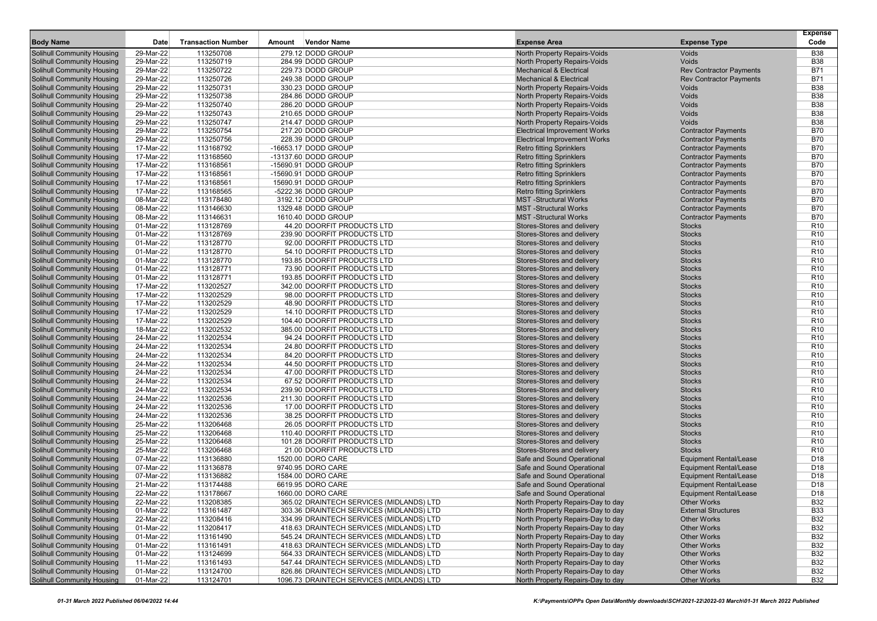| <b>Body Name</b>                                                       | Date                   | <b>Transaction Number</b> | Amount | <b>Vendor Name</b>                                         | <b>Expense Area</b>                                         | <b>Expense Type</b>                         | <b>Expense</b><br>Code             |
|------------------------------------------------------------------------|------------------------|---------------------------|--------|------------------------------------------------------------|-------------------------------------------------------------|---------------------------------------------|------------------------------------|
|                                                                        | 29-Mar-22              | 113250708                 |        | 279.12 DODD GROUP                                          | North Property Repairs-Voids                                | Voids                                       | <b>B38</b>                         |
| Solihull Community Housing<br><b>Solihull Community Housing</b>        | 29-Mar-22              | 113250719                 |        | 284.99 DODD GROUP                                          | North Property Repairs-Voids                                | Voids                                       | <b>B38</b>                         |
| <b>Solihull Community Housing</b>                                      | 29-Mar-22              | 113250722                 |        | 229.73 DODD GROUP                                          | <b>Mechanical &amp; Electrical</b>                          | <b>Rev Contractor Payments</b>              | <b>B71</b>                         |
| <b>Solihull Community Housing</b>                                      | 29-Mar-22              | 113250726                 |        | 249.38 DODD GROUP                                          | <b>Mechanical &amp; Electrical</b>                          | <b>Rev Contractor Payments</b>              | <b>B71</b>                         |
| <b>Solihull Community Housing</b>                                      | 29-Mar-22              | 113250731                 |        | 330.23 DODD GROUP                                          | North Property Repairs-Voids                                | Voids                                       | <b>B38</b>                         |
| <b>Solihull Community Housing</b>                                      | 29-Mar-22              | 113250738                 |        | 284.86 DODD GROUP                                          | North Property Repairs-Voids                                | Voids                                       | <b>B38</b>                         |
| <b>Solihull Community Housing</b>                                      | 29-Mar-22              | 113250740                 |        | 286.20 DODD GROUP                                          | North Property Repairs-Voids                                | Voids                                       | <b>B38</b>                         |
| <b>Solihull Community Housing</b>                                      | 29-Mar-22              | 113250743                 |        | 210.65 DODD GROUP                                          | North Property Repairs-Voids                                | Voids                                       | <b>B38</b>                         |
| <b>Solihull Community Housing</b>                                      | 29-Mar-22              | 113250747                 |        | 214.47 DODD GROUP                                          | North Property Repairs-Voids                                | Voids                                       | <b>B38</b>                         |
| <b>Solihull Community Housing</b>                                      | 29-Mar-22              | 113250754                 |        | 217.20 DODD GROUP                                          | <b>Electrical Improvement Works</b>                         | <b>Contractor Payments</b>                  | <b>B70</b>                         |
| <b>Solihull Community Housing</b>                                      | 29-Mar-22              | 113250756                 |        | 228.39 DODD GROUP                                          | <b>Electrical Improvement Works</b>                         | <b>Contractor Payments</b>                  | <b>B70</b>                         |
| <b>Solihull Community Housing</b>                                      | 17-Mar-22              | 113168792                 |        | -16653.17 DODD GROUP                                       | <b>Retro fitting Sprinklers</b>                             | <b>Contractor Payments</b>                  | <b>B70</b>                         |
| <b>Solihull Community Housing</b>                                      | 17-Mar-22              | 113168560                 |        | -13137.60 DODD GROUP                                       | <b>Retro fitting Sprinklers</b>                             | <b>Contractor Payments</b>                  | <b>B70</b>                         |
| <b>Solihull Community Housing</b>                                      | 17-Mar-22              | 113168561                 |        | -15690.91 DODD GROUP                                       | <b>Retro fitting Sprinklers</b>                             | <b>Contractor Payments</b>                  | <b>B70</b>                         |
| <b>Solihull Community Housing</b>                                      | 17-Mar-22              | 113168561                 |        | -15690.91 DODD GROUP                                       | <b>Retro fitting Sprinklers</b>                             | <b>Contractor Payments</b>                  | <b>B70</b>                         |
| <b>Solihull Community Housing</b>                                      | 17-Mar-22              | 113168561                 |        | 15690.91 DODD GROUP                                        | <b>Retro fitting Sprinklers</b>                             | <b>Contractor Payments</b>                  | <b>B70</b>                         |
| <b>Solihull Community Housing</b>                                      | 17-Mar-22              | 113168565                 |        | -5222.36 DODD GROUP                                        | <b>Retro fitting Sprinklers</b>                             | <b>Contractor Payments</b>                  | <b>B70</b>                         |
| <b>Solihull Community Housing</b>                                      | 08-Mar-22              | 113178480                 |        | 3192.12 DODD GROUP                                         | <b>MST</b> -Structural Works                                | <b>Contractor Payments</b>                  | <b>B70</b>                         |
| <b>Solihull Community Housing</b>                                      | 08-Mar-22              | 113146630                 |        | 1329.48 DODD GROUP                                         | <b>MST-Structural Works</b><br><b>MST</b> -Structural Works | <b>Contractor Payments</b>                  | <b>B70</b><br><b>B70</b>           |
| <b>Solihull Community Housing</b><br><b>Solihull Community Housing</b> | 08-Mar-22<br>01-Mar-22 | 113146631<br>113128769    |        | 1610.40 DODD GROUP<br>44.20 DOORFIT PRODUCTS LTD           | Stores-Stores and delivery                                  | <b>Contractor Payments</b><br><b>Stocks</b> | R <sub>10</sub>                    |
| <b>Solihull Community Housing</b>                                      | 01-Mar-22              | 113128769                 |        | 239.90 DOORFIT PRODUCTS LTD                                | Stores-Stores and delivery                                  | <b>Stocks</b>                               | R <sub>10</sub>                    |
| <b>Solihull Community Housing</b>                                      | 01-Mar-22              | 113128770                 |        | 92.00 DOORFIT PRODUCTS LTD                                 | Stores-Stores and delivery                                  | <b>Stocks</b>                               | R <sub>10</sub>                    |
| Solihull Community Housing                                             | 01-Mar-22              | 113128770                 |        | 54.10 DOORFIT PRODUCTS LTD                                 | Stores-Stores and delivery                                  | <b>Stocks</b>                               | R <sub>10</sub>                    |
| <b>Solihull Community Housing</b>                                      | 01-Mar-22              | 113128770                 |        | 193.85 DOORFIT PRODUCTS LTD                                | Stores-Stores and delivery                                  | <b>Stocks</b>                               | R <sub>10</sub>                    |
| <b>Solihull Community Housing</b>                                      | 01-Mar-22              | 113128771                 |        | 73.90 DOORFIT PRODUCTS LTD                                 | Stores-Stores and delivery                                  | <b>Stocks</b>                               | R <sub>10</sub>                    |
| <b>Solihull Community Housing</b>                                      | 01-Mar-22              | 113128771                 |        | 193.85 DOORFIT PRODUCTS LTD                                | Stores-Stores and delivery                                  | <b>Stocks</b>                               | R <sub>10</sub>                    |
| <b>Solihull Community Housing</b>                                      | 17-Mar-22              | 113202527                 |        | 342.00 DOORFIT PRODUCTS LTD                                | Stores-Stores and delivery                                  | <b>Stocks</b>                               | R <sub>10</sub>                    |
| <b>Solihull Community Housing</b>                                      | 17-Mar-22              | 113202529                 |        | 98.00 DOORFIT PRODUCTS LTD                                 | Stores-Stores and delivery                                  | <b>Stocks</b>                               | R <sub>10</sub>                    |
| <b>Solihull Community Housing</b>                                      | 17-Mar-22              | 113202529                 |        | 48.90 DOORFIT PRODUCTS LTD                                 | Stores-Stores and delivery                                  | <b>Stocks</b>                               | R <sub>10</sub>                    |
| <b>Solihull Community Housing</b>                                      | 17-Mar-22              | 113202529                 |        | 14.10 DOORFIT PRODUCTS LTD                                 | Stores-Stores and delivery                                  | <b>Stocks</b>                               | R <sub>10</sub>                    |
| <b>Solihull Community Housing</b>                                      | 17-Mar-22              | 113202529                 |        | 104.40 DOORFIT PRODUCTS LTD                                | Stores-Stores and delivery                                  | <b>Stocks</b>                               | R <sub>10</sub>                    |
| <b>Solihull Community Housing</b>                                      | 18-Mar-22              | 113202532                 |        | 385.00 DOORFIT PRODUCTS LTD                                | Stores-Stores and delivery                                  | <b>Stocks</b>                               | R <sub>10</sub>                    |
| <b>Solihull Community Housing</b>                                      | 24-Mar-22              | 113202534                 |        | 94.24 DOORFIT PRODUCTS LTD                                 | Stores-Stores and delivery                                  | <b>Stocks</b>                               | R <sub>10</sub>                    |
| <b>Solihull Community Housing</b>                                      | 24-Mar-22              | 113202534                 |        | 24.80 DOORFIT PRODUCTS LTD                                 | Stores-Stores and delivery                                  | <b>Stocks</b>                               | R <sub>10</sub>                    |
| <b>Solihull Community Housing</b>                                      | 24-Mar-22              | 113202534                 |        | 84.20 DOORFIT PRODUCTS LTD                                 | Stores-Stores and delivery                                  | <b>Stocks</b>                               | R <sub>10</sub>                    |
| <b>Solihull Community Housing</b>                                      | 24-Mar-22              | 113202534                 |        | 44.50 DOORFIT PRODUCTS LTD                                 | Stores-Stores and delivery                                  | <b>Stocks</b>                               | R <sub>10</sub>                    |
| <b>Solihull Community Housing</b>                                      | 24-Mar-22              | 113202534                 |        | 47.00 DOORFIT PRODUCTS LTD                                 | Stores-Stores and delivery                                  | <b>Stocks</b>                               | R <sub>10</sub>                    |
| <b>Solihull Community Housing</b>                                      | 24-Mar-22              | 113202534                 |        | 67.52 DOORFIT PRODUCTS LTD                                 | Stores-Stores and delivery                                  | <b>Stocks</b>                               | R <sub>10</sub>                    |
| <b>Solihull Community Housing</b>                                      | 24-Mar-22              | 113202534                 |        | 239.90 DOORFIT PRODUCTS LTD                                | Stores-Stores and delivery                                  | <b>Stocks</b>                               | R <sub>10</sub>                    |
| <b>Solihull Community Housing</b>                                      | 24-Mar-22              | 113202536                 |        | 211.30 DOORFIT PRODUCTS LTD                                | Stores-Stores and delivery                                  | <b>Stocks</b>                               | R <sub>10</sub>                    |
| <b>Solihull Community Housing</b>                                      | 24-Mar-22              | 113202536                 |        | 17.00 DOORFIT PRODUCTS LTD                                 | Stores-Stores and delivery                                  | <b>Stocks</b>                               | R <sub>10</sub>                    |
| <b>Solihull Community Housing</b>                                      | 24-Mar-22              | 113202536                 |        | 38.25 DOORFIT PRODUCTS LTD                                 | Stores-Stores and delivery                                  | <b>Stocks</b>                               | R <sub>10</sub>                    |
| <b>Solihull Community Housing</b>                                      | 25-Mar-22              | 113206468                 |        | 26.05 DOORFIT PRODUCTS LTD                                 | Stores-Stores and delivery                                  | <b>Stocks</b><br><b>Stocks</b>              | R <sub>10</sub><br>R <sub>10</sub> |
| Solihull Community Housing<br><b>Solihull Community Housing</b>        | 25-Mar-22<br>25-Mar-22 | 113206468<br>113206468    |        | 110.40 DOORFIT PRODUCTS LTD<br>101.28 DOORFIT PRODUCTS LTD | Stores-Stores and delivery<br>Stores-Stores and delivery    | <b>Stocks</b>                               | R <sub>10</sub>                    |
| <b>Solihull Community Housing</b>                                      | 25-Mar-22              | 113206468                 |        | 21.00 DOORFIT PRODUCTS LTD                                 | Stores-Stores and delivery                                  | <b>Stocks</b>                               | R <sub>10</sub>                    |
| <b>Solihull Community Housing</b>                                      | 07-Mar-22              | 113136880                 |        | 1520.00 DORO CARE                                          | Safe and Sound Operational                                  | <b>Equipment Rental/Lease</b>               | D <sub>18</sub>                    |
| <b>Solihull Community Housing</b>                                      | 07-Mar-22              | 113136878                 |        | 9740.95 DORO CARE                                          | Safe and Sound Operational                                  | <b>Equipment Rental/Lease</b>               | D <sub>18</sub>                    |
| <b>Solihull Community Housing</b>                                      | 07-Mar-22              | 113136882                 |        | 1584.00 DORO CARE                                          | Safe and Sound Operational                                  | <b>Equipment Rental/Lease</b>               | D <sub>18</sub>                    |
| <b>Solihull Community Housing</b>                                      | 21-Mar-22              | 113174488                 |        | 6619.95 DORO CARE                                          | Safe and Sound Operational                                  | <b>Equipment Rental/Lease</b>               | D <sub>18</sub>                    |
| Solihull Community Housing                                             | 22-Mar-22              | 113178667                 |        | 1660.00 DORO CARE                                          | Safe and Sound Operational                                  | <b>Equipment Rental/Lease</b>               | D <sub>18</sub>                    |
| Solihull Community Housing                                             | 22-Mar-22              | 113208385                 |        | 365.02 DRAINTECH SERVICES (MIDLANDS) LTD                   | North Property Repairs-Day to day                           | <b>Other Works</b>                          | <b>B32</b>                         |
| <b>Solihull Community Housing</b>                                      | 01-Mar-22              | 113161487                 |        | 303.36 DRAINTECH SERVICES (MIDLANDS) LTD                   | North Property Repairs-Day to day                           | <b>External Structures</b>                  | <b>B33</b>                         |
| <b>Solihull Community Housing</b>                                      | 22-Mar-22              | 113208416                 |        | 334.99 DRAINTECH SERVICES (MIDLANDS) LTD                   | North Property Repairs-Day to day                           | <b>Other Works</b>                          | <b>B32</b>                         |
| <b>Solihull Community Housing</b>                                      | 01-Mar-22              | 113208417                 |        | 418.63 DRAINTECH SERVICES (MIDLANDS) LTD                   | North Property Repairs-Day to day                           | <b>Other Works</b>                          | <b>B32</b>                         |
| Solihull Community Housing                                             | 01-Mar-22              | 113161490                 |        | 545.24 DRAINTECH SERVICES (MIDLANDS) LTD                   | North Property Repairs-Day to day                           | <b>Other Works</b>                          | <b>B32</b>                         |
| Solihull Community Housing                                             | 01-Mar-22              | 113161491                 |        | 418.63 DRAINTECH SERVICES (MIDLANDS) LTD                   | North Property Repairs-Day to day                           | <b>Other Works</b>                          | <b>B32</b>                         |
| Solihull Community Housing                                             | 01-Mar-22              | 113124699                 |        | 564.33 DRAINTECH SERVICES (MIDLANDS) LTD                   | North Property Repairs-Day to day                           | <b>Other Works</b>                          | <b>B32</b>                         |
| <b>Solihull Community Housing</b>                                      | 11-Mar-22              | 113161493                 |        | 547.44 DRAINTECH SERVICES (MIDLANDS) LTD                   | North Property Repairs-Day to day                           | <b>Other Works</b>                          | <b>B32</b>                         |
| <b>Solihull Community Housing</b>                                      | 01-Mar-22              | 113124700                 |        | 826.86 DRAINTECH SERVICES (MIDLANDS) LTD                   | North Property Repairs-Day to day                           | <b>Other Works</b>                          | <b>B32</b>                         |
| <b>Solihull Community Housing</b>                                      | 01-Mar-22              | 113124701                 |        | 1096.73 DRAINTECH SERVICES (MIDLANDS) LTD                  | North Property Repairs-Day to day                           | <b>Other Works</b>                          | <b>B32</b>                         |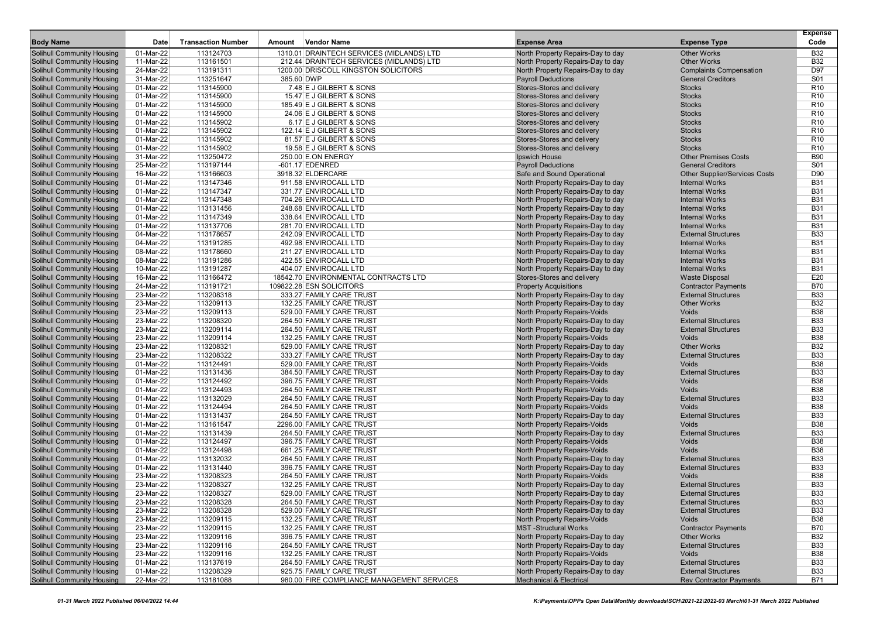| <b>Body Name</b>                  | Date      | <b>Transaction Number</b> | Amount | Vendor Name                                | <b>Expense Area</b>                | <b>Expense Type</b>                  | <b>Expense</b><br>Code |
|-----------------------------------|-----------|---------------------------|--------|--------------------------------------------|------------------------------------|--------------------------------------|------------------------|
| Solihull Community Housing        | 01-Mar-22 | 113124703                 |        | 1310.01 DRAINTECH SERVICES (MIDLANDS) LTD  | North Property Repairs-Day to day  | <b>Other Works</b>                   | <b>B32</b>             |
| <b>Solihull Community Housing</b> | 11-Mar-22 | 113161501                 |        | 212.44 DRAINTECH SERVICES (MIDLANDS) LTD   | North Property Repairs-Day to day  | <b>Other Works</b>                   | <b>B32</b>             |
| Solihull Community Housing        | 24-Mar-22 | 113191311                 |        | 1200.00 DRISCOLL KINGSTON SOLICITORS       | North Property Repairs-Day to day  | <b>Complaints Compensation</b>       | D97                    |
| <b>Solihull Community Housing</b> | 31-Mar-22 | 113251647                 |        | 385.60 DWP                                 | <b>Payroll Deductions</b>          | <b>General Creditors</b>             | S01                    |
| <b>Solihull Community Housing</b> | 01-Mar-22 | 113145900                 |        | 7.48 E J GILBERT & SONS                    | Stores-Stores and delivery         | <b>Stocks</b>                        | R <sub>10</sub>        |
| <b>Solihull Community Housing</b> | 01-Mar-22 | 113145900                 |        | 15.47 E J GILBERT & SONS                   | Stores-Stores and delivery         | <b>Stocks</b>                        | R <sub>10</sub>        |
| <b>Solihull Community Housing</b> | 01-Mar-22 | 113145900                 |        | 185.49 E J GILBERT & SONS                  | Stores-Stores and delivery         | <b>Stocks</b>                        | R <sub>10</sub>        |
| <b>Solihull Community Housing</b> | 01-Mar-22 | 113145900                 |        | 24.06 E J GILBERT & SONS                   | Stores-Stores and delivery         | <b>Stocks</b>                        | R <sub>10</sub>        |
| <b>Solihull Community Housing</b> | 01-Mar-22 | 113145902                 |        | 6.17 E J GILBERT & SONS                    | Stores-Stores and delivery         | <b>Stocks</b>                        | R <sub>10</sub>        |
| <b>Solihull Community Housing</b> | 01-Mar-22 | 113145902                 |        | 122.14 E J GILBERT & SONS                  | Stores-Stores and delivery         | <b>Stocks</b>                        | R <sub>10</sub>        |
| <b>Solihull Community Housing</b> | 01-Mar-22 | 113145902                 |        | 81.57 E J GILBERT & SONS                   | Stores-Stores and delivery         | <b>Stocks</b>                        | R <sub>10</sub>        |
| <b>Solihull Community Housing</b> | 01-Mar-22 | 113145902                 |        | 19.58 E J GILBERT & SONS                   | Stores-Stores and delivery         | <b>Stocks</b>                        | R <sub>10</sub>        |
| <b>Solihull Community Housing</b> | 31-Mar-22 | 113250472                 |        | 250.00 E.ON ENERGY                         | Ipswich House                      | <b>Other Premises Costs</b>          | <b>B90</b>             |
| <b>Solihull Community Housing</b> | 25-Mar-22 | 113197144                 |        | $-601.17$ EDENRED                          | <b>Payroll Deductions</b>          | <b>General Creditors</b>             | S01                    |
| <b>Solihull Community Housing</b> | 16-Mar-22 | 113166603                 |        | 3918.32 ELDERCARE                          | Safe and Sound Operational         | <b>Other Supplier/Services Costs</b> | D90                    |
| <b>Solihull Community Housing</b> | 01-Mar-22 | 113147346                 |        | 911.58 ENVIROCALL LTD                      | North Property Repairs-Day to day  | <b>Internal Works</b>                | <b>B31</b>             |
| <b>Solihull Community Housing</b> | 01-Mar-22 | 113147347                 |        | 331.77 ENVIROCALL LTD                      | North Property Repairs-Day to day  | <b>Internal Works</b>                | <b>B31</b>             |
| <b>Solihull Community Housing</b> | 01-Mar-22 | 113147348                 |        | 704.26 ENVIROCALL LTD                      | North Property Repairs-Day to day  | <b>Internal Works</b>                | <b>B31</b>             |
| <b>Solihull Community Housing</b> | 01-Mar-22 | 113131456                 |        | 248.68 ENVIROCALL LTD                      | North Property Repairs-Day to day  | <b>Internal Works</b>                | <b>B31</b>             |
| Solihull Community Housing        | 01-Mar-22 | 113147349                 |        | 338.64 ENVIROCALL LTD                      | North Property Repairs-Day to day  | <b>Internal Works</b>                | <b>B31</b>             |
| <b>Solihull Community Housing</b> | 01-Mar-22 | 113137706                 |        | 281.70 ENVIROCALL LTD                      | North Property Repairs-Day to day  | <b>Internal Works</b>                | <b>B31</b>             |
| <b>Solihull Community Housing</b> | 04-Mar-22 | 113178657                 |        | 242.09 ENVIROCALL LTD                      | North Property Repairs-Day to day  | <b>External Structures</b>           | <b>B33</b>             |
| <b>Solihull Community Housing</b> | 04-Mar-22 | 113191285                 |        | 492.98 ENVIROCALL LTD                      | North Property Repairs-Day to day  | <b>Internal Works</b>                | <b>B31</b>             |
| <b>Solihull Community Housing</b> | 08-Mar-22 | 113178660                 |        | 211.27 ENVIROCALL LTD                      | North Property Repairs-Day to day  | <b>Internal Works</b>                | <b>B31</b>             |
| <b>Solihull Community Housing</b> | 08-Mar-22 | 113191286                 |        | 422.55 ENVIROCALL LTD                      | North Property Repairs-Day to day  | <b>Internal Works</b>                | <b>B31</b>             |
| <b>Solihull Community Housing</b> | 10-Mar-22 | 113191287                 |        | 404.07 ENVIROCALL LTD                      | North Property Repairs-Day to day  | <b>Internal Works</b>                | <b>B31</b>             |
| <b>Solihull Community Housing</b> | 16-Mar-22 | 113166472                 |        | 18542.70 ENVIRONMENTAL CONTRACTS LTD       | Stores-Stores and delivery         | <b>Waste Disposal</b>                | E20                    |
| Solihull Community Housing        | 24-Mar-22 | 113191721                 |        | 109822.28 ESN SOLICITORS                   | <b>Property Acquisitions</b>       | <b>Contractor Payments</b>           | <b>B70</b>             |
| <b>Solihull Community Housing</b> | 23-Mar-22 | 113208318                 |        | 333.27 FAMILY CARE TRUST                   | North Property Repairs-Day to day  | <b>External Structures</b>           | <b>B33</b>             |
| <b>Solihull Community Housing</b> | 23-Mar-22 | 113209113                 |        | 132.25 FAMILY CARE TRUST                   | North Property Repairs-Day to day  | <b>Other Works</b>                   | <b>B32</b>             |
| <b>Solihull Community Housing</b> | 23-Mar-22 | 113209113                 |        | 529.00 FAMILY CARE TRUST                   | North Property Repairs-Voids       | Voids                                | <b>B38</b>             |
| <b>Solihull Community Housing</b> | 23-Mar-22 | 113208320                 |        | 264.50 FAMILY CARE TRUST                   | North Property Repairs-Day to day  | <b>External Structures</b>           | <b>B33</b>             |
| <b>Solihull Community Housing</b> | 23-Mar-22 | 113209114                 |        | 264.50 FAMILY CARE TRUST                   | North Property Repairs-Day to day  | <b>External Structures</b>           | <b>B33</b>             |
| <b>Solihull Community Housing</b> | 23-Mar-22 | 113209114                 |        | 132.25 FAMILY CARE TRUST                   | North Property Repairs-Voids       | Voids                                | <b>B38</b>             |
| <b>Solihull Community Housing</b> | 23-Mar-22 | 113208321                 |        | 529.00 FAMILY CARE TRUST                   | North Property Repairs-Day to day  | <b>Other Works</b>                   | <b>B32</b>             |
| Solihull Community Housing        | 23-Mar-22 | 113208322                 |        | 333.27 FAMILY CARE TRUST                   | North Property Repairs-Day to day  | <b>External Structures</b>           | <b>B33</b>             |
| <b>Solihull Community Housing</b> | 01-Mar-22 | 113124491                 |        | 529.00 FAMILY CARE TRUST                   | North Property Repairs-Voids       | Voids                                | <b>B38</b>             |
| <b>Solihull Community Housing</b> | 01-Mar-22 | 113131436                 |        | 384.50 FAMILY CARE TRUST                   | North Property Repairs-Day to day  | <b>External Structures</b>           | <b>B33</b>             |
| <b>Solihull Community Housing</b> | 01-Mar-22 | 113124492                 |        | 396.75 FAMILY CARE TRUST                   | North Property Repairs-Voids       | <b>Voids</b>                         | <b>B38</b>             |
| <b>Solihull Community Housing</b> | 01-Mar-22 | 113124493                 |        | 264.50 FAMILY CARE TRUST                   | North Property Repairs-Voids       | Voids                                | <b>B38</b>             |
| <b>Solihull Community Housing</b> | 01-Mar-22 | 113132029                 |        | 264.50 FAMILY CARE TRUST                   | North Property Repairs-Day to day  | <b>External Structures</b>           | <b>B33</b>             |
| <b>Solihull Community Housing</b> | 01-Mar-22 | 113124494                 |        | 264.50 FAMILY CARE TRUST                   | North Property Repairs-Voids       | Voids                                | <b>B38</b>             |
| <b>Solihull Community Housing</b> | 01-Mar-22 | 113131437                 |        | 264.50 FAMILY CARE TRUST                   | North Property Repairs-Day to day  | <b>External Structures</b>           | <b>B33</b>             |
| <b>Solihull Community Housing</b> | 01-Mar-22 | 113161547                 |        | 2296.00 FAMILY CARE TRUST                  | North Property Repairs-Voids       | Voids                                | <b>B38</b>             |
| <b>Solihull Community Housing</b> | 01-Mar-22 | 113131439                 |        | 264.50 FAMILY CARE TRUST                   | North Property Repairs-Day to day  | <b>External Structures</b>           | <b>B33</b>             |
| <b>Solihull Community Housing</b> | 01-Mar-22 | 113124497                 |        | 396.75 FAMILY CARE TRUST                   | North Property Repairs-Voids       | Voids                                | <b>B38</b>             |
| Solihull Community Housing        | 01-Mar-22 | 113124498                 |        | 661.25 FAMILY CARE TRUST                   | North Property Repairs-Voids       | Voids                                | <b>B38</b>             |
| <b>Solihull Community Housing</b> | 01-Mar-22 | 113132032                 |        | 264.50 FAMILY CARE TRUST                   | North Property Repairs-Day to day  | <b>External Structures</b>           | <b>B33</b>             |
| <b>Solihull Community Housing</b> | 01-Mar-22 | 113131440                 |        | 396.75 FAMILY CARE TRUST                   | North Property Repairs-Day to day  | <b>External Structures</b>           | <b>B33</b>             |
| <b>Solihull Community Housing</b> | 23-Mar-22 | 113208323                 |        | 264.50 FAMILY CARE TRUST                   | North Property Repairs-Voids       | Voids                                | <b>B38</b>             |
| Solihull Community Housing        | 23-Mar-22 | 113208327                 |        | 132.25 FAMILY CARE TRUST                   | North Property Repairs-Day to day  | <b>External Structures</b>           | <b>B33</b>             |
| <b>Solihull Community Housing</b> | 23-Mar-22 | 113208327                 |        | 529.00 FAMILY CARE TRUST                   | North Property Repairs-Day to day  | <b>External Structures</b>           | <b>B33</b>             |
| <b>Solihull Community Housing</b> | 23-Mar-22 | 113208328                 |        | 264.50 FAMILY CARE TRUST                   | North Property Repairs-Day to day  | <b>External Structures</b>           | <b>B33</b>             |
| <b>Solihull Community Housing</b> | 23-Mar-22 | 113208328                 |        | 529.00 FAMILY CARE TRUST                   | North Property Repairs-Day to day  | <b>External Structures</b>           | <b>B33</b>             |
| <b>Solihull Community Housing</b> | 23-Mar-22 | 113209115                 |        | 132.25 FAMILY CARE TRUST                   | North Property Repairs-Voids       | Voids                                | <b>B38</b>             |
| <b>Solihull Community Housing</b> | 23-Mar-22 | 113209115                 |        | 132.25 FAMILY CARE TRUST                   | <b>MST</b> -Structural Works       | <b>Contractor Payments</b>           | <b>B70</b>             |
| <b>Solihull Community Housing</b> | 23-Mar-22 | 113209116                 |        | 396.75 FAMILY CARE TRUST                   | North Property Repairs-Day to day  | <b>Other Works</b>                   | <b>B32</b>             |
| <b>Solihull Community Housing</b> | 23-Mar-22 | 113209116                 |        | 264.50 FAMILY CARE TRUST                   | North Property Repairs-Day to day  | <b>External Structures</b>           | <b>B33</b>             |
| Solihull Community Housing        | 23-Mar-22 | 113209116                 |        | 132.25 FAMILY CARE TRUST                   | North Property Repairs-Voids       | Voids                                | <b>B38</b>             |
| <b>Solihull Community Housing</b> | 01-Mar-22 | 113137619                 |        | 264.50 FAMILY CARE TRUST                   | North Property Repairs-Day to day  | <b>External Structures</b>           | <b>B33</b>             |
| <b>Solihull Community Housing</b> | 01-Mar-22 | 113208329                 |        | 925.75 FAMILY CARE TRUST                   | North Property Repairs-Day to day  | <b>External Structures</b>           | <b>B33</b>             |
| <b>Solihull Community Housing</b> | 22-Mar-22 | 113181088                 |        | 980.00 FIRE COMPLIANCE MANAGEMENT SERVICES | <b>Mechanical &amp; Electrical</b> | <b>Rev Contractor Payments</b>       | B71                    |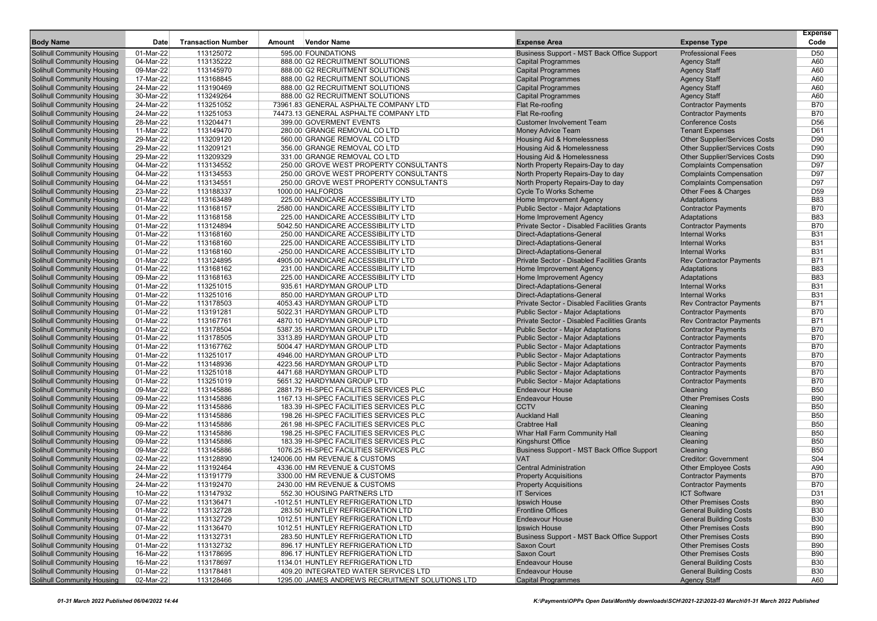|                                                                        |                        |                           |        |                                                                   |                                                                                |                                                                              | <b>Expense</b>    |
|------------------------------------------------------------------------|------------------------|---------------------------|--------|-------------------------------------------------------------------|--------------------------------------------------------------------------------|------------------------------------------------------------------------------|-------------------|
| <b>Body Name</b>                                                       | Date                   | <b>Transaction Number</b> | Amount | <b>Vendor Name</b>                                                | <b>Expense Area</b>                                                            | <b>Expense Type</b>                                                          | Code              |
| <b>Solihull Community Housing</b>                                      | 01-Mar-22              | 113125072                 |        | 595.00 FOUNDATIONS                                                | Business Support - MST Back Office Support                                     | <b>Professional Fees</b>                                                     | D <sub>50</sub>   |
| <b>Solihull Community Housing</b>                                      | 04-Mar-22              | 113135222                 |        | 888.00 G2 RECRUITMENT SOLUTIONS                                   | <b>Capital Programmes</b>                                                      | <b>Agency Staff</b>                                                          | A60               |
| <b>Solihull Community Housing</b>                                      | 09-Mar-22              | 113145970                 |        | 888.00 G2 RECRUITMENT SOLUTIONS                                   | <b>Capital Programmes</b>                                                      | <b>Agency Staff</b>                                                          | A60               |
| <b>Solihull Community Housing</b>                                      | 17-Mar-22              | 113168845                 |        | 888.00 G2 RECRUITMENT SOLUTIONS                                   | <b>Capital Programmes</b>                                                      | <b>Agency Staff</b>                                                          | A60               |
| <b>Solihull Community Housing</b>                                      | 24-Mar-22              | 113190469                 |        | 888.00 G2 RECRUITMENT SOLUTIONS                                   | <b>Capital Programmes</b>                                                      | <b>Agency Staff</b>                                                          | A60               |
| <b>Solihull Community Housing</b>                                      | 30-Mar-22              | 113249264                 |        | 888.00 G2 RECRUITMENT SOLUTIONS                                   | <b>Capital Programmes</b>                                                      | <b>Agency Staff</b>                                                          | A60               |
| Solihull Community Housing                                             | 24-Mar-22              | 113251052                 |        | 73961.83 GENERAL ASPHALTE COMPANY LTD                             | Flat Re-roofing                                                                | <b>Contractor Payments</b>                                                   | <b>B70</b>        |
| <b>Solihull Community Housing</b>                                      | 24-Mar-22              | 113251053                 |        | 74473.13 GENERAL ASPHALTE COMPANY LTD                             | Flat Re-roofing                                                                | <b>Contractor Payments</b>                                                   | <b>B70</b>        |
| <b>Solihull Community Housing</b>                                      | 28-Mar-22              | 113204471                 |        | 399.00 GOVERMENT EVENTS                                           | <b>Customer Involvement Team</b>                                               | <b>Conference Costs</b>                                                      | D <sub>56</sub>   |
| <b>Solihull Community Housing</b>                                      | 11-Mar-22              | 113149470                 |        | 280.00 GRANGE REMOVAL CO LTD                                      | <b>Money Advice Team</b>                                                       | <b>Tenant Expenses</b>                                                       | D61               |
| <b>Solihull Community Housing</b><br>Solihull Community Housing        | 29-Mar-22              | 113209120                 |        | 560.00 GRANGE REMOVAL CO LTD                                      | <b>Housing Aid &amp; Homelessness</b><br><b>Housing Aid &amp; Homelessness</b> | <b>Other Supplier/Services Costs</b>                                         | D90<br>D90        |
| <b>Solihull Community Housing</b>                                      | 29-Mar-22<br>29-Mar-22 | 113209121<br>113209329    |        | 356.00 GRANGE REMOVAL CO LTD<br>331.00 GRANGE REMOVAL CO LTD      | Housing Aid & Homelessness                                                     | <b>Other Supplier/Services Costs</b><br><b>Other Supplier/Services Costs</b> | D90               |
|                                                                        | 04-Mar-22              | 113134552                 |        | 250.00 GROVE WEST PROPERTY CONSULTANTS                            |                                                                                |                                                                              | D97               |
| <b>Solihull Community Housing</b><br><b>Solihull Community Housing</b> | 04-Mar-22              | 113134553                 |        | 250.00 GROVE WEST PROPERTY CONSULTANTS                            | North Property Repairs-Day to day<br>North Property Repairs-Day to day         | <b>Complaints Compensation</b><br><b>Complaints Compensation</b>             | D97               |
| <b>Solihull Community Housing</b>                                      | 04-Mar-22              | 113134551                 |        | 250.00 GROVE WEST PROPERTY CONSULTANTS                            |                                                                                |                                                                              | D97               |
| <b>Solihull Community Housing</b>                                      | 23-Mar-22              | 113188337                 |        | 1000.00 HALFORDS                                                  | North Property Repairs-Day to day<br><b>Cycle To Works Scheme</b>              | <b>Complaints Compensation</b><br>Other Fees & Charges                       | D <sub>59</sub>   |
| <b>Solihull Community Housing</b>                                      | 01-Mar-22              | 113163489                 |        | 225.00 HANDICARE ACCESSIBILITY LTD                                | Home Improvement Agency                                                        | Adaptations                                                                  | <b>B83</b>        |
| <b>Solihull Community Housing</b>                                      | 01-Mar-22              | 113168157                 |        | 2580.00 HANDICARE ACCESSIBILITY LTD                               | <b>Public Sector - Major Adaptations</b>                                       | <b>Contractor Payments</b>                                                   | <b>B70</b>        |
| <b>Solihull Community Housing</b>                                      | 01-Mar-22              | 113168158                 |        | 225.00 HANDICARE ACCESSIBILITY LTD                                | Home Improvement Agency                                                        | Adaptations                                                                  | <b>B83</b>        |
| <b>Solihull Community Housing</b>                                      | 01-Mar-22              | 113124894                 |        | 5042.50 HANDICARE ACCESSIBILITY LTD                               | Private Sector - Disabled Facilities Grants                                    | <b>Contractor Payments</b>                                                   | <b>B70</b>        |
| Solihull Community Housing                                             | 01-Mar-22              | 113168160                 |        | 250.00 HANDICARE ACCESSIBILITY LTD                                | Direct-Adaptations-General                                                     | <b>Internal Works</b>                                                        | <b>B31</b>        |
| <b>Solihull Community Housing</b>                                      | 01-Mar-22              | 113168160                 |        | 225.00 HANDICARE ACCESSIBILITY LTD                                | Direct-Adaptations-General                                                     | <b>Internal Works</b>                                                        | <b>B31</b>        |
| <b>Solihull Community Housing</b>                                      | 01-Mar-22              | 113168160                 |        | -250.00 HANDICARE ACCESSIBILITY LTD                               | Direct-Adaptations-General                                                     | <b>Internal Works</b>                                                        | <b>B31</b>        |
| <b>Solihull Community Housing</b>                                      | 01-Mar-22              | 113124895                 |        | 4905.00 HANDICARE ACCESSIBILITY LTD                               | <b>Private Sector - Disabled Facilities Grants</b>                             | <b>Rev Contractor Payments</b>                                               | <b>B71</b>        |
| <b>Solihull Community Housing</b>                                      | 01-Mar-22              | 113168162                 |        | 231.00 HANDICARE ACCESSIBILITY LTD                                | Home Improvement Agency                                                        | Adaptations                                                                  | <b>B83</b>        |
| Solihull Community Housing                                             | 09-Mar-22              | 113168163                 |        | 225.00 HANDICARE ACCESSIBILITY LTD                                | <b>Home Improvement Agency</b>                                                 | Adaptations                                                                  | <b>B83</b>        |
| <b>Solihull Community Housing</b>                                      | 01-Mar-22              | 113251015                 |        | 935.61 HARDYMAN GROUP LTD                                         | Direct-Adaptations-General                                                     | <b>Internal Works</b>                                                        | <b>B31</b>        |
| <b>Solihull Community Housing</b>                                      | 01-Mar-22              | 113251016                 |        | 850.00 HARDYMAN GROUP LTD                                         | <b>Direct-Adaptations-General</b>                                              | <b>Internal Works</b>                                                        | <b>B31</b>        |
| <b>Solihull Community Housing</b>                                      | 01-Mar-22              | 113178503                 |        | 4053.43 HARDYMAN GROUP LTD                                        | Private Sector - Disabled Facilities Grants                                    | <b>Rev Contractor Payments</b>                                               | <b>B71</b>        |
| <b>Solihull Community Housing</b>                                      | 01-Mar-22              | 113191281                 |        | 5022.31 HARDYMAN GROUP LTD                                        | <b>Public Sector - Major Adaptations</b>                                       | <b>Contractor Payments</b>                                                   | <b>B70</b>        |
| Solihull Community Housing                                             | 01-Mar-22              | 113167761                 |        | 4870.10 HARDYMAN GROUP LTD                                        | Private Sector - Disabled Facilities Grants                                    | <b>Rev Contractor Payments</b>                                               | <b>B71</b>        |
| <b>Solihull Community Housing</b>                                      | 01-Mar-22              | 113178504                 |        | 5387.35 HARDYMAN GROUP LTD                                        | <b>Public Sector - Major Adaptations</b>                                       | <b>Contractor Payments</b>                                                   | <b>B70</b>        |
| <b>Solihull Community Housing</b>                                      | 01-Mar-22              | 113178505                 |        | 3313.89 HARDYMAN GROUP LTD                                        | <b>Public Sector - Major Adaptations</b>                                       | <b>Contractor Payments</b>                                                   | <b>B70</b>        |
| <b>Solihull Community Housing</b>                                      | 01-Mar-22              | 113167762                 |        | 5004.47 HARDYMAN GROUP LTD                                        | <b>Public Sector - Major Adaptations</b>                                       | <b>Contractor Payments</b>                                                   | <b>B70</b>        |
| <b>Solihull Community Housing</b>                                      | 01-Mar-22              | 113251017                 |        | 4946.00 HARDYMAN GROUP LTD                                        | <b>Public Sector - Major Adaptations</b>                                       | <b>Contractor Payments</b>                                                   | <b>B70</b>        |
| <b>Solihull Community Housing</b>                                      | 01-Mar-22              | 113148936                 |        | 4223.56 HARDYMAN GROUP LTD                                        | <b>Public Sector - Major Adaptations</b>                                       | <b>Contractor Payments</b>                                                   | <b>B70</b>        |
| <b>Solihull Community Housing</b>                                      | 01-Mar-22              | 113251018                 |        | 4471.68 HARDYMAN GROUP LTD                                        | <b>Public Sector - Major Adaptations</b>                                       | <b>Contractor Payments</b>                                                   | <b>B70</b>        |
| <b>Solihull Community Housing</b>                                      | 01-Mar-22              | 113251019                 |        | 5651.32 HARDYMAN GROUP LTD                                        | <b>Public Sector - Major Adaptations</b>                                       | <b>Contractor Payments</b>                                                   | <b>B70</b>        |
| <b>Solihull Community Housing</b>                                      | 09-Mar-22              | 113145886                 |        | 2881.79 HI-SPEC FACILITIES SERVICES PLC                           | <b>Endeavour House</b>                                                         | Cleaning                                                                     | <b>B50</b>        |
| <b>Solihull Community Housing</b>                                      | 09-Mar-22              | 113145886                 |        | 1167.13 HI-SPEC FACILITIES SERVICES PLC                           | <b>Endeavour House</b>                                                         | <b>Other Premises Costs</b>                                                  | <b>B90</b>        |
| <b>Solihull Community Housing</b>                                      | 09-Mar-22              | 113145886                 |        | 183.39 HI-SPEC FACILITIES SERVICES PLC                            | <b>CCTV</b>                                                                    | Cleaning                                                                     | <b>B50</b>        |
| <b>Solihull Community Housing</b>                                      | 09-Mar-22              | 113145886                 |        | 198.26 HI-SPEC FACILITIES SERVICES PLC                            | <b>Auckland Hall</b>                                                           | Cleaning                                                                     | <b>B50</b>        |
| <b>Solihull Community Housing</b>                                      | 09-Mar-22              | 113145886                 |        | 261.98 HI-SPEC FACILITIES SERVICES PLC                            | <b>Crabtree Hall</b>                                                           | Cleaning                                                                     | <b>B50</b>        |
| Solihull Community Housing                                             | 09-Mar-22              | 113145886                 |        | 198.25 HI-SPEC FACILITIES SERVICES PLC                            | Whar Hall Farm Community Hall                                                  | Cleaning                                                                     | <b>B50</b>        |
| <b>Solihull Community Housing</b>                                      | 09-Mar-22              | 113145886                 |        | 183.39 HI-SPEC FACILITIES SERVICES PLC                            | Kingshurst Office                                                              | Cleaning                                                                     | <b>B50</b>        |
| <b>Solihull Community Housing</b>                                      | 09-Mar-22              | 113145886                 |        | 1076.25 HI-SPEC FACILITIES SERVICES PLC                           | Business Support - MST Back Office Support                                     | Cleaning                                                                     | <b>B50</b>        |
| <b>Solihull Community Housing</b>                                      | 02-Mar-22              | 113128890                 |        | 124006.00 HM REVENUE & CUSTOMS                                    | <b>VAT</b><br><b>Central Administration</b>                                    | <b>Creditor: Government</b>                                                  | S04               |
| <b>Solihull Community Housing</b>                                      | 24-Mar-22              | 113192464                 |        | 4336.00 HM REVENUE & CUSTOMS                                      |                                                                                | <b>Other Employee Costs</b>                                                  | A90<br><b>B70</b> |
| <b>Solihull Community Housing</b><br>Solihull Community Housing        | 24-Mar-22<br>24-Mar-22 | 113191779<br>113192470    |        | 3300.00 HM REVENUE & CUSTOMS                                      | <b>Property Acquisitions</b>                                                   | <b>Contractor Payments</b>                                                   | <b>B70</b>        |
|                                                                        | 10-Mar-22              |                           |        | 2430.00 HM REVENUE & CUSTOMS                                      | <b>Property Acquisitions</b>                                                   | <b>Contractor Payments</b>                                                   | D31               |
| <b>Solihull Community Housing</b><br><b>Solihull Community Housing</b> | 07-Mar-22              | 113147932<br>113136471    |        | 552.30 HOUSING PARTNERS LTD<br>-1012.51 HUNTLEY REFRIGERATION LTD | <b>IT Services</b><br>Ipswich House                                            | <b>ICT Software</b><br><b>Other Premises Costs</b>                           | <b>B90</b>        |
| <b>Solihull Community Housing</b>                                      | 01-Mar-22              | 113132728                 |        | 283.50 HUNTLEY REFRIGERATION LTD                                  | <b>Frontline Offices</b>                                                       | <b>General Building Costs</b>                                                | <b>B30</b>        |
| <b>Solihull Community Housing</b>                                      | 01-Mar-22              | 113132729                 |        | 1012.51 HUNTLEY REFRIGERATION LTD                                 | <b>Endeavour House</b>                                                         | <b>General Building Costs</b>                                                | <b>B30</b>        |
| <b>Solihull Community Housing</b>                                      | 07-Mar-22              | 113136470                 |        | 1012.51 HUNTLEY REFRIGERATION LTD                                 | Ipswich House                                                                  | <b>Other Premises Costs</b>                                                  | <b>B90</b>        |
| <b>Solihull Community Housing</b>                                      | 01-Mar-22              | 113132731                 |        | 283.50 HUNTLEY REFRIGERATION LTD                                  | Business Support - MST Back Office Support                                     | <b>Other Premises Costs</b>                                                  | <b>B90</b>        |
| <b>Solihull Community Housing</b>                                      | 01-Mar-22              | 113132732                 |        | 896.17 HUNTLEY REFRIGERATION LTD                                  | <b>Saxon Court</b>                                                             | <b>Other Premises Costs</b>                                                  | <b>B90</b>        |
| <b>Solihull Community Housing</b>                                      | 16-Mar-22              | 113178695                 |        | 896.17 HUNTLEY REFRIGERATION LTD                                  | Saxon Court                                                                    | <b>Other Premises Costs</b>                                                  | <b>B90</b>        |
| <b>Solihull Community Housing</b>                                      | 16-Mar-22              | 113178697                 |        | 1134.01 HUNTLEY REFRIGERATION LTD                                 | <b>Endeavour House</b>                                                         | <b>General Building Costs</b>                                                | <b>B30</b>        |
| <b>Solihull Community Housing</b>                                      | 01-Mar-22              | 113178481                 |        | 409.20 INTEGRATED WATER SERVICES LTD                              | <b>Endeavour House</b>                                                         | <b>General Building Costs</b>                                                | <b>B30</b>        |
| <b>Solihull Community Housing</b>                                      | 02-Mar-22              | 113128466                 |        | 1295.00 JAMES ANDREWS RECRUITMENT SOLUTIONS LTD                   | <b>Capital Programmes</b>                                                      | <b>Agency Staff</b>                                                          | A60               |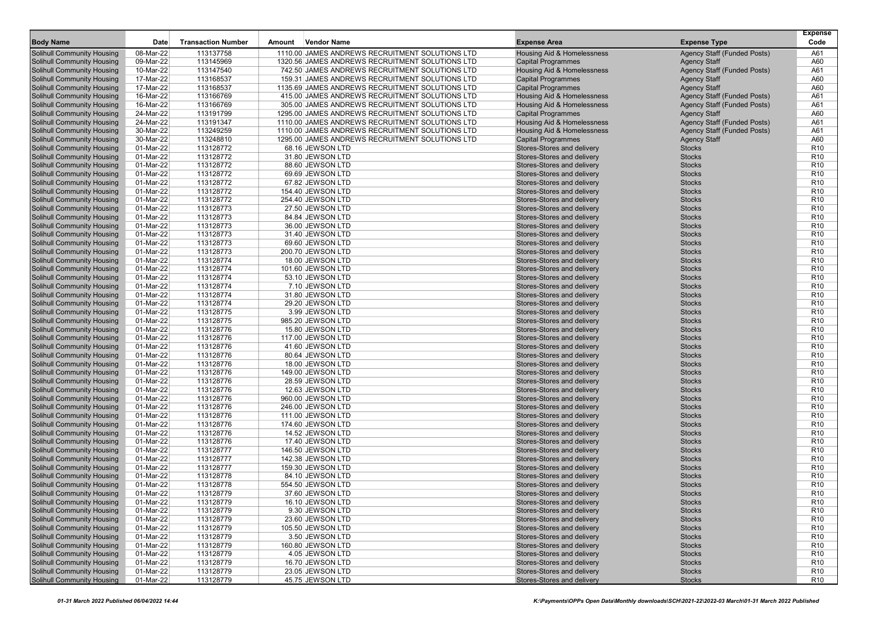| <b>Body Name</b>                  | Date                    | <b>Transaction Number</b> | Amount | <b>Vendor Name</b>                              | <b>Expense Area</b>                                      | <b>Expense Type</b>                | <b>Expense</b><br>Code             |
|-----------------------------------|-------------------------|---------------------------|--------|-------------------------------------------------|----------------------------------------------------------|------------------------------------|------------------------------------|
| Solihull Community Housing        | 08-Mar-22               | 113137758                 |        | 1110.00 JAMES ANDREWS RECRUITMENT SOLUTIONS LTD | Housing Aid & Homelessness                               | <b>Agency Staff (Funded Posts)</b> | A61                                |
| <b>Solihull Community Housing</b> | 09-Mar-22               | 113145969                 |        | 1320.56 JAMES ANDREWS RECRUITMENT SOLUTIONS LTD | <b>Capital Programmes</b>                                | <b>Agency Staff</b>                | A60                                |
| <b>Solihull Community Housing</b> | 10-Mar-22               | 113147540                 |        | 742.50 JAMES ANDREWS RECRUITMENT SOLUTIONS LTD  | Housing Aid & Homelessness                               | Agency Staff (Funded Posts)        | A61                                |
| <b>Solihull Community Housing</b> | 17-Mar-22               | 113168537                 |        | 159.31 JAMES ANDREWS RECRUITMENT SOLUTIONS LTD  | <b>Capital Programmes</b>                                | <b>Agency Staff</b>                | A60                                |
| <b>Solihull Community Housing</b> | 17-Mar-22               | 113168537                 |        | 1135.69 JAMES ANDREWS RECRUITMENT SOLUTIONS LTD | <b>Capital Programmes</b>                                | <b>Agency Staff</b>                | A60                                |
| <b>Solihull Community Housing</b> | 16-Mar-22               | 113166769                 |        | 415.00 JAMES ANDREWS RECRUITMENT SOLUTIONS LTD  | Housing Aid & Homelessness                               | <b>Agency Staff (Funded Posts)</b> | A61                                |
| <b>Solihull Community Housing</b> | 16-Mar-22               | 113166769                 |        | 305.00 JAMES ANDREWS RECRUITMENT SOLUTIONS LTD  | Housing Aid & Homelessness                               | Agency Staff (Funded Posts)        | A61                                |
| <b>Solihull Community Housing</b> | 24-Mar-22               | 113191799                 |        | 1295.00 JAMES ANDREWS RECRUITMENT SOLUTIONS LTD | <b>Capital Programmes</b>                                | <b>Agency Staff</b>                | A60                                |
| <b>Solihull Community Housing</b> | 24-Mar-22               | 113191347                 |        | 1110.00 JAMES ANDREWS RECRUITMENT SOLUTIONS LTD | Housing Aid & Homelessness                               | Agency Staff (Funded Posts)        | A61                                |
| <b>Solihull Community Housing</b> | 30-Mar-22               | 113249259                 |        | 1110.00 JAMES ANDREWS RECRUITMENT SOLUTIONS LTD | Housing Aid & Homelessness                               | Agency Staff (Funded Posts)        | A61                                |
| <b>Solihull Community Housing</b> | 30-Mar-22               | 113248810                 |        | 1295.00 JAMES ANDREWS RECRUITMENT SOLUTIONS LTD | <b>Capital Programmes</b>                                | <b>Agency Staff</b>                | A60                                |
| <b>Solihull Community Housing</b> | 01-Mar-22               | 113128772                 |        | 68.16 JEWSON LTD                                | Stores-Stores and delivery                               | <b>Stocks</b>                      | R <sub>10</sub>                    |
| <b>Solihull Community Housing</b> | 01-Mar-22               | 113128772                 |        | 31.80 JEWSON LTD                                | Stores-Stores and delivery                               | <b>Stocks</b>                      | R <sub>10</sub>                    |
| <b>Solihull Community Housing</b> | 01-Mar-22               | 113128772                 |        | 88.60 JEWSON LTD                                | Stores-Stores and delivery                               | <b>Stocks</b>                      | R <sub>10</sub>                    |
| <b>Solihull Community Housing</b> | 01-Mar-22               | 113128772                 |        | 69.69 JEWSON LTD                                | Stores-Stores and delivery                               | <b>Stocks</b>                      | R <sub>10</sub>                    |
| <b>Solihull Community Housing</b> | 01-Mar-22               | 113128772                 |        | 67.82 JEWSON LTD                                | Stores-Stores and delivery                               | <b>Stocks</b>                      | R <sub>10</sub>                    |
| <b>Solihull Community Housing</b> | 01-Mar-22               | 113128772                 |        | 154.40 JEWSON LTD                               | Stores-Stores and delivery                               | <b>Stocks</b>                      | R <sub>10</sub>                    |
| <b>Solihull Community Housing</b> | 01-Mar-22               | 113128772                 |        | 254.40 JEWSON LTD                               | Stores-Stores and delivery                               | <b>Stocks</b>                      | R <sub>10</sub>                    |
| <b>Solihull Community Housing</b> | 01-Mar-22               | 113128773                 |        | 27.50 JEWSON LTD                                | Stores-Stores and delivery                               | <b>Stocks</b>                      | R <sub>10</sub>                    |
| <b>Solihull Community Housing</b> | 01-Mar-22               | 113128773                 |        | 84.84 JEWSON LTD                                | Stores-Stores and delivery                               | <b>Stocks</b>                      | R <sub>10</sub>                    |
| <b>Solihull Community Housing</b> | $01-Mar-22$             | 113128773                 |        | 36.00 JEWSON LTD                                | Stores-Stores and delivery                               | <b>Stocks</b>                      | R <sub>10</sub>                    |
| Solihull Community Housing        | 01-Mar-22               | 113128773                 |        | 31.40 JEWSON LTD                                | Stores-Stores and delivery                               | <b>Stocks</b>                      | R <sub>10</sub>                    |
| <b>Solihull Community Housing</b> | 01-Mar-22               | 113128773                 |        | 69.60 JEWSON LTD                                | Stores-Stores and delivery                               | <b>Stocks</b>                      | R <sub>10</sub>                    |
| <b>Solihull Community Housing</b> | 01-Mar-22               | 113128773                 |        | 200.70 JEWSON LTD                               | Stores-Stores and delivery                               | <b>Stocks</b>                      | R <sub>10</sub>                    |
| <b>Solihull Community Housing</b> | 01-Mar-22               | 113128774                 |        | 18.00 JEWSON LTD                                | Stores-Stores and delivery                               | <b>Stocks</b>                      | R <sub>10</sub>                    |
| <b>Solihull Community Housing</b> |                         |                           |        | 101.60 JEWSON LTD                               |                                                          | <b>Stocks</b>                      | R <sub>10</sub>                    |
| <b>Solihull Community Housing</b> | 01-Mar-22               | 113128774                 |        |                                                 | Stores-Stores and delivery<br>Stores-Stores and delivery | <b>Stocks</b>                      | R <sub>10</sub>                    |
|                                   | 01-Mar-22               | 113128774                 |        | 53.10 JEWSON LTD                                |                                                          |                                    |                                    |
| <b>Solihull Community Housing</b> | 01-Mar-22               | 113128774<br>113128774    |        | 7.10 JEWSON LTD                                 | Stores-Stores and delivery                               | <b>Stocks</b>                      | R <sub>10</sub>                    |
| <b>Solihull Community Housing</b> | 01-Mar-22               |                           |        | 31.80 JEWSON LTD                                | Stores-Stores and delivery                               | <b>Stocks</b>                      | R <sub>10</sub><br>R <sub>10</sub> |
| <b>Solihull Community Housing</b> | 01-Mar-22               | 113128774                 |        | 29.20 JEWSON LTD                                | Stores-Stores and delivery                               | <b>Stocks</b>                      |                                    |
| <b>Solihull Community Housing</b> | 01-Mar-22               | 113128775                 |        | 3.99 JEWSON LTD                                 | Stores-Stores and delivery                               | <b>Stocks</b>                      | R <sub>10</sub>                    |
| <b>Solihull Community Housing</b> | 01-Mar-22               | 113128775                 |        | 985.20 JEWSON LTD                               | Stores-Stores and delivery                               | <b>Stocks</b>                      | R <sub>10</sub>                    |
| <b>Solihull Community Housing</b> | 01-Mar-22               | 113128776                 |        | 15.80 JEWSON LTD                                | Stores-Stores and delivery                               | <b>Stocks</b>                      | R <sub>10</sub>                    |
| <b>Solihull Community Housing</b> | 01-Mar-22               | 113128776                 |        | 117.00 JEWSON LTD                               | Stores-Stores and delivery                               | <b>Stocks</b>                      | R <sub>10</sub>                    |
| Solihull Community Housing        | 01-Mar-22               | 113128776                 |        | 41.60 JEWSON LTD                                | Stores-Stores and delivery                               | <b>Stocks</b>                      | R <sub>10</sub>                    |
| <b>Solihull Community Housing</b> | 01-Mar-22               | 113128776                 |        | 80.64 JEWSON LTD                                | Stores-Stores and delivery                               | <b>Stocks</b>                      | R <sub>10</sub>                    |
| <b>Solihull Community Housing</b> | 01-Mar-22               | 113128776                 |        | 18.00 JEWSON LTD                                | Stores-Stores and delivery                               | <b>Stocks</b>                      | R <sub>10</sub>                    |
| <b>Solihull Community Housing</b> | 01-Mar-22               | 113128776                 |        | 149.00 JEWSON LTD                               | Stores-Stores and delivery                               | <b>Stocks</b>                      | R <sub>10</sub>                    |
| <b>Solihull Community Housing</b> | 01-Mar-22               | 113128776                 |        | 28.59 JEWSON LTD                                | Stores-Stores and delivery                               | <b>Stocks</b>                      | R <sub>10</sub>                    |
| <b>Solihull Community Housing</b> | 01-Mar-22               | 113128776                 |        | 12.63 JEWSON LTD                                | Stores-Stores and delivery                               | <b>Stocks</b>                      | R <sub>10</sub>                    |
| <b>Solihull Community Housing</b> | 01-Mar-22               | 113128776                 |        | 960.00 JEWSON LTD                               | Stores-Stores and delivery                               | <b>Stocks</b>                      | R <sub>10</sub>                    |
| <b>Solihull Community Housing</b> | 01-Mar-22               | 113128776                 |        | 246.00 JEWSON LTD                               | Stores-Stores and delivery                               | <b>Stocks</b>                      | R <sub>10</sub>                    |
| <b>Solihull Community Housing</b> | 01-Mar-22               | 113128776                 |        | 111.00 JEWSON LTD                               | Stores-Stores and delivery                               | <b>Stocks</b>                      | R <sub>10</sub>                    |
| <b>Solihull Community Housing</b> | 01-Mar-22               | 113128776                 |        | 174.60 JEWSON LTD                               | Stores-Stores and delivery                               | <b>Stocks</b>                      | R <sub>10</sub>                    |
| <b>Solihull Community Housing</b> | 01-Mar-22               | 113128776                 |        | 14.52 JEWSON LTD                                | Stores-Stores and delivery                               | <b>Stocks</b>                      | R <sub>10</sub>                    |
| <b>Solihull Community Housing</b> | $\overline{01}$ -Mar-22 | 113128776                 |        | 17.40 JEWSON LTD                                | Stores-Stores and delivery                               | <b>Stocks</b>                      | R <sub>10</sub>                    |
| <b>Solihull Community Housing</b> | 01-Mar-22               | 113128777                 |        | 146.50 JEWSON LTD                               | Stores-Stores and delivery                               | <b>Stocks</b>                      | R <sub>10</sub>                    |
| <b>Solihull Community Housing</b> | 01-Mar-22               | 113128777                 |        | 142.38 JEWSON LTD                               | Stores-Stores and delivery                               | <b>Stocks</b>                      | R <sub>10</sub>                    |
| <b>Solihull Community Housing</b> | 01-Mar-22               | 113128777                 |        | 159.30 JEWSON LTD                               | Stores-Stores and delivery                               | <b>Stocks</b>                      | R <sub>10</sub>                    |
| <b>Solihull Community Housing</b> | 01-Mar-22               | 113128778                 |        | 84.10 JEWSON LTD                                | Stores-Stores and delivery                               | <b>Stocks</b>                      | R <sub>10</sub>                    |
| <b>Solihull Community Housing</b> | 01-Mar-22               | 113128778                 |        | 554.50 JEWSON LTD                               | Stores-Stores and delivery                               | <b>Stocks</b>                      | R <sub>10</sub>                    |
| Solihull Community Housing        | 01-Mar-22               | 113128779                 |        | 37.60 JEWSON LTD                                | Stores-Stores and delivery                               | <b>Stocks</b>                      | R <sub>10</sub>                    |
| <b>Solihull Community Housing</b> | 01-Mar-22               | 113128779                 |        | 16.10 JEWSON LTD                                | Stores-Stores and delivery                               | <b>Stocks</b>                      | R <sub>10</sub>                    |
| <b>Solihull Community Housing</b> | 01-Mar-22               | 113128779                 |        | 9.30 JEWSON LTD                                 | Stores-Stores and delivery                               | Stocks                             | R <sub>10</sub>                    |
| <b>Solihull Community Housing</b> | 01-Mar-22               | 113128779                 |        | 23.60 JEWSON LTD                                | Stores-Stores and delivery                               | <b>Stocks</b>                      | R <sub>10</sub>                    |
| Solihull Community Housing        | 01-Mar-22               | 113128779                 |        | 105.50 JEWSON LTD                               | Stores-Stores and delivery                               | <b>Stocks</b>                      | R <sub>10</sub>                    |
| Solihull Community Housing        | 01-Mar-22               | 113128779                 |        | 3.50 JEWSON LTD                                 | Stores-Stores and delivery                               | <b>Stocks</b>                      | R <sub>10</sub>                    |
| Solihull Community Housing        | 01-Mar-22               | 113128779                 |        | 160.80 JEWSON LTD                               | Stores-Stores and delivery                               | <b>Stocks</b>                      | R <sub>10</sub>                    |
| Solihull Community Housing        | 01-Mar-22               | 113128779                 |        | 4.05 JEWSON LTD                                 | Stores-Stores and delivery                               | <b>Stocks</b>                      | R <sub>10</sub>                    |
| <b>Solihull Community Housing</b> | 01-Mar-22               | 113128779                 |        | 16.70 JEWSON LTD                                | Stores-Stores and delivery                               | <b>Stocks</b>                      | R <sub>10</sub>                    |
| <b>Solihull Community Housing</b> | 01-Mar-22               | 113128779                 |        | 23.05 JEWSON LTD                                | Stores-Stores and delivery                               | <b>Stocks</b>                      | R <sub>10</sub>                    |
| <b>Solihull Community Housing</b> | 01-Mar-22               | 113128779                 |        | 45.75 JEWSON LTD                                | Stores-Stores and delivery                               | <b>Stocks</b>                      | R <sub>10</sub>                    |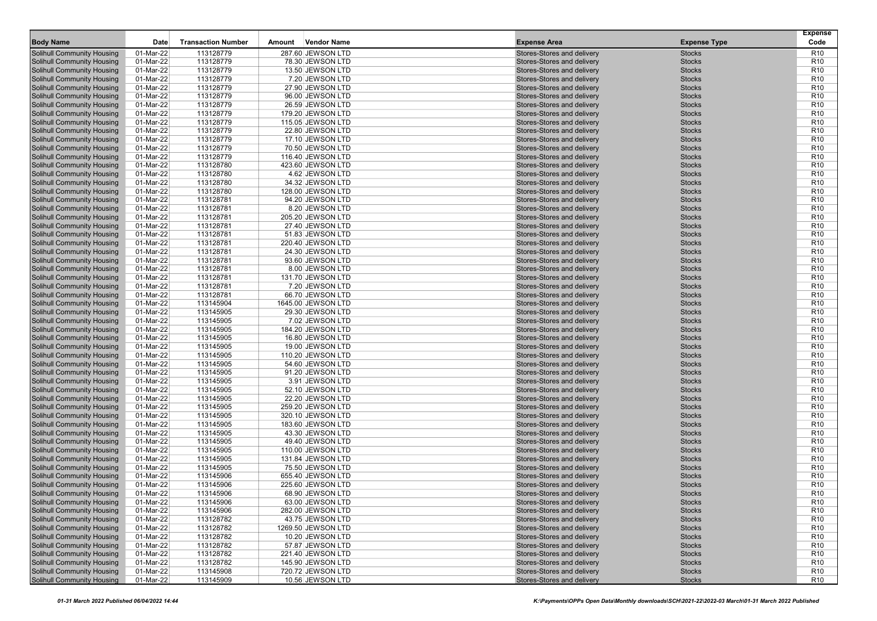| <b>Body Name</b>                  | Date        | <b>Transaction Number</b> | Amount | Vendor Name        | <b>Expense Area</b>        | <b>Expense Type</b> | <b>Expense</b><br>Code |
|-----------------------------------|-------------|---------------------------|--------|--------------------|----------------------------|---------------------|------------------------|
| <b>Solihull Community Housing</b> | 01-Mar-22   | 113128779                 |        | 287.60 JEWSON LTD  | Stores-Stores and delivery | <b>Stocks</b>       | R <sub>10</sub>        |
| <b>Solihull Community Housing</b> | 01-Mar-22   | 113128779                 |        | 78.30 JEWSON LTD   | Stores-Stores and delivery | <b>Stocks</b>       | R <sub>10</sub>        |
| <b>Solihull Community Housing</b> | 01-Mar-22   | 113128779                 |        | 13.50 JEWSON LTD   | Stores-Stores and delivery | <b>Stocks</b>       | R <sub>10</sub>        |
| <b>Solihull Community Housing</b> | 01-Mar-22   | 113128779                 |        | 7.20 JEWSON LTD    | Stores-Stores and delivery | <b>Stocks</b>       | R <sub>10</sub>        |
| <b>Solihull Community Housing</b> | 01-Mar-22   | 113128779                 |        | 27.90 JEWSON LTD   | Stores-Stores and delivery | <b>Stocks</b>       | R <sub>10</sub>        |
| Solihull Community Housing        | 01-Mar-22   | 113128779                 |        | 96.00 JEWSON LTD   | Stores-Stores and delivery | <b>Stocks</b>       | R <sub>10</sub>        |
| <b>Solihull Community Housing</b> | 01-Mar-22   | 113128779                 |        | 26.59 JEWSON LTD   | Stores-Stores and delivery | <b>Stocks</b>       | R <sub>10</sub>        |
| <b>Solihull Community Housing</b> | 01-Mar-22   | 113128779                 |        | 179.20 JEWSON LTD  | Stores-Stores and delivery | <b>Stocks</b>       | R <sub>10</sub>        |
| <b>Solihull Community Housing</b> | 01-Mar-22   | 113128779                 |        | 115.05 JEWSON LTD  | Stores-Stores and delivery | <b>Stocks</b>       | R <sub>10</sub>        |
| <b>Solihull Community Housing</b> | 01-Mar-22   | 113128779                 |        | 22.80 JEWSON LTD   | Stores-Stores and delivery | <b>Stocks</b>       | R <sub>10</sub>        |
| <b>Solihull Community Housing</b> | 01-Mar-22   | 113128779                 |        | 17.10 JEWSON LTD   | Stores-Stores and delivery | <b>Stocks</b>       | R <sub>10</sub>        |
| <b>Solihull Community Housing</b> | 01-Mar-22   | 113128779                 |        | 70.50 JEWSON LTD   | Stores-Stores and delivery | <b>Stocks</b>       | R <sub>10</sub>        |
| <b>Solihull Community Housing</b> | 01-Mar-22   | 113128779                 |        | 116.40 JEWSON LTD  | Stores-Stores and delivery | <b>Stocks</b>       | R <sub>10</sub>        |
| <b>Solihull Community Housing</b> | 01-Mar-22   | 113128780                 |        | 423.60 JEWSON LTD  | Stores-Stores and delivery | <b>Stocks</b>       | R <sub>10</sub>        |
| <b>Solihull Community Housing</b> | 01-Mar-22   | 113128780                 |        | 4.62 JEWSON LTD    | Stores-Stores and delivery | <b>Stocks</b>       | R <sub>10</sub>        |
| <b>Solihull Community Housing</b> | 01-Mar-22   | 113128780                 |        | 34.32 JEWSON LTD   | Stores-Stores and delivery | <b>Stocks</b>       | R <sub>10</sub>        |
| <b>Solihull Community Housing</b> | 01-Mar-22   | 113128780                 |        | 128.00 JEWSON LTD  | Stores-Stores and delivery | <b>Stocks</b>       | R <sub>10</sub>        |
| <b>Solihull Community Housing</b> | 01-Mar-22   | 113128781                 |        | 94.20 JEWSON LTD   | Stores-Stores and delivery | <b>Stocks</b>       | R <sub>10</sub>        |
| <b>Solihull Community Housing</b> | 01-Mar-22   | 113128781                 |        | 8.20 JEWSON LTD    | Stores-Stores and delivery | <b>Stocks</b>       | R <sub>10</sub>        |
| <b>Solihull Community Housing</b> | 01-Mar-22   | 113128781                 |        | 205.20 JEWSON LTD  | Stores-Stores and delivery | <b>Stocks</b>       | R <sub>10</sub>        |
| <b>Solihull Community Housing</b> | 01-Mar-22   | 113128781                 |        | 27.40 JEWSON LTD   | Stores-Stores and delivery | <b>Stocks</b>       | R <sub>10</sub>        |
|                                   | 01-Mar-22   | 113128781                 |        |                    |                            | <b>Stocks</b>       | R <sub>10</sub>        |
| <b>Solihull Community Housing</b> |             |                           |        | 51.83 JEWSON LTD   | Stores-Stores and delivery |                     | R <sub>10</sub>        |
| <b>Solihull Community Housing</b> | 01-Mar-22   | 113128781                 |        | 220.40 JEWSON LTD  | Stores-Stores and delivery | <b>Stocks</b>       |                        |
| <b>Solihull Community Housing</b> | 01-Mar-22   | 113128781                 |        | 24.30 JEWSON LTD   | Stores-Stores and delivery | <b>Stocks</b>       | R <sub>10</sub>        |
| <b>Solihull Community Housing</b> | 01-Mar-22   | 113128781                 |        | 93.60 JEWSON LTD   | Stores-Stores and delivery | <b>Stocks</b>       | R <sub>10</sub>        |
| <b>Solihull Community Housing</b> | 01-Mar-22   | 113128781                 |        | 8.00 JEWSON LTD    | Stores-Stores and delivery | <b>Stocks</b>       | R <sub>10</sub>        |
| <b>Solihull Community Housing</b> | 01-Mar-22   | 113128781                 |        | 131.70 JEWSON LTD  | Stores-Stores and delivery | <b>Stocks</b>       | R <sub>10</sub>        |
| <b>Solihull Community Housing</b> | 01-Mar-22   | 113128781                 |        | 7.20 JEWSON LTD    | Stores-Stores and delivery | <b>Stocks</b>       | R <sub>10</sub>        |
| <b>Solihull Community Housing</b> | 01-Mar-22   | 113128781                 |        | 66.70 JEWSON LTD   | Stores-Stores and delivery | <b>Stocks</b>       | R <sub>10</sub>        |
| <b>Solihull Community Housing</b> | 01-Mar-22   | 113145904                 |        | 1645.00 JEWSON LTD | Stores-Stores and delivery | <b>Stocks</b>       | R <sub>10</sub>        |
| <b>Solihull Community Housing</b> | 01-Mar-22   | 113145905                 |        | 29.30 JEWSON LTD   | Stores-Stores and delivery | <b>Stocks</b>       | R <sub>10</sub>        |
| <b>Solihull Community Housing</b> | 01-Mar-22   | 113145905                 |        | 7.02 JEWSON LTD    | Stores-Stores and delivery | <b>Stocks</b>       | R <sub>10</sub>        |
| <b>Solihull Community Housing</b> | 01-Mar-22   | 113145905                 |        | 184.20 JEWSON LTD  | Stores-Stores and delivery | <b>Stocks</b>       | R <sub>10</sub>        |
| <b>Solihull Community Housing</b> | 01-Mar-22   | 113145905                 |        | 16.80 JEWSON LTD   | Stores-Stores and delivery | <b>Stocks</b>       | R <sub>10</sub>        |
| <b>Solihull Community Housing</b> | 01-Mar-22   | 113145905                 |        | 19.00 JEWSON LTD   | Stores-Stores and delivery | <b>Stocks</b>       | R <sub>10</sub>        |
| <b>Solihull Community Housing</b> | 01-Mar-22   | 113145905                 |        | 110.20 JEWSON LTD  | Stores-Stores and delivery | <b>Stocks</b>       | R <sub>10</sub>        |
| <b>Solihull Community Housing</b> | 01-Mar-22   | 113145905                 |        | 54.60 JEWSON LTD   | Stores-Stores and delivery | <b>Stocks</b>       | R <sub>10</sub>        |
| <b>Solihull Community Housing</b> | 01-Mar-22   | 113145905                 |        | 91.20 JEWSON LTD   | Stores-Stores and delivery | <b>Stocks</b>       | R <sub>10</sub>        |
| <b>Solihull Community Housing</b> | 01-Mar-22   | 113145905                 |        | 3.91 JEWSON LTD    | Stores-Stores and delivery | <b>Stocks</b>       | R <sub>10</sub>        |
| <b>Solihull Community Housing</b> | 01-Mar-22   | 113145905                 |        | 52.10 JEWSON LTD   | Stores-Stores and delivery | <b>Stocks</b>       | R <sub>10</sub>        |
| <b>Solihull Community Housing</b> | 01-Mar-22   | 113145905                 |        | 22.20 JEWSON LTD   | Stores-Stores and delivery | <b>Stocks</b>       | R <sub>10</sub>        |
| <b>Solihull Community Housing</b> | 01-Mar-22   | 113145905                 |        | 259.20 JEWSON LTD  | Stores-Stores and delivery | <b>Stocks</b>       | R <sub>10</sub>        |
| <b>Solihull Community Housing</b> | 01-Mar-22   | 113145905                 |        | 320.10 JEWSON LTD  | Stores-Stores and delivery | <b>Stocks</b>       | R <sub>10</sub>        |
| <b>Solihull Community Housing</b> | 01-Mar-22   | 113145905                 |        | 183.60 JEWSON LTD  | Stores-Stores and delivery | <b>Stocks</b>       | R <sub>10</sub>        |
| <b>Solihull Community Housing</b> | 01-Mar-22   | 113145905                 |        | 43.30 JEWSON LTD   | Stores-Stores and delivery | <b>Stocks</b>       | R <sub>10</sub>        |
| <b>Solihull Community Housing</b> | 01-Mar-22   | 113145905                 |        | 49.40 JEWSON LTD   | Stores-Stores and delivery | <b>Stocks</b>       | R <sub>10</sub>        |
| <b>Solihull Community Housing</b> | 01-Mar-22   | 113145905                 |        | 110.00 JEWSON LTD  | Stores-Stores and delivery | <b>Stocks</b>       | R <sub>10</sub>        |
| <b>Solihull Community Housing</b> | 01-Mar-22   | 113145905                 |        | 131.84 JEWSON LTD  | Stores-Stores and delivery | <b>Stocks</b>       | R <sub>10</sub>        |
| <b>Solihull Community Housing</b> | 01-Mar-22   | 113145905                 |        | 75.50 JEWSON LTD   | Stores-Stores and delivery | <b>Stocks</b>       | R <sub>10</sub>        |
| <b>Solihull Community Housing</b> | 01-Mar-22   | 113145906                 |        | 655.40 JEWSON LTD  | Stores-Stores and delivery | <b>Stocks</b>       | R <sub>10</sub>        |
| <b>Solihull Community Housing</b> | 01-Mar-22   | 113145906                 |        | 225.60 JEWSON LTD  | Stores-Stores and delivery | <b>Stocks</b>       | R <sub>10</sub>        |
| <b>Solihull Community Housing</b> | 01-Mar-22   | 113145906                 |        | 68.90 JEWSON LTD   | Stores-Stores and delivery | <b>Stocks</b>       | R <sub>10</sub>        |
| <b>Solihull Community Housing</b> | 01-Mar-22   | 113145906                 |        | 63.00 JEWSON LTD   | Stores-Stores and delivery | <b>Stocks</b>       | R <sub>10</sub>        |
| <b>Solihull Community Housing</b> | 01-Mar-22   | 113145906                 |        | 282.00 JEWSON LTD  | Stores-Stores and delivery | <b>Stocks</b>       | R <sub>10</sub>        |
| <b>Solihull Community Housing</b> | 01-Mar-22   | 113128782                 |        | 43.75 JEWSON LTD   | Stores-Stores and delivery | <b>Stocks</b>       | R <sub>10</sub>        |
| <b>Solihull Community Housing</b> | 01-Mar-22   | 113128782                 |        | 1269.50 JEWSON LTD | Stores-Stores and delivery | <b>Stocks</b>       | R <sub>10</sub>        |
| <b>Solihull Community Housing</b> | 01-Mar-22   | 113128782                 |        | 10.20 JEWSON LTD   | Stores-Stores and delivery | <b>Stocks</b>       | R <sub>10</sub>        |
| <b>Solihull Community Housing</b> | 01-Mar-22   | 113128782                 |        | 57.87 JEWSON LTD   | Stores-Stores and delivery | <b>Stocks</b>       | R <sub>10</sub>        |
| <b>Solihull Community Housing</b> | 01-Mar-22   | 113128782                 |        | 221.40 JEWSON LTD  | Stores-Stores and delivery | <b>Stocks</b>       | R <sub>10</sub>        |
| <b>Solihull Community Housing</b> | 01-Mar-22   | 113128782                 |        | 145.90 JEWSON LTD  | Stores-Stores and delivery | <b>Stocks</b>       | R <sub>10</sub>        |
| <b>Solihull Community Housing</b> | 01-Mar-22   | 113145908                 |        | 720.72 JEWSON LTD  | Stores-Stores and delivery | <b>Stocks</b>       | R <sub>10</sub>        |
| <b>Solihull Community Housing</b> | $01-Mar-22$ | 113145909                 |        | 10.56 JEWSON LTD   | Stores-Stores and delivery | <b>Stocks</b>       | R <sub>10</sub>        |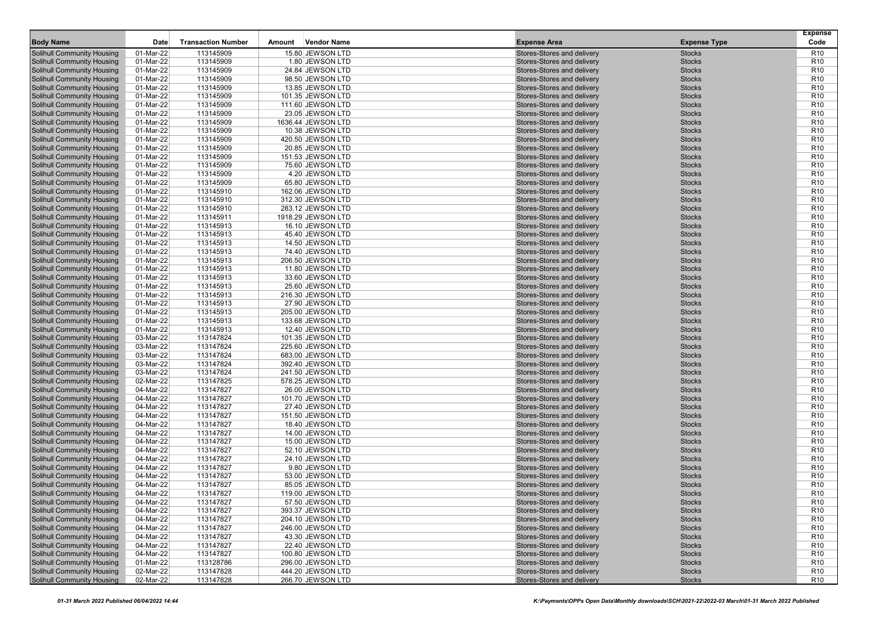| <b>Body Name</b>                                                       | Date      | <b>Transaction Number</b> | Amount | Vendor Name                          | <b>Expense Area</b>        | <b>Expense Type</b> | <b>Expense</b><br>Code |
|------------------------------------------------------------------------|-----------|---------------------------|--------|--------------------------------------|----------------------------|---------------------|------------------------|
| <b>Solihull Community Housing</b>                                      | 01-Mar-22 | 113145909                 |        | 15.80 JEWSON LTD                     | Stores-Stores and delivery | <b>Stocks</b>       | R <sub>10</sub>        |
| <b>Solihull Community Housing</b>                                      | 01-Mar-22 | 113145909                 |        | 1.80 JEWSON LTD                      | Stores-Stores and delivery | <b>Stocks</b>       | R <sub>10</sub>        |
| <b>Solihull Community Housing</b>                                      | 01-Mar-22 | 113145909                 |        | 24.84 JEWSON LTD                     | Stores-Stores and delivery | <b>Stocks</b>       | R <sub>10</sub>        |
| <b>Solihull Community Housing</b>                                      | 01-Mar-22 | 113145909                 |        | 98.50 JEWSON LTD                     | Stores-Stores and delivery | <b>Stocks</b>       | R <sub>10</sub>        |
| <b>Solihull Community Housing</b>                                      | 01-Mar-22 | 113145909                 |        | 13.85 JEWSON LTD                     | Stores-Stores and delivery | <b>Stocks</b>       | R <sub>10</sub>        |
| <b>Solihull Community Housing</b>                                      | 01-Mar-22 | 113145909                 |        | 101.35 JEWSON LTD                    | Stores-Stores and delivery | <b>Stocks</b>       | R <sub>10</sub>        |
| <b>Solihull Community Housing</b>                                      | 01-Mar-22 | 113145909                 |        | 111.60 JEWSON LTD                    | Stores-Stores and delivery | <b>Stocks</b>       | R <sub>10</sub>        |
| <b>Solihull Community Housing</b>                                      | 01-Mar-22 | 113145909                 |        | 23.05 JEWSON LTD                     | Stores-Stores and delivery | <b>Stocks</b>       | R <sub>10</sub>        |
| <b>Solihull Community Housing</b>                                      | 01-Mar-22 | 113145909                 |        | 1636.44 JEWSON LTD                   | Stores-Stores and delivery | <b>Stocks</b>       | R <sub>10</sub>        |
| <b>Solihull Community Housing</b>                                      | 01-Mar-22 | 113145909                 |        | 10.38 JEWSON LTD                     | Stores-Stores and delivery | <b>Stocks</b>       | R <sub>10</sub>        |
| <b>Solihull Community Housing</b>                                      | 01-Mar-22 | 113145909                 |        | 420.50 JEWSON LTD                    | Stores-Stores and delivery | <b>Stocks</b>       | R <sub>10</sub>        |
| <b>Solihull Community Housing</b>                                      | 01-Mar-22 | 113145909                 |        | 20.85 JEWSON LTD                     | Stores-Stores and delivery | <b>Stocks</b>       | R <sub>10</sub>        |
| <b>Solihull Community Housing</b>                                      | 01-Mar-22 | 113145909                 |        | 151.53 JEWSON LTD                    | Stores-Stores and delivery | <b>Stocks</b>       | R <sub>10</sub>        |
| <b>Solihull Community Housing</b>                                      | 01-Mar-22 | 113145909                 |        | 75.60 JEWSON LTD                     | Stores-Stores and delivery | <b>Stocks</b>       | R <sub>10</sub>        |
| <b>Solihull Community Housing</b>                                      | 01-Mar-22 | 113145909                 |        | 4.20 JEWSON LTD                      | Stores-Stores and delivery | <b>Stocks</b>       | R <sub>10</sub>        |
| <b>Solihull Community Housing</b>                                      | 01-Mar-22 | 113145909                 |        | 65.80 JEWSON LTD                     | Stores-Stores and delivery | <b>Stocks</b>       | R <sub>10</sub>        |
| <b>Solihull Community Housing</b>                                      | 01-Mar-22 | 113145910                 |        | 162.06 JEWSON LTD                    | Stores-Stores and delivery | <b>Stocks</b>       | R <sub>10</sub>        |
| <b>Solihull Community Housing</b>                                      | 01-Mar-22 | 113145910                 |        | 312.30 JEWSON LTD                    | Stores-Stores and delivery | <b>Stocks</b>       | R <sub>10</sub>        |
| <b>Solihull Community Housing</b>                                      | 01-Mar-22 | 113145910                 |        | 283.12 JEWSON LTD                    | Stores-Stores and delivery | <b>Stocks</b>       | R <sub>10</sub>        |
| <b>Solihull Community Housing</b>                                      | 01-Mar-22 | 113145911                 |        | 1918.29 JEWSON LTD                   | Stores-Stores and delivery | <b>Stocks</b>       | R <sub>10</sub>        |
| <b>Solihull Community Housing</b>                                      | 01-Mar-22 | 113145913                 |        | 16.10 JEWSON LTD                     | Stores-Stores and delivery | <b>Stocks</b>       | R <sub>10</sub>        |
|                                                                        | 01-Mar-22 | 113145913                 |        |                                      |                            | <b>Stocks</b>       | R <sub>10</sub>        |
| <b>Solihull Community Housing</b>                                      |           |                           |        | 45.40 JEWSON LTD<br>14.50 JEWSON LTD | Stores-Stores and delivery |                     | R <sub>10</sub>        |
| <b>Solihull Community Housing</b><br><b>Solihull Community Housing</b> | 01-Mar-22 | 113145913                 |        |                                      | Stores-Stores and delivery | <b>Stocks</b>       | R <sub>10</sub>        |
|                                                                        | 01-Mar-22 | 113145913                 |        | 74.40 JEWSON LTD                     | Stores-Stores and delivery | <b>Stocks</b>       |                        |
| <b>Solihull Community Housing</b>                                      | 01-Mar-22 | 113145913                 |        | 206.50 JEWSON LTD                    | Stores-Stores and delivery | <b>Stocks</b>       | R <sub>10</sub>        |
| <b>Solihull Community Housing</b>                                      | 01-Mar-22 | 113145913                 |        | 11.80 JEWSON LTD                     | Stores-Stores and delivery | <b>Stocks</b>       | R <sub>10</sub>        |
| <b>Solihull Community Housing</b>                                      | 01-Mar-22 | 113145913                 |        | 33.60 JEWSON LTD                     | Stores-Stores and delivery | <b>Stocks</b>       | R <sub>10</sub>        |
| <b>Solihull Community Housing</b>                                      | 01-Mar-22 | 113145913                 |        | 25.60 JEWSON LTD                     | Stores-Stores and delivery | <b>Stocks</b>       | R <sub>10</sub>        |
| <b>Solihull Community Housing</b>                                      | 01-Mar-22 | 113145913                 |        | 216.30 JEWSON LTD                    | Stores-Stores and delivery | <b>Stocks</b>       | R <sub>10</sub>        |
| <b>Solihull Community Housing</b>                                      | 01-Mar-22 | 113145913                 |        | 27.90 JEWSON LTD                     | Stores-Stores and delivery | <b>Stocks</b>       | R <sub>10</sub>        |
| <b>Solihull Community Housing</b>                                      | 01-Mar-22 | 113145913                 |        | 205.00 JEWSON LTD                    | Stores-Stores and delivery | <b>Stocks</b>       | R <sub>10</sub>        |
| <b>Solihull Community Housing</b>                                      | 01-Mar-22 | 113145913                 |        | 133.68 JEWSON LTD                    | Stores-Stores and delivery | <b>Stocks</b>       | R <sub>10</sub>        |
| <b>Solihull Community Housing</b>                                      | 01-Mar-22 | 113145913                 |        | 12.40 JEWSON LTD                     | Stores-Stores and delivery | <b>Stocks</b>       | R <sub>10</sub>        |
| <b>Solihull Community Housing</b>                                      | 03-Mar-22 | 113147824                 |        | 101.35 JEWSON LTD                    | Stores-Stores and delivery | <b>Stocks</b>       | R <sub>10</sub>        |
| <b>Solihull Community Housing</b>                                      | 03-Mar-22 | 113147824                 |        | 225.60 JEWSON LTD                    | Stores-Stores and delivery | <b>Stocks</b>       | R <sub>10</sub>        |
| <b>Solihull Community Housing</b>                                      | 03-Mar-22 | 113147824                 |        | 683.00 JEWSON LTD                    | Stores-Stores and delivery | <b>Stocks</b>       | R <sub>10</sub>        |
| <b>Solihull Community Housing</b>                                      | 03-Mar-22 | 113147824                 |        | 392.40 JEWSON LTD                    | Stores-Stores and delivery | <b>Stocks</b>       | R <sub>10</sub>        |
| <b>Solihull Community Housing</b>                                      | 03-Mar-22 | 113147824                 |        | 241.50 JEWSON LTD                    | Stores-Stores and delivery | <b>Stocks</b>       | R <sub>10</sub>        |
| <b>Solihull Community Housing</b>                                      | 02-Mar-22 | 113147825                 |        | 578.25 JEWSON LTD                    | Stores-Stores and delivery | <b>Stocks</b>       | R <sub>10</sub>        |
| <b>Solihull Community Housing</b>                                      | 04-Mar-22 | 113147827                 |        | 26.00 JEWSON LTD                     | Stores-Stores and delivery | <b>Stocks</b>       | R <sub>10</sub>        |
| <b>Solihull Community Housing</b>                                      | 04-Mar-22 | 113147827                 |        | 101.70 JEWSON LTD                    | Stores-Stores and delivery | <b>Stocks</b>       | R <sub>10</sub>        |
| <b>Solihull Community Housing</b>                                      | 04-Mar-22 | 113147827                 |        | 27.40 JEWSON LTD                     | Stores-Stores and delivery | <b>Stocks</b>       | R <sub>10</sub>        |
| <b>Solihull Community Housing</b>                                      | 04-Mar-22 | 113147827                 |        | 151.50 JEWSON LTD                    | Stores-Stores and delivery | <b>Stocks</b>       | R <sub>10</sub>        |
| <b>Solihull Community Housing</b>                                      | 04-Mar-22 | 113147827                 |        | 18.40 JEWSON LTD                     | Stores-Stores and delivery | <b>Stocks</b>       | R <sub>10</sub>        |
| <b>Solihull Community Housing</b>                                      | 04-Mar-22 | 113147827                 |        | 14.00 JEWSON LTD                     | Stores-Stores and delivery | <b>Stocks</b>       | R <sub>10</sub>        |
| <b>Solihull Community Housing</b>                                      | 04-Mar-22 | 113147827                 |        | 15.00 JEWSON LTD                     | Stores-Stores and delivery | <b>Stocks</b>       | R <sub>10</sub>        |
| <b>Solihull Community Housing</b>                                      | 04-Mar-22 | 113147827                 |        | 52.10 JEWSON LTD                     | Stores-Stores and delivery | <b>Stocks</b>       | R <sub>10</sub>        |
| <b>Solihull Community Housing</b>                                      | 04-Mar-22 | 113147827                 |        | 24.10 JEWSON LTD                     | Stores-Stores and delivery | <b>Stocks</b>       | R <sub>10</sub>        |
| <b>Solihull Community Housing</b>                                      | 04-Mar-22 | 113147827                 |        | 9.80 JEWSON LTD                      | Stores-Stores and delivery | <b>Stocks</b>       | R <sub>10</sub>        |
| <b>Solihull Community Housing</b>                                      | 04-Mar-22 | 113147827                 |        | 53.00 JEWSON LTD                     | Stores-Stores and delivery | <b>Stocks</b>       | R <sub>10</sub>        |
| <b>Solihull Community Housing</b>                                      | 04-Mar-22 | 113147827                 |        | 85.05 JEWSON LTD                     | Stores-Stores and delivery | <b>Stocks</b>       | R <sub>10</sub>        |
| <b>Solihull Community Housing</b>                                      | 04-Mar-22 | 113147827                 |        | 119.00 JEWSON LTD                    | Stores-Stores and delivery | <b>Stocks</b>       | R <sub>10</sub>        |
| <b>Solihull Community Housing</b>                                      | 04-Mar-22 | 113147827                 |        | 57.50 JEWSON LTD                     | Stores-Stores and delivery | <b>Stocks</b>       | R <sub>10</sub>        |
| <b>Solihull Community Housing</b>                                      | 04-Mar-22 | 113147827                 |        | 393.37 JEWSON LTD                    | Stores-Stores and delivery | Stocks              | R <sub>10</sub>        |
| <b>Solihull Community Housing</b>                                      | 04-Mar-22 | 113147827                 |        | 204.10 JEWSON LTD                    | Stores-Stores and delivery | <b>Stocks</b>       | R <sub>10</sub>        |
| <b>Solihull Community Housing</b>                                      | 04-Mar-22 | 113147827                 |        | 246.00 JEWSON LTD                    | Stores-Stores and delivery | <b>Stocks</b>       | R <sub>10</sub>        |
| <b>Solihull Community Housing</b>                                      | 04-Mar-22 | 113147827                 |        | 43.30 JEWSON LTD                     | Stores-Stores and delivery | <b>Stocks</b>       | R <sub>10</sub>        |
| <b>Solihull Community Housing</b>                                      | 04-Mar-22 | 113147827                 |        | 22.40 JEWSON LTD                     | Stores-Stores and delivery | <b>Stocks</b>       | R <sub>10</sub>        |
| <b>Solihull Community Housing</b>                                      | 04-Mar-22 | 113147827                 |        | 100.80 JEWSON LTD                    | Stores-Stores and delivery | <b>Stocks</b>       | R <sub>10</sub>        |
| <b>Solihull Community Housing</b>                                      | 01-Mar-22 | 113128786                 |        | 296.00 JEWSON LTD                    | Stores-Stores and delivery | <b>Stocks</b>       | R <sub>10</sub>        |
| <b>Solihull Community Housing</b>                                      | 02-Mar-22 | 113147828                 |        | 444.20 JEWSON LTD                    | Stores-Stores and delivery | <b>Stocks</b>       | R <sub>10</sub>        |
| <b>Solihull Community Housing</b>                                      | 02-Mar-22 | 113147828                 |        | 266.70 JEWSON LTD                    | Stores-Stores and delivery | <b>Stocks</b>       | R <sub>10</sub>        |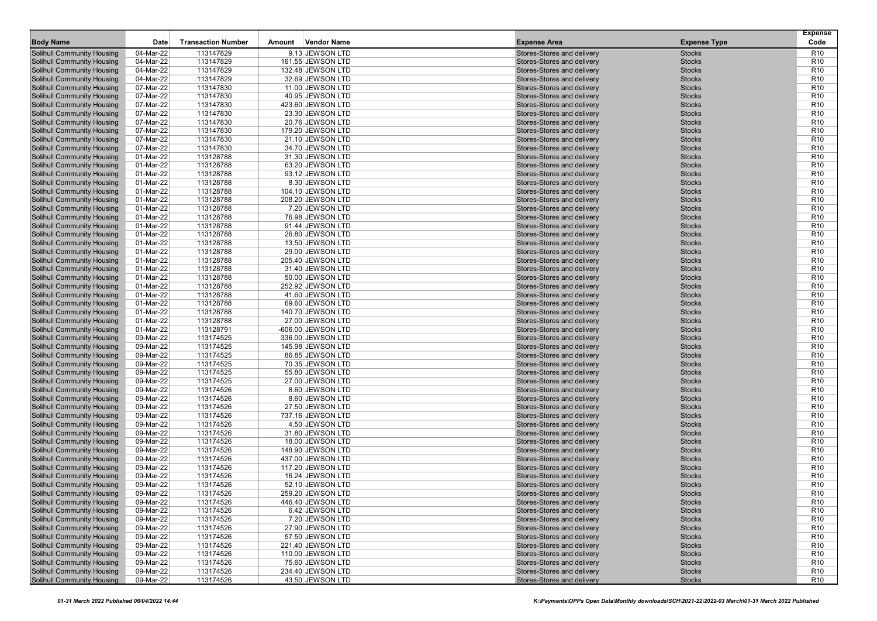|                                                                        |                        |                           |        |                                       |                                                          |                                | <b>Expense</b>                     |
|------------------------------------------------------------------------|------------------------|---------------------------|--------|---------------------------------------|----------------------------------------------------------|--------------------------------|------------------------------------|
| <b>Body Name</b>                                                       | Date                   | <b>Transaction Number</b> | Amount | <b>Vendor Name</b>                    | <b>Expense Area</b>                                      | <b>Expense Type</b>            | Code                               |
| Solihull Community Housing                                             | 04-Mar-22              | 113147829                 |        | 9.13 JEWSON LTD                       | Stores-Stores and delivery                               | <b>Stocks</b>                  | R <sub>10</sub>                    |
| <b>Solihull Community Housing</b>                                      | 04-Mar-22              | 113147829                 |        | 161.55 JEWSON LTD                     | Stores-Stores and delivery                               | <b>Stocks</b>                  | R <sub>10</sub>                    |
| <b>Solihull Community Housing</b>                                      | 04-Mar-22<br>04-Mar-22 | 113147829<br>113147829    |        | 132.48 JEWSON LTD                     | Stores-Stores and delivery<br>Stores-Stores and delivery | <b>Stocks</b>                  | R <sub>10</sub><br>R <sub>10</sub> |
| <b>Solihull Community Housing</b><br><b>Solihull Community Housing</b> | 07-Mar-22              | 113147830                 |        | 32.69 JEWSON LTD<br>11.00 JEWSON LTD  | Stores-Stores and delivery                               | <b>Stocks</b><br><b>Stocks</b> | R <sub>10</sub>                    |
| <b>Solihull Community Housing</b>                                      | 07-Mar-22              | 113147830                 |        | 40.95 JEWSON LTD                      | Stores-Stores and delivery                               | <b>Stocks</b>                  | R <sub>10</sub>                    |
| <b>Solihull Community Housing</b>                                      | 07-Mar-22              | 113147830                 |        | 423.60 JEWSON LTD                     | Stores-Stores and delivery                               | <b>Stocks</b>                  | R <sub>10</sub>                    |
| <b>Solihull Community Housing</b>                                      | 07-Mar-22              | 113147830                 |        | 23.30 JEWSON LTD                      | Stores-Stores and delivery                               | <b>Stocks</b>                  | R <sub>10</sub>                    |
| <b>Solihull Community Housing</b>                                      | 07-Mar-22              | 113147830                 |        | 20.76 JEWSON LTD                      | Stores-Stores and delivery                               | <b>Stocks</b>                  | R <sub>10</sub>                    |
| Solihull Community Housing                                             | 07-Mar-22              | 113147830                 |        | 179.20 JEWSON LTD                     | Stores-Stores and delivery                               | <b>Stocks</b>                  | R <sub>10</sub>                    |
| <b>Solihull Community Housing</b>                                      | 07-Mar-22              | 113147830                 |        | 21.10 JEWSON LTD                      | Stores-Stores and delivery                               | <b>Stocks</b>                  | R <sub>10</sub>                    |
| <b>Solihull Community Housing</b>                                      | 07-Mar-22              | 113147830                 |        | 34.70 JEWSON LTD                      | Stores-Stores and delivery                               | <b>Stocks</b>                  | R <sub>10</sub>                    |
| <b>Solihull Community Housing</b>                                      | 01-Mar-22              | 113128788                 |        | 31.30 JEWSON LTD                      | Stores-Stores and delivery                               | <b>Stocks</b>                  | R <sub>10</sub>                    |
| <b>Solihull Community Housing</b>                                      | 01-Mar-22              | 113128788                 |        | 63.20 JEWSON LTD                      | Stores-Stores and delivery                               | <b>Stocks</b>                  | R <sub>10</sub>                    |
| <b>Solihull Community Housing</b>                                      | 01-Mar-22              | 113128788                 |        | 93.12 JEWSON LTD                      | Stores-Stores and delivery                               | <b>Stocks</b>                  | R <sub>10</sub>                    |
| <b>Solihull Community Housing</b>                                      | 01-Mar-22              | 113128788                 |        | 8.30 JEWSON LTD                       | Stores-Stores and delivery                               | <b>Stocks</b>                  | R <sub>10</sub>                    |
| <b>Solihull Community Housing</b>                                      | 01-Mar-22              | 113128788                 |        | 104.10 JEWSON LTD                     | Stores-Stores and delivery                               | <b>Stocks</b>                  | R <sub>10</sub>                    |
| <b>Solihull Community Housing</b>                                      | 01-Mar-22              | 113128788                 |        | 208.20 JEWSON LTD                     | Stores-Stores and delivery                               | <b>Stocks</b>                  | R <sub>10</sub>                    |
| Solihull Community Housing                                             | 01-Mar-22              | 113128788                 |        | 7.20 JEWSON LTD                       | Stores-Stores and delivery                               | <b>Stocks</b>                  | R <sub>10</sub>                    |
| <b>Solihull Community Housing</b>                                      | 01-Mar-22              | 113128788                 |        | 76.98 JEWSON LTD                      | Stores-Stores and delivery                               | <b>Stocks</b>                  | R <sub>10</sub>                    |
| <b>Solihull Community Housing</b>                                      | 01-Mar-22              | 113128788                 |        | 91.44 JEWSON LTD                      | Stores-Stores and delivery                               | <b>Stocks</b>                  | R <sub>10</sub>                    |
| <b>Solihull Community Housing</b>                                      | 01-Mar-22              | 113128788                 |        | 26.80 JEWSON LTD                      | Stores-Stores and delivery                               | <b>Stocks</b>                  | R <sub>10</sub>                    |
| <b>Solihull Community Housing</b>                                      | 01-Mar-22              | 113128788                 |        | 13.50 JEWSON LTD                      | Stores-Stores and delivery                               | <b>Stocks</b>                  | R <sub>10</sub>                    |
| Solihull Community Housing                                             | 01-Mar-22              | 113128788                 |        | 29.00 JEWSON LTD                      | Stores-Stores and delivery                               | <b>Stocks</b>                  | R <sub>10</sub>                    |
| <b>Solihull Community Housing</b>                                      | 01-Mar-22              | 113128788                 |        | 205.40 JEWSON LTD                     | Stores-Stores and delivery                               | <b>Stocks</b>                  | R <sub>10</sub>                    |
| <b>Solihull Community Housing</b>                                      | 01-Mar-22              | 113128788                 |        | 31.40 JEWSON LTD                      | Stores-Stores and delivery                               | <b>Stocks</b>                  | R <sub>10</sub>                    |
| <b>Solihull Community Housing</b>                                      | 01-Mar-22              | 113128788                 |        | 50.00 JEWSON LTD                      | Stores-Stores and delivery                               | <b>Stocks</b>                  | R <sub>10</sub>                    |
| <b>Solihull Community Housing</b>                                      | 01-Mar-22              | 113128788                 |        | 252.92 JEWSON LTD                     | Stores-Stores and delivery                               | <b>Stocks</b>                  | R <sub>10</sub>                    |
| <b>Solihull Community Housing</b>                                      | 01-Mar-22              | 113128788                 |        | 41.60 JEWSON LTD                      | Stores-Stores and delivery                               | <b>Stocks</b>                  | R <sub>10</sub>                    |
| <b>Solihull Community Housing</b>                                      | 01-Mar-22              | 113128788                 |        | 69.60 JEWSON LTD                      | Stores-Stores and delivery                               | <b>Stocks</b>                  | R <sub>10</sub>                    |
| <b>Solihull Community Housing</b>                                      | 01-Mar-22              | 113128788                 |        | 140.70 JEWSON LTD                     | Stores-Stores and delivery                               | <b>Stocks</b>                  | R <sub>10</sub>                    |
| <b>Solihull Community Housing</b>                                      | 01-Mar-22              | 113128788                 |        | 27.00 JEWSON LTD                      | Stores-Stores and delivery                               | <b>Stocks</b>                  | R <sub>10</sub>                    |
| <b>Solihull Community Housing</b>                                      | 01-Mar-22              | 113128791                 |        | -606.00 JEWSON LTD                    | Stores-Stores and delivery                               | <b>Stocks</b>                  | R <sub>10</sub>                    |
| <b>Solihull Community Housing</b>                                      | 09-Mar-22              | 113174525                 |        | 336.00 JEWSON LTD                     | Stores-Stores and delivery                               | <b>Stocks</b>                  | R <sub>10</sub>                    |
| <b>Solihull Community Housing</b>                                      | 09-Mar-22              | 113174525                 |        | 145.98 JEWSON LTD                     | Stores-Stores and delivery                               | <b>Stocks</b>                  | R <sub>10</sub>                    |
| <b>Solihull Community Housing</b>                                      | 09-Mar-22              | 113174525                 |        | 86.85 JEWSON LTD                      | Stores-Stores and delivery                               | <b>Stocks</b>                  | R <sub>10</sub>                    |
| <b>Solihull Community Housing</b>                                      | 09-Mar-22              | 113174525                 |        | 70.35 JEWSON LTD                      | Stores-Stores and delivery                               | <b>Stocks</b>                  | R <sub>10</sub>                    |
| <b>Solihull Community Housing</b>                                      | 09-Mar-22              | 113174525                 |        | 55.80 JEWSON LTD                      | Stores-Stores and delivery                               | <b>Stocks</b>                  | R <sub>10</sub>                    |
| <b>Solihull Community Housing</b>                                      | 09-Mar-22              | 113174525                 |        | 27.00 JEWSON LTD                      | Stores-Stores and delivery                               | <b>Stocks</b>                  | R <sub>10</sub>                    |
| <b>Solihull Community Housing</b>                                      | 09-Mar-22              | 113174526                 |        | 8.60 JEWSON LTD                       | Stores-Stores and delivery                               | <b>Stocks</b>                  | R <sub>10</sub>                    |
| <b>Solihull Community Housing</b>                                      | 09-Mar-22              | 113174526                 |        | 8.60 JEWSON LTD                       | Stores-Stores and delivery                               | <b>Stocks</b>                  | R <sub>10</sub>                    |
| <b>Solihull Community Housing</b>                                      | 09-Mar-22<br>09-Mar-22 | 113174526<br>113174526    |        | 27.50 JEWSON LTD<br>737.16 JEWSON LTD | Stores-Stores and delivery                               | <b>Stocks</b>                  | R <sub>10</sub><br>R <sub>10</sub> |
| <b>Solihull Community Housing</b><br><b>Solihull Community Housing</b> | 09-Mar-22              | 113174526                 |        | 4.50 JEWSON LTD                       | Stores-Stores and delivery<br>Stores-Stores and delivery | <b>Stocks</b><br><b>Stocks</b> | R <sub>10</sub>                    |
| Solihull Community Housing                                             | 09-Mar-22              | 113174526                 |        | 31.80 JEWSON LTD                      | Stores-Stores and delivery                               | <b>Stocks</b>                  | R <sub>10</sub>                    |
| Solihull Community Housing                                             | 09-Mar-22              | 113174526                 |        | 18.00 JEWSON LTD                      | Stores-Stores and delivery                               | <b>Stocks</b>                  | R <sub>10</sub>                    |
| Solihull Community Housing                                             | 09-Mar-22              | 113174526                 |        | 148.90 JEWSON LTD                     | Stores-Stores and delivery                               | <b>Stocks</b>                  | R <sub>10</sub>                    |
| <b>Solihull Community Housing</b>                                      | 09-Mar-22              | 113174526                 |        | 437.00 JEWSON LTD                     | Stores-Stores and delivery                               | <b>Stocks</b>                  | R <sub>10</sub>                    |
| <b>Solihull Community Housing</b>                                      | 09-Mar-22              | 113174526                 |        | 117.20 JEWSON LTD                     | Stores-Stores and delivery                               | <b>Stocks</b>                  | R <sub>10</sub>                    |
| <b>Solihull Community Housing</b>                                      | 09-Mar-22              | 113174526                 |        | 16.24 JEWSON LTD                      | Stores-Stores and delivery                               | <b>Stocks</b>                  | R <sub>10</sub>                    |
| <b>Solihull Community Housing</b>                                      | 09-Mar-22              | 113174526                 |        | 52.10 JEWSON LTD                      | Stores-Stores and delivery                               | <b>Stocks</b>                  | R <sub>10</sub>                    |
| Solihull Community Housing                                             | 09-Mar-22              | 113174526                 |        | 259.20 JEWSON LTD                     | Stores-Stores and delivery                               | <b>Stocks</b>                  | R <sub>10</sub>                    |
| <b>Solihull Community Housing</b>                                      | 09-Mar-22              | 113174526                 |        | 446.40 JEWSON LTD                     | Stores-Stores and delivery                               | <b>Stocks</b>                  | R <sub>10</sub>                    |
| <b>Solihull Community Housing</b>                                      | 09-Mar-22              | 113174526                 |        | 6.42 JEWSON LTD                       | Stores-Stores and delivery                               | Stocks                         | R <sub>10</sub>                    |
| Solihull Community Housing                                             | 09-Mar-22              | 113174526                 |        | 7.20 JEWSON LTD                       | Stores-Stores and delivery                               | <b>Stocks</b>                  | R <sub>10</sub>                    |
| Solihull Community Housing                                             | 09-Mar-22              | 113174526                 |        | 27.90 JEWSON LTD                      | Stores-Stores and delivery                               | <b>Stocks</b>                  | R <sub>10</sub>                    |
| Solihull Community Housing                                             | 09-Mar-22              | 113174526                 |        | 57.50 JEWSON LTD                      | Stores-Stores and delivery                               | <b>Stocks</b>                  | R <sub>10</sub>                    |
| Solihull Community Housing                                             | 09-Mar-22              | 113174526                 |        | 221.40 JEWSON LTD                     | Stores-Stores and delivery                               | <b>Stocks</b>                  | R <sub>10</sub>                    |
| Solihull Community Housing                                             | 09-Mar-22              | 113174526                 |        | 110.00 JEWSON LTD                     | Stores-Stores and delivery                               | Stocks                         | R <sub>10</sub>                    |
| <b>Solihull Community Housing</b>                                      | 09-Mar-22              | 113174526                 |        | 75.60 JEWSON LTD                      | Stores-Stores and delivery                               | <b>Stocks</b>                  | R <sub>10</sub>                    |
| <b>Solihull Community Housing</b>                                      | 09-Mar-22              | 113174526                 |        | 234.40 JEWSON LTD                     | Stores-Stores and delivery                               | <b>Stocks</b>                  | R <sub>10</sub>                    |
| <b>Solihull Community Housing</b>                                      | 09-Mar-22              | 113174526                 |        | 43.50 JEWSON LTD                      | Stores-Stores and delivery                               | <b>Stocks</b>                  | R <sub>10</sub>                    |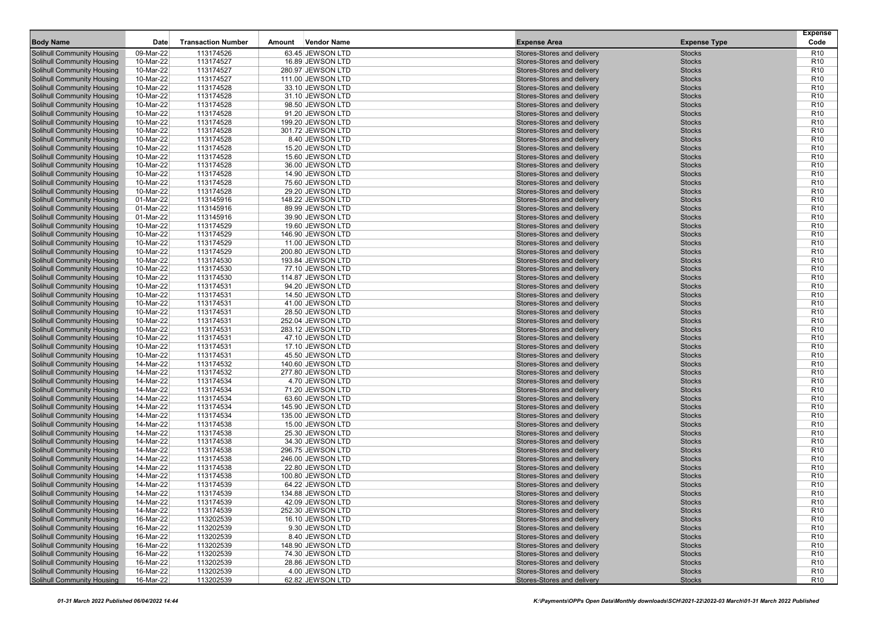| <b>Body Name</b>                  | Date      | <b>Transaction Number</b> | Amount | Vendor Name       | <b>Expense Area</b>        | <b>Expense Type</b> | <b>Expense</b><br>Code |
|-----------------------------------|-----------|---------------------------|--------|-------------------|----------------------------|---------------------|------------------------|
| <b>Solihull Community Housing</b> | 09-Mar-22 | 113174526                 |        | 63.45 JEWSON LTD  | Stores-Stores and delivery | <b>Stocks</b>       | R <sub>10</sub>        |
| <b>Solihull Community Housing</b> | 10-Mar-22 | 113174527                 |        | 16.89 JEWSON LTD  | Stores-Stores and delivery | <b>Stocks</b>       | R <sub>10</sub>        |
| <b>Solihull Community Housing</b> | 10-Mar-22 | 113174527                 |        | 280.97 JEWSON LTD | Stores-Stores and delivery | <b>Stocks</b>       | R <sub>10</sub>        |
| <b>Solihull Community Housing</b> | 10-Mar-22 | 113174527                 |        | 111.00 JEWSON LTD | Stores-Stores and delivery | <b>Stocks</b>       | R <sub>10</sub>        |
| <b>Solihull Community Housing</b> | 10-Mar-22 | 113174528                 |        | 33.10 JEWSON LTD  | Stores-Stores and delivery | <b>Stocks</b>       | R <sub>10</sub>        |
| <b>Solihull Community Housing</b> | 10-Mar-22 | 113174528                 |        | 31.10 JEWSON LTD  | Stores-Stores and delivery | <b>Stocks</b>       | R <sub>10</sub>        |
| <b>Solihull Community Housing</b> | 10-Mar-22 | 113174528                 |        | 98.50 JEWSON LTD  | Stores-Stores and delivery | <b>Stocks</b>       | R <sub>10</sub>        |
| <b>Solihull Community Housing</b> | 10-Mar-22 | 113174528                 |        | 91.20 JEWSON LTD  | Stores-Stores and delivery | <b>Stocks</b>       | R <sub>10</sub>        |
| <b>Solihull Community Housing</b> | 10-Mar-22 | 113174528                 |        | 199.20 JEWSON LTD | Stores-Stores and delivery | <b>Stocks</b>       | R <sub>10</sub>        |
| <b>Solihull Community Housing</b> | 10-Mar-22 | 113174528                 |        | 301.72 JEWSON LTD | Stores-Stores and delivery | <b>Stocks</b>       | R <sub>10</sub>        |
| <b>Solihull Community Housing</b> | 10-Mar-22 | 113174528                 |        | 8.40 JEWSON LTD   | Stores-Stores and delivery | <b>Stocks</b>       | R <sub>10</sub>        |
| <b>Solihull Community Housing</b> | 10-Mar-22 | 113174528                 |        | 15.20 JEWSON LTD  | Stores-Stores and delivery | <b>Stocks</b>       | R <sub>10</sub>        |
| <b>Solihull Community Housing</b> | 10-Mar-22 | 113174528                 |        | 15.60 JEWSON LTD  | Stores-Stores and delivery | <b>Stocks</b>       | R <sub>10</sub>        |
| <b>Solihull Community Housing</b> | 10-Mar-22 | 113174528                 |        | 36.00 JEWSON LTD  | Stores-Stores and delivery | <b>Stocks</b>       | R <sub>10</sub>        |
| <b>Solihull Community Housing</b> |           |                           |        |                   | Stores-Stores and delivery |                     | R <sub>10</sub>        |
|                                   | 10-Mar-22 | 113174528                 |        | 14.90 JEWSON LTD  |                            | <b>Stocks</b>       |                        |
| <b>Solihull Community Housing</b> | 10-Mar-22 | 113174528                 |        | 75.60 JEWSON LTD  | Stores-Stores and delivery | <b>Stocks</b>       | R <sub>10</sub>        |
| <b>Solihull Community Housing</b> | 10-Mar-22 | 113174528                 |        | 29.20 JEWSON LTD  | Stores-Stores and delivery | <b>Stocks</b>       | R <sub>10</sub>        |
| <b>Solihull Community Housing</b> | 01-Mar-22 | 113145916                 |        | 148.22 JEWSON LTD | Stores-Stores and delivery | <b>Stocks</b>       | R <sub>10</sub>        |
| <b>Solihull Community Housing</b> | 01-Mar-22 | 113145916                 |        | 89.99 JEWSON LTD  | Stores-Stores and delivery | <b>Stocks</b>       | R <sub>10</sub>        |
| <b>Solihull Community Housing</b> | 01-Mar-22 | 113145916                 |        | 39.90 JEWSON LTD  | Stores-Stores and delivery | <b>Stocks</b>       | R <sub>10</sub>        |
| <b>Solihull Community Housing</b> | 10-Mar-22 | 113174529                 |        | 19.60 JEWSON LTD  | Stores-Stores and delivery | <b>Stocks</b>       | R <sub>10</sub>        |
| <b>Solihull Community Housing</b> | 10-Mar-22 | 113174529                 |        | 146.90 JEWSON LTD | Stores-Stores and delivery | <b>Stocks</b>       | R <sub>10</sub>        |
| <b>Solihull Community Housing</b> | 10-Mar-22 | 113174529                 |        | 11.00 JEWSON LTD  | Stores-Stores and delivery | <b>Stocks</b>       | R <sub>10</sub>        |
| <b>Solihull Community Housing</b> | 10-Mar-22 | 113174529                 |        | 200.80 JEWSON LTD | Stores-Stores and delivery | <b>Stocks</b>       | R <sub>10</sub>        |
| <b>Solihull Community Housing</b> | 10-Mar-22 | 113174530                 |        | 193.84 JEWSON LTD | Stores-Stores and delivery | <b>Stocks</b>       | R <sub>10</sub>        |
| <b>Solihull Community Housing</b> | 10-Mar-22 | 113174530                 |        | 77.10 JEWSON LTD  | Stores-Stores and delivery | <b>Stocks</b>       | R <sub>10</sub>        |
| <b>Solihull Community Housing</b> | 10-Mar-22 | 113174530                 |        | 114.87 JEWSON LTD | Stores-Stores and delivery | <b>Stocks</b>       | R <sub>10</sub>        |
| <b>Solihull Community Housing</b> | 10-Mar-22 | 113174531                 |        | 94.20 JEWSON LTD  | Stores-Stores and delivery | <b>Stocks</b>       | R <sub>10</sub>        |
| <b>Solihull Community Housing</b> | 10-Mar-22 | 113174531                 |        | 14.50 JEWSON LTD  | Stores-Stores and delivery | <b>Stocks</b>       | R <sub>10</sub>        |
| <b>Solihull Community Housing</b> | 10-Mar-22 | 113174531                 |        | 41.00 JEWSON LTD  | Stores-Stores and delivery | <b>Stocks</b>       | R <sub>10</sub>        |
| <b>Solihull Community Housing</b> | 10-Mar-22 | 113174531                 |        | 28.50 JEWSON LTD  | Stores-Stores and delivery | <b>Stocks</b>       | R <sub>10</sub>        |
| <b>Solihull Community Housing</b> | 10-Mar-22 | 113174531                 |        | 252.04 JEWSON LTD | Stores-Stores and delivery | <b>Stocks</b>       | R <sub>10</sub>        |
| <b>Solihull Community Housing</b> | 10-Mar-22 | 113174531                 |        | 283.12 JEWSON LTD | Stores-Stores and delivery | <b>Stocks</b>       | R <sub>10</sub>        |
| <b>Solihull Community Housing</b> | 10-Mar-22 | 113174531                 |        | 47.10 JEWSON LTD  | Stores-Stores and delivery | <b>Stocks</b>       | R <sub>10</sub>        |
| <b>Solihull Community Housing</b> | 10-Mar-22 | 113174531                 |        | 17.10 JEWSON LTD  | Stores-Stores and delivery | <b>Stocks</b>       | R <sub>10</sub>        |
| <b>Solihull Community Housing</b> | 10-Mar-22 | 113174531                 |        | 45.50 JEWSON LTD  | Stores-Stores and delivery | <b>Stocks</b>       | R <sub>10</sub>        |
| <b>Solihull Community Housing</b> | 14-Mar-22 | 113174532                 |        | 140.60 JEWSON LTD | Stores-Stores and delivery | <b>Stocks</b>       | R <sub>10</sub>        |
| <b>Solihull Community Housing</b> | 14-Mar-22 | 113174532                 |        | 277.80 JEWSON LTD | Stores-Stores and delivery | <b>Stocks</b>       | R <sub>10</sub>        |
| <b>Solihull Community Housing</b> | 14-Mar-22 | 113174534                 |        | 4.70 JEWSON LTD   | Stores-Stores and delivery | <b>Stocks</b>       | R <sub>10</sub>        |
| <b>Solihull Community Housing</b> | 14-Mar-22 | 113174534                 |        | 71.20 JEWSON LTD  | Stores-Stores and delivery | <b>Stocks</b>       | R <sub>10</sub>        |
| <b>Solihull Community Housing</b> | 14-Mar-22 | 113174534                 |        | 63.60 JEWSON LTD  | Stores-Stores and delivery | <b>Stocks</b>       | R <sub>10</sub>        |
| <b>Solihull Community Housing</b> | 14-Mar-22 | 113174534                 |        | 145.90 JEWSON LTD | Stores-Stores and delivery | <b>Stocks</b>       | R <sub>10</sub>        |
| <b>Solihull Community Housing</b> | 14-Mar-22 | 113174534                 |        | 135.00 JEWSON LTD | Stores-Stores and delivery | <b>Stocks</b>       | R <sub>10</sub>        |
| <b>Solihull Community Housing</b> | 14-Mar-22 | 113174538                 |        | 15.00 JEWSON LTD  | Stores-Stores and delivery | <b>Stocks</b>       | R <sub>10</sub>        |
| <b>Solihull Community Housing</b> | 14-Mar-22 | 113174538                 |        | 25.30 JEWSON LTD  | Stores-Stores and delivery | <b>Stocks</b>       | R <sub>10</sub>        |
| <b>Solihull Community Housing</b> | 14-Mar-22 | 113174538                 |        | 34.30 JEWSON LTD  | Stores-Stores and delivery | <b>Stocks</b>       | R <sub>10</sub>        |
| <b>Solihull Community Housing</b> | 14-Mar-22 | 113174538                 |        | 296.75 JEWSON LTD | Stores-Stores and delivery | <b>Stocks</b>       | R <sub>10</sub>        |
| <b>Solihull Community Housing</b> | 14-Mar-22 | 113174538                 |        | 246.00 JEWSON LTD | Stores-Stores and delivery | <b>Stocks</b>       | R <sub>10</sub>        |
| <b>Solihull Community Housing</b> | 14-Mar-22 | 113174538                 |        | 22.80 JEWSON LTD  | Stores-Stores and delivery | <b>Stocks</b>       | R <sub>10</sub>        |
| <b>Solihull Community Housing</b> | 14-Mar-22 | 113174538                 |        | 100.80 JEWSON LTD | Stores-Stores and delivery | <b>Stocks</b>       | R <sub>10</sub>        |
| Solihull Community Housing        | 14-Mar-22 | 113174539                 |        | 64.22 JEWSON LTD  | Stores-Stores and delivery | <b>Stocks</b>       | R <sub>10</sub>        |
| <b>Solihull Community Housing</b> | 14-Mar-22 | 113174539                 |        | 134.88 JEWSON LTD | Stores-Stores and delivery | <b>Stocks</b>       | R <sub>10</sub>        |
| <b>Solihull Community Housing</b> | 14-Mar-22 | 113174539                 |        | 42.09 JEWSON LTD  | Stores-Stores and delivery | <b>Stocks</b>       | R <sub>10</sub>        |
| <b>Solihull Community Housing</b> | 14-Mar-22 | 113174539                 |        | 252.30 JEWSON LTD | Stores-Stores and delivery | Stocks              | R <sub>10</sub>        |
| <b>Solihull Community Housing</b> | 16-Mar-22 | 113202539                 |        | 16.10 JEWSON LTD  | Stores-Stores and delivery | <b>Stocks</b>       | R <sub>10</sub>        |
| <b>Solihull Community Housing</b> | 16-Mar-22 | 113202539                 |        | 9.30 JEWSON LTD   | Stores-Stores and delivery | <b>Stocks</b>       | R <sub>10</sub>        |
| <b>Solihull Community Housing</b> | 16-Mar-22 | 113202539                 |        | 8.40 JEWSON LTD   | Stores-Stores and delivery | <b>Stocks</b>       | R <sub>10</sub>        |
| <b>Solihull Community Housing</b> | 16-Mar-22 | 113202539                 |        | 148.90 JEWSON LTD | Stores-Stores and delivery | <b>Stocks</b>       | R <sub>10</sub>        |
| <b>Solihull Community Housing</b> | 16-Mar-22 | 113202539                 |        | 74.30 JEWSON LTD  | Stores-Stores and delivery | <b>Stocks</b>       | R <sub>10</sub>        |
| <b>Solihull Community Housing</b> |           | 113202539                 |        |                   | Stores-Stores and delivery |                     | R <sub>10</sub>        |
| <b>Solihull Community Housing</b> | 16-Mar-22 |                           |        | 28.86 JEWSON LTD  |                            | <b>Stocks</b>       |                        |
|                                   | 16-Mar-22 | 113202539                 |        | 4.00 JEWSON LTD   | Stores-Stores and delivery | <b>Stocks</b>       | R <sub>10</sub>        |
| <b>Solihull Community Housing</b> | 16-Mar-22 | 113202539                 |        | 62.82 JEWSON LTD  | Stores-Stores and delivery | <b>Stocks</b>       | R <sub>10</sub>        |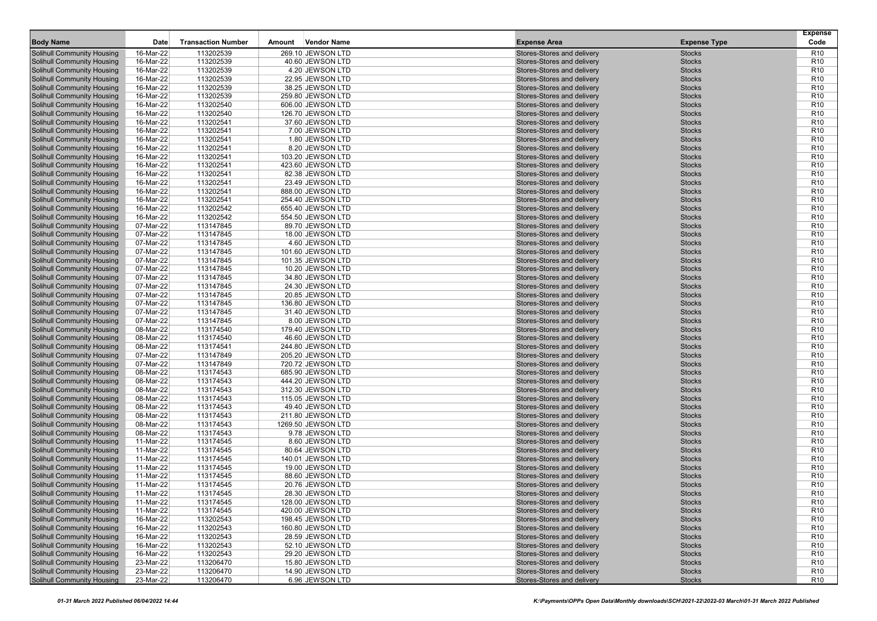| <b>Body Name</b>                                                       | Date                   | <b>Transaction Number</b> | Amount | Vendor Name                            | <b>Expense Area</b>                                      | <b>Expense Type</b> | <b>Expense</b><br>Code             |
|------------------------------------------------------------------------|------------------------|---------------------------|--------|----------------------------------------|----------------------------------------------------------|---------------------|------------------------------------|
| <b>Solihull Community Housing</b>                                      | 16-Mar-22              | 113202539                 |        | 269.10 JEWSON LTD                      | Stores-Stores and delivery                               | <b>Stocks</b>       | R <sub>10</sub>                    |
| <b>Solihull Community Housing</b>                                      | 16-Mar-22              | 113202539                 |        | 40.60 JEWSON LTD                       | Stores-Stores and delivery                               | <b>Stocks</b>       | R <sub>10</sub>                    |
| <b>Solihull Community Housing</b>                                      | 16-Mar-22              | 113202539                 |        | 4.20 JEWSON LTD                        | Stores-Stores and delivery                               | <b>Stocks</b>       | R <sub>10</sub>                    |
| <b>Solihull Community Housing</b>                                      | 16-Mar-22              | 113202539                 |        | 22.95 JEWSON LTD                       | Stores-Stores and delivery                               | <b>Stocks</b>       | R <sub>10</sub>                    |
| <b>Solihull Community Housing</b>                                      | 16-Mar-22              | 113202539                 |        | 38.25 JEWSON LTD                       | Stores-Stores and delivery                               | <b>Stocks</b>       | R <sub>10</sub>                    |
| <b>Solihull Community Housing</b>                                      | 16-Mar-22              | 113202539                 |        | 259.80 JEWSON LTD                      | Stores-Stores and delivery                               | <b>Stocks</b>       | R <sub>10</sub>                    |
| <b>Solihull Community Housing</b>                                      | 16-Mar-22              | 113202540                 |        | 606.00 JEWSON LTD                      | Stores-Stores and delivery                               | <b>Stocks</b>       | R <sub>10</sub>                    |
| <b>Solihull Community Housing</b>                                      | 16-Mar-22              | 113202540                 |        | 126.70 JEWSON LTD                      | Stores-Stores and delivery                               | <b>Stocks</b>       | R <sub>10</sub>                    |
| <b>Solihull Community Housing</b>                                      | 16-Mar-22              | 113202541                 |        | 37.60 JEWSON LTD                       | Stores-Stores and delivery                               | <b>Stocks</b>       | R <sub>10</sub>                    |
| <b>Solihull Community Housing</b>                                      | 16-Mar-22              | 113202541                 |        | 7.00 JEWSON LTD                        | Stores-Stores and delivery                               | <b>Stocks</b>       | R <sub>10</sub>                    |
| <b>Solihull Community Housing</b>                                      | 16-Mar-22              | 113202541                 |        | 1.80 JEWSON LTD                        | Stores-Stores and delivery                               | <b>Stocks</b>       | R <sub>10</sub>                    |
| <b>Solihull Community Housing</b>                                      | 16-Mar-22              | 113202541                 |        | 8.20 JEWSON LTD                        | Stores-Stores and delivery                               | <b>Stocks</b>       | R <sub>10</sub>                    |
| <b>Solihull Community Housing</b>                                      | 16-Mar-22              | 113202541                 |        | 103.20 JEWSON LTD                      | Stores-Stores and delivery                               | <b>Stocks</b>       | R <sub>10</sub>                    |
| <b>Solihull Community Housing</b>                                      | 16-Mar-22              | 113202541                 |        | 423.60 JEWSON LTD                      | Stores-Stores and delivery                               | <b>Stocks</b>       | R <sub>10</sub>                    |
| <b>Solihull Community Housing</b>                                      | 16-Mar-22              | 113202541                 |        | 82.38 JEWSON LTD                       | Stores-Stores and delivery                               | <b>Stocks</b>       | R <sub>10</sub>                    |
| <b>Solihull Community Housing</b>                                      | 16-Mar-22              | 113202541                 |        | 23.49 JEWSON LTD                       | Stores-Stores and delivery                               | <b>Stocks</b>       | R <sub>10</sub>                    |
| <b>Solihull Community Housing</b>                                      | 16-Mar-22              | 113202541                 |        | 888.00 JEWSON LTD                      | Stores-Stores and delivery                               | <b>Stocks</b>       | R <sub>10</sub>                    |
| <b>Solihull Community Housing</b>                                      | 16-Mar-22              | 113202541                 |        | 254.40 JEWSON LTD                      | Stores-Stores and delivery                               | <b>Stocks</b>       | R <sub>10</sub>                    |
| <b>Solihull Community Housing</b>                                      | 16-Mar-22              | 113202542                 |        | 655.40 JEWSON LTD                      | Stores-Stores and delivery                               | <b>Stocks</b>       | R <sub>10</sub>                    |
| <b>Solihull Community Housing</b>                                      | 16-Mar-22              | 113202542                 |        | 554.50 JEWSON LTD                      | Stores-Stores and delivery                               | <b>Stocks</b>       | R <sub>10</sub>                    |
| <b>Solihull Community Housing</b>                                      | 07-Mar-22              | 113147845                 |        | 89.70 JEWSON LTD                       | Stores-Stores and delivery                               | <b>Stocks</b>       | R <sub>10</sub>                    |
| <b>Solihull Community Housing</b>                                      | 07-Mar-22              | 113147845                 |        | 18.00 JEWSON LTD                       | Stores-Stores and delivery                               | <b>Stocks</b>       | R <sub>10</sub>                    |
| <b>Solihull Community Housing</b>                                      | 07-Mar-22              | 113147845                 |        | 4.60 JEWSON LTD                        | Stores-Stores and delivery                               | <b>Stocks</b>       | R <sub>10</sub>                    |
| <b>Solihull Community Housing</b>                                      |                        |                           |        | 101.60 JEWSON LTD                      | Stores-Stores and delivery                               | <b>Stocks</b>       | R <sub>10</sub>                    |
|                                                                        | 07-Mar-22              | 113147845                 |        |                                        |                                                          |                     | R <sub>10</sub>                    |
| <b>Solihull Community Housing</b>                                      | 07-Mar-22              | 113147845                 |        | 101.35 JEWSON LTD                      | Stores-Stores and delivery                               | <b>Stocks</b>       |                                    |
| <b>Solihull Community Housing</b>                                      | 07-Mar-22              | 113147845                 |        | 10.20 JEWSON LTD                       | Stores-Stores and delivery                               | <b>Stocks</b>       | R <sub>10</sub>                    |
| <b>Solihull Community Housing</b>                                      | 07-Mar-22              | 113147845                 |        | 34.80 JEWSON LTD                       | Stores-Stores and delivery                               | <b>Stocks</b>       | R <sub>10</sub>                    |
| <b>Solihull Community Housing</b>                                      | 07-Mar-22              | 113147845                 |        | 24.30 JEWSON LTD                       | Stores-Stores and delivery                               | <b>Stocks</b>       | R <sub>10</sub>                    |
| <b>Solihull Community Housing</b>                                      | 07-Mar-22              | 113147845                 |        | 20.85 JEWSON LTD                       | Stores-Stores and delivery                               | <b>Stocks</b>       | R <sub>10</sub>                    |
| <b>Solihull Community Housing</b>                                      | 07-Mar-22              | 113147845                 |        | 136.80 JEWSON LTD                      | Stores-Stores and delivery                               | <b>Stocks</b>       | R <sub>10</sub>                    |
| <b>Solihull Community Housing</b><br><b>Solihull Community Housing</b> | 07-Mar-22              | 113147845                 |        | 31.40 JEWSON LTD                       | Stores-Stores and delivery<br>Stores-Stores and delivery | <b>Stocks</b>       | R <sub>10</sub>                    |
|                                                                        | 07-Mar-22              | 113147845                 |        | 8.00 JEWSON LTD                        |                                                          | <b>Stocks</b>       | R <sub>10</sub>                    |
| <b>Solihull Community Housing</b>                                      | 08-Mar-22              | 113174540                 |        | 179.40 JEWSON LTD                      | Stores-Stores and delivery                               | <b>Stocks</b>       | R <sub>10</sub>                    |
| <b>Solihull Community Housing</b>                                      | 08-Mar-22<br>08-Mar-22 | 113174540                 |        | 46.60 JEWSON LTD<br>244.80 JEWSON LTD  | Stores-Stores and delivery                               | <b>Stocks</b>       | R <sub>10</sub>                    |
| <b>Solihull Community Housing</b>                                      |                        | 113174541                 |        |                                        | Stores-Stores and delivery                               | <b>Stocks</b>       | R <sub>10</sub>                    |
| <b>Solihull Community Housing</b>                                      | 07-Mar-22              | 113147849                 |        | 205.20 JEWSON LTD<br>720.72 JEWSON LTD | Stores-Stores and delivery                               | <b>Stocks</b>       | R <sub>10</sub><br>R <sub>10</sub> |
| <b>Solihull Community Housing</b>                                      | 07-Mar-22              | 113147849                 |        |                                        | Stores-Stores and delivery                               | <b>Stocks</b>       |                                    |
| <b>Solihull Community Housing</b>                                      | 08-Mar-22              | 113174543                 |        | 685.90 JEWSON LTD                      | Stores-Stores and delivery                               | <b>Stocks</b>       | R <sub>10</sub>                    |
| <b>Solihull Community Housing</b>                                      | 08-Mar-22              | 113174543                 |        | 444.20 JEWSON LTD                      | Stores-Stores and delivery                               | <b>Stocks</b>       | R <sub>10</sub>                    |
| <b>Solihull Community Housing</b>                                      | 08-Mar-22              | 113174543                 |        | 312.30 JEWSON LTD                      | Stores-Stores and delivery                               | <b>Stocks</b>       | R <sub>10</sub>                    |
| <b>Solihull Community Housing</b>                                      | 08-Mar-22              | 113174543                 |        | 115.05 JEWSON LTD                      | Stores-Stores and delivery                               | <b>Stocks</b>       | R <sub>10</sub>                    |
| <b>Solihull Community Housing</b>                                      | 08-Mar-22              | 113174543                 |        | 49.40 JEWSON LTD                       | Stores-Stores and delivery                               | <b>Stocks</b>       | R <sub>10</sub>                    |
| <b>Solihull Community Housing</b>                                      | 08-Mar-22              | 113174543                 |        | 211.80 JEWSON LTD                      | Stores-Stores and delivery                               | <b>Stocks</b>       | R <sub>10</sub>                    |
| <b>Solihull Community Housing</b>                                      | 08-Mar-22              | 113174543                 |        | 1269.50 JEWSON LTD                     | Stores-Stores and delivery                               | <b>Stocks</b>       | R <sub>10</sub>                    |
| <b>Solihull Community Housing</b>                                      | 08-Mar-22              | 113174543                 |        | 9.78 JEWSON LTD                        | Stores-Stores and delivery                               | <b>Stocks</b>       | R <sub>10</sub>                    |
| <b>Solihull Community Housing</b>                                      | 11-Mar-22              | 113174545                 |        | 8.60 JEWSON LTD                        | Stores-Stores and delivery                               | <b>Stocks</b>       | R <sub>10</sub>                    |
| <b>Solihull Community Housing</b>                                      | 11-Mar-22              | 113174545                 |        | 80.64 JEWSON LTD                       | Stores-Stores and delivery                               | <b>Stocks</b>       | R <sub>10</sub>                    |
| <b>Solihull Community Housing</b>                                      | 11-Mar-22              | 113174545                 |        | 140.01 JEWSON LTD                      | Stores-Stores and delivery                               | <b>Stocks</b>       | R <sub>10</sub>                    |
| <b>Solihull Community Housing</b>                                      | 11-Mar-22              | 113174545                 |        | 19.00 JEWSON LTD                       | Stores-Stores and delivery                               | <b>Stocks</b>       | R <sub>10</sub>                    |
| <b>Solihull Community Housing</b>                                      | 11-Mar-22              | 113174545                 |        | 88.60 JEWSON LTD                       | Stores-Stores and delivery                               | <b>Stocks</b>       | R <sub>10</sub>                    |
| Solihull Community Housing                                             | 11-Mar-22              | 113174545                 |        | 20.76 JEWSON LTD                       | Stores-Stores and delivery                               | <b>Stocks</b>       | R <sub>10</sub>                    |
| <b>Solihull Community Housing</b>                                      | 11-Mar-22              | 113174545                 |        | 28.30 JEWSON LTD                       | Stores-Stores and delivery                               | <b>Stocks</b>       | R <sub>10</sub>                    |
| <b>Solihull Community Housing</b>                                      | 11-Mar-22              | 113174545                 |        | 128.00 JEWSON LTD                      | Stores-Stores and delivery                               | <b>Stocks</b>       | R <sub>10</sub>                    |
| <b>Solihull Community Housing</b>                                      | 11-Mar-22              | 113174545                 |        | 420.00 JEWSON LTD                      | Stores-Stores and delivery                               | <b>Stocks</b>       | R <sub>10</sub>                    |
| <b>Solihull Community Housing</b>                                      | 16-Mar-22              | 113202543                 |        | 198.45 JEWSON LTD                      | Stores-Stores and delivery                               | <b>Stocks</b>       | R <sub>10</sub>                    |
| <b>Solihull Community Housing</b>                                      | 16-Mar-22              | 113202543                 |        | 160.80 JEWSON LTD                      | Stores-Stores and delivery                               | <b>Stocks</b>       | R <sub>10</sub>                    |
| <b>Solihull Community Housing</b>                                      | 16-Mar-22              | 113202543                 |        | 28.59 JEWSON LTD                       | Stores-Stores and delivery                               | <b>Stocks</b>       | R <sub>10</sub>                    |
| <b>Solihull Community Housing</b>                                      | 16-Mar-22              | 113202543                 |        | 52.10 JEWSON LTD                       | Stores-Stores and delivery                               | <b>Stocks</b>       | R <sub>10</sub>                    |
| <b>Solihull Community Housing</b>                                      | 16-Mar-22              | 113202543                 |        | 29.20 JEWSON LTD                       | Stores-Stores and delivery                               | <b>Stocks</b>       | R <sub>10</sub>                    |
| <b>Solihull Community Housing</b>                                      | 23-Mar-22              | 113206470                 |        | 15.80 JEWSON LTD                       | Stores-Stores and delivery                               | <b>Stocks</b>       | R <sub>10</sub>                    |
| <b>Solihull Community Housing</b>                                      | 23-Mar-22              | 113206470                 |        | 14.90 JEWSON LTD                       | Stores-Stores and delivery                               | <b>Stocks</b>       | R <sub>10</sub>                    |
| <b>Solihull Community Housing</b>                                      | 23-Mar-22              | 113206470                 |        | 6.96 JEWSON LTD                        | Stores-Stores and delivery                               | <b>Stocks</b>       | R <sub>10</sub>                    |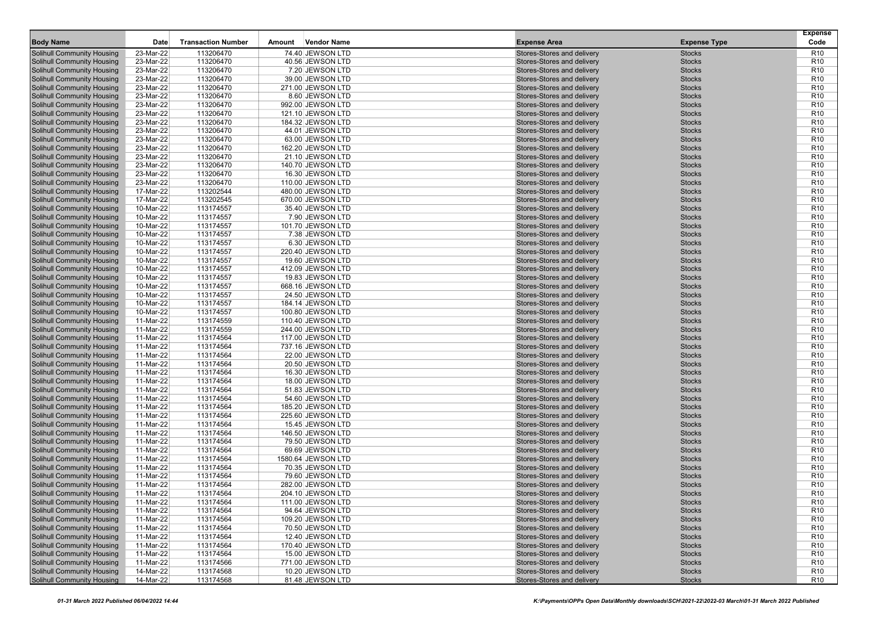|                                                                        |                        |                           |        |                                        |                                                          |                                | <b>Expense</b>                     |
|------------------------------------------------------------------------|------------------------|---------------------------|--------|----------------------------------------|----------------------------------------------------------|--------------------------------|------------------------------------|
| <b>Body Name</b>                                                       | Date                   | <b>Transaction Number</b> | Amount | <b>Vendor Name</b>                     | <b>Expense Area</b>                                      | <b>Expense Type</b>            | Code                               |
| Solihull Community Housing                                             | 23-Mar-22              | 113206470                 |        | 74.40 JEWSON LTD                       | Stores-Stores and delivery                               | <b>Stocks</b>                  | R <sub>10</sub>                    |
| <b>Solihull Community Housing</b><br><b>Solihull Community Housing</b> | 23-Mar-22<br>23-Mar-22 | 113206470<br>113206470    |        | 40.56 JEWSON LTD<br>7.20 JEWSON LTD    | Stores-Stores and delivery<br>Stores-Stores and delivery | <b>Stocks</b><br><b>Stocks</b> | R <sub>10</sub><br>R <sub>10</sub> |
| <b>Solihull Community Housing</b>                                      | 23-Mar-22              | 113206470                 |        | 39.00 JEWSON LTD                       | Stores-Stores and delivery                               | <b>Stocks</b>                  | R <sub>10</sub>                    |
| <b>Solihull Community Housing</b>                                      | 23-Mar-22              | 113206470                 |        | 271.00 JEWSON LTD                      | Stores-Stores and delivery                               | <b>Stocks</b>                  | R <sub>10</sub>                    |
| <b>Solihull Community Housing</b>                                      | 23-Mar-22              | 113206470                 |        | 8.60 JEWSON LTD                        | Stores-Stores and delivery                               | <b>Stocks</b>                  | R <sub>10</sub>                    |
| <b>Solihull Community Housing</b>                                      | 23-Mar-22              | 113206470                 |        | 992.00 JEWSON LTD                      | Stores-Stores and delivery                               | <b>Stocks</b>                  | R <sub>10</sub>                    |
| <b>Solihull Community Housing</b>                                      | 23-Mar-22              | 113206470                 |        | 121.10 JEWSON LTD                      | Stores-Stores and delivery                               | <b>Stocks</b>                  | R <sub>10</sub>                    |
| <b>Solihull Community Housing</b>                                      | 23-Mar-22              | 113206470                 |        | 184.32 JEWSON LTD                      | Stores-Stores and delivery                               | <b>Stocks</b>                  | R <sub>10</sub>                    |
| Solihull Community Housing                                             | 23-Mar-22              | 113206470                 |        | 44.01 JEWSON LTD                       | Stores-Stores and delivery                               | <b>Stocks</b>                  | R <sub>10</sub>                    |
| <b>Solihull Community Housing</b>                                      | 23-Mar-22              | 113206470                 |        | 63.00 JEWSON LTD                       | Stores-Stores and delivery                               | <b>Stocks</b>                  | R <sub>10</sub>                    |
| <b>Solihull Community Housing</b>                                      | 23-Mar-22              | 113206470                 |        | 162.20 JEWSON LTD                      | Stores-Stores and delivery                               | <b>Stocks</b>                  | R <sub>10</sub>                    |
| <b>Solihull Community Housing</b>                                      | 23-Mar-22              | 113206470                 |        | 21.10 JEWSON LTD                       | Stores-Stores and delivery                               | <b>Stocks</b>                  | R <sub>10</sub>                    |
| <b>Solihull Community Housing</b>                                      | 23-Mar-22              | 113206470                 |        | 140.70 JEWSON LTD                      | Stores-Stores and delivery                               | <b>Stocks</b>                  | R <sub>10</sub>                    |
| <b>Solihull Community Housing</b>                                      | 23-Mar-22              | 113206470                 |        | 16.30 JEWSON LTD                       | Stores-Stores and delivery                               | <b>Stocks</b>                  | R <sub>10</sub>                    |
| <b>Solihull Community Housing</b>                                      | 23-Mar-22              | 113206470                 |        | 110.00 JEWSON LTD                      | Stores-Stores and delivery                               | <b>Stocks</b>                  | R <sub>10</sub>                    |
| <b>Solihull Community Housing</b>                                      | 17-Mar-22              | 113202544                 |        | 480.00 JEWSON LTD                      | Stores-Stores and delivery                               | <b>Stocks</b>                  | R <sub>10</sub>                    |
| <b>Solihull Community Housing</b>                                      | 17-Mar-22              | 113202545                 |        | 670.00 JEWSON LTD                      | Stores-Stores and delivery                               | <b>Stocks</b>                  | R <sub>10</sub>                    |
| <b>Solihull Community Housing</b>                                      | 10-Mar-22              | 113174557                 |        | 35.40 JEWSON LTD                       | Stores-Stores and delivery                               | <b>Stocks</b>                  | R <sub>10</sub>                    |
| <b>Solihull Community Housing</b>                                      | 10-Mar-22              | 113174557                 |        | 7.90 JEWSON LTD                        | Stores-Stores and delivery                               | <b>Stocks</b>                  | R <sub>10</sub>                    |
| <b>Solihull Community Housing</b>                                      | 10-Mar-22              | 113174557                 |        | 101.70 JEWSON LTD                      | Stores-Stores and delivery                               | <b>Stocks</b>                  | R <sub>10</sub>                    |
| <b>Solihull Community Housing</b>                                      | 10-Mar-22              | 113174557                 |        | 7.38 JEWSON LTD                        | Stores-Stores and delivery                               | <b>Stocks</b>                  | R <sub>10</sub>                    |
| <b>Solihull Community Housing</b>                                      | 10-Mar-22              | 113174557                 |        | 6.30 JEWSON LTD                        | Stores-Stores and delivery                               | <b>Stocks</b>                  | R <sub>10</sub>                    |
| Solihull Community Housing                                             | 10-Mar-22              | 113174557                 |        | 220.40 JEWSON LTD                      | Stores-Stores and delivery                               | <b>Stocks</b>                  | R <sub>10</sub>                    |
| <b>Solihull Community Housing</b>                                      | 10-Mar-22              | 113174557                 |        | 19.60 JEWSON LTD                       | Stores-Stores and delivery                               | <b>Stocks</b>                  | R <sub>10</sub><br>R <sub>10</sub> |
| <b>Solihull Community Housing</b><br><b>Solihull Community Housing</b> | 10-Mar-22<br>10-Mar-22 | 113174557<br>113174557    |        | 412.09 JEWSON LTD<br>19.83 JEWSON LTD  | Stores-Stores and delivery<br>Stores-Stores and delivery | <b>Stocks</b><br><b>Stocks</b> | R <sub>10</sub>                    |
| <b>Solihull Community Housing</b>                                      | 10-Mar-22              | 113174557                 |        | 668.16 JEWSON LTD                      | Stores-Stores and delivery                               | <b>Stocks</b>                  | R <sub>10</sub>                    |
| <b>Solihull Community Housing</b>                                      | 10-Mar-22              | 113174557                 |        | 24.50 JEWSON LTD                       | Stores-Stores and delivery                               | <b>Stocks</b>                  | R <sub>10</sub>                    |
| <b>Solihull Community Housing</b>                                      | 10-Mar-22              | 113174557                 |        | 184.14 JEWSON LTD                      | Stores-Stores and delivery                               | <b>Stocks</b>                  | R <sub>10</sub>                    |
| <b>Solihull Community Housing</b>                                      | 10-Mar-22              | 113174557                 |        | 100.80 JEWSON LTD                      | Stores-Stores and delivery                               | <b>Stocks</b>                  | R <sub>10</sub>                    |
| <b>Solihull Community Housing</b>                                      | 11-Mar-22              | 113174559                 |        | 110.40 JEWSON LTD                      | Stores-Stores and delivery                               | <b>Stocks</b>                  | R <sub>10</sub>                    |
| <b>Solihull Community Housing</b>                                      | 11-Mar-22              | 113174559                 |        | 244.00 JEWSON LTD                      | Stores-Stores and delivery                               | <b>Stocks</b>                  | R <sub>10</sub>                    |
| <b>Solihull Community Housing</b>                                      | 11-Mar-22              | 113174564                 |        | 117.00 JEWSON LTD                      | Stores-Stores and delivery                               | <b>Stocks</b>                  | R <sub>10</sub>                    |
| <b>Solihull Community Housing</b>                                      | 11-Mar-22              | 113174564                 |        | 737.16 JEWSON LTD                      | Stores-Stores and delivery                               | <b>Stocks</b>                  | R <sub>10</sub>                    |
| <b>Solihull Community Housing</b>                                      | 11-Mar-22              | 113174564                 |        | 22.00 JEWSON LTD                       | Stores-Stores and delivery                               | <b>Stocks</b>                  | R <sub>10</sub>                    |
| <b>Solihull Community Housing</b>                                      | 11-Mar-22              | 113174564                 |        | 20.50 JEWSON LTD                       | Stores-Stores and delivery                               | <b>Stocks</b>                  | R <sub>10</sub>                    |
| <b>Solihull Community Housing</b>                                      | 11-Mar-22              | 113174564                 |        | 16.30 JEWSON LTD                       | Stores-Stores and delivery                               | <b>Stocks</b>                  | R <sub>10</sub>                    |
| <b>Solihull Community Housing</b>                                      | 11-Mar-22              | 113174564                 |        | 18.00 JEWSON LTD                       | Stores-Stores and delivery                               | <b>Stocks</b>                  | R <sub>10</sub>                    |
| <b>Solihull Community Housing</b>                                      | 11-Mar-22              | 113174564                 |        | 51.83 JEWSON LTD                       | Stores-Stores and delivery                               | <b>Stocks</b>                  | R <sub>10</sub>                    |
| <b>Solihull Community Housing</b>                                      | 11-Mar-22              | 113174564                 |        | 54.60 JEWSON LTD                       | Stores-Stores and delivery                               | <b>Stocks</b>                  | R <sub>10</sub>                    |
| <b>Solihull Community Housing</b>                                      | 11-Mar-22              | 113174564                 |        | 185.20 JEWSON LTD                      | Stores-Stores and delivery                               | <b>Stocks</b>                  | R <sub>10</sub>                    |
| <b>Solihull Community Housing</b>                                      | 11-Mar-22              | 113174564                 |        | 225.60 JEWSON LTD                      | Stores-Stores and delivery                               | <b>Stocks</b>                  | R <sub>10</sub>                    |
| <b>Solihull Community Housing</b>                                      | 11-Mar-22              | 113174564                 |        | 15.45 JEWSON LTD                       | Stores-Stores and delivery                               | <b>Stocks</b>                  | R <sub>10</sub>                    |
| Solihull Community Housing                                             | 11-Mar-22              | 113174564                 |        | 146.50 JEWSON LTD                      | Stores-Stores and delivery                               | <b>Stocks</b>                  | R <sub>10</sub>                    |
| Solihull Community Housing                                             | 11-Mar-22              | 113174564                 |        | 79.50 JEWSON LTD                       | Stores-Stores and delivery                               | <b>Stocks</b>                  | R <sub>10</sub>                    |
| Solihull Community Housing                                             | 11-Mar-22              | 113174564<br>113174564    |        | 69.69 JEWSON LTD                       | Stores-Stores and delivery                               | <b>Stocks</b>                  | R <sub>10</sub>                    |
| <b>Solihull Community Housing</b><br><b>Solihull Community Housing</b> | 11-Mar-22              |                           |        | 1580.64 JEWSON LTD<br>70.35 JEWSON LTD | Stores-Stores and delivery                               | <b>Stocks</b>                  | R <sub>10</sub><br>R <sub>10</sub> |
| Solihull Community Housing                                             | 11-Mar-22<br>11-Mar-22 | 113174564<br>113174564    |        | 79.60 JEWSON LTD                       | Stores-Stores and delivery<br>Stores-Stores and delivery | <b>Stocks</b><br><b>Stocks</b> | R <sub>10</sub>                    |
| <b>Solihull Community Housing</b>                                      | 11-Mar-22              | 113174564                 |        | 282.00 JEWSON LTD                      | Stores-Stores and delivery                               | <b>Stocks</b>                  | R <sub>10</sub>                    |
| Solihull Community Housing                                             | 11-Mar-22              | 113174564                 |        | 204.10 JEWSON LTD                      | Stores-Stores and delivery                               | <b>Stocks</b>                  | R <sub>10</sub>                    |
| <b>Solihull Community Housing</b>                                      | 11-Mar-22              | 113174564                 |        | 111.00 JEWSON LTD                      | Stores-Stores and delivery                               | <b>Stocks</b>                  | R <sub>10</sub>                    |
| <b>Solihull Community Housing</b>                                      | 11-Mar-22              | 113174564                 |        | 94.64 JEWSON LTD                       | Stores-Stores and delivery                               | <b>Stocks</b>                  | R <sub>10</sub>                    |
| <b>Solihull Community Housing</b>                                      | 11-Mar-22              | 113174564                 |        | 109.20 JEWSON LTD                      | Stores-Stores and delivery                               | <b>Stocks</b>                  | R <sub>10</sub>                    |
| Solihull Community Housing                                             | 11-Mar-22              | 113174564                 |        | 70.50 JEWSON LTD                       | Stores-Stores and delivery                               | Stocks                         | R <sub>10</sub>                    |
| Solihull Community Housing                                             | 11-Mar-22              | 113174564                 |        | 12.40 JEWSON LTD                       | Stores-Stores and delivery                               | <b>Stocks</b>                  | R <sub>10</sub>                    |
| Solihull Community Housing                                             | 11-Mar-22              | 113174564                 |        | 170.40 JEWSON LTD                      | Stores-Stores and delivery                               | <b>Stocks</b>                  | R <sub>10</sub>                    |
| Solihull Community Housing                                             | 11-Mar-22              | 113174564                 |        | 15.00 JEWSON LTD                       | Stores-Stores and delivery                               | Stocks                         | R <sub>10</sub>                    |
| <b>Solihull Community Housing</b>                                      | 11-Mar-22              | 113174566                 |        | 771.00 JEWSON LTD                      | Stores-Stores and delivery                               | <b>Stocks</b>                  | R <sub>10</sub>                    |
| <b>Solihull Community Housing</b>                                      | 14-Mar-22              | 113174568                 |        | 10.20 JEWSON LTD                       | Stores-Stores and delivery                               | <b>Stocks</b>                  | R <sub>10</sub>                    |
| <b>Solihull Community Housing</b>                                      | 14-Mar-22              | 113174568                 |        | 81.48 JEWSON LTD                       | Stores-Stores and delivery                               | <b>Stocks</b>                  | R <sub>10</sub>                    |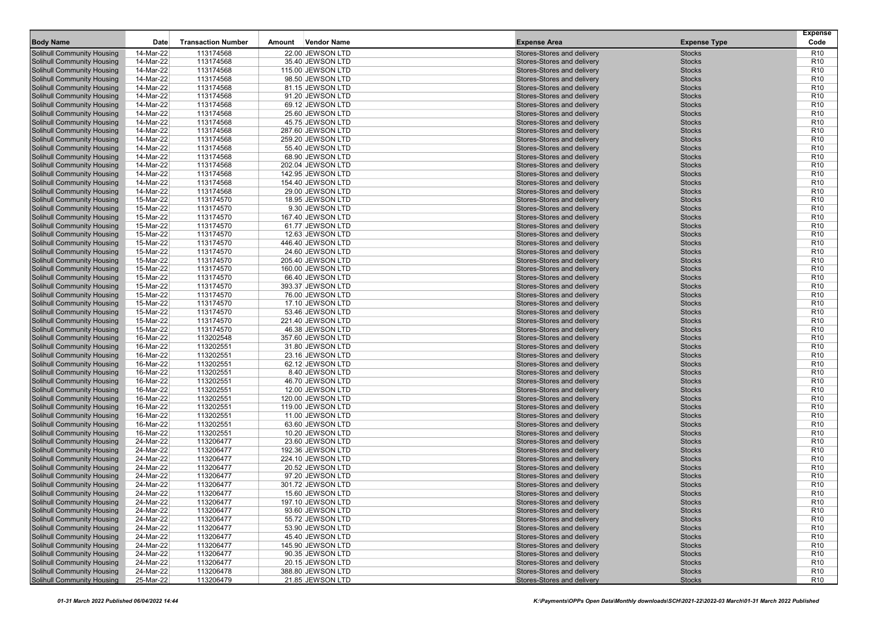|                                                                        |                        |                           |        |                                      |                                                          |                                | <b>Expense</b>                     |
|------------------------------------------------------------------------|------------------------|---------------------------|--------|--------------------------------------|----------------------------------------------------------|--------------------------------|------------------------------------|
| <b>Body Name</b>                                                       | Date                   | <b>Transaction Number</b> | Amount | Vendor Name                          | <b>Expense Area</b>                                      | <b>Expense Type</b>            | Code                               |
| Solihull Community Housing                                             | 14-Mar-22              | 113174568                 |        | 22.00 JEWSON LTD                     | Stores-Stores and delivery                               | <b>Stocks</b>                  | R <sub>10</sub>                    |
| Solihull Community Housing                                             | 14-Mar-22              | 113174568                 |        | 35.40 JEWSON LTD                     | Stores-Stores and delivery                               | <b>Stocks</b>                  | R <sub>10</sub>                    |
| <b>Solihull Community Housing</b>                                      | 14-Mar-22              | 113174568                 |        | 115.00 JEWSON LTD                    | Stores-Stores and delivery                               | <b>Stocks</b>                  | R <sub>10</sub>                    |
| <b>Solihull Community Housing</b>                                      | 14-Mar-22              | 113174568                 |        | 98.50 JEWSON LTD                     | Stores-Stores and delivery                               | <b>Stocks</b>                  | R <sub>10</sub>                    |
| <b>Solihull Community Housing</b>                                      | 14-Mar-22              | 113174568                 |        | 81.15 JEWSON LTD                     | Stores-Stores and delivery                               | <b>Stocks</b>                  | R <sub>10</sub>                    |
| <b>Solihull Community Housing</b>                                      | 14-Mar-22              | 113174568                 |        | 91.20 JEWSON LTD                     | Stores-Stores and delivery                               | <b>Stocks</b>                  | R <sub>10</sub>                    |
| <b>Solihull Community Housing</b>                                      | 14-Mar-22              | 113174568                 |        | 69.12 JEWSON LTD                     | Stores-Stores and delivery                               | <b>Stocks</b>                  | R <sub>10</sub>                    |
| <b>Solihull Community Housing</b><br><b>Solihull Community Housing</b> | 14-Mar-22<br>14-Mar-22 | 113174568<br>113174568    |        | 25.60 JEWSON LTD<br>45.75 JEWSON LTD | Stores-Stores and delivery                               | <b>Stocks</b><br><b>Stocks</b> | R <sub>10</sub><br>R <sub>10</sub> |
| <b>Solihull Community Housing</b>                                      | 14-Mar-22              | 113174568                 |        | 287.60 JEWSON LTD                    | Stores-Stores and delivery<br>Stores-Stores and delivery | <b>Stocks</b>                  | R <sub>10</sub>                    |
| <b>Solihull Community Housing</b>                                      | 14-Mar-22              | 113174568                 |        | 259.20 JEWSON LTD                    | Stores-Stores and delivery                               | <b>Stocks</b>                  | R <sub>10</sub>                    |
| <b>Solihull Community Housing</b>                                      | 14-Mar-22              | 113174568                 |        | 55.40 JEWSON LTD                     | Stores-Stores and delivery                               | <b>Stocks</b>                  | R <sub>10</sub>                    |
| Solihull Community Housing                                             | 14-Mar-22              | 113174568                 |        | 68.90 JEWSON LTD                     | Stores-Stores and delivery                               | <b>Stocks</b>                  | R <sub>10</sub>                    |
| <b>Solihull Community Housing</b>                                      | 14-Mar-22              | 113174568                 |        | 202.04 JEWSON LTD                    | Stores-Stores and delivery                               | <b>Stocks</b>                  | R <sub>10</sub>                    |
| <b>Solihull Community Housing</b>                                      | 14-Mar-22              | 113174568                 |        | 142.95 JEWSON LTD                    | Stores-Stores and delivery                               | <b>Stocks</b>                  | R <sub>10</sub>                    |
| <b>Solihull Community Housing</b>                                      | 14-Mar-22              | 113174568                 |        | 154.40 JEWSON LTD                    | Stores-Stores and delivery                               | <b>Stocks</b>                  | R <sub>10</sub>                    |
| <b>Solihull Community Housing</b>                                      | 14-Mar-22              | 113174568                 |        | 29.00 JEWSON LTD                     | Stores-Stores and delivery                               | <b>Stocks</b>                  | R <sub>10</sub>                    |
| <b>Solihull Community Housing</b>                                      | 15-Mar-22              | 113174570                 |        | 18.95 JEWSON LTD                     | Stores-Stores and delivery                               | <b>Stocks</b>                  | R <sub>10</sub>                    |
| <b>Solihull Community Housing</b>                                      | 15-Mar-22              | 113174570                 |        | 9.30 JEWSON LTD                      | Stores-Stores and delivery                               | <b>Stocks</b>                  | R <sub>10</sub>                    |
| <b>Solihull Community Housing</b>                                      | 15-Mar-22              | 113174570                 |        | 167.40 JEWSON LTD                    | Stores-Stores and delivery                               | <b>Stocks</b>                  | R <sub>10</sub>                    |
| <b>Solihull Community Housing</b>                                      | 15-Mar-22              | 113174570                 |        | 61.77 JEWSON LTD                     | Stores-Stores and delivery                               | <b>Stocks</b>                  | R <sub>10</sub>                    |
| <b>Solihull Community Housing</b>                                      | 15-Mar-22              | 113174570                 |        | 12.63 JEWSON LTD                     | Stores-Stores and delivery                               | <b>Stocks</b>                  | R <sub>10</sub>                    |
| <b>Solihull Community Housing</b>                                      | 15-Mar-22              | 113174570                 |        | 446.40 JEWSON LTD                    | Stores-Stores and delivery                               | <b>Stocks</b>                  | R <sub>10</sub>                    |
| <b>Solihull Community Housing</b>                                      | 15-Mar-22              | 113174570                 |        | 24.60 JEWSON LTD                     | Stores-Stores and delivery                               | <b>Stocks</b>                  | R <sub>10</sub>                    |
| <b>Solihull Community Housing</b>                                      | 15-Mar-22              | 113174570                 |        | 205.40 JEWSON LTD                    | Stores-Stores and delivery                               | <b>Stocks</b>                  | R <sub>10</sub>                    |
| <b>Solihull Community Housing</b>                                      | 15-Mar-22              | 113174570                 |        | 160.00 JEWSON LTD                    | Stores-Stores and delivery                               | <b>Stocks</b>                  | R <sub>10</sub>                    |
| <b>Solihull Community Housing</b>                                      | 15-Mar-22              | 113174570                 |        | 66.40 JEWSON LTD                     | Stores-Stores and delivery                               | <b>Stocks</b>                  | R <sub>10</sub>                    |
| <b>Solihull Community Housing</b>                                      | 15-Mar-22              | 113174570                 |        | 393.37 JEWSON LTD                    | Stores-Stores and delivery                               | <b>Stocks</b>                  | R <sub>10</sub>                    |
| <b>Solihull Community Housing</b>                                      | 15-Mar-22              | 113174570                 |        | 76.00 JEWSON LTD                     | Stores-Stores and delivery                               | <b>Stocks</b>                  | R <sub>10</sub>                    |
| <b>Solihull Community Housing</b>                                      | 15-Mar-22              | 113174570                 |        | 17.10 JEWSON LTD                     | Stores-Stores and delivery                               | <b>Stocks</b>                  | R <sub>10</sub>                    |
| <b>Solihull Community Housing</b>                                      | 15-Mar-22              | 113174570                 |        | 53.46 JEWSON LTD                     | Stores-Stores and delivery                               | <b>Stocks</b>                  | R <sub>10</sub>                    |
| <b>Solihull Community Housing</b>                                      | 15-Mar-22              | 113174570                 |        | 221.40 JEWSON LTD                    | Stores-Stores and delivery                               | <b>Stocks</b>                  | R <sub>10</sub>                    |
| <b>Solihull Community Housing</b>                                      | 15-Mar-22              | 113174570                 |        | 46.38 JEWSON LTD                     | Stores-Stores and delivery                               | <b>Stocks</b>                  | R <sub>10</sub>                    |
| <b>Solihull Community Housing</b>                                      | 16-Mar-22              | 113202548                 |        | 357.60 JEWSON LTD                    | Stores-Stores and delivery                               | <b>Stocks</b>                  | R <sub>10</sub>                    |
| <b>Solihull Community Housing</b>                                      | 16-Mar-22              | 113202551                 |        | 31.80 JEWSON LTD                     | Stores-Stores and delivery                               | <b>Stocks</b>                  | R <sub>10</sub>                    |
| <b>Solihull Community Housing</b>                                      | 16-Mar-22              | 113202551                 |        | 23.16 JEWSON LTD                     | Stores-Stores and delivery                               | <b>Stocks</b>                  | R <sub>10</sub>                    |
| <b>Solihull Community Housing</b>                                      | 16-Mar-22              | 113202551                 |        | 62.12 JEWSON LTD                     | Stores-Stores and delivery                               | <b>Stocks</b>                  | R <sub>10</sub>                    |
| <b>Solihull Community Housing</b>                                      | 16-Mar-22              | 113202551                 |        | 8.40 JEWSON LTD                      | Stores-Stores and delivery                               | <b>Stocks</b>                  | R <sub>10</sub>                    |
| <b>Solihull Community Housing</b>                                      | 16-Mar-22              | 113202551                 |        | 46.70 JEWSON LTD                     | Stores-Stores and delivery                               | <b>Stocks</b>                  | R <sub>10</sub>                    |
| <b>Solihull Community Housing</b>                                      | 16-Mar-22              | 113202551                 |        | 12.00 JEWSON LTD                     | Stores-Stores and delivery                               | <b>Stocks</b>                  | R <sub>10</sub>                    |
| <b>Solihull Community Housing</b>                                      | 16-Mar-22              | 113202551                 |        | 120.00 JEWSON LTD                    | Stores-Stores and delivery                               | <b>Stocks</b>                  | R <sub>10</sub>                    |
| <b>Solihull Community Housing</b>                                      | 16-Mar-22              | 113202551                 |        | 119.00 JEWSON LTD                    | Stores-Stores and delivery                               | <b>Stocks</b>                  | R <sub>10</sub>                    |
| <b>Solihull Community Housing</b>                                      | 16-Mar-22              | 113202551                 |        | 11.00 JEWSON LTD                     | Stores-Stores and delivery                               | <b>Stocks</b>                  | R <sub>10</sub>                    |
| <b>Solihull Community Housing</b>                                      | 16-Mar-22              | 113202551                 |        | 63.60 JEWSON LTD                     | Stores-Stores and delivery                               | <b>Stocks</b>                  | R <sub>10</sub>                    |
| <b>Solihull Community Housing</b>                                      | 16-Mar-22              | 113202551                 |        | 10.20 JEWSON LTD                     | Stores-Stores and delivery                               | <b>Stocks</b>                  | R <sub>10</sub>                    |
| <b>Solihull Community Housing</b>                                      | 24-Mar-22              | 113206477                 |        | 23.60 JEWSON LTD                     | Stores-Stores and delivery                               | <b>Stocks</b>                  | R <sub>10</sub>                    |
| <b>Solihull Community Housing</b>                                      | 24-Mar-22              | 113206477                 |        | 192.36 JEWSON LTD                    | Stores-Stores and delivery                               | <b>Stocks</b>                  | R <sub>10</sub>                    |
| <b>Solihull Community Housing</b>                                      | 24-Mar-22              | 113206477                 |        | 224.10 JEWSON LTD                    | Stores-Stores and delivery                               | <b>Stocks</b>                  | R <sub>10</sub>                    |
| <b>Solihull Community Housing</b>                                      | 24-Mar-22              | 113206477                 |        | 20.52 JEWSON LTD                     | Stores-Stores and delivery                               | <b>Stocks</b>                  | R <sub>10</sub>                    |
| Solihull Community Housing                                             | 24-Mar-22              | 113206477                 |        | 97.20 JEWSON LTD                     | Stores-Stores and delivery                               | <b>Stocks</b>                  | R <sub>10</sub>                    |
| Solihull Community Housing                                             | 24-Mar-22              | 113206477                 |        | 301.72 JEWSON LTD                    | Stores-Stores and delivery                               | <b>Stocks</b>                  | R <sub>10</sub>                    |
| <b>Solihull Community Housing</b>                                      | 24-Mar-22              | 113206477                 |        | 15.60 JEWSON LTD                     | Stores-Stores and delivery                               | <b>Stocks</b>                  | R <sub>10</sub>                    |
| <b>Solihull Community Housing</b>                                      | 24-Mar-22              | 113206477                 |        | 197.10 JEWSON LTD                    | Stores-Stores and delivery                               | <b>Stocks</b>                  | R <sub>10</sub>                    |
| <b>Solihull Community Housing</b>                                      | 24-Mar-22              | 113206477                 |        | 93.60 JEWSON LTD                     | Stores-Stores and delivery                               | <b>Stocks</b>                  | R <sub>10</sub>                    |
| <b>Solihull Community Housing</b>                                      | 24-Mar-22              | 113206477                 |        | 55.72 JEWSON LTD                     | Stores-Stores and delivery                               | <b>Stocks</b>                  | R <sub>10</sub>                    |
| <b>Solihull Community Housing</b>                                      | 24-Mar-22              | 113206477                 |        | 53.90 JEWSON LTD                     | Stores-Stores and delivery                               | <b>Stocks</b>                  | R <sub>10</sub>                    |
| <b>Solihull Community Housing</b>                                      | 24-Mar-22              | 113206477                 |        | 45.40 JEWSON LTD                     | Stores-Stores and delivery                               | <b>Stocks</b>                  | R <sub>10</sub>                    |
| <b>Solihull Community Housing</b>                                      | 24-Mar-22              | 113206477                 |        | 145.90 JEWSON LTD                    | Stores-Stores and delivery                               | <b>Stocks</b>                  | R <sub>10</sub>                    |
| <b>Solihull Community Housing</b>                                      | 24-Mar-22              | 113206477                 |        | 90.35 JEWSON LTD                     | Stores-Stores and delivery                               | <b>Stocks</b>                  | R <sub>10</sub>                    |
| <b>Solihull Community Housing</b>                                      | 24-Mar-22              | 113206477                 |        | 20.15 JEWSON LTD                     | Stores-Stores and delivery                               | <b>Stocks</b>                  | R <sub>10</sub>                    |
| <b>Solihull Community Housing</b>                                      | 24-Mar-22              | 113206478                 |        | 388.80 JEWSON LTD                    | Stores-Stores and delivery                               | <b>Stocks</b>                  | R <sub>10</sub>                    |
| <b>Solihull Community Housing</b>                                      | 25-Mar-22              | 113206479                 |        | 21.85 JEWSON LTD                     | Stores-Stores and delivery                               | <b>Stocks</b>                  | R <sub>10</sub>                    |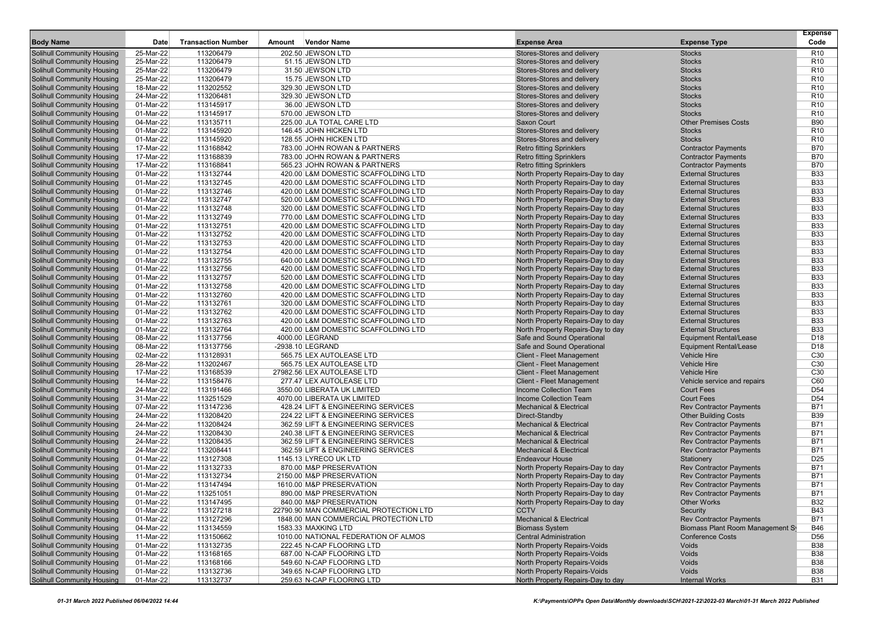|                                                                        |                        |                           |        |                                                                            |                                                                          |                                                          | <b>Expense</b>                     |
|------------------------------------------------------------------------|------------------------|---------------------------|--------|----------------------------------------------------------------------------|--------------------------------------------------------------------------|----------------------------------------------------------|------------------------------------|
| <b>Body Name</b>                                                       | Date                   | <b>Transaction Number</b> | Amount | <b>Vendor Name</b>                                                         | <b>Expense Area</b>                                                      | <b>Expense Type</b>                                      | Code                               |
| Solihull Community Housing                                             | 25-Mar-22              | 113206479                 |        | 202.50 JEWSON LTD                                                          | Stores-Stores and delivery                                               | <b>Stocks</b>                                            | R <sub>10</sub>                    |
| <b>Solihull Community Housing</b>                                      | 25-Mar-22              | 113206479                 |        | 51.15 JEWSON LTD                                                           | Stores-Stores and delivery<br>Stores-Stores and delivery                 | <b>Stocks</b><br><b>Stocks</b>                           | R <sub>10</sub><br>R <sub>10</sub> |
| <b>Solihull Community Housing</b><br><b>Solihull Community Housing</b> | 25-Mar-22<br>25-Mar-22 | 113206479<br>113206479    |        | 31.50 JEWSON LTD<br>15.75 JEWSON LTD                                       | Stores-Stores and delivery                                               | <b>Stocks</b>                                            | R <sub>10</sub>                    |
| <b>Solihull Community Housing</b>                                      | 18-Mar-22              | 113202552                 |        | 329.30 JEWSON LTD                                                          | Stores-Stores and delivery                                               | <b>Stocks</b>                                            | R <sub>10</sub>                    |
| <b>Solihull Community Housing</b>                                      | 24-Mar-22              | 113206481                 |        | 329.30 JEWSON LTD                                                          | Stores-Stores and delivery                                               | <b>Stocks</b>                                            | R <sub>10</sub>                    |
| <b>Solihull Community Housing</b>                                      | 01-Mar-22              | 113145917                 |        | 36.00 JEWSON LTD                                                           | Stores-Stores and delivery                                               | <b>Stocks</b>                                            | R <sub>10</sub>                    |
| <b>Solihull Community Housing</b>                                      | 01-Mar-22              | 113145917                 |        | 570.00 JEWSON LTD                                                          | Stores-Stores and delivery                                               | <b>Stocks</b>                                            | R <sub>10</sub>                    |
| <b>Solihull Community Housing</b>                                      | 04-Mar-22              | 113135711                 |        | 225.00 JLA TOTAL CARE LTD                                                  | Saxon Court                                                              | <b>Other Premises Costs</b>                              | <b>B90</b>                         |
| <b>Solihull Community Housing</b>                                      | 01-Mar-22              | 113145920                 |        | 146.45 JOHN HICKEN LTD                                                     | Stores-Stores and delivery                                               | <b>Stocks</b>                                            | R <sub>10</sub>                    |
| <b>Solihull Community Housing</b>                                      | 01-Mar-22              | 113145920                 |        | 128.55 JOHN HICKEN LTD                                                     | Stores-Stores and delivery                                               | <b>Stocks</b>                                            | R <sub>10</sub>                    |
| <b>Solihull Community Housing</b>                                      | 17-Mar-22              | 113168842                 |        | 783.00 JOHN ROWAN & PARTNERS                                               | <b>Retro fitting Sprinklers</b>                                          | <b>Contractor Payments</b>                               | <b>B70</b>                         |
| <b>Solihull Community Housing</b>                                      | 17-Mar-22              | 113168839                 |        | 783.00 JOHN ROWAN & PARTNERS                                               | <b>Retro fitting Sprinklers</b>                                          | <b>Contractor Payments</b>                               | <b>B70</b>                         |
| <b>Solihull Community Housing</b>                                      | 17-Mar-22              | 113168841                 |        | 565.23 JOHN ROWAN & PARTNERS                                               | <b>Retro fitting Sprinklers</b>                                          | <b>Contractor Payments</b>                               | <b>B70</b>                         |
| <b>Solihull Community Housing</b>                                      | 01-Mar-22              | 113132744                 |        | 420.00 L&M DOMESTIC SCAFFOLDING LTD                                        | North Property Repairs-Day to day                                        | <b>External Structures</b>                               | <b>B33</b>                         |
| Solihull Community Housing                                             | 01-Mar-22              | 113132745                 |        | 420.00 L&M DOMESTIC SCAFFOLDING LTD                                        | North Property Repairs-Day to day                                        | <b>External Structures</b>                               | <b>B33</b>                         |
| <b>Solihull Community Housing</b>                                      | 01-Mar-22              | 113132746                 |        | 420.00 L&M DOMESTIC SCAFFOLDING LTD                                        | North Property Repairs-Day to day                                        | <b>External Structures</b>                               | <b>B33</b>                         |
| <b>Solihull Community Housing</b>                                      | 01-Mar-22              | 113132747                 |        | 520.00 L&M DOMESTIC SCAFFOLDING LTD                                        | North Property Repairs-Day to day                                        | <b>External Structures</b>                               | <b>B33</b>                         |
| <b>Solihull Community Housing</b>                                      | 01-Mar-22              | 113132748                 |        | 320.00 L&M DOMESTIC SCAFFOLDING LTD                                        | North Property Repairs-Day to day                                        | <b>External Structures</b>                               | <b>B33</b>                         |
| Solihull Community Housing                                             | 01-Mar-22              | 113132749                 |        | 770.00 L&M DOMESTIC SCAFFOLDING LTD                                        | North Property Repairs-Day to day                                        | <b>External Structures</b>                               | <b>B33</b>                         |
| <b>Solihull Community Housing</b>                                      | 01-Mar-22              | 113132751                 |        | 420.00 L&M DOMESTIC SCAFFOLDING LTD                                        | North Property Repairs-Day to day                                        | <b>External Structures</b>                               | <b>B33</b>                         |
| <b>Solihull Community Housing</b><br><b>Solihull Community Housing</b> | 01-Mar-22<br>01-Mar-22 | 113132752<br>113132753    |        | 420.00 L&M DOMESTIC SCAFFOLDING LTD<br>420.00 L&M DOMESTIC SCAFFOLDING LTD | North Property Repairs-Day to day<br>North Property Repairs-Day to day   | <b>External Structures</b><br><b>External Structures</b> | <b>B33</b><br><b>B33</b>           |
| <b>Solihull Community Housing</b>                                      | 01-Mar-22              | 113132754                 |        | 420.00 L&M DOMESTIC SCAFFOLDING LTD                                        | North Property Repairs-Day to day                                        | <b>External Structures</b>                               | <b>B33</b>                         |
| <b>Solihull Community Housing</b>                                      | 01-Mar-22              | 113132755                 |        | 640.00 L&M DOMESTIC SCAFFOLDING LTD                                        | North Property Repairs-Day to day                                        | <b>External Structures</b>                               | <b>B33</b>                         |
| <b>Solihull Community Housing</b>                                      | 01-Mar-22              | 113132756                 |        | 420.00 L&M DOMESTIC SCAFFOLDING LTD                                        | North Property Repairs-Day to day                                        | <b>External Structures</b>                               | <b>B33</b>                         |
| <b>Solihull Community Housing</b>                                      | 01-Mar-22              | 113132757                 |        | 520.00 L&M DOMESTIC SCAFFOLDING LTD                                        | North Property Repairs-Day to day                                        | <b>External Structures</b>                               | <b>B33</b>                         |
| <b>Solihull Community Housing</b>                                      | 01-Mar-22              | 113132758                 |        | 420.00 L&M DOMESTIC SCAFFOLDING LTD                                        | North Property Repairs-Day to day                                        | <b>External Structures</b>                               | <b>B33</b>                         |
| <b>Solihull Community Housing</b>                                      | 01-Mar-22              | 113132760                 |        | 420.00 L&M DOMESTIC SCAFFOLDING LTD                                        | North Property Repairs-Day to day                                        | <b>External Structures</b>                               | <b>B33</b>                         |
| <b>Solihull Community Housing</b>                                      | 01-Mar-22              | 113132761                 |        | 320.00 L&M DOMESTIC SCAFFOLDING LTD                                        | North Property Repairs-Day to day                                        | <b>External Structures</b>                               | <b>B33</b>                         |
| <b>Solihull Community Housing</b>                                      | 01-Mar-22              | 113132762                 |        | 420.00 L&M DOMESTIC SCAFFOLDING LTD                                        | North Property Repairs-Day to day                                        | <b>External Structures</b>                               | <b>B33</b>                         |
| <b>Solihull Community Housing</b>                                      | 01-Mar-22              | 113132763                 |        | 420.00 L&M DOMESTIC SCAFFOLDING LTD                                        | North Property Repairs-Day to day                                        | <b>External Structures</b>                               | <b>B33</b>                         |
| <b>Solihull Community Housing</b>                                      | 01-Mar-22              | 113132764                 |        | 420.00 L&M DOMESTIC SCAFFOLDING LTD                                        | North Property Repairs-Day to day                                        | <b>External Structures</b>                               | <b>B33</b>                         |
| <b>Solihull Community Housing</b>                                      | 08-Mar-22              | 113137756                 |        | 4000.00 LEGRAND                                                            | Safe and Sound Operational                                               | <b>Equipment Rental/Lease</b>                            | D <sub>18</sub>                    |
| <b>Solihull Community Housing</b>                                      | 08-Mar-22              | 113137756                 |        | -2938.10 LEGRAND                                                           | Safe and Sound Operational                                               | <b>Equipment Rental/Lease</b>                            | D <sub>18</sub>                    |
| <b>Solihull Community Housing</b>                                      | 02-Mar-22              | 113128931                 |        | 565.75 LEX AUTOLEASE LTD                                                   | <b>Client - Fleet Management</b>                                         | Vehicle Hire                                             | C30                                |
| <b>Solihull Community Housing</b>                                      | 28-Mar-22              | 113202467                 |        | 565.75 LEX AUTOLEASE LTD                                                   | <b>Client - Fleet Management</b>                                         | <b>Vehicle Hire</b>                                      | C30                                |
| <b>Solihull Community Housing</b>                                      | 17-Mar-22              | 113168539                 |        | 27982.56 LEX AUTOLEASE LTD                                                 | <b>Client - Fleet Management</b>                                         | <b>Vehicle Hire</b>                                      | C30                                |
| <b>Solihull Community Housing</b>                                      | 14-Mar-22              | 113158476                 |        | 277.47 LEX AUTOLEASE LTD                                                   | <b>Client - Fleet Management</b>                                         | Vehicle service and repairs                              | C60                                |
| <b>Solihull Community Housing</b>                                      | 24-Mar-22              | 113191466                 |        | 3550.00 LIBERATA UK LIMITED                                                | Income Collection Team                                                   | <b>Court Fees</b>                                        | D <sub>54</sub>                    |
| <b>Solihull Community Housing</b>                                      | 31-Mar-22              | 113251529                 |        | 4070.00 LIBERATA UK LIMITED                                                | Income Collection Team                                                   | <b>Court Fees</b>                                        | D <sub>54</sub>                    |
| <b>Solihull Community Housing</b>                                      | 07-Mar-22              | 113147236                 |        | 428.24 LIFT & ENGINEERING SERVICES                                         | <b>Mechanical &amp; Electrical</b>                                       | <b>Rev Contractor Payments</b>                           | <b>B71</b>                         |
| <b>Solihull Community Housing</b>                                      | 24-Mar-22              | 113208420                 |        | 224.22 LIFT & ENGINEERING SERVICES                                         | Direct-Standby                                                           | <b>Other Building Costs</b>                              | <b>B39</b>                         |
| <b>Solihull Community Housing</b>                                      | 24-Mar-22              | 113208424                 |        | 362.59 LIFT & ENGINEERING SERVICES                                         | <b>Mechanical &amp; Electrical</b>                                       | <b>Rev Contractor Payments</b>                           | <b>B71</b>                         |
| <b>Solihull Community Housing</b>                                      | 24-Mar-22              | 113208430                 |        | 240.38 LIFT & ENGINEERING SERVICES                                         | <b>Mechanical &amp; Electrical</b>                                       | <b>Rev Contractor Payments</b>                           | B71                                |
| <b>Solihull Community Housing</b>                                      | 24-Mar-22              | 113208435                 |        | 362.59 LIFT & ENGINEERING SERVICES                                         | <b>Mechanical &amp; Electrical</b><br><b>Mechanical &amp; Electrical</b> | <b>Rev Contractor Payments</b>                           | <b>B71</b><br><b>B71</b>           |
| <b>Solihull Community Housing</b>                                      | 24-Mar-22              | 113208441<br>113127308    |        | 362.59 LIFT & ENGINEERING SERVICES                                         |                                                                          | <b>Rev Contractor Payments</b>                           |                                    |
| <b>Solihull Community Housing</b><br><b>Solihull Community Housing</b> | 01-Mar-22<br>01-Mar-22 | 113132733                 |        | 1145.13 LYRECO UK LTD<br>870.00 M&P PRESERVATION                           | <b>Endeavour House</b><br>North Property Repairs-Day to day              | Stationery<br><b>Rev Contractor Payments</b>             | D <sub>25</sub><br><b>B71</b>      |
| <b>Solihull Community Housing</b>                                      | 01-Mar-22              | 113132734                 |        | 2150.00 M&P PRESERVATION                                                   | North Property Repairs-Day to day                                        | <b>Rev Contractor Payments</b>                           | B71                                |
| <b>Solihull Community Housing</b>                                      | 01-Mar-22              | 113147494                 |        | 1610.00 M&P PRESERVATION                                                   | North Property Repairs-Day to day                                        | <b>Rev Contractor Payments</b>                           | <b>B71</b>                         |
| Solihull Community Housing                                             | 01-Mar-22              | 113251051                 |        | 890.00 M&P PRESERVATION                                                    | North Property Repairs-Day to day                                        | <b>Rev Contractor Payments</b>                           | B71                                |
| Solihull Community Housing                                             | 01-Mar-22              | 113147495                 |        | 840.00 M&P PRESERVATION                                                    | North Property Repairs-Day to day                                        | <b>Other Works</b>                                       | <b>B32</b>                         |
| <b>Solihull Community Housing</b>                                      | 01-Mar-22              | 113127218                 |        | 22790.90 MAN COMMERCIAL PROTECTION LTD                                     | <b>CCTV</b>                                                              | Security                                                 | <b>B43</b>                         |
| <b>Solihull Community Housing</b>                                      | 01-Mar-22              | 113127296                 |        | 1848.00 MAN COMMERCIAL PROTECTION LTD                                      | <b>Mechanical &amp; Electrical</b>                                       | <b>Rev Contractor Payments</b>                           | <b>B71</b>                         |
| Solihull Community Housing                                             | 04-Mar-22              | 113134559                 |        | 1583.33 MAXKING LTD                                                        | <b>Biomass System</b>                                                    | Biomass Plant Room Management St                         | B46                                |
| Solihull Community Housing                                             | 11-Mar-22              | 113150662                 |        | 1010.00 NATIONAL FEDERATION OF ALMOS                                       | <b>Central Administration</b>                                            | <b>Conference Costs</b>                                  | D56                                |
| Solihull Community Housing                                             | 01-Mar-22              | 113132735                 |        | 222.45 N-CAP FLOORING LTD                                                  | North Property Repairs-Voids                                             | Voids                                                    | <b>B38</b>                         |
| Solihull Community Housing                                             | 01-Mar-22              | 113168165                 |        | 687.00 N-CAP FLOORING LTD                                                  | North Property Repairs-Voids                                             | Voids                                                    | <b>B38</b>                         |
| <b>Solihull Community Housing</b>                                      | 01-Mar-22              | 113168166                 |        | 549.60 N-CAP FLOORING LTD                                                  | North Property Repairs-Voids                                             | Voids                                                    | <b>B38</b>                         |
| <b>Solihull Community Housing</b>                                      | 01-Mar-22              | 113132736                 |        | 349.65 N-CAP FLOORING LTD                                                  | North Property Repairs-Voids                                             | Voids                                                    | B38                                |
| <b>Solihull Community Housing</b>                                      | 01-Mar-22              | 113132737                 |        | 259.63 N-CAP FLOORING LTD                                                  | North Property Repairs-Day to day                                        | <b>Internal Works</b>                                    | <b>B31</b>                         |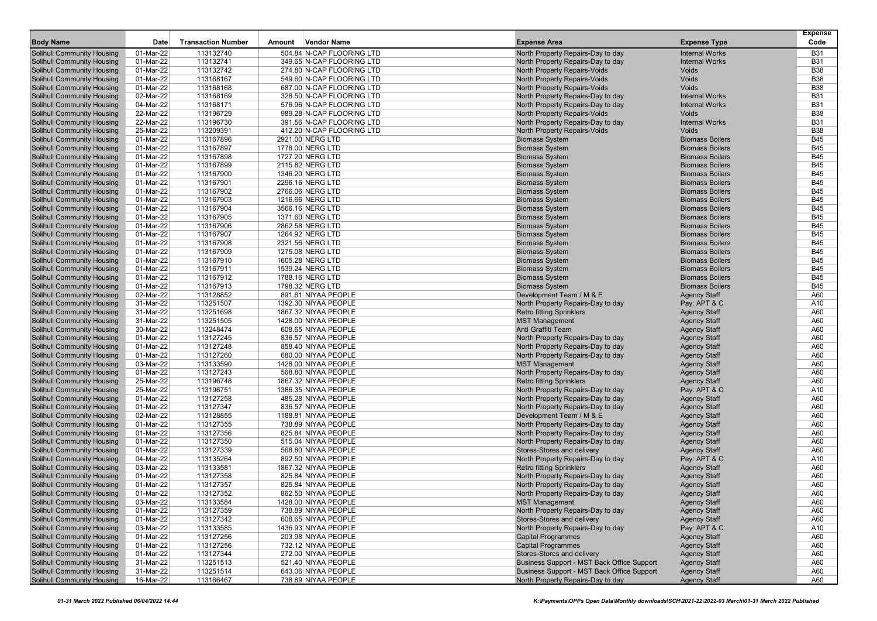|                                                                        |                        |                           |                                                        |                                                                        |                                            | <b>Expense</b>           |
|------------------------------------------------------------------------|------------------------|---------------------------|--------------------------------------------------------|------------------------------------------------------------------------|--------------------------------------------|--------------------------|
| <b>Body Name</b>                                                       | Date                   | <b>Transaction Number</b> | Vendor Name<br>Amount                                  | <b>Expense Area</b>                                                    | <b>Expense Type</b>                        | Code                     |
| <b>Solihull Community Housing</b>                                      | 01-Mar-22              | 113132740                 | 504.84 N-CAP FLOORING LTD                              | North Property Repairs-Day to day                                      | <b>Internal Works</b>                      | <b>B31</b>               |
| <b>Solihull Community Housing</b>                                      | 01-Mar-22              | 113132741                 | 349.65 N-CAP FLOORING LTD                              | North Property Repairs-Day to day                                      | <b>Internal Works</b>                      | <b>B31</b>               |
| <b>Solihull Community Housing</b>                                      | 01-Mar-22              | 113132742                 | 274.80 N-CAP FLOORING LTD                              | <b>North Property Repairs-Voids</b>                                    | <b>Voids</b>                               | <b>B38</b>               |
| <b>Solihull Community Housing</b>                                      | 01-Mar-22              | 113168167                 | 549.60 N-CAP FLOORING LTD<br>687.00 N-CAP FLOORING LTD | North Property Repairs-Voids                                           | Voids                                      | <b>B38</b>               |
| <b>Solihull Community Housing</b><br><b>Solihull Community Housing</b> | 01-Mar-22<br>02-Mar-22 | 113168168<br>113168169    | 328.50 N-CAP FLOORING LTD                              | North Property Repairs-Voids                                           | Voids<br><b>Internal Works</b>             | <b>B38</b><br><b>B31</b> |
| <b>Solihull Community Housing</b>                                      | 04-Mar-22              | 113168171                 | 576.96 N-CAP FLOORING LTD                              | North Property Repairs-Day to day<br>North Property Repairs-Day to day | <b>Internal Works</b>                      | <b>B31</b>               |
| <b>Solihull Community Housing</b>                                      | 22-Mar-22              | 113196729                 | 989.28 N-CAP FLOORING LTD                              | North Property Repairs-Voids                                           | Voids                                      | <b>B38</b>               |
| <b>Solihull Community Housing</b>                                      | 22-Mar-22              | 113196730                 | 391.56 N-CAP FLOORING LTD                              | North Property Repairs-Day to day                                      | <b>Internal Works</b>                      | <b>B31</b>               |
| <b>Solihull Community Housing</b>                                      | 25-Mar-22              | 113209391                 | 412.20 N-CAP FLOORING LTD                              | North Property Repairs-Voids                                           | Voids                                      | <b>B38</b>               |
| <b>Solihull Community Housing</b>                                      | 01-Mar-22              | 113167896                 | 2921.00 NERG LTD                                       | <b>Biomass System</b>                                                  | <b>Biomass Boilers</b>                     | <b>B45</b>               |
| <b>Solihull Community Housing</b>                                      | 01-Mar-22              | 113167897                 | 1778.00 NERG LTD                                       | <b>Biomass System</b>                                                  | <b>Biomass Boilers</b>                     | <b>B45</b>               |
| <b>Solihull Community Housing</b>                                      | 01-Mar-22              | 113167898                 | 1727.20 NERG LTD                                       | <b>Biomass System</b>                                                  | <b>Biomass Boilers</b>                     | <b>B45</b>               |
| <b>Solihull Community Housing</b>                                      | 01-Mar-22              | 113167899                 | 2115.82 NERG LTD                                       | <b>Biomass System</b>                                                  | <b>Biomass Boilers</b>                     | <b>B45</b>               |
| <b>Solihull Community Housing</b>                                      | 01-Mar-22              | 113167900                 | 1346.20 NERG LTD                                       | <b>Biomass System</b>                                                  | <b>Biomass Boilers</b>                     | <b>B45</b>               |
| <b>Solihull Community Housing</b>                                      | 01-Mar-22              | 113167901                 | 2296.16 NERG LTD                                       | <b>Biomass System</b>                                                  | <b>Biomass Boilers</b>                     | <b>B45</b>               |
| <b>Solihull Community Housing</b>                                      | 01-Mar-22              | 113167902                 | 2766.06 NERG LTD                                       | <b>Biomass System</b>                                                  | <b>Biomass Boilers</b>                     | <b>B45</b>               |
| <b>Solihull Community Housing</b>                                      | 01-Mar-22              | 113167903                 | 1216.66 NERG LTD                                       | <b>Biomass System</b>                                                  | <b>Biomass Boilers</b>                     | <b>B45</b>               |
| <b>Solihull Community Housing</b>                                      | 01-Mar-22              | 113167904                 | 3566.16 NERG LTD                                       | <b>Biomass System</b>                                                  | <b>Biomass Boilers</b>                     | <b>B45</b>               |
| <b>Solihull Community Housing</b>                                      | 01-Mar-22              | 113167905                 | 1371.60 NERG LTD                                       | <b>Biomass System</b>                                                  | <b>Biomass Boilers</b>                     | <b>B45</b>               |
| <b>Solihull Community Housing</b>                                      | 01-Mar-22              | 113167906                 | 2862.58 NERG LTD                                       | <b>Biomass System</b>                                                  | <b>Biomass Boilers</b>                     | <b>B45</b>               |
| <b>Solihull Community Housing</b>                                      | 01-Mar-22              | 113167907                 | 1264.92 NERG LTD                                       | <b>Biomass System</b>                                                  | <b>Biomass Boilers</b>                     | <b>B45</b>               |
| <b>Solihull Community Housing</b>                                      | 01-Mar-22              | 113167908                 | 2321.56 NERG LTD                                       | <b>Biomass System</b>                                                  | <b>Biomass Boilers</b>                     | <b>B45</b>               |
| <b>Solihull Community Housing</b>                                      | 01-Mar-22              | 113167909                 | 1275.08 NERG LTD                                       | <b>Biomass System</b>                                                  | <b>Biomass Boilers</b>                     | <b>B45</b>               |
| <b>Solihull Community Housing</b>                                      | 01-Mar-22              | 113167910                 | 1605.28 NERG LTD                                       | <b>Biomass System</b>                                                  | <b>Biomass Boilers</b>                     | <b>B45</b>               |
| <b>Solihull Community Housing</b>                                      | 01-Mar-22              | 113167911                 | 1539.24 NERG LTD                                       | <b>Biomass System</b>                                                  | <b>Biomass Boilers</b>                     | <b>B45</b>               |
| <b>Solihull Community Housing</b>                                      | 01-Mar-22              | 113167912                 | 1788.16 NERG LTD                                       | <b>Biomass System</b>                                                  | <b>Biomass Boilers</b>                     | <b>B45</b>               |
| <b>Solihull Community Housing</b>                                      | 01-Mar-22              | 113167913                 | 1798.32 NERG LTD                                       | <b>Biomass System</b>                                                  | <b>Biomass Boilers</b>                     | <b>B45</b>               |
| <b>Solihull Community Housing</b>                                      | 02-Mar-22              | 113128852                 | 891.61 NIYAA PEOPLE                                    | Development Team / M & E                                               | <b>Agency Staff</b>                        | A60                      |
| <b>Solihull Community Housing</b>                                      | 31-Mar-22              | 113251507<br>113251698    | 1392.30 NIYAA PEOPLE                                   | North Property Repairs-Day to day                                      | Pay: APT & C                               | A10<br>A60               |
| <b>Solihull Community Housing</b><br><b>Solihull Community Housing</b> | 31-Mar-22<br>31-Mar-22 | 113251505                 | 1867.32 NIYAA PEOPLE<br>1428.00 NIYAA PEOPLE           | <b>Retro fitting Sprinklers</b><br><b>MST Management</b>               | <b>Agency Staff</b><br><b>Agency Staff</b> | A60                      |
| <b>Solihull Community Housing</b>                                      | 30-Mar-22              | 113248474                 | 608.65 NIYAA PEOPLE                                    | Anti Graffiti Team                                                     | <b>Agency Staff</b>                        | A60                      |
| <b>Solihull Community Housing</b>                                      | 01-Mar-22              | 113127245                 | 836.57 NIYAA PEOPLE                                    | North Property Repairs-Day to day                                      | <b>Agency Staff</b>                        | A60                      |
| <b>Solihull Community Housing</b>                                      | 01-Mar-22              | 113127248                 | 858.40 NIYAA PEOPLE                                    | North Property Repairs-Day to day                                      | <b>Agency Staff</b>                        | A60                      |
| <b>Solihull Community Housing</b>                                      | 01-Mar-22              | 113127260                 | 680.00 NIYAA PEOPLE                                    | North Property Repairs-Day to day                                      | <b>Agency Staff</b>                        | A60                      |
| <b>Solihull Community Housing</b>                                      | 03-Mar-22              | 113133590                 | 1428.00 NIYAA PEOPLE                                   | <b>MST Management</b>                                                  | <b>Agency Staff</b>                        | A60                      |
| <b>Solihull Community Housing</b>                                      | 01-Mar-22              | 113127243                 | 568.80 NIYAA PEOPLE                                    | North Property Repairs-Day to day                                      | <b>Agency Staff</b>                        | A60                      |
| <b>Solihull Community Housing</b>                                      | 25-Mar-22              | 113196748                 | 1867.32 NIYAA PEOPLE                                   | <b>Retro fitting Sprinklers</b>                                        | <b>Agency Staff</b>                        | A60                      |
| <b>Solihull Community Housing</b>                                      | 25-Mar-22              | 113196751                 | 1386.35 NIYAA PEOPLE                                   | North Property Repairs-Day to day                                      | Pay: APT & C                               | A10                      |
| <b>Solihull Community Housing</b>                                      | 01-Mar-22              | 113127258                 | 485.28 NIYAA PEOPLE                                    | North Property Repairs-Day to day                                      | <b>Agency Staff</b>                        | A60                      |
| <b>Solihull Community Housing</b>                                      | 01-Mar-22              | 113127347                 | 836.57 NIYAA PEOPLE                                    | North Property Repairs-Day to day                                      | <b>Agency Staff</b>                        | A60                      |
| <b>Solihull Community Housing</b>                                      | 02-Mar-22              | 113128855                 | 1188.81 NIYAA PEOPLE                                   | Development Team / M & E                                               | <b>Agency Staff</b>                        | A60                      |
| <b>Solihull Community Housing</b>                                      | 01-Mar-22              | 113127355                 | 738.89 NIYAA PEOPLE                                    | North Property Repairs-Day to day                                      | <b>Agency Staff</b>                        | A60                      |
| <b>Solihull Community Housing</b>                                      | 01-Mar-22              | 113127356                 | 825.84 NIYAA PEOPLE                                    | North Property Repairs-Day to day                                      | <b>Agency Staff</b>                        | A60                      |
| <b>Solihull Community Housing</b>                                      | 01-Mar-22              | 113127350                 | 515.04 NIYAA PEOPLE                                    | North Property Repairs-Day to day                                      | <b>Agency Staff</b>                        | A60                      |
| <b>Solihull Community Housing</b>                                      | 01-Mar-22              | 113127339                 | 568.80 NIYAA PEOPLE                                    | Stores-Stores and delivery                                             | <b>Agency Staff</b>                        | A60                      |
| <b>Solihull Community Housing</b>                                      | 04-Mar-22              | 113135264                 | 892.50 NIYAA PEOPLE                                    | North Property Repairs-Day to day                                      | Pay: APT & C                               | A10                      |
| <b>Solihull Community Housing</b>                                      | 03-Mar-22              | 113133581                 | 1867.32 NIYAA PEOPLE                                   | <b>Retro fitting Sprinklers</b>                                        | <b>Agency Staff</b>                        | A60                      |
| <b>Solihull Community Housing</b>                                      | 01-Mar-22              | 113127358                 | 825.84 NIYAA PEOPLE                                    | North Property Repairs-Day to day                                      | <b>Agency Staff</b>                        | A60                      |
| <b>Solihull Community Housing</b>                                      | 01-Mar-22              | 113127357                 | 825.84 NIYAA PEOPLE                                    | North Property Repairs-Day to day                                      | <b>Agency Staff</b>                        | A60                      |
| <b>Solihull Community Housing</b>                                      | 01-Mar-22              | 113127352                 | 862.50 NIYAA PEOPLE                                    | North Property Repairs-Day to day                                      | <b>Agency Staff</b>                        | A60                      |
| Solihull Community Housing                                             | 03-Mar-22              | 113133584                 | 1428.00 NIYAA PEOPLE                                   | <b>MST Management</b>                                                  | <b>Agency Staff</b>                        | A60                      |
| <b>Solihull Community Housing</b><br><b>Solihull Community Housing</b> | 01-Mar-22<br>01-Mar-22 | 113127359<br>113127342    | 738.89 NIYAA PEOPLE<br>608.65 NIYAA PEOPLE             | North Property Repairs-Day to day<br>Stores-Stores and delivery        | <b>Agency Staff</b><br><b>Agency Staff</b> | A60<br>A60               |
| Solihull Community Housing                                             | 03-Mar-22              | 113133585                 | 1436.93 NIYAA PEOPLE                                   | North Property Repairs-Day to day                                      | Pay: APT & C                               | A10                      |
| <b>Solihull Community Housing</b>                                      | 01-Mar-22              | 113127256                 | 203.98 NIYAA PEOPLE                                    | <b>Capital Programmes</b>                                              | <b>Agency Staff</b>                        | A60                      |
| <b>Solihull Community Housing</b>                                      | 01-Mar-22              | 113127256                 | 732.12 NIYAA PEOPLE                                    | <b>Capital Programmes</b>                                              | <b>Agency Staff</b>                        | A60                      |
| <b>Solihull Community Housing</b>                                      | 01-Mar-22              | 113127344                 | 272.00 NIYAA PEOPLE                                    | Stores-Stores and delivery                                             | <b>Agency Staff</b>                        | A60                      |
| <b>Solihull Community Housing</b>                                      | 31-Mar-22              | 113251513                 | 521.40 NIYAA PEOPLE                                    | Business Support - MST Back Office Support                             | <b>Agency Staff</b>                        | A60                      |
| Solihull Community Housing                                             | 31-Mar-22              | 113251514                 | 643.06 NIYAA PEOPLE                                    | Business Support - MST Back Office Support                             | <b>Agency Staff</b>                        | A60                      |
| <b>Solihull Community Housing</b>                                      | 16-Mar-22              | 113166467                 | 738.89 NIYAA PEOPLE                                    | North Property Repairs-Day to day                                      | <b>Agency Staff</b>                        | A60                      |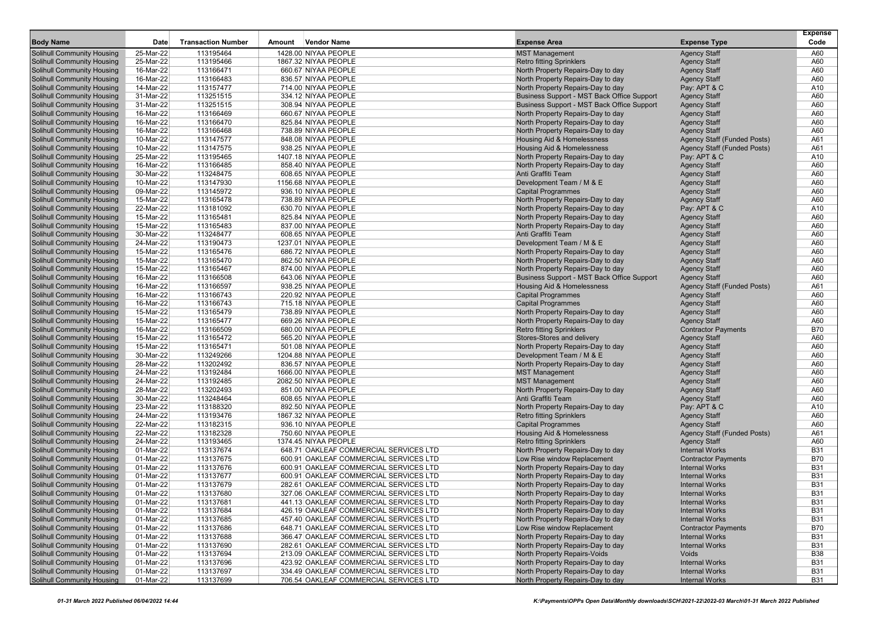|                                                                        |                        |                           |        |                                             |                                                         |                                            | <b>Expense</b> |
|------------------------------------------------------------------------|------------------------|---------------------------|--------|---------------------------------------------|---------------------------------------------------------|--------------------------------------------|----------------|
| <b>Body Name</b>                                                       | Date                   | <b>Transaction Number</b> | Amount | <b>Vendor Name</b>                          | <b>Expense Area</b>                                     | <b>Expense Type</b>                        | Code           |
| <b>Solihull Community Housing</b>                                      | 25-Mar-22              | 113195464                 |        | 1428.00 NIYAA PEOPLE                        | <b>MST Management</b>                                   | <b>Agency Staff</b>                        | A60            |
| <b>Solihull Community Housing</b>                                      | 25-Mar-22              | 113195466                 |        | 1867.32 NIYAA PEOPLE                        | <b>Retro fitting Sprinklers</b>                         | <b>Agency Staff</b>                        | A60            |
| <b>Solihull Community Housing</b>                                      | 16-Mar-22              | 113166471                 |        | 660.67 NIYAA PEOPLE                         | North Property Repairs-Day to day                       | <b>Agency Staff</b>                        | A60            |
| <b>Solihull Community Housing</b>                                      | 16-Mar-22              | 113166483                 |        | 836.57 NIYAA PEOPLE                         | North Property Repairs-Day to day                       | <b>Agency Staff</b>                        | A60            |
| <b>Solihull Community Housing</b>                                      | 14-Mar-22              | 113157477                 |        | 714.00 NIYAA PEOPLE                         | North Property Repairs-Day to day                       | Pay: APT & C                               | A10            |
| <b>Solihull Community Housing</b>                                      | 31-Mar-22              | 113251515                 |        | 334.12 NIYAA PEOPLE                         | Business Support - MST Back Office Support              | <b>Agency Staff</b>                        | A60            |
| <b>Solihull Community Housing</b>                                      | 31-Mar-22              | 113251515                 |        | 308.94 NIYAA PEOPLE                         | Business Support - MST Back Office Support              | <b>Agency Staff</b>                        | A60            |
| <b>Solihull Community Housing</b>                                      | 16-Mar-22              | 113166469                 |        | 660.67 NIYAA PEOPLE                         | North Property Repairs-Day to day                       | <b>Agency Staff</b>                        | A60            |
| <b>Solihull Community Housing</b>                                      | 16-Mar-22              | 113166470                 |        | 825.84 NIYAA PEOPLE                         | North Property Repairs-Day to day                       | <b>Agency Staff</b>                        | A60            |
| <b>Solihull Community Housing</b>                                      | 16-Mar-22              | 113166468                 |        | 738.89 NIYAA PEOPLE                         | North Property Repairs-Day to day                       | <b>Agency Staff</b>                        | A60            |
| <b>Solihull Community Housing</b>                                      | 10-Mar-22              | 113147577                 |        | 848.08 NIYAA PEOPLE                         | Housing Aid & Homelessness                              | <b>Agency Staff (Funded Posts)</b>         | A61            |
| Solihull Community Housing                                             | 10-Mar-22              | 113147575                 |        | 938.25 NIYAA PEOPLE                         | Housing Aid & Homelessness                              | <b>Agency Staff (Funded Posts)</b>         | A61            |
| Solihull Community Housing                                             | 25-Mar-22              | 113195465                 |        | 1407.18 NIYAA PEOPLE                        | North Property Repairs-Day to day                       | Pay: APT & C                               | A10            |
| <b>Solihull Community Housing</b>                                      | 16-Mar-22              | 113166485                 |        | 858.40 NIYAA PEOPLE                         | North Property Repairs-Day to day                       | <b>Agency Staff</b>                        | A60            |
| <b>Solihull Community Housing</b>                                      | 30-Mar-22              | 113248475                 |        | 608.65 NIYAA PEOPLE                         | Anti Graffiti Team                                      | <b>Agency Staff</b>                        | A60            |
| <b>Solihull Community Housing</b>                                      | 10-Mar-22              | 113147930                 |        | 1156.68 NIYAA PEOPLE                        | Development Team / M & E                                | <b>Agency Staff</b>                        | A60            |
| <b>Solihull Community Housing</b>                                      | 09-Mar-22              | 113145972                 |        | 936.10 NIYAA PEOPLE                         | <b>Capital Programmes</b>                               | <b>Agency Staff</b>                        | A60            |
| <b>Solihull Community Housing</b>                                      | 15-Mar-22              | 113165478                 |        | 738.89 NIYAA PEOPLE                         | North Property Repairs-Day to day                       | <b>Agency Staff</b>                        | A60            |
| <b>Solihull Community Housing</b>                                      | 22-Mar-22              | 113181092                 |        | 630.70 NIYAA PEOPLE                         | North Property Repairs-Day to day                       | Pay: APT & C                               | A10            |
| <b>Solihull Community Housing</b>                                      | 15-Mar-22              | 113165481                 |        | 825.84 NIYAA PEOPLE                         | North Property Repairs-Day to day                       | <b>Agency Staff</b>                        | A60            |
| <b>Solihull Community Housing</b><br>Solihull Community Housing        | 15-Mar-22              | 113165483                 |        | 837.00 NIYAA PEOPLE                         | North Property Repairs-Day to day<br>Anti Graffiti Team | <b>Agency Staff</b>                        | A60            |
|                                                                        | 30-Mar-22              | 113248477                 |        | 608.65 NIYAA PEOPLE                         |                                                         | <b>Agency Staff</b>                        | A60<br>A60     |
| <b>Solihull Community Housing</b>                                      | 24-Mar-22              | 113190473<br>113165476    |        | 1237.01 NIYAA PEOPLE<br>686.72 NIYAA PEOPLE | Development Team / M & E                                | <b>Agency Staff</b>                        | A60            |
| <b>Solihull Community Housing</b>                                      | 15-Mar-22<br>15-Mar-22 |                           |        |                                             | North Property Repairs-Day to day                       | <b>Agency Staff</b>                        |                |
| <b>Solihull Community Housing</b>                                      |                        | 113165470                 |        | 862.50 NIYAA PEOPLE                         | North Property Repairs-Day to day                       | <b>Agency Staff</b>                        | A60            |
| <b>Solihull Community Housing</b>                                      | 15-Mar-22              | 113165467<br>113166508    |        | 874.00 NIYAA PEOPLE                         | North Property Repairs-Day to day                       | <b>Agency Staff</b>                        | A60            |
| <b>Solihull Community Housing</b>                                      | 16-Mar-22              | 113166597                 |        | 643.06 NIYAA PEOPLE                         | Business Support - MST Back Office Support              | <b>Agency Staff</b>                        | A60<br>A61     |
| <b>Solihull Community Housing</b>                                      | 16-Mar-22<br>16-Mar-22 | 113166743                 |        | 938.25 NIYAA PEOPLE<br>220.92 NIYAA PEOPLE  | Housing Aid & Homelessness                              | <b>Agency Staff (Funded Posts)</b>         | A60            |
| <b>Solihull Community Housing</b><br><b>Solihull Community Housing</b> | 16-Mar-22              | 113166743                 |        | 715.18 NIYAA PEOPLE                         | <b>Capital Programmes</b><br><b>Capital Programmes</b>  | <b>Agency Staff</b>                        | A60            |
| <b>Solihull Community Housing</b>                                      | 15-Mar-22              | 113165479                 |        | 738.89 NIYAA PEOPLE                         | North Property Repairs-Day to day                       | <b>Agency Staff</b><br><b>Agency Staff</b> | A60            |
| <b>Solihull Community Housing</b>                                      | 15-Mar-22              | 113165477                 |        | 669.26 NIYAA PEOPLE                         | North Property Repairs-Day to day                       | <b>Agency Staff</b>                        | A60            |
| <b>Solihull Community Housing</b>                                      | 16-Mar-22              | 113166509                 |        | 680.00 NIYAA PEOPLE                         | <b>Retro fitting Sprinklers</b>                         | <b>Contractor Payments</b>                 | <b>B70</b>     |
| <b>Solihull Community Housing</b>                                      | 15-Mar-22              | 113165472                 |        | 565.20 NIYAA PEOPLE                         | Stores-Stores and delivery                              | <b>Agency Staff</b>                        | A60            |
| <b>Solihull Community Housing</b>                                      | 15-Mar-22              | 113165471                 |        | 501.08 NIYAA PEOPLE                         | North Property Repairs-Day to day                       | <b>Agency Staff</b>                        | A60            |
| Solihull Community Housing                                             | 30-Mar-22              | 113249266                 |        | 1204.88 NIYAA PEOPLE                        | Development Team / M & E                                | <b>Agency Staff</b>                        | A60            |
| <b>Solihull Community Housing</b>                                      | 28-Mar-22              | 113202492                 |        | 836.57 NIYAA PEOPLE                         | North Property Repairs-Day to day                       | <b>Agency Staff</b>                        | A60            |
| <b>Solihull Community Housing</b>                                      | 24-Mar-22              | 113192484                 |        | 1666.00 NIYAA PEOPLE                        | <b>MST Management</b>                                   | <b>Agency Staff</b>                        | A60            |
| <b>Solihull Community Housing</b>                                      | 24-Mar-22              | 113192485                 |        | 2082.50 NIYAA PEOPLE                        | <b>MST Management</b>                                   | <b>Agency Staff</b>                        | A60            |
| <b>Solihull Community Housing</b>                                      | 28-Mar-22              | 113202493                 |        | 851.00 NIYAA PEOPLE                         | North Property Repairs-Day to day                       | <b>Agency Staff</b>                        | A60            |
| <b>Solihull Community Housing</b>                                      | 30-Mar-22              | 113248464                 |        | 608.65 NIYAA PEOPLE                         | Anti Graffiti Team                                      | <b>Agency Staff</b>                        | A60            |
| <b>Solihull Community Housing</b>                                      | 23-Mar-22              | 113188320                 |        | 892.50 NIYAA PEOPLE                         | North Property Repairs-Day to day                       | Pay: APT & C                               | A10            |
| <b>Solihull Community Housing</b>                                      | 24-Mar-22              | 113193476                 |        | 1867.32 NIYAA PEOPLE                        | <b>Retro fitting Sprinklers</b>                         | <b>Agency Staff</b>                        | A60            |
| <b>Solihull Community Housing</b>                                      | 22-Mar-22              | 113182315                 |        | 936.10 NIYAA PEOPLE                         | <b>Capital Programmes</b>                               | <b>Agency Staff</b>                        | A60            |
| <b>Solihull Community Housing</b>                                      | 22-Mar-22              | 113182328                 |        | 750.60 NIYAA PEOPLE                         | Housing Aid & Homelessness                              | Agency Staff (Funded Posts)                | A61            |
| <b>Solihull Community Housing</b>                                      | 24-Mar-22              | 113193465                 |        | 1374.45 NIYAA PEOPLE                        | <b>Retro fitting Sprinklers</b>                         | <b>Agency Staff</b>                        | A60            |
| Solihull Community Housing                                             | 01-Mar-22              | 113137674                 |        | 648.71 OAKLEAF COMMERCIAL SERVICES LTD      | North Property Repairs-Day to day                       | <b>Internal Works</b>                      | <b>B31</b>     |
| <b>Solihull Community Housing</b>                                      | 01-Mar-22              | 113137675                 |        | 600.91 OAKLEAF COMMERCIAL SERVICES LTD      | Low Rise window Replacement                             | <b>Contractor Payments</b>                 | <b>B70</b>     |
| <b>Solihull Community Housing</b>                                      | 01-Mar-22              | 113137676                 |        | 600.91 OAKLEAF COMMERCIAL SERVICES LTD      | North Property Repairs-Day to day                       | <b>Internal Works</b>                      | <b>B31</b>     |
| Solihull Community Housing                                             | 01-Mar-22              | 113137677                 |        | 600.91 OAKLEAF COMMERCIAL SERVICES LTD      | North Property Repairs-Day to day                       | <b>Internal Works</b>                      | <b>B31</b>     |
| <b>Solihull Community Housing</b>                                      | 01-Mar-22              | 113137679                 |        | 282.61 OAKLEAF COMMERCIAL SERVICES LTD      | North Property Repairs-Day to day                       | <b>Internal Works</b>                      | <b>B31</b>     |
| <b>Solihull Community Housing</b>                                      | 01-Mar-22              | 113137680                 |        | 327.06 OAKLEAF COMMERCIAL SERVICES LTD      | North Property Repairs-Day to day                       | <b>Internal Works</b>                      | <b>B31</b>     |
| <b>Solihull Community Housing</b>                                      | 01-Mar-22              | 113137681                 |        | 441.13 OAKLEAF COMMERCIAL SERVICES LTD      | North Property Repairs-Day to day                       | <b>Internal Works</b>                      | <b>B31</b>     |
| <b>Solihull Community Housing</b>                                      | 01-Mar-22              | 113137684                 |        | 426.19 OAKLEAF COMMERCIAL SERVICES LTD      | North Property Repairs-Day to day                       | <b>Internal Works</b>                      | <b>B31</b>     |
| <b>Solihull Community Housing</b>                                      | 01-Mar-22              | 113137685                 |        | 457.40 OAKLEAF COMMERCIAL SERVICES LTD      | North Property Repairs-Day to day                       | <b>Internal Works</b>                      | <b>B31</b>     |
| <b>Solihull Community Housing</b>                                      | 01-Mar-22              | 113137686                 |        | 648.71 OAKLEAF COMMERCIAL SERVICES LTD      | Low Rise window Replacement                             | <b>Contractor Payments</b>                 | <b>B70</b>     |
| Solihull Community Housing                                             | 01-Mar-22              | 113137688                 |        | 366.47 OAKLEAF COMMERCIAL SERVICES LTD      | North Property Repairs-Day to day                       | <b>Internal Works</b>                      | <b>B31</b>     |
| <b>Solihull Community Housing</b>                                      | 01-Mar-22              | 113137690                 |        | 282.61 OAKLEAF COMMERCIAL SERVICES LTD      | North Property Repairs-Day to day                       | <b>Internal Works</b>                      | <b>B31</b>     |
| Solihull Community Housing                                             | 01-Mar-22              | 113137694                 |        | 213.09 OAKLEAF COMMERCIAL SERVICES LTD      | <b>North Property Repairs-Voids</b>                     | Voids                                      | <b>B38</b>     |
| <b>Solihull Community Housing</b>                                      | 01-Mar-22              | 113137696                 |        | 423.92 OAKLEAF COMMERCIAL SERVICES LTD      | North Property Repairs-Day to day                       | <b>Internal Works</b>                      | <b>B31</b>     |
| <b>Solihull Community Housing</b>                                      | 01-Mar-22              | 113137697                 |        | 334.49 OAKLEAF COMMERCIAL SERVICES LTD      | North Property Repairs-Day to day                       | <b>Internal Works</b>                      | <b>B31</b>     |
| <b>Solihull Community Housing</b>                                      | 01-Mar-22              | 113137699                 |        | 706.54 OAKLEAF COMMERCIAL SERVICES LTD      | North Property Repairs-Day to day                       | <b>Internal Works</b>                      | <b>B31</b>     |
|                                                                        |                        |                           |        |                                             |                                                         |                                            |                |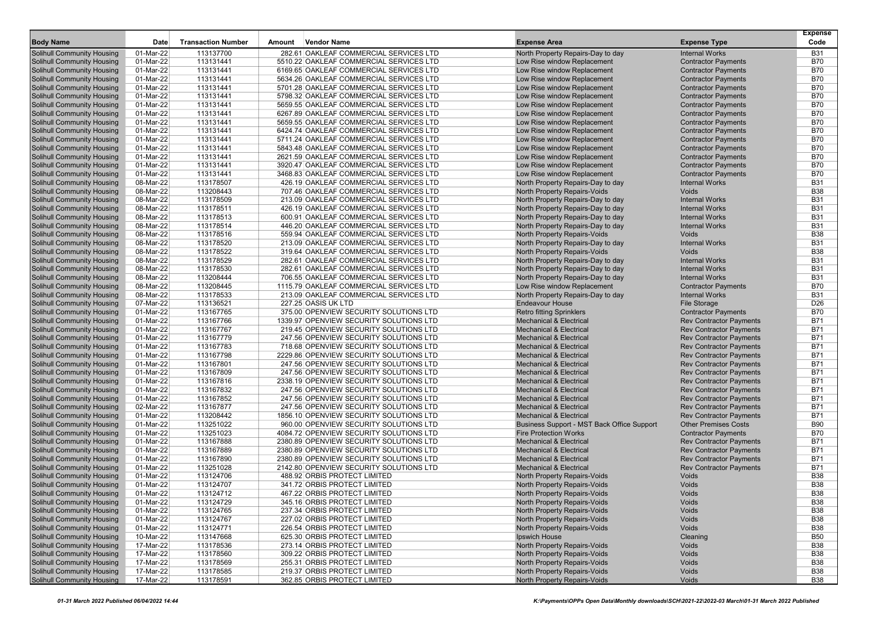| <b>Body Name</b>                                                       | Date                   | <b>Transaction Number</b> | Amount | <b>Vendor Name</b>                                                                 | <b>Expense Area</b>                                                      | <b>Expense Type</b>                                              | <b>Expense</b><br>Code   |
|------------------------------------------------------------------------|------------------------|---------------------------|--------|------------------------------------------------------------------------------------|--------------------------------------------------------------------------|------------------------------------------------------------------|--------------------------|
|                                                                        |                        |                           |        |                                                                                    |                                                                          |                                                                  |                          |
| <b>Solihull Community Housing</b>                                      | 01-Mar-22              | 113137700                 |        | 282.61 OAKLEAF COMMERCIAL SERVICES LTD                                             | North Property Repairs-Day to day                                        | <b>Internal Works</b>                                            | <b>B31</b>               |
| <b>Solihull Community Housing</b>                                      | 01-Mar-22              | 113131441                 |        | 5510.22 OAKLEAF COMMERCIAL SERVICES LTD                                            | Low Rise window Replacement                                              | <b>Contractor Payments</b>                                       | <b>B70</b>               |
| <b>Solihull Community Housing</b>                                      | 01-Mar-22              | 113131441                 |        | 6169.65 OAKLEAF COMMERCIAL SERVICES LTD                                            | Low Rise window Replacement                                              | <b>Contractor Payments</b>                                       | <b>B70</b><br><b>B70</b> |
| <b>Solihull Community Housing</b><br><b>Solihull Community Housing</b> | 01-Mar-22              | 113131441<br>113131441    |        | 5634.26 OAKLEAF COMMERCIAL SERVICES LTD                                            | Low Rise window Replacement                                              | <b>Contractor Payments</b>                                       | <b>B70</b>               |
| <b>Solihull Community Housing</b>                                      | 01-Mar-22<br>01-Mar-22 | 113131441                 |        | 5701.28 OAKLEAF COMMERCIAL SERVICES LTD<br>5798.32 OAKLEAF COMMERCIAL SERVICES LTD | Low Rise window Replacement<br>Low Rise window Replacement               | <b>Contractor Payments</b><br><b>Contractor Payments</b>         | <b>B70</b>               |
| <b>Solihull Community Housing</b>                                      | 01-Mar-22              | 113131441                 |        | 5659.55 OAKLEAF COMMERCIAL SERVICES LTD                                            | Low Rise window Replacement                                              | <b>Contractor Payments</b>                                       | <b>B70</b>               |
| <b>Solihull Community Housing</b>                                      | 01-Mar-22              | 113131441                 |        | 6267.89 OAKLEAF COMMERCIAL SERVICES LTD                                            | Low Rise window Replacement                                              | <b>Contractor Payments</b>                                       | <b>B70</b>               |
| <b>Solihull Community Housing</b>                                      | 01-Mar-22              | 113131441                 |        | 5659.55 OAKLEAF COMMERCIAL SERVICES LTD                                            | Low Rise window Replacement                                              | <b>Contractor Payments</b>                                       | <b>B70</b>               |
| <b>Solihull Community Housing</b>                                      | 01-Mar-22              | 113131441                 |        | 6424.74 OAKLEAF COMMERCIAL SERVICES LTD                                            | Low Rise window Replacement                                              | <b>Contractor Payments</b>                                       | <b>B70</b>               |
| <b>Solihull Community Housing</b>                                      | 01-Mar-22              | 113131441                 |        | 5711.24 OAKLEAF COMMERCIAL SERVICES LTD                                            | Low Rise window Replacement                                              | <b>Contractor Payments</b>                                       | <b>B70</b>               |
| <b>Solihull Community Housing</b>                                      | 01-Mar-22              | 113131441                 |        | 5843.48 OAKLEAF COMMERCIAL SERVICES LTD                                            | Low Rise window Replacement                                              | <b>Contractor Payments</b>                                       | <b>B70</b>               |
| <b>Solihull Community Housing</b>                                      | 01-Mar-22              | 113131441                 |        | 2621.59 OAKLEAF COMMERCIAL SERVICES LTD                                            | Low Rise window Replacement                                              | <b>Contractor Payments</b>                                       | <b>B70</b>               |
| <b>Solihull Community Housing</b>                                      | 01-Mar-22              | 113131441                 |        | 3920.47 OAKLEAF COMMERCIAL SERVICES LTD                                            | Low Rise window Replacement                                              | <b>Contractor Payments</b>                                       | <b>B70</b>               |
| <b>Solihull Community Housing</b>                                      | 01-Mar-22              | 113131441                 |        | 3468.83 OAKLEAF COMMERCIAL SERVICES LTD                                            | Low Rise window Replacement                                              | <b>Contractor Payments</b>                                       | <b>B70</b>               |
| <b>Solihull Community Housing</b>                                      | 08-Mar-22              | 113178507                 |        | 426.19 OAKLEAF COMMERCIAL SERVICES LTD                                             | North Property Repairs-Day to day                                        | <b>Internal Works</b>                                            | <b>B31</b>               |
| <b>Solihull Community Housing</b>                                      | 08-Mar-22              | 113208443                 |        | 707.46 OAKLEAF COMMERCIAL SERVICES LTD                                             | North Property Repairs-Voids                                             | Voids                                                            | <b>B38</b>               |
| <b>Solihull Community Housing</b>                                      | 08-Mar-22              | 113178509                 |        | 213.09 OAKLEAF COMMERCIAL SERVICES LTD                                             | North Property Repairs-Day to day                                        | <b>Internal Works</b>                                            | <b>B31</b>               |
| <b>Solihull Community Housing</b>                                      | 08-Mar-22              | 113178511                 |        | 426.19 OAKLEAF COMMERCIAL SERVICES LTD                                             | North Property Repairs-Day to day                                        | <b>Internal Works</b>                                            | <b>B31</b>               |
| <b>Solihull Community Housing</b>                                      | 08-Mar-22              | 113178513                 |        | 600.91 OAKLEAF COMMERCIAL SERVICES LTD                                             | North Property Repairs-Day to day                                        | <b>Internal Works</b>                                            | <b>B31</b>               |
| <b>Solihull Community Housing</b>                                      | 08-Mar-22              | 113178514                 |        | 446.20 OAKLEAF COMMERCIAL SERVICES LTD                                             | North Property Repairs-Day to day                                        | <b>Internal Works</b>                                            | <b>B31</b>               |
| <b>Solihull Community Housing</b>                                      | 08-Mar-22              | 113178516                 |        | 559.94 OAKLEAF COMMERCIAL SERVICES LTD                                             | <b>North Property Repairs-Voids</b>                                      | <b>Voids</b>                                                     | <b>B38</b>               |
| <b>Solihull Community Housing</b>                                      | 08-Mar-22              | 113178520                 |        | 213.09 OAKLEAF COMMERCIAL SERVICES LTD                                             | North Property Repairs-Day to day                                        | <b>Internal Works</b>                                            | <b>B31</b>               |
| <b>Solihull Community Housing</b>                                      | 08-Mar-22              | 113178522                 |        | 319.64 OAKLEAF COMMERCIAL SERVICES LTD                                             | North Property Repairs-Voids                                             | <b>Voids</b>                                                     | <b>B38</b>               |
| <b>Solihull Community Housing</b>                                      | 08-Mar-22              | 113178529                 |        | 282.61 OAKLEAF COMMERCIAL SERVICES LTD                                             | North Property Repairs-Day to day                                        | <b>Internal Works</b>                                            | <b>B31</b>               |
| <b>Solihull Community Housing</b>                                      | 08-Mar-22              | 113178530                 |        | 282.61 OAKLEAF COMMERCIAL SERVICES LTD                                             | North Property Repairs-Day to day                                        | <b>Internal Works</b>                                            | <b>B31</b>               |
| <b>Solihull Community Housing</b>                                      | 08-Mar-22              | 113208444                 |        | 706.55 OAKLEAF COMMERCIAL SERVICES LTD                                             | North Property Repairs-Day to day                                        | <b>Internal Works</b>                                            | <b>B31</b>               |
| <b>Solihull Community Housing</b>                                      | 08-Mar-22              | 113208445                 |        | 1115.79 OAKLEAF COMMERCIAL SERVICES LTD                                            | Low Rise window Replacement                                              | <b>Contractor Payments</b>                                       | <b>B70</b>               |
| <b>Solihull Community Housing</b>                                      | 08-Mar-22              | 113178533                 |        | 213.09 OAKLEAF COMMERCIAL SERVICES LTD                                             | North Property Repairs-Day to day                                        | <b>Internal Works</b>                                            | <b>B31</b>               |
| <b>Solihull Community Housing</b>                                      | 07-Mar-22              | 113136521                 |        | 227.25 OASIS UK LTD                                                                | <b>Endeavour House</b>                                                   | File Storage                                                     | D <sub>26</sub>          |
| <b>Solihull Community Housing</b>                                      | 01-Mar-22              | 113167765                 |        | 375.00 OPENVIEW SECURITY SOLUTIONS LTD                                             | <b>Retro fitting Sprinklers</b>                                          | <b>Contractor Payments</b>                                       | <b>B70</b>               |
| <b>Solihull Community Housing</b>                                      | 01-Mar-22              | 113167766                 |        | 1339.97 OPENVIEW SECURITY SOLUTIONS LTD                                            | <b>Mechanical &amp; Electrical</b>                                       | <b>Rev Contractor Payments</b>                                   | <b>B71</b>               |
| <b>Solihull Community Housing</b>                                      | 01-Mar-22              | 113167767                 |        | 219.45 OPENVIEW SECURITY SOLUTIONS LTD                                             | <b>Mechanical &amp; Electrical</b>                                       | <b>Rev Contractor Payments</b>                                   | <b>B71</b>               |
| <b>Solihull Community Housing</b>                                      | 01-Mar-22              | 113167779                 |        | 247.56 OPENVIEW SECURITY SOLUTIONS LTD                                             | <b>Mechanical &amp; Electrical</b>                                       | <b>Rev Contractor Payments</b>                                   | <b>B71</b>               |
| <b>Solihull Community Housing</b>                                      | 01-Mar-22              | 113167783                 |        | 718.68 OPENVIEW SECURITY SOLUTIONS LTD                                             | <b>Mechanical &amp; Electrical</b>                                       | <b>Rev Contractor Payments</b>                                   | <b>B71</b>               |
| <b>Solihull Community Housing</b>                                      | 01-Mar-22              | 113167798                 |        | 2229.86 OPENVIEW SECURITY SOLUTIONS LTD                                            | <b>Mechanical &amp; Electrical</b>                                       | <b>Rev Contractor Payments</b>                                   | <b>B71</b>               |
| <b>Solihull Community Housing</b>                                      | 01-Mar-22              | 113167801                 |        | 247.56 OPENVIEW SECURITY SOLUTIONS LTD                                             | <b>Mechanical &amp; Electrical</b>                                       | <b>Rev Contractor Payments</b>                                   | <b>B71</b>               |
| <b>Solihull Community Housing</b>                                      | 01-Mar-22              | 113167809                 |        | 247.56 OPENVIEW SECURITY SOLUTIONS LTD                                             | <b>Mechanical &amp; Electrical</b>                                       | <b>Rev Contractor Payments</b>                                   | <b>B71</b>               |
| <b>Solihull Community Housing</b>                                      | 01-Mar-22<br>01-Mar-22 | 113167816                 |        | 2338.19 OPENVIEW SECURITY SOLUTIONS LTD                                            | <b>Mechanical &amp; Electrical</b>                                       | <b>Rev Contractor Payments</b>                                   | <b>B71</b>               |
| <b>Solihull Community Housing</b>                                      |                        | 113167832                 |        | 247.56 OPENVIEW SECURITY SOLUTIONS LTD<br>247.56 OPENVIEW SECURITY SOLUTIONS LTD   | <b>Mechanical &amp; Electrical</b><br><b>Mechanical &amp; Electrical</b> | <b>Rev Contractor Payments</b>                                   | <b>B71</b><br><b>B71</b> |
| <b>Solihull Community Housing</b><br><b>Solihull Community Housing</b> | 01-Mar-22<br>02-Mar-22 | 113167852<br>113167877    |        | 247.56 OPENVIEW SECURITY SOLUTIONS LTD                                             | <b>Mechanical &amp; Electrical</b>                                       | <b>Rev Contractor Payments</b><br><b>Rev Contractor Payments</b> | <b>B71</b>               |
| <b>Solihull Community Housing</b>                                      | 01-Mar-22              | 113208442                 |        | 1856.10 OPENVIEW SECURITY SOLUTIONS LTD                                            | <b>Mechanical &amp; Electrical</b>                                       | <b>Rev Contractor Payments</b>                                   | <b>B71</b>               |
| <b>Solihull Community Housing</b>                                      | 01-Mar-22              | 113251022                 |        | 960.00 OPENVIEW SECURITY SOLUTIONS LTD                                             | Business Support - MST Back Office Support                               | <b>Other Premises Costs</b>                                      | <b>B90</b>               |
| <b>Solihull Community Housing</b>                                      | 01-Mar-22              | 113251023                 |        | 4084.72 OPENVIEW SECURITY SOLUTIONS LTD                                            | <b>Fire Protection Works</b>                                             | <b>Contractor Payments</b>                                       | <b>B70</b>               |
| <b>Solihull Community Housing</b>                                      | 01-Mar-22              | 113167888                 |        | 2380.89 OPENVIEW SECURITY SOLUTIONS LTD                                            | <b>Mechanical &amp; Electrical</b>                                       | <b>Rev Contractor Payments</b>                                   | <b>B71</b>               |
| Solihull Community Housing                                             | 01-Mar-22              | 113167889                 |        | 2380.89 OPENVIEW SECURITY SOLUTIONS LTD                                            | <b>Mechanical &amp; Electrical</b>                                       | <b>Rev Contractor Payments</b>                                   | <b>B71</b>               |
| <b>Solihull Community Housing</b>                                      | 01-Mar-22              | 113167890                 |        | 2380.89 OPENVIEW SECURITY SOLUTIONS LTD                                            | <b>Mechanical &amp; Electrical</b>                                       | <b>Rev Contractor Payments</b>                                   | <b>B71</b>               |
| <b>Solihull Community Housing</b>                                      | 01-Mar-22              | 113251028                 |        | 2142.80 OPENVIEW SECURITY SOLUTIONS LTD                                            | <b>Mechanical &amp; Electrical</b>                                       | <b>Rev Contractor Payments</b>                                   | <b>B71</b>               |
| <b>Solihull Community Housing</b>                                      | 01-Mar-22              | 113124706                 |        | 488.92 ORBIS PROTECT LIMITED                                                       | <b>North Property Repairs-Voids</b>                                      | <b>Voids</b>                                                     | <b>B38</b>               |
| <b>Solihull Community Housing</b>                                      | 01-Mar-22              | 113124707                 |        | 341.72 ORBIS PROTECT LIMITED                                                       | <b>North Property Repairs-Voids</b>                                      | Voids                                                            | <b>B38</b>               |
| <b>Solihull Community Housing</b>                                      | 01-Mar-22              | 113124712                 |        | 467.22 ORBIS PROTECT LIMITED                                                       | North Property Repairs-Voids                                             | Voids                                                            | <b>B38</b>               |
| Solihull Community Housing                                             | 01-Mar-22              | 113124729                 |        | 345.16 ORBIS PROTECT LIMITED                                                       | North Property Repairs-Voids                                             | Voids                                                            | <b>B38</b>               |
| <b>Solihull Community Housing</b>                                      | 01-Mar-22              | 113124765                 |        | 237.34 ORBIS PROTECT LIMITED                                                       | North Property Repairs-Voids                                             | Voids                                                            | <b>B38</b>               |
| <b>Solihull Community Housing</b>                                      | 01-Mar-22              | 113124767                 |        | 227.02 ORBIS PROTECT LIMITED                                                       | North Property Repairs-Voids                                             | Voids                                                            | <b>B38</b>               |
| <b>Solihull Community Housing</b>                                      | 01-Mar-22              | 113124771                 |        | 226.54 ORBIS PROTECT LIMITED                                                       | <b>North Property Repairs-Voids</b>                                      | Voids                                                            | <b>B38</b>               |
| Solihull Community Housing                                             | 10-Mar-22              | 113147668                 |        | 625.30 ORBIS PROTECT LIMITED                                                       | Ipswich House                                                            | Cleaning                                                         | <b>B50</b>               |
| Solihull Community Housing                                             | 17-Mar-22              | 113178536                 |        | 273.14 ORBIS PROTECT LIMITED                                                       | North Property Repairs-Voids                                             | Voids                                                            | <b>B38</b>               |
| Solihull Community Housing                                             | 17-Mar-22              | 113178560                 |        | 309.22 ORBIS PROTECT LIMITED                                                       | North Property Repairs-Voids                                             | Voids                                                            | <b>B38</b>               |
| <b>Solihull Community Housing</b>                                      | 17-Mar-22              | 113178569                 |        | 255.31 ORBIS PROTECT LIMITED                                                       | North Property Repairs-Voids                                             | Voids                                                            | <b>B38</b>               |
| <b>Solihull Community Housing</b>                                      | 17-Mar-22              | 113178585                 |        | 219.37 ORBIS PROTECT LIMITED                                                       | North Property Repairs-Voids                                             | Voids                                                            | <b>B38</b>               |
| <b>Solihull Community Housing</b>                                      | 17-Mar-22              | 113178591                 |        | 362.85 ORBIS PROTECT LIMITED                                                       | North Property Repairs-Voids                                             | Voids                                                            | <b>B38</b>               |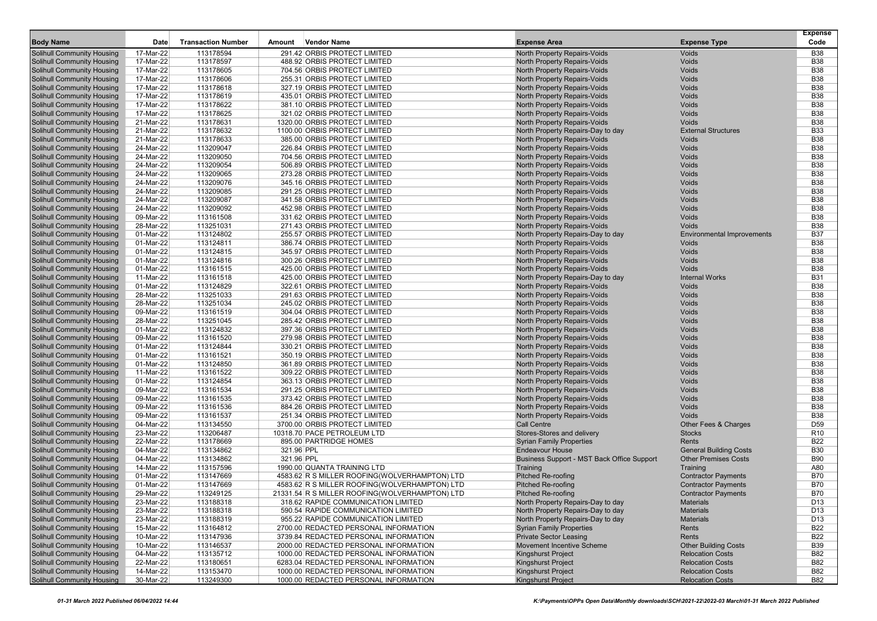| <b>Body Name</b>                                                       | Date                   | <b>Transaction Number</b> | Amount     | Vendor Name                                                  | <b>Expense Area</b>                                                 | <b>Expense Type</b>               | <b>Expense</b><br>Code   |
|------------------------------------------------------------------------|------------------------|---------------------------|------------|--------------------------------------------------------------|---------------------------------------------------------------------|-----------------------------------|--------------------------|
| <b>Solihull Community Housing</b>                                      | 17-Mar-22              | 113178594                 |            | 291.42 ORBIS PROTECT LIMITED                                 | <b>North Property Repairs-Voids</b>                                 | Voids                             | <b>B38</b>               |
| <b>Solihull Community Housing</b>                                      | 17-Mar-22              | 113178597                 |            | 488.92 ORBIS PROTECT LIMITED                                 | North Property Repairs-Voids                                        | Voids                             | <b>B38</b>               |
| <b>Solihull Community Housing</b>                                      | 17-Mar-22              | 113178605                 |            | 704.56 ORBIS PROTECT LIMITED                                 | North Property Repairs-Voids                                        | Voids                             | <b>B38</b>               |
| <b>Solihull Community Housing</b>                                      | 17-Mar-22              | 113178606                 |            | 255.31 ORBIS PROTECT LIMITED                                 | North Property Repairs-Voids                                        | Voids                             | <b>B38</b>               |
| <b>Solihull Community Housing</b>                                      | 17-Mar-22              | 113178618                 |            | 327.19 ORBIS PROTECT LIMITED                                 | <b>North Property Repairs-Voids</b>                                 | Voids                             | <b>B38</b>               |
| <b>Solihull Community Housing</b>                                      | 17-Mar-22              | 113178619                 |            | 435.01 ORBIS PROTECT LIMITED                                 | <b>North Property Repairs-Voids</b>                                 | Voids                             | <b>B38</b>               |
| <b>Solihull Community Housing</b>                                      | 17-Mar-22              | 113178622                 |            | 381.10 ORBIS PROTECT LIMITED                                 | North Property Repairs-Voids                                        | Voids                             | <b>B38</b>               |
| <b>Solihull Community Housing</b>                                      | 17-Mar-22              | 113178625                 |            | 321.02 ORBIS PROTECT LIMITED                                 | <b>North Property Repairs-Voids</b>                                 | Voids                             | <b>B38</b>               |
| <b>Solihull Community Housing</b>                                      | 21-Mar-22              | 113178631                 |            | 1320.00 ORBIS PROTECT LIMITED                                | <b>North Property Repairs-Voids</b>                                 | Voids                             | <b>B38</b>               |
| <b>Solihull Community Housing</b>                                      | 21-Mar-22              | 113178632                 |            | 1100.00 ORBIS PROTECT LIMITED                                | North Property Repairs-Day to day                                   | <b>External Structures</b>        | <b>B33</b>               |
| <b>Solihull Community Housing</b>                                      | 21-Mar-22              | 113178633                 |            | 385.00 ORBIS PROTECT LIMITED                                 | North Property Repairs-Voids<br><b>North Property Repairs-Voids</b> | Voids                             | <b>B38</b><br><b>B38</b> |
| <b>Solihull Community Housing</b><br><b>Solihull Community Housing</b> | 24-Mar-22              | 113209047                 |            | 226.84 ORBIS PROTECT LIMITED<br>704.56 ORBIS PROTECT LIMITED | North Property Repairs-Voids                                        | Voids<br>Voids                    | <b>B38</b>               |
| <b>Solihull Community Housing</b>                                      | 24-Mar-22<br>24-Mar-22 | 113209050<br>113209054    |            | 506.89 ORBIS PROTECT LIMITED                                 | North Property Repairs-Voids                                        | Voids                             | <b>B38</b>               |
| Solihull Community Housing                                             | 24-Mar-22              | 113209065                 |            | 273.28 ORBIS PROTECT LIMITED                                 | North Property Repairs-Voids                                        | Voids                             | <b>B38</b>               |
| <b>Solihull Community Housing</b>                                      | 24-Mar-22              | 113209076                 |            | 345.16 ORBIS PROTECT LIMITED                                 | North Property Repairs-Voids                                        | Voids                             | <b>B38</b>               |
| <b>Solihull Community Housing</b>                                      | 24-Mar-22              | 113209085                 |            | 291.25 ORBIS PROTECT LIMITED                                 | North Property Repairs-Voids                                        | Voids                             | <b>B38</b>               |
| <b>Solihull Community Housing</b>                                      | 24-Mar-22              | 113209087                 |            | 341.58 ORBIS PROTECT LIMITED                                 | <b>North Property Repairs-Voids</b>                                 | Voids                             | <b>B38</b>               |
| Solihull Community Housing                                             | 24-Mar-22              | 113209092                 |            | 452.98 ORBIS PROTECT LIMITED                                 | <b>North Property Repairs-Voids</b>                                 | Voids                             | <b>B38</b>               |
| <b>Solihull Community Housing</b>                                      | 09-Mar-22              | 113161508                 |            | 331.62 ORBIS PROTECT LIMITED                                 | North Property Repairs-Voids                                        | Voids                             | <b>B38</b>               |
| Solihull Community Housing                                             | 28-Mar-22              | 113251031                 |            | 271.43 ORBIS PROTECT LIMITED                                 | <b>North Property Repairs-Voids</b>                                 | Voids                             | <b>B38</b>               |
| <b>Solihull Community Housing</b>                                      | 01-Mar-22              | 113124802                 |            | 255.57 ORBIS PROTECT LIMITED                                 | North Property Repairs-Day to day                                   | <b>Environmental Improvements</b> | <b>B37</b>               |
| <b>Solihull Community Housing</b>                                      | 01-Mar-22              | 113124811                 |            | 386.74 ORBIS PROTECT LIMITED                                 | <b>North Property Repairs-Voids</b>                                 | Voids                             | <b>B38</b>               |
| Solihull Community Housing                                             | 01-Mar-22              | 113124815                 |            | 345.97 ORBIS PROTECT LIMITED                                 | North Property Repairs-Voids                                        | Voids                             | <b>B38</b>               |
| <b>Solihull Community Housing</b>                                      | 01-Mar-22              | 113124816                 |            | 300.26 ORBIS PROTECT LIMITED                                 | <b>North Property Repairs-Voids</b>                                 | Voids                             | <b>B38</b>               |
| <b>Solihull Community Housing</b>                                      | 01-Mar-22              | 113161515                 |            | 425.00 ORBIS PROTECT LIMITED                                 | <b>North Property Repairs-Voids</b>                                 | <b>Voids</b>                      | <b>B38</b>               |
| <b>Solihull Community Housing</b>                                      | 11-Mar-22              | 113161518                 |            | 425.00 ORBIS PROTECT LIMITED                                 | North Property Repairs-Day to day                                   | <b>Internal Works</b>             | <b>B31</b>               |
| <b>Solihull Community Housing</b>                                      | 01-Mar-22              | 113124829                 |            | 322.61 ORBIS PROTECT LIMITED                                 | <b>North Property Repairs-Voids</b>                                 | Voids                             | <b>B38</b>               |
| <b>Solihull Community Housing</b>                                      | 28-Mar-22              | 113251033                 |            | 291.63 ORBIS PROTECT LIMITED                                 | <b>North Property Repairs-Voids</b>                                 | Voids                             | <b>B38</b>               |
| <b>Solihull Community Housing</b>                                      | 28-Mar-22              | 113251034                 |            | 245.02 ORBIS PROTECT LIMITED                                 | <b>North Property Repairs-Voids</b>                                 | Voids                             | <b>B38</b>               |
| <b>Solihull Community Housing</b>                                      | 09-Mar-22              | 113161519                 |            | 304.04 ORBIS PROTECT LIMITED                                 | North Property Repairs-Voids                                        | Voids                             | <b>B38</b>               |
| <b>Solihull Community Housing</b>                                      | 28-Mar-22              | 113251045                 |            | 285.42 ORBIS PROTECT LIMITED                                 | North Property Repairs-Voids                                        | Voids                             | <b>B38</b>               |
| <b>Solihull Community Housing</b>                                      | 01-Mar-22              | 113124832                 |            | 397.36 ORBIS PROTECT LIMITED                                 | North Property Repairs-Voids                                        | Voids                             | <b>B38</b>               |
| <b>Solihull Community Housing</b>                                      | 09-Mar-22              | 113161520                 |            | 279.98 ORBIS PROTECT LIMITED                                 | North Property Repairs-Voids                                        | Voids                             | <b>B38</b>               |
| <b>Solihull Community Housing</b>                                      | 01-Mar-22              | 113124844                 |            | 330.21 ORBIS PROTECT LIMITED                                 | <b>North Property Repairs-Voids</b>                                 | Voids                             | <b>B38</b>               |
| <b>Solihull Community Housing</b>                                      | 01-Mar-22              | 113161521                 |            | 350.19 ORBIS PROTECT LIMITED                                 | North Property Repairs-Voids                                        | Voids                             | <b>B38</b>               |
| <b>Solihull Community Housing</b>                                      | 01-Mar-22              | 113124850                 |            | 361.89 ORBIS PROTECT LIMITED                                 | North Property Repairs-Voids                                        | Voids                             | <b>B38</b>               |
| <b>Solihull Community Housing</b>                                      | 11-Mar-22              | 113161522                 |            | 309.22 ORBIS PROTECT LIMITED                                 | <b>North Property Repairs-Voids</b>                                 | Voids                             | <b>B38</b>               |
| <b>Solihull Community Housing</b>                                      | 01-Mar-22              | 113124854                 |            | 363.13 ORBIS PROTECT LIMITED                                 | <b>North Property Repairs-Voids</b>                                 | Voids                             | <b>B38</b>               |
| <b>Solihull Community Housing</b>                                      | 09-Mar-22              | 113161534                 |            | 291.25 ORBIS PROTECT LIMITED                                 | <b>North Property Repairs-Voids</b>                                 | Voids<br>Voids                    | <b>B38</b><br><b>B38</b> |
| <b>Solihull Community Housing</b><br><b>Solihull Community Housing</b> | 09-Mar-22<br>09-Mar-22 | 113161535<br>113161536    |            | 373.42 ORBIS PROTECT LIMITED<br>884.26 ORBIS PROTECT LIMITED | North Property Repairs-Voids                                        | Voids                             | <b>B38</b>               |
| <b>Solihull Community Housing</b>                                      | 09-Mar-22              | 113161537                 |            | 251.34 ORBIS PROTECT LIMITED                                 | <b>North Property Repairs-Voids</b><br>North Property Repairs-Voids | Voids                             | <b>B38</b>               |
| <b>Solihull Community Housing</b>                                      | 04-Mar-22              | 113134550                 |            | 3700.00 ORBIS PROTECT LIMITED                                | <b>Call Centre</b>                                                  | Other Fees & Charges              | D <sub>59</sub>          |
| <b>Solihull Community Housing</b>                                      | 23-Mar-22              | 113206487                 |            | 10318.70 PACE PETROLEUM LTD                                  | Stores-Stores and delivery                                          | <b>Stocks</b>                     | R <sub>10</sub>          |
| <b>Solihull Community Housing</b>                                      | 22-Mar-22              | 113178669                 |            | 895.00 PARTRIDGE HOMES                                       | <b>Syrian Family Properties</b>                                     | Rents                             | <b>B22</b>               |
| <b>Solihull Community Housing</b>                                      | 04-Mar-22              | 113134862                 | 321.96 PPL |                                                              | <b>Endeavour House</b>                                              | <b>General Building Costs</b>     | <b>B30</b>               |
| <b>Solihull Community Housing</b>                                      | 04-Mar-22              | 113134862                 | 321.96 PPL |                                                              | Business Support - MST Back Office Support                          | <b>Other Premises Costs</b>       | <b>B90</b>               |
| <b>Solihull Community Housing</b>                                      | 14-Mar-22              | 113157596                 |            | 1990.00 QUANTA TRAINING LTD                                  | Training                                                            | Training                          | A80                      |
| <b>Solihull Community Housing</b>                                      | 01-Mar-22              | 113147669                 |            | 4583.62 R S MILLER ROOFING(WOLVERHAMPTON) LTD                | <b>Pitched Re-roofing</b>                                           | <b>Contractor Payments</b>        | <b>B70</b>               |
| <b>Solihull Community Housing</b>                                      | 01-Mar-22              | 113147669                 |            | 4583.62 R S MILLER ROOFING(WOLVERHAMPTON) LTD                | <b>Pitched Re-roofing</b>                                           | <b>Contractor Payments</b>        | <b>B70</b>               |
| <b>Solihull Community Housing</b>                                      | 29-Mar-22              | 113249125                 |            | 21331.54 R S MILLER ROOFING(WOLVERHAMPTON) LTD               | <b>Pitched Re-roofing</b>                                           | <b>Contractor Payments</b>        | <b>B70</b>               |
| <b>Solihull Community Housing</b>                                      | 23-Mar-22              | 113188318                 |            | 318.62 RAPIDE COMMUNICATION LIMITED                          | North Property Repairs-Day to day                                   | <b>Materials</b>                  | D13                      |
| <b>Solihull Community Housing</b>                                      | 23-Mar-22              | 113188318                 |            | 590.54 RAPIDE COMMUNICATION LIMITED                          | North Property Repairs-Day to day                                   | <b>Materials</b>                  | D <sub>13</sub>          |
| <b>Solihull Community Housing</b>                                      | 23-Mar-22              | 113188319                 |            | 955.22 RAPIDE COMMUNICATION LIMITED                          | North Property Repairs-Day to day                                   | <b>Materials</b>                  | D13                      |
| <b>Solihull Community Housing</b>                                      | 15-Mar-22              | 113164812                 |            | 2700.00 REDACTED PERSONAL INFORMATION                        | <b>Syrian Family Properties</b>                                     | Rents                             | <b>B22</b>               |
| <b>Solihull Community Housing</b>                                      | 10-Mar-22              | 113147936                 |            | 3739.84 REDACTED PERSONAL INFORMATION                        | <b>Private Sector Leasing</b>                                       | Rents                             | <b>B22</b>               |
| <b>Solihull Community Housing</b>                                      | 10-Mar-22              | 113146537                 |            | 2000.00 REDACTED PERSONAL INFORMATION                        | Movement Incentive Scheme                                           | <b>Other Building Costs</b>       | <b>B39</b>               |
| <b>Solihull Community Housing</b>                                      | 04-Mar-22              | 113135712                 |            | 1000.00 REDACTED PERSONAL INFORMATION                        | <b>Kingshurst Project</b>                                           | <b>Relocation Costs</b>           | <b>B82</b>               |
| <b>Solihull Community Housing</b>                                      | 22-Mar-22              | 113180651                 |            | 6283.04 REDACTED PERSONAL INFORMATION                        | Kingshurst Project                                                  | <b>Relocation Costs</b>           | <b>B82</b>               |
| Solihull Community Housing                                             | 14-Mar-22              | 113153470                 |            | 1000.00 REDACTED PERSONAL INFORMATION                        | Kingshurst Project                                                  | <b>Relocation Costs</b>           | B82                      |
| <b>Solihull Community Housing</b>                                      | 30-Mar-22              | 113249300                 |            | 1000.00 REDACTED PERSONAL INFORMATION                        | Kingshurst Project                                                  | <b>Relocation Costs</b>           | B82                      |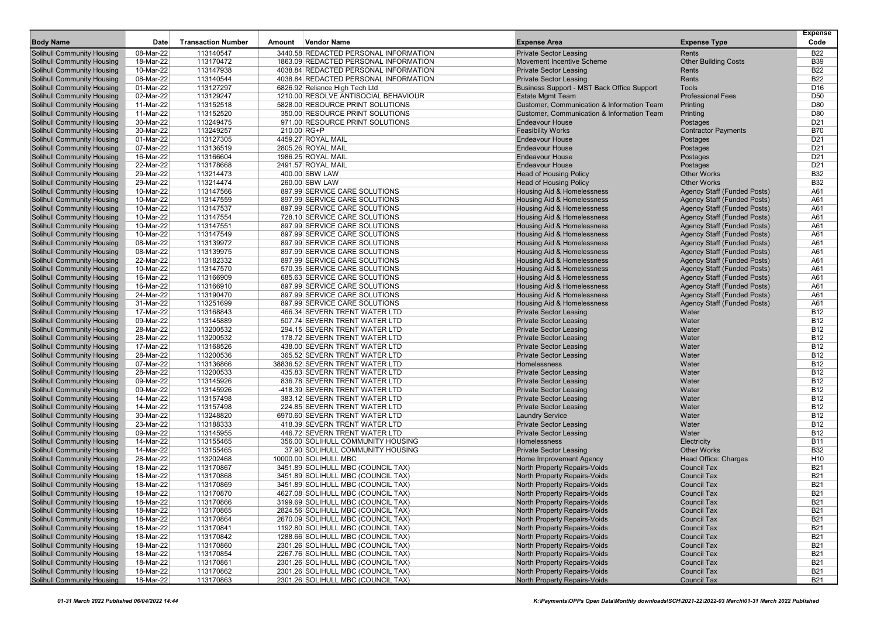|                                                                        |                        |                           |        |                                                             |                                                         |                                          | <b>Expense</b>                     |
|------------------------------------------------------------------------|------------------------|---------------------------|--------|-------------------------------------------------------------|---------------------------------------------------------|------------------------------------------|------------------------------------|
| <b>Body Name</b>                                                       | Date                   | <b>Transaction Number</b> | Amount | <b>Vendor Name</b>                                          | <b>Expense Area</b>                                     | <b>Expense Type</b>                      | Code                               |
| Solihull Community Housing                                             | 08-Mar-22              | 113140547                 |        | 3440.58 REDACTED PERSONAL INFORMATION                       | <b>Private Sector Leasing</b>                           | Rents                                    | <b>B22</b>                         |
| <b>Solihull Community Housing</b>                                      | 18-Mar-22              | 113170472                 |        | 1863.09 REDACTED PERSONAL INFORMATION                       | <b>Movement Incentive Scheme</b>                        | <b>Other Building Costs</b>              | <b>B39</b>                         |
| <b>Solihull Community Housing</b>                                      | 10-Mar-22              | 113147938                 |        | 4038.84 REDACTED PERSONAL INFORMATION                       | <b>Private Sector Leasing</b>                           | Rents                                    | <b>B22</b>                         |
| <b>Solihull Community Housing</b>                                      | 08-Mar-22              | 113140544                 |        | 4038.84 REDACTED PERSONAL INFORMATION                       | <b>Private Sector Leasing</b>                           | Rents                                    | <b>B22</b>                         |
| <b>Solihull Community Housing</b>                                      | 01-Mar-22              | 113127297                 |        | 6826.92 Reliance High Tech Ltd                              | Business Support - MST Back Office Support              | <b>Tools</b>                             | D <sub>16</sub>                    |
| <b>Solihull Community Housing</b>                                      | 02-Mar-22              | 113129247                 |        | 1210.00 RESOLVE ANTISOCIAL BEHAVIOUR                        | <b>Estate Mgmt Team</b>                                 | <b>Professional Fees</b>                 | D <sub>50</sub>                    |
| <b>Solihull Community Housing</b>                                      | 11-Mar-22              | 113152518                 |        | 5828.00 RESOURCE PRINT SOLUTIONS                            | Customer, Communication & Information Team              | Printing                                 | D80                                |
| <b>Solihull Community Housing</b>                                      | 11-Mar-22              | 113152520                 |        | 350.00 RESOURCE PRINT SOLUTIONS                             | <b>Customer, Communication &amp; Information Team</b>   | Printing                                 | D80                                |
| <b>Solihull Community Housing</b>                                      | 30-Mar-22              | 113249475                 |        | 971.00 RESOURCE PRINT SOLUTIONS                             | <b>Endeavour House</b>                                  | Postages                                 | D <sub>21</sub>                    |
| <b>Solihull Community Housing</b>                                      | 30-Mar-22              | 113249257                 |        | 210.00 RG+P                                                 | <b>Feasibility Works</b>                                | <b>Contractor Payments</b>               | <b>B70</b>                         |
| <b>Solihull Community Housing</b>                                      | 01-Mar-22              | 113127305                 |        | 4459.27 ROYAL MAIL                                          | <b>Endeavour House</b>                                  | Postages                                 | D <sub>21</sub><br>D <sub>21</sub> |
| <b>Solihull Community Housing</b><br><b>Solihull Community Housing</b> | 07-Mar-22              | 113136519<br>113166604    |        | 2805.26 ROYAL MAIL<br>1986.25 ROYAL MAIL                    | <b>Endeavour House</b><br><b>Endeavour House</b>        | Postages                                 | D <sub>21</sub>                    |
|                                                                        | 16-Mar-22<br>22-Mar-22 |                           |        |                                                             | <b>Endeavour House</b>                                  | Postages                                 |                                    |
| <b>Solihull Community Housing</b><br><b>Solihull Community Housing</b> | 29-Mar-22              | 113178668<br>113214473    |        | 2491.57 ROYAL MAIL<br>400.00 SBW LAW                        | <b>Head of Housing Policy</b>                           | Postages<br><b>Other Works</b>           | D <sub>21</sub><br><b>B32</b>      |
| <b>Solihull Community Housing</b>                                      | 29-Mar-22              | 113214474                 |        | 260.00 SBW LAW                                              | <b>Head of Housing Policy</b>                           | <b>Other Works</b>                       | <b>B32</b>                         |
| <b>Solihull Community Housing</b>                                      | 10-Mar-22              | 113147566                 |        | 897.99 SERVICE CARE SOLUTIONS                               | Housing Aid & Homelessness                              | <b>Agency Staff (Funded Posts)</b>       | A61                                |
| <b>Solihull Community Housing</b>                                      | 10-Mar-22              | 113147559                 |        | 897.99 SERVICE CARE SOLUTIONS                               | Housing Aid & Homelessness                              | <b>Agency Staff (Funded Posts)</b>       | A61                                |
| <b>Solihull Community Housing</b>                                      | 10-Mar-22              | 113147537                 |        | 897.99 SERVICE CARE SOLUTIONS                               | Housing Aid & Homelessness                              | <b>Agency Staff (Funded Posts)</b>       | A61                                |
| <b>Solihull Community Housing</b>                                      | 10-Mar-22              | 113147554                 |        | 728.10 SERVICE CARE SOLUTIONS                               | Housing Aid & Homelessness                              | <b>Agency Staff (Funded Posts)</b>       | A61                                |
| <b>Solihull Community Housing</b>                                      | 10-Mar-22              | 113147551                 |        | 897.99 SERVICE CARE SOLUTIONS                               | Housing Aid & Homelessness                              | <b>Agency Staff (Funded Posts)</b>       | A61                                |
| <b>Solihull Community Housing</b>                                      | 10-Mar-22              | 113147549                 |        | 897.99 SERVICE CARE SOLUTIONS                               | Housing Aid & Homelessness                              | <b>Agency Staff (Funded Posts)</b>       | A61                                |
| <b>Solihull Community Housing</b>                                      | 08-Mar-22              | 113139972                 |        | 897.99 SERVICE CARE SOLUTIONS                               | Housing Aid & Homelessness                              | <b>Agency Staff (Funded Posts)</b>       | A61                                |
| Solihull Community Housing                                             | 08-Mar-22              | 113139975                 |        | 897.99 SERVICE CARE SOLUTIONS                               | Housing Aid & Homelessness                              | Agency Staff (Funded Posts)              | A61                                |
| <b>Solihull Community Housing</b>                                      | 22-Mar-22              | 113182332                 |        | 897.99 SERVICE CARE SOLUTIONS                               | Housing Aid & Homelessness                              | <b>Agency Staff (Funded Posts)</b>       | A61                                |
| <b>Solihull Community Housing</b>                                      | 10-Mar-22              | 113147570                 |        | 570.35 SERVICE CARE SOLUTIONS                               | Housing Aid & Homelessness                              | <b>Agency Staff (Funded Posts)</b>       | A61                                |
| <b>Solihull Community Housing</b>                                      | 16-Mar-22              | 113166909                 |        | 685.63 SERVICE CARE SOLUTIONS                               | Housing Aid & Homelessness                              | <b>Agency Staff (Funded Posts)</b>       | A61                                |
| <b>Solihull Community Housing</b>                                      | 16-Mar-22              | 113166910                 |        | 897.99 SERVICE CARE SOLUTIONS                               | Housing Aid & Homelessness                              | <b>Agency Staff (Funded Posts)</b>       | A61                                |
| <b>Solihull Community Housing</b>                                      | 24-Mar-22              | 113190470                 |        | 897.99 SERVICE CARE SOLUTIONS                               | <b>Housing Aid &amp; Homelessness</b>                   | <b>Agency Staff (Funded Posts)</b>       | A61                                |
| <b>Solihull Community Housing</b>                                      | 31-Mar-22              | 113251699                 |        | 897.99 SERVICE CARE SOLUTIONS                               | <b>Housing Aid &amp; Homelessness</b>                   | <b>Agency Staff (Funded Posts)</b>       | A61                                |
| <b>Solihull Community Housing</b>                                      | 17-Mar-22              | 113168843                 |        | 466.34 SEVERN TRENT WATER LTD                               | <b>Private Sector Leasing</b>                           | Water                                    | <b>B12</b>                         |
| <b>Solihull Community Housing</b>                                      | 09-Mar-22              | 113145889                 |        | 507.74 SEVERN TRENT WATER LTD                               | <b>Private Sector Leasing</b>                           | Water                                    | <b>B12</b>                         |
| <b>Solihull Community Housing</b>                                      | 28-Mar-22              | 113200532                 |        | 294.15 SEVERN TRENT WATER LTD                               | <b>Private Sector Leasing</b>                           | Water                                    | <b>B12</b>                         |
| <b>Solihull Community Housing</b>                                      | 28-Mar-22              | 113200532                 |        | 178.72 SEVERN TRENT WATER LTD                               | <b>Private Sector Leasing</b>                           | Water                                    | <b>B12</b>                         |
| <b>Solihull Community Housing</b>                                      | 17-Mar-22              | 113168526                 |        | 438.00 SEVERN TRENT WATER LTD                               | <b>Private Sector Leasing</b>                           | Water                                    | <b>B12</b>                         |
| <b>Solihull Community Housing</b>                                      | 28-Mar-22              | 113200536                 |        | 365.52 SEVERN TRENT WATER LTD                               | <b>Private Sector Leasing</b>                           | Water                                    | <b>B12</b>                         |
| <b>Solihull Community Housing</b>                                      | 07-Mar-22              | 113136866                 |        | 38836.52 SEVERN TRENT WATER LTD                             | Homelessness                                            | Water                                    | <b>B12</b>                         |
| <b>Solihull Community Housing</b>                                      | 28-Mar-22              | 113200533                 |        | 435.83 SEVERN TRENT WATER LTD                               | <b>Private Sector Leasing</b>                           | Water                                    | <b>B12</b>                         |
| <b>Solihull Community Housing</b>                                      | 09-Mar-22              | 113145926                 |        | 836.78 SEVERN TRENT WATER LTD                               | <b>Private Sector Leasing</b>                           | Water                                    | <b>B12</b>                         |
| <b>Solihull Community Housing</b>                                      | 09-Mar-22              | 113145926                 |        | -418.39 SEVERN TRENT WATER LTD                              | <b>Private Sector Leasing</b>                           | Water                                    | <b>B12</b>                         |
| <b>Solihull Community Housing</b>                                      | 14-Mar-22              | 113157498                 |        | 383.12 SEVERN TRENT WATER LTD                               | <b>Private Sector Leasing</b>                           | Water                                    | <b>B12</b>                         |
| <b>Solihull Community Housing</b>                                      | 14-Mar-22              | 113157498                 |        | 224.85 SEVERN TRENT WATER LTD                               | <b>Private Sector Leasing</b>                           | Water                                    | <b>B12</b>                         |
| <b>Solihull Community Housing</b>                                      | 30-Mar-22              | 113248820                 |        | 6970.60 SEVERN TRENT WATER LTD                              | <b>Laundry Service</b>                                  | Water                                    | <b>B12</b>                         |
| <b>Solihull Community Housing</b>                                      | 23-Mar-22              | 113188333                 |        | 418.39 SEVERN TRENT WATER LTD                               | <b>Private Sector Leasing</b>                           | Water                                    | <b>B12</b>                         |
| <b>Solihull Community Housing</b>                                      | 09-Mar-22              | 113145955                 |        | 446.72 SEVERN TRENT WATER LTD                               | <b>Private Sector Leasing</b>                           | Water                                    | <b>B12</b>                         |
| <b>Solihull Community Housing</b>                                      | 14-Mar-22              | 113155465                 |        | 356.00 SOLIHULL COMMUNITY HOUSING                           | Homelessness                                            | Electricity<br><b>Other Works</b>        | <b>B11</b>                         |
| <b>Solihull Community Housing</b>                                      | 14-Mar-22              | 113155465                 |        | 37.90 SOLIHULL COMMUNITY HOUSING                            | <b>Private Sector Leasing</b>                           |                                          | <b>B32</b>                         |
| <b>Solihull Community Housing</b>                                      | 28-Mar-22              | 113202468                 |        | 10000.00 SOLIHULL MBC<br>3451.89 SOLIHULL MBC (COUNCIL TAX) | Home Improvement Agency<br>North Property Repairs-Voids | Head Office: Charges                     | H <sub>10</sub><br><b>B21</b>      |
| <b>Solihull Community Housing</b><br><b>Solihull Community Housing</b> | 18-Mar-22<br>18-Mar-22 | 113170867<br>113170868    |        | 3451.89 SOLIHULL MBC (COUNCIL TAX)                          | North Property Repairs-Voids                            | <b>Council Tax</b><br><b>Council Tax</b> | <b>B21</b>                         |
| <b>Solihull Community Housing</b>                                      | 18-Mar-22              | 113170869                 |        | 3451.89 SOLIHULL MBC (COUNCIL TAX)                          | North Property Repairs-Voids                            | <b>Council Tax</b>                       | <b>B21</b>                         |
| <b>Solihull Community Housing</b>                                      | 18-Mar-22              | 113170870                 |        | 4627.08 SOLIHULL MBC (COUNCIL TAX)                          | North Property Repairs-Voids                            | <b>Council Tax</b>                       | <b>B21</b>                         |
| <b>Solihull Community Housing</b>                                      | 18-Mar-22              | 113170866                 |        | 3199.69 SOLIHULL MBC (COUNCIL TAX)                          | North Property Repairs-Voids                            | <b>Council Tax</b>                       | <b>B21</b>                         |
| <b>Solihull Community Housing</b>                                      | 18-Mar-22              | 113170865                 |        | 2824.56 SOLIHULL MBC (COUNCIL TAX)                          | North Property Repairs-Voids                            | <b>Council Tax</b>                       | <b>B21</b>                         |
| <b>Solihull Community Housing</b>                                      | 18-Mar-22              | 113170864                 |        | 2670.09 SOLIHULL MBC (COUNCIL TAX)                          | North Property Repairs-Voids                            | <b>Council Tax</b>                       | <b>B21</b>                         |
| <b>Solihull Community Housing</b>                                      | 18-Mar-22              | 113170841                 |        | 1192.80 SOLIHULL MBC (COUNCIL TAX)                          | North Property Repairs-Voids                            | <b>Council Tax</b>                       | <b>B21</b>                         |
| <b>Solihull Community Housing</b>                                      | 18-Mar-22              | 113170842                 |        | 1288.66 SOLIHULL MBC (COUNCIL TAX)                          | North Property Repairs-Voids                            | <b>Council Tax</b>                       | <b>B21</b>                         |
| <b>Solihull Community Housing</b>                                      | 18-Mar-22              | 113170860                 |        | 2301.26 SOLIHULL MBC (COUNCIL TAX)                          | North Property Repairs-Voids                            | <b>Council Tax</b>                       | <b>B21</b>                         |
| <b>Solihull Community Housing</b>                                      | 18-Mar-22              | 113170854                 |        | 2267.76 SOLIHULL MBC (COUNCIL TAX)                          | North Property Repairs-Voids                            | <b>Council Tax</b>                       | <b>B21</b>                         |
| <b>Solihull Community Housing</b>                                      | 18-Mar-22              | 113170861                 |        | 2301.26 SOLIHULL MBC (COUNCIL TAX)                          | North Property Repairs-Voids                            | <b>Council Tax</b>                       | <b>B21</b>                         |
| <b>Solihull Community Housing</b>                                      | 18-Mar-22              | 113170862                 |        | 2301.26 SOLIHULL MBC (COUNCIL TAX)                          | North Property Repairs-Voids                            | <b>Council Tax</b>                       | <b>B21</b>                         |
| <b>Solihull Community Housing</b>                                      | 18-Mar-22              | 113170863                 |        | 2301.26 SOLIHULL MBC (COUNCIL TAX)                          | North Property Repairs-Voids                            | <b>Council Tax</b>                       | <b>B21</b>                         |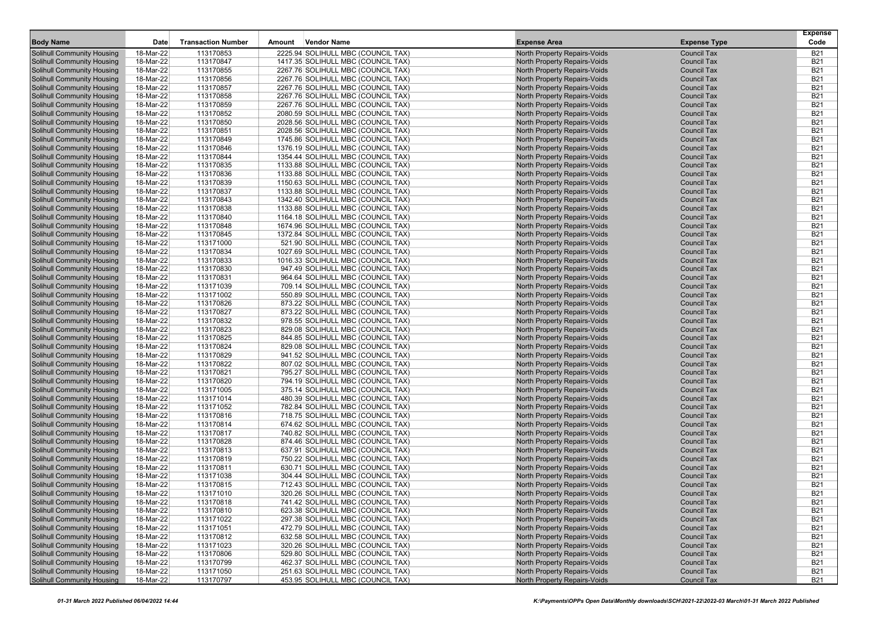| <b>Body Name</b>                                                       | Date                   | <b>Transaction Number</b> | Amount | <b>Vendor Name</b>                                                       | <b>Expense Area</b>                                                 | <b>Expense Type</b>                      | <b>Expense</b><br>Code   |
|------------------------------------------------------------------------|------------------------|---------------------------|--------|--------------------------------------------------------------------------|---------------------------------------------------------------------|------------------------------------------|--------------------------|
|                                                                        |                        |                           |        |                                                                          |                                                                     |                                          |                          |
| <b>Solihull Community Housing</b>                                      | 18-Mar-22              | 113170853                 |        | 2225.94 SOLIHULL MBC (COUNCIL TAX)                                       | North Property Repairs-Voids                                        | <b>Council Tax</b>                       | <b>B21</b>               |
| <b>Solihull Community Housing</b><br><b>Solihull Community Housing</b> | 18-Mar-22<br>18-Mar-22 | 113170847<br>113170855    |        | 1417.35 SOLIHULL MBC (COUNCIL TAX)<br>2267.76 SOLIHULL MBC (COUNCIL TAX) | North Property Repairs-Voids<br>North Property Repairs-Voids        | <b>Council Tax</b><br><b>Council Tax</b> | <b>B21</b><br><b>B21</b> |
| <b>Solihull Community Housing</b>                                      | 18-Mar-22              | 113170856                 |        | 2267.76 SOLIHULL MBC (COUNCIL TAX)                                       | North Property Repairs-Voids                                        | <b>Council Tax</b>                       | <b>B21</b>               |
| <b>Solihull Community Housing</b>                                      | 18-Mar-22              | 113170857                 |        | 2267.76 SOLIHULL MBC (COUNCIL TAX)                                       | North Property Repairs-Voids                                        | <b>Council Tax</b>                       | <b>B21</b>               |
| <b>Solihull Community Housing</b>                                      | 18-Mar-22              | 113170858                 |        | 2267.76 SOLIHULL MBC (COUNCIL TAX)                                       | North Property Repairs-Voids                                        | <b>Council Tax</b>                       | <b>B21</b>               |
| <b>Solihull Community Housing</b>                                      | 18-Mar-22              | 113170859                 |        | 2267.76 SOLIHULL MBC (COUNCIL TAX)                                       | North Property Repairs-Voids                                        | <b>Council Tax</b>                       | <b>B21</b>               |
| <b>Solihull Community Housing</b>                                      | 18-Mar-22              | 113170852                 |        | 2080.59 SOLIHULL MBC (COUNCIL TAX)                                       | North Property Repairs-Voids                                        | <b>Council Tax</b>                       | <b>B21</b>               |
| <b>Solihull Community Housing</b>                                      | 18-Mar-22              | 113170850                 |        | 2028.56 SOLIHULL MBC (COUNCIL TAX)                                       | North Property Repairs-Voids                                        | <b>Council Tax</b>                       | <b>B21</b>               |
| <b>Solihull Community Housing</b>                                      | 18-Mar-22              | 113170851                 |        | 2028.56 SOLIHULL MBC (COUNCIL TAX)                                       | North Property Repairs-Voids                                        | <b>Council Tax</b>                       | <b>B21</b>               |
| <b>Solihull Community Housing</b>                                      | 18-Mar-22              | 113170849                 |        | 1745.86 SOLIHULL MBC (COUNCIL TAX)                                       | North Property Repairs-Voids                                        | <b>Council Tax</b>                       | <b>B21</b>               |
| <b>Solihull Community Housing</b>                                      | 18-Mar-22              | 113170846                 |        | 1376.19 SOLIHULL MBC (COUNCIL TAX)                                       | North Property Repairs-Voids                                        | <b>Council Tax</b>                       | <b>B21</b>               |
| <b>Solihull Community Housing</b>                                      | 18-Mar-22              | 113170844                 |        | 1354.44 SOLIHULL MBC (COUNCIL TAX)                                       | <b>North Property Repairs-Voids</b>                                 | <b>Council Tax</b>                       | <b>B21</b>               |
| <b>Solihull Community Housing</b>                                      | 18-Mar-22              | 113170835                 |        | 1133.88 SOLIHULL MBC (COUNCIL TAX)                                       | North Property Repairs-Voids                                        | <b>Council Tax</b>                       | <b>B21</b>               |
| <b>Solihull Community Housing</b>                                      | 18-Mar-22              | 113170836                 |        | 1133.88 SOLIHULL MBC (COUNCIL TAX)                                       | North Property Repairs-Voids                                        | <b>Council Tax</b>                       | <b>B21</b>               |
| <b>Solihull Community Housing</b>                                      | 18-Mar-22              | 113170839                 |        | 1150.63 SOLIHULL MBC (COUNCIL TAX)                                       | North Property Repairs-Voids                                        | <b>Council Tax</b>                       | <b>B21</b>               |
| <b>Solihull Community Housing</b>                                      | 18-Mar-22              | 113170837                 |        | 1133.88 SOLIHULL MBC (COUNCIL TAX)                                       | North Property Repairs-Voids                                        | <b>Council Tax</b>                       | <b>B21</b>               |
| <b>Solihull Community Housing</b>                                      | 18-Mar-22              | 113170843                 |        | 1342.40 SOLIHULL MBC (COUNCIL TAX)                                       | North Property Repairs-Voids                                        | <b>Council Tax</b>                       | <b>B21</b>               |
| <b>Solihull Community Housing</b>                                      | 18-Mar-22              | 113170838                 |        | 1133.88 SOLIHULL MBC (COUNCIL TAX)                                       | North Property Repairs-Voids                                        | <b>Council Tax</b>                       | <b>B21</b>               |
| <b>Solihull Community Housing</b>                                      | 18-Mar-22              | 113170840                 |        | 1164.18 SOLIHULL MBC (COUNCIL TAX)                                       | North Property Repairs-Voids                                        | <b>Council Tax</b>                       | <b>B21</b>               |
| <b>Solihull Community Housing</b>                                      | 18-Mar-22              | 113170848                 |        | 1674.96 SOLIHULL MBC (COUNCIL TAX)                                       | North Property Repairs-Voids                                        | <b>Council Tax</b>                       | <b>B21</b>               |
| <b>Solihull Community Housing</b>                                      | 18-Mar-22              | 113170845                 |        | 1372.84 SOLIHULL MBC (COUNCIL TAX)                                       | <b>North Property Repairs-Voids</b>                                 | <b>Council Tax</b>                       | <b>B21</b>               |
| <b>Solihull Community Housing</b>                                      | 18-Mar-22              | 113171000                 |        | 521.90 SOLIHULL MBC (COUNCIL TAX)                                        | North Property Repairs-Voids                                        | <b>Council Tax</b>                       | <b>B21</b>               |
| Solihull Community Housing                                             | 18-Mar-22              | 113170834                 |        | 1027.69 SOLIHULL MBC (COUNCIL TAX)                                       | North Property Repairs-Voids                                        | <b>Council Tax</b>                       | <b>B21</b>               |
| <b>Solihull Community Housing</b>                                      | 18-Mar-22              | 113170833                 |        | 1016.33 SOLIHULL MBC (COUNCIL TAX)                                       | North Property Repairs-Voids                                        | <b>Council Tax</b>                       | <b>B21</b>               |
| <b>Solihull Community Housing</b>                                      | 18-Mar-22              | 113170830                 |        | 947.49 SOLIHULL MBC (COUNCIL TAX)                                        | <b>North Property Repairs-Voids</b>                                 | <b>Council Tax</b>                       | <b>B21</b>               |
| <b>Solihull Community Housing</b>                                      | 18-Mar-22              | 113170831                 |        | 964.64 SOLIHULL MBC (COUNCIL TAX)                                        | North Property Repairs-Voids                                        | <b>Council Tax</b>                       | <b>B21</b>               |
| <b>Solihull Community Housing</b>                                      | 18-Mar-22              | 113171039                 |        | 709.14 SOLIHULL MBC (COUNCIL TAX)                                        | <b>North Property Repairs-Voids</b>                                 | <b>Council Tax</b>                       | <b>B21</b>               |
| Solihull Community Housing<br><b>Solihull Community Housing</b>        | 18-Mar-22              | 113171002                 |        | 550.89 SOLIHULL MBC (COUNCIL TAX)                                        | North Property Repairs-Voids                                        | <b>Council Tax</b>                       | <b>B21</b>               |
| <b>Solihull Community Housing</b>                                      | 18-Mar-22<br>18-Mar-22 | 113170826<br>113170827    |        | 873.22 SOLIHULL MBC (COUNCIL TAX)<br>873.22 SOLIHULL MBC (COUNCIL TAX)   | North Property Repairs-Voids<br>North Property Repairs-Voids        | <b>Council Tax</b><br><b>Council Tax</b> | <b>B21</b><br><b>B21</b> |
| <b>Solihull Community Housing</b>                                      | 18-Mar-22              | 113170832                 |        | 978.55 SOLIHULL MBC (COUNCIL TAX)                                        | <b>North Property Repairs-Voids</b>                                 | <b>Council Tax</b>                       | <b>B21</b>               |
| <b>Solihull Community Housing</b>                                      | 18-Mar-22              | 113170823                 |        | 829.08 SOLIHULL MBC (COUNCIL TAX)                                        | North Property Repairs-Voids                                        | <b>Council Tax</b>                       | <b>B21</b>               |
| <b>Solihull Community Housing</b>                                      | 18-Mar-22              | 113170825                 |        | 844.85 SOLIHULL MBC (COUNCIL TAX)                                        | North Property Repairs-Voids                                        | <b>Council Tax</b>                       | <b>B21</b>               |
| <b>Solihull Community Housing</b>                                      | 18-Mar-22              | 113170824                 |        | 829.08 SOLIHULL MBC (COUNCIL TAX)                                        | North Property Repairs-Voids                                        | <b>Council Tax</b>                       | <b>B21</b>               |
| <b>Solihull Community Housing</b>                                      | 18-Mar-22              | 113170829                 |        | 941.52 SOLIHULL MBC (COUNCIL TAX)                                        | North Property Repairs-Voids                                        | <b>Council Tax</b>                       | <b>B21</b>               |
| <b>Solihull Community Housing</b>                                      | 18-Mar-22              | 113170822                 |        | 807.02 SOLIHULL MBC (COUNCIL TAX)                                        | North Property Repairs-Voids                                        | <b>Council Tax</b>                       | <b>B21</b>               |
| <b>Solihull Community Housing</b>                                      | 18-Mar-22              | 113170821                 |        | 795.27 SOLIHULL MBC (COUNCIL TAX)                                        | North Property Repairs-Voids                                        | <b>Council Tax</b>                       | <b>B21</b>               |
| <b>Solihull Community Housing</b>                                      | 18-Mar-22              | 113170820                 |        | 794.19 SOLIHULL MBC (COUNCIL TAX)                                        | North Property Repairs-Voids                                        | <b>Council Tax</b>                       | <b>B21</b>               |
| <b>Solihull Community Housing</b>                                      | 18-Mar-22              | 113171005                 |        | 375.14 SOLIHULL MBC (COUNCIL TAX)                                        | North Property Repairs-Voids                                        | <b>Council Tax</b>                       | <b>B21</b>               |
| <b>Solihull Community Housing</b>                                      | 18-Mar-22              | 113171014                 |        | 480.39 SOLIHULL MBC (COUNCIL TAX)                                        | North Property Repairs-Voids                                        | <b>Council Tax</b>                       | <b>B21</b>               |
| <b>Solihull Community Housing</b>                                      | 18-Mar-22              | 113171052                 |        | 782.84 SOLIHULL MBC (COUNCIL TAX)                                        | North Property Repairs-Voids                                        | <b>Council Tax</b>                       | <b>B21</b>               |
| <b>Solihull Community Housing</b>                                      | 18-Mar-22              | 113170816                 |        | 718.75 SOLIHULL MBC (COUNCIL TAX)                                        | North Property Repairs-Voids                                        | <b>Council Tax</b>                       | <b>B21</b>               |
| <b>Solihull Community Housing</b>                                      | 18-Mar-22              | 113170814                 |        | 674.62 SOLIHULL MBC (COUNCIL TAX)                                        | North Property Repairs-Voids                                        | <b>Council Tax</b>                       | <b>B21</b>               |
| Solihull Community Housing                                             | 18-Mar-22              | 113170817                 |        | 740.82 SOLIHULL MBC (COUNCIL TAX)                                        | North Property Repairs-Voids                                        | <b>Council Tax</b>                       | <b>B21</b>               |
| <b>Solihull Community Housing</b>                                      | 18-Mar-22              | 113170828                 |        | 874.46 SOLIHULL MBC (COUNCIL TAX)                                        | North Property Repairs-Voids                                        | <b>Council Tax</b>                       | <b>B21</b>               |
| Solihull Community Housing                                             | 18-Mar-22              | 113170813                 |        | 637.91 SOLIHULL MBC (COUNCIL TAX)                                        | North Property Repairs-Voids                                        | <b>Council Tax</b>                       | <b>B21</b>               |
| <b>Solihull Community Housing</b>                                      | 18-Mar-22              | 113170819                 |        | 750.22 SOLIHULL MBC (COUNCIL TAX)                                        | North Property Repairs-Voids                                        | <b>Council Tax</b>                       | <b>B21</b>               |
| <b>Solihull Community Housing</b>                                      | 18-Mar-22              | 113170811                 |        | 630.71 SOLIHULL MBC (COUNCIL TAX)                                        | <b>North Property Repairs-Voids</b>                                 | <b>Council Tax</b>                       | <b>B21</b>               |
| <b>Solihull Community Housing</b>                                      | 18-Mar-22              | 113171038                 |        | 304.44 SOLIHULL MBC (COUNCIL TAX)                                        | <b>North Property Repairs-Voids</b>                                 | <b>Council Tax</b>                       | <b>B21</b>               |
| <b>Solihull Community Housing</b>                                      | 18-Mar-22              | 113170815                 |        | 712.43 SOLIHULL MBC (COUNCIL TAX)                                        | <b>North Property Repairs-Voids</b>                                 | <b>Council Tax</b>                       | <b>B21</b>               |
| <b>Solihull Community Housing</b>                                      | 18-Mar-22              | 113171010                 |        | 320.26 SOLIHULL MBC (COUNCIL TAX)                                        | North Property Repairs-Voids                                        | <b>Council Tax</b>                       | <b>B21</b>               |
| <b>Solihull Community Housing</b>                                      | 18-Mar-22              | 113170818                 |        | 741.42 SOLIHULL MBC (COUNCIL TAX)                                        | <b>North Property Repairs-Voids</b>                                 | <b>Council Tax</b>                       | <b>B21</b>               |
| <b>Solihull Community Housing</b>                                      | 18-Mar-22              | 113170810                 |        | 623.38 SOLIHULL MBC (COUNCIL TAX)                                        | <b>North Property Repairs-Voids</b>                                 | <b>Council Tax</b>                       | <b>B21</b>               |
| <b>Solihull Community Housing</b>                                      | 18-Mar-22              | 113171022                 |        | 297.38 SOLIHULL MBC (COUNCIL TAX)                                        | North Property Repairs-Voids<br><b>North Property Repairs-Voids</b> | <b>Council Tax</b>                       | <b>B21</b>               |
| <b>Solihull Community Housing</b><br>Solihull Community Housing        | 18-Mar-22<br>18-Mar-22 | 113171051<br>113170812    |        | 472.79 SOLIHULL MBC (COUNCIL TAX)<br>632.58 SOLIHULL MBC (COUNCIL TAX)   | North Property Repairs-Voids                                        | <b>Council Tax</b><br><b>Council Tax</b> | <b>B21</b><br><b>B21</b> |
| Solihull Community Housing                                             | 18-Mar-22              | 113171023                 |        | 320.26 SOLIHULL MBC (COUNCIL TAX)                                        | <b>North Property Repairs-Voids</b>                                 | <b>Council Tax</b>                       | <b>B21</b>               |
| Solihull Community Housing                                             | 18-Mar-22              | 113170806                 |        | 529.80 SOLIHULL MBC (COUNCIL TAX)                                        | <b>North Property Repairs-Voids</b>                                 | <b>Council Tax</b>                       | <b>B21</b>               |
| <b>Solihull Community Housing</b>                                      | 18-Mar-22              | 113170799                 |        | 462.37 SOLIHULL MBC (COUNCIL TAX)                                        | North Property Repairs-Voids                                        | <b>Council Tax</b>                       | <b>B21</b>               |
| <b>Solihull Community Housing</b>                                      | 18-Mar-22              | 113171050                 |        | 251.63 SOLIHULL MBC (COUNCIL TAX)                                        | North Property Repairs-Voids                                        | <b>Council Tax</b>                       | <b>B21</b>               |
| Solihull Community Housing                                             | 18-Mar-22              | 113170797                 |        | 453.95 SOLIHULL MBC (COUNCIL TAX)                                        | North Property Repairs-Voids                                        | <b>Council Tax</b>                       | <b>B21</b>               |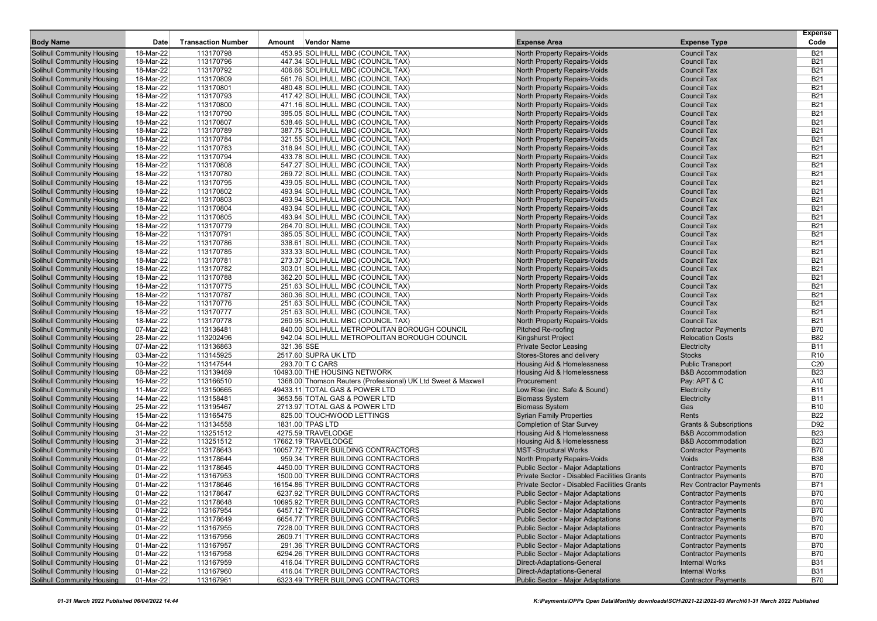| <b>Body Name</b>                                                       | Date                   | <b>Transaction Number</b> | Amount     | <b>Vendor Name</b>                                                     | <b>Expense Area</b>                                          | <b>Expense Type</b>                      | <b>Expense</b><br>Code   |
|------------------------------------------------------------------------|------------------------|---------------------------|------------|------------------------------------------------------------------------|--------------------------------------------------------------|------------------------------------------|--------------------------|
| Solihull Community Housing                                             | 18-Mar-22              | 113170798                 |            | 453.95 SOLIHULL MBC (COUNCIL TAX)                                      | North Property Repairs-Voids                                 | <b>Council Tax</b>                       | <b>B21</b>               |
| <b>Solihull Community Housing</b>                                      | 18-Mar-22              | 113170796                 |            | 447.34 SOLIHULL MBC (COUNCIL TAX)                                      | North Property Repairs-Voids                                 | <b>Council Tax</b>                       | <b>B21</b>               |
| <b>Solihull Community Housing</b>                                      | 18-Mar-22              | 113170792                 |            | 406.66 SOLIHULL MBC (COUNCIL TAX)                                      | North Property Repairs-Voids                                 | <b>Council Tax</b>                       | <b>B21</b>               |
| <b>Solihull Community Housing</b>                                      | 18-Mar-22              | 113170809                 |            | 561.76 SOLIHULL MBC (COUNCIL TAX)                                      | North Property Repairs-Voids                                 | <b>Council Tax</b>                       | <b>B21</b>               |
| <b>Solihull Community Housing</b>                                      | 18-Mar-22              | 113170801                 |            | 480.48 SOLIHULL MBC (COUNCIL TAX)                                      | <b>North Property Repairs-Voids</b>                          | <b>Council Tax</b>                       | <b>B21</b>               |
| <b>Solihull Community Housing</b>                                      | 18-Mar-22              | 113170793                 |            | 417.42 SOLIHULL MBC (COUNCIL TAX)                                      | North Property Repairs-Voids                                 | <b>Council Tax</b>                       | <b>B21</b>               |
| <b>Solihull Community Housing</b>                                      | 18-Mar-22              | 113170800                 |            | 471.16 SOLIHULL MBC (COUNCIL TAX)                                      | North Property Repairs-Voids                                 | <b>Council Tax</b>                       | <b>B21</b>               |
| <b>Solihull Community Housing</b>                                      | 18-Mar-22              | 113170790                 |            | 395.05 SOLIHULL MBC (COUNCIL TAX)                                      | North Property Repairs-Voids                                 | <b>Council Tax</b>                       | <b>B21</b>               |
| <b>Solihull Community Housing</b>                                      | 18-Mar-22              | 113170807                 |            | 538.46 SOLIHULL MBC (COUNCIL TAX)                                      | North Property Repairs-Voids                                 | <b>Council Tax</b>                       | <b>B21</b>               |
| <b>Solihull Community Housing</b>                                      | 18-Mar-22              | 113170789                 |            | 387.75 SOLIHULL MBC (COUNCIL TAX)                                      | North Property Repairs-Voids                                 | <b>Council Tax</b>                       | <b>B21</b>               |
| <b>Solihull Community Housing</b>                                      | 18-Mar-22              | 113170784                 |            | 321.55 SOLIHULL MBC (COUNCIL TAX)                                      | <b>North Property Repairs-Voids</b>                          | <b>Council Tax</b>                       | <b>B21</b>               |
| <b>Solihull Community Housing</b>                                      | 18-Mar-22              | 113170783                 |            | 318.94 SOLIHULL MBC (COUNCIL TAX)                                      | North Property Repairs-Voids                                 | <b>Council Tax</b>                       | <b>B21</b>               |
| <b>Solihull Community Housing</b>                                      | 18-Mar-22              | 113170794                 |            | 433.78 SOLIHULL MBC (COUNCIL TAX)                                      | North Property Repairs-Voids                                 | <b>Council Tax</b><br><b>Council Tax</b> | <b>B21</b>               |
| <b>Solihull Community Housing</b>                                      | 18-Mar-22              | 113170808                 |            | 547.27 SOLIHULL MBC (COUNCIL TAX)                                      | North Property Repairs-Voids                                 | <b>Council Tax</b>                       | <b>B21</b><br><b>B21</b> |
| <b>Solihull Community Housing</b><br><b>Solihull Community Housing</b> | 18-Mar-22<br>18-Mar-22 | 113170780<br>113170795    |            | 269.72 SOLIHULL MBC (COUNCIL TAX)<br>439.05 SOLIHULL MBC (COUNCIL TAX) | North Property Repairs-Voids<br>North Property Repairs-Voids | <b>Council Tax</b>                       | <b>B21</b>               |
| <b>Solihull Community Housing</b>                                      | 18-Mar-22              | 113170802                 |            | 493.94 SOLIHULL MBC (COUNCIL TAX)                                      | North Property Repairs-Voids                                 | <b>Council Tax</b>                       | <b>B21</b>               |
| <b>Solihull Community Housing</b>                                      | 18-Mar-22              | 113170803                 |            | 493.94 SOLIHULL MBC (COUNCIL TAX)                                      | North Property Repairs-Voids                                 | <b>Council Tax</b>                       | <b>B21</b>               |
| <b>Solihull Community Housing</b>                                      | 18-Mar-22              | 113170804                 |            | 493.94 SOLIHULL MBC (COUNCIL TAX)                                      | North Property Repairs-Voids                                 | <b>Council Tax</b>                       | <b>B21</b>               |
| <b>Solihull Community Housing</b>                                      | 18-Mar-22              | 113170805                 |            | 493.94 SOLIHULL MBC (COUNCIL TAX)                                      | North Property Repairs-Voids                                 | <b>Council Tax</b>                       | <b>B21</b>               |
| <b>Solihull Community Housing</b>                                      | 18-Mar-22              | 113170779                 |            | 264.70 SOLIHULL MBC (COUNCIL TAX)                                      | North Property Repairs-Voids                                 | <b>Council Tax</b>                       | <b>B21</b>               |
| <b>Solihull Community Housing</b>                                      | 18-Mar-22              | 113170791                 |            | 395.05 SOLIHULL MBC (COUNCIL TAX)                                      | North Property Repairs-Voids                                 | <b>Council Tax</b>                       | <b>B21</b>               |
| <b>Solihull Community Housing</b>                                      | 18-Mar-22              | 113170786                 |            | 338.61 SOLIHULL MBC (COUNCIL TAX)                                      | North Property Repairs-Voids                                 | <b>Council Tax</b>                       | <b>B21</b>               |
| <b>Solihull Community Housing</b>                                      | 18-Mar-22              | 113170785                 |            | 333.33 SOLIHULL MBC (COUNCIL TAX)                                      | North Property Repairs-Voids                                 | <b>Council Tax</b>                       | <b>B21</b>               |
| <b>Solihull Community Housing</b>                                      | 18-Mar-22              | 113170781                 |            | 273.37 SOLIHULL MBC (COUNCIL TAX)                                      | North Property Repairs-Voids                                 | <b>Council Tax</b>                       | <b>B21</b>               |
| <b>Solihull Community Housing</b>                                      | 18-Mar-22              | 113170782                 |            | 303.01 SOLIHULL MBC (COUNCIL TAX)                                      | North Property Repairs-Voids                                 | <b>Council Tax</b>                       | <b>B21</b>               |
| <b>Solihull Community Housing</b>                                      | 18-Mar-22              | 113170788                 |            | 362.20 SOLIHULL MBC (COUNCIL TAX)                                      | North Property Repairs-Voids                                 | <b>Council Tax</b>                       | <b>B21</b>               |
| <b>Solihull Community Housing</b>                                      | 18-Mar-22              | 113170775                 |            | 251.63 SOLIHULL MBC (COUNCIL TAX)                                      | North Property Repairs-Voids                                 | <b>Council Tax</b>                       | <b>B21</b>               |
| <b>Solihull Community Housing</b>                                      | 18-Mar-22              | 113170787                 |            | 360.36 SOLIHULL MBC (COUNCIL TAX)                                      | North Property Repairs-Voids                                 | <b>Council Tax</b>                       | <b>B21</b>               |
| <b>Solihull Community Housing</b>                                      | 18-Mar-22              | 113170776                 |            | 251.63 SOLIHULL MBC (COUNCIL TAX)                                      | <b>North Property Repairs-Voids</b>                          | <b>Council Tax</b>                       | <b>B21</b>               |
| <b>Solihull Community Housing</b>                                      | 18-Mar-22              | 113170777                 |            | 251.63 SOLIHULL MBC (COUNCIL TAX)                                      | North Property Repairs-Voids                                 | <b>Council Tax</b>                       | <b>B21</b>               |
| <b>Solihull Community Housing</b>                                      | 18-Mar-22              | 113170778                 |            | 260.95 SOLIHULL MBC (COUNCIL TAX)                                      | North Property Repairs-Voids                                 | <b>Council Tax</b>                       | <b>B21</b>               |
| <b>Solihull Community Housing</b>                                      | 07-Mar-22              | 113136481                 |            | 840.00 SOLIHULL METROPOLITAN BOROUGH COUNCIL                           | <b>Pitched Re-roofing</b>                                    | <b>Contractor Payments</b>               | <b>B70</b>               |
| <b>Solihull Community Housing</b>                                      | 28-Mar-22              | 113202496                 |            | 942.04 SOLIHULL METROPOLITAN BOROUGH COUNCIL                           | Kingshurst Project                                           | <b>Relocation Costs</b>                  | <b>B82</b>               |
| <b>Solihull Community Housing</b>                                      | 07-Mar-22              | 113136863                 | 321.36 SSE |                                                                        | <b>Private Sector Leasing</b>                                | Electricity                              | <b>B11</b>               |
| <b>Solihull Community Housing</b>                                      | 03-Mar-22              | 113145925                 |            | 2517.60 SUPRA UK LTD                                                   | Stores-Stores and delivery                                   | <b>Stocks</b>                            | R <sub>10</sub>          |
| <b>Solihull Community Housing</b>                                      | 10-Mar-22              | 113147544                 |            | 293.70 T C CARS                                                        | Housing Aid & Homelessness                                   | <b>Public Transport</b>                  | C <sub>20</sub>          |
| <b>Solihull Community Housing</b>                                      | 08-Mar-22              | 113139469                 |            | 10493.00 THE HOUSING NETWORK                                           | Housing Aid & Homelessness                                   | <b>B&amp;B Accommodation</b>             | <b>B23</b>               |
| <b>Solihull Community Housing</b><br><b>Solihull Community Housing</b> | 16-Mar-22<br>11-Mar-22 | 113166510<br>113150665    |            | 1368.00 Thomson Reuters (Professional) UK Ltd Sweet & Maxwell          | Procurement<br>Low Rise (inc. Safe & Sound)                  | Pay: APT & C                             | A10<br><b>B11</b>        |
| <b>Solihull Community Housing</b>                                      | 14-Mar-22              | 113158481                 |            | 49433.11 TOTAL GAS & POWER LTD<br>3653.56 TOTAL GAS & POWER LTD        | <b>Biomass System</b>                                        | Electricity<br>Electricity               | <b>B11</b>               |
| <b>Solihull Community Housing</b>                                      | 25-Mar-22              | 113195467                 |            | 2713.97 TOTAL GAS & POWER LTD                                          | <b>Biomass System</b>                                        | Gas                                      | <b>B10</b>               |
| <b>Solihull Community Housing</b>                                      | 15-Mar-22              | 113165475                 |            | 825.00 TOUCHWOOD LETTINGS                                              | <b>Syrian Family Properties</b>                              | Rents                                    | <b>B22</b>               |
| <b>Solihull Community Housing</b>                                      | 04-Mar-22              | 113134558                 |            | 1831.00 TPAS LTD                                                       | <b>Completion of Star Survey</b>                             | <b>Grants &amp; Subscriptions</b>        | D92                      |
| <b>Solihull Community Housing</b>                                      | 31-Mar-22              | 113251512                 |            | 4275.59 TRAVELODGE                                                     | Housing Aid & Homelessness                                   | <b>B&amp;B Accommodation</b>             | <b>B23</b>               |
| <b>Solihull Community Housing</b>                                      | 31-Mar-22              | 113251512                 |            | 17662.19 TRAVELODGE                                                    | <b>Housing Aid &amp; Homelessness</b>                        | <b>B&amp;B Accommodation</b>             | <b>B23</b>               |
| <b>Solihull Community Housing</b>                                      | 01-Mar-22              | 113178643                 |            | 10057.72 TYRER BUILDING CONTRACTORS                                    | <b>MST-Structural Works</b>                                  | <b>Contractor Payments</b>               | <b>B70</b>               |
| <b>Solihull Community Housing</b>                                      | 01-Mar-22              | 113178644                 |            | 959.34 TYRER BUILDING CONTRACTORS                                      | North Property Repairs-Voids                                 | Voids                                    | <b>B38</b>               |
| <b>Solihull Community Housing</b>                                      | 01-Mar-22              | 113178645                 |            | 4450.00 TYRER BUILDING CONTRACTORS                                     | <b>Public Sector - Major Adaptations</b>                     | <b>Contractor Payments</b>               | <b>B70</b>               |
| <b>Solihull Community Housing</b>                                      | 01-Mar-22              | 113167953                 |            | 1500.00 TYRER BUILDING CONTRACTORS                                     | Private Sector - Disabled Facilities Grants                  | <b>Contractor Payments</b>               | <b>B70</b>               |
| Solihull Community Housing                                             | 01-Mar-22              | 113178646                 |            | 16154.86 TYRER BUILDING CONTRACTORS                                    | Private Sector - Disabled Facilities Grants                  | <b>Rev Contractor Payments</b>           | <b>B71</b>               |
| <b>Solihull Community Housing</b>                                      | 01-Mar-22              | 113178647                 |            | 6237.92 TYRER BUILDING CONTRACTORS                                     | Public Sector - Major Adaptations                            | <b>Contractor Payments</b>               | <b>B70</b>               |
| <b>Solihull Community Housing</b>                                      | 01-Mar-22              | 113178648                 |            | 10695.92 TYRER BUILDING CONTRACTORS                                    | <b>Public Sector - Major Adaptations</b>                     | <b>Contractor Payments</b>               | <b>B70</b>               |
| <b>Solihull Community Housing</b>                                      | 01-Mar-22              | 113167954                 |            | 6457.12 TYRER BUILDING CONTRACTORS                                     | <b>Public Sector - Major Adaptations</b>                     | <b>Contractor Payments</b>               | <b>B70</b>               |
| <b>Solihull Community Housing</b>                                      | 01-Mar-22              | 113178649                 |            | 6654.77 TYRER BUILDING CONTRACTORS                                     | Public Sector - Major Adaptations                            | <b>Contractor Payments</b>               | <b>B70</b>               |
| <b>Solihull Community Housing</b>                                      | 01-Mar-22              | 113167955                 |            | 7228.00 TYRER BUILDING CONTRACTORS                                     | <b>Public Sector - Major Adaptations</b>                     | <b>Contractor Payments</b>               | <b>B70</b>               |
| <b>Solihull Community Housing</b>                                      | 01-Mar-22              | 113167956                 |            | 2609.71 TYRER BUILDING CONTRACTORS                                     | <b>Public Sector - Major Adaptations</b>                     | <b>Contractor Payments</b>               | <b>B70</b>               |
| <b>Solihull Community Housing</b>                                      | 01-Mar-22              | 113167957                 |            | 291.36 TYRER BUILDING CONTRACTORS                                      | <b>Public Sector - Major Adaptations</b>                     | <b>Contractor Payments</b>               | <b>B70</b>               |
| <b>Solihull Community Housing</b>                                      | 01-Mar-22              | 113167958                 |            | 6294.26 TYRER BUILDING CONTRACTORS                                     | Public Sector - Major Adaptations                            | <b>Contractor Payments</b>               | <b>B70</b>               |
| <b>Solihull Community Housing</b>                                      | 01-Mar-22              | 113167959                 |            | 416.04 TYRER BUILDING CONTRACTORS                                      | Direct-Adaptations-General                                   | <b>Internal Works</b>                    | <b>B31</b>               |
| <b>Solihull Community Housing</b>                                      | 01-Mar-22              | 113167960                 |            | 416.04 TYRER BUILDING CONTRACTORS                                      | <b>Direct-Adaptations-General</b>                            | <b>Internal Works</b>                    | <b>B31</b>               |
| <b>Solihull Community Housing</b>                                      | $01-Mar-22$            | 113167961                 |            | 6323.49 TYRER BUILDING CONTRACTORS                                     | <b>Public Sector - Major Adaptations</b>                     | <b>Contractor Payments</b>               | <b>B70</b>               |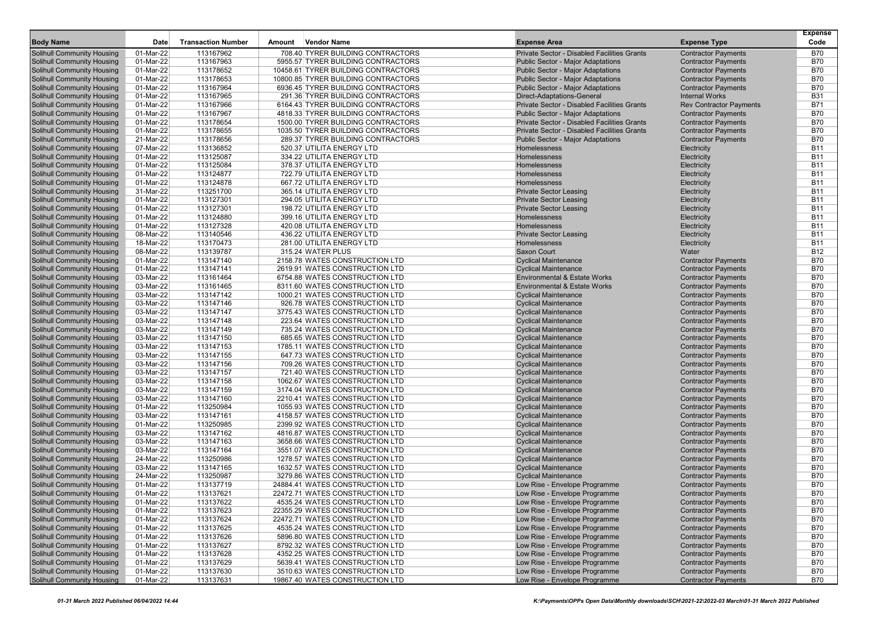|                                                                        |                        |                           |        |                                                                          |                                                                                         |                                                          | <b>Expense</b>           |
|------------------------------------------------------------------------|------------------------|---------------------------|--------|--------------------------------------------------------------------------|-----------------------------------------------------------------------------------------|----------------------------------------------------------|--------------------------|
| <b>Body Name</b>                                                       | Date                   | <b>Transaction Number</b> | Amount | <b>Vendor Name</b>                                                       | <b>Expense Area</b>                                                                     | <b>Expense Type</b>                                      | Code                     |
| <b>Solihull Community Housing</b>                                      | 01-Mar-22              | 113167962                 |        | 708.40 TYRER BUILDING CONTRACTORS                                        | Private Sector - Disabled Facilities Grants                                             | <b>Contractor Payments</b>                               | <b>B70</b>               |
| <b>Solihull Community Housing</b>                                      | 01-Mar-22              | 113167963                 |        | 5955.57 TYRER BUILDING CONTRACTORS                                       | <b>Public Sector - Major Adaptations</b>                                                | <b>Contractor Payments</b>                               | <b>B70</b>               |
| <b>Solihull Community Housing</b>                                      | 01-Mar-22              | 113178652                 |        | 10458.61 TYRER BUILDING CONTRACTORS                                      | <b>Public Sector - Major Adaptations</b>                                                | <b>Contractor Payments</b>                               | <b>B70</b>               |
| <b>Solihull Community Housing</b>                                      | 01-Mar-22              | 113178653                 |        | 10800.85 TYRER BUILDING CONTRACTORS                                      | <b>Public Sector - Major Adaptations</b>                                                | <b>Contractor Payments</b>                               | <b>B70</b>               |
| <b>Solihull Community Housing</b>                                      | 01-Mar-22              | 113167964                 |        | 6936.45 TYRER BUILDING CONTRACTORS                                       | <b>Public Sector - Major Adaptations</b>                                                | <b>Contractor Payments</b>                               | <b>B70</b>               |
| <b>Solihull Community Housing</b>                                      | 01-Mar-22              | 113167965                 |        | 291.36 TYRER BUILDING CONTRACTORS                                        | <b>Direct-Adaptations-General</b>                                                       | <b>Internal Works</b>                                    | <b>B31</b>               |
| <b>Solihull Community Housing</b>                                      | 01-Mar-22              | 113167966                 |        | 6164.43 TYRER BUILDING CONTRACTORS                                       | Private Sector - Disabled Facilities Grants                                             | <b>Rev Contractor Payments</b>                           | <b>B71</b>               |
| <b>Solihull Community Housing</b><br><b>Solihull Community Housing</b> | 01-Mar-22<br>01-Mar-22 | 113167967<br>113178654    |        | 4818.33 TYRER BUILDING CONTRACTORS                                       | <b>Public Sector - Major Adaptations</b><br>Private Sector - Disabled Facilities Grants | <b>Contractor Payments</b><br><b>Contractor Payments</b> | <b>B70</b><br><b>B70</b> |
| <b>Solihull Community Housing</b>                                      | 01-Mar-22              | 113178655                 |        | 1500.00 TYRER BUILDING CONTRACTORS<br>1035.50 TYRER BUILDING CONTRACTORS | Private Sector - Disabled Facilities Grants                                             | <b>Contractor Payments</b>                               | <b>B70</b>               |
| <b>Solihull Community Housing</b>                                      | 21-Mar-22              | 113178656                 |        | 289.37 TYRER BUILDING CONTRACTORS                                        | <b>Public Sector - Major Adaptations</b>                                                | <b>Contractor Payments</b>                               | <b>B70</b>               |
| <b>Solihull Community Housing</b>                                      | 07-Mar-22              | 113136852                 |        | 520.37 UTILITA ENERGY LTD                                                | Homelessness                                                                            | Electricity                                              | <b>B11</b>               |
| <b>Solihull Community Housing</b>                                      | 01-Mar-22              | 113125087                 |        | 334.22 UTILITA ENERGY LTD                                                | Homelessness                                                                            | Electricity                                              | <b>B11</b>               |
| <b>Solihull Community Housing</b>                                      | 01-Mar-22              | 113125084                 |        | 378.37 UTILITA ENERGY LTD                                                | Homelessness                                                                            | Electricity                                              | <b>B11</b>               |
| <b>Solihull Community Housing</b>                                      | 01-Mar-22              | 113124877                 |        | 722.79 UTILITA ENERGY LTD                                                | Homelessness                                                                            | Electricity                                              | <b>B11</b>               |
| <b>Solihull Community Housing</b>                                      | 01-Mar-22              | 113124878                 |        | 667.72 UTILITA ENERGY LTD                                                | Homelessness                                                                            | Electricity                                              | <b>B11</b>               |
| <b>Solihull Community Housing</b>                                      | 31-Mar-22              | 113251700                 |        | 365.14 UTILITA ENERGY LTD                                                | <b>Private Sector Leasing</b>                                                           | Electricity                                              | <b>B11</b>               |
| <b>Solihull Community Housing</b>                                      | 01-Mar-22              | 113127301                 |        | 294.05 UTILITA ENERGY LTD                                                | <b>Private Sector Leasing</b>                                                           | Electricity                                              | <b>B11</b>               |
| <b>Solihull Community Housing</b>                                      | 01-Mar-22              | 113127301                 |        | 198.72 UTILITA ENERGY LTD                                                | <b>Private Sector Leasing</b>                                                           | Electricity                                              | <b>B11</b>               |
| <b>Solihull Community Housing</b>                                      | 01-Mar-22              | 113124880                 |        | 399.16 UTILITA ENERGY LTD                                                | Homelessness                                                                            | Electricity                                              | <b>B11</b>               |
| <b>Solihull Community Housing</b>                                      | 01-Mar-22              | 113127328                 |        | 420.08 UTILITA ENERGY LTD                                                | Homelessness                                                                            | Electricity                                              | <b>B11</b>               |
| <b>Solihull Community Housing</b>                                      | 08-Mar-22              | 113140546                 |        | 436.22 UTILITA ENERGY LTD                                                | <b>Private Sector Leasing</b>                                                           | Electricity                                              | <b>B11</b>               |
| <b>Solihull Community Housing</b>                                      | 18-Mar-22              | 113170473                 |        | 281.00 UTILITA ENERGY LTD                                                | <b>Homelessness</b>                                                                     | Electricity                                              | <b>B11</b>               |
| <b>Solihull Community Housing</b>                                      | 08-Mar-22              | 113139787                 |        | 315.24 WATER PLUS                                                        | Saxon Court                                                                             | Water                                                    | <b>B12</b>               |
| <b>Solihull Community Housing</b>                                      | 01-Mar-22              | 113147140                 |        | 2158.78 WATES CONSTRUCTION LTD                                           | <b>Cyclical Maintenance</b>                                                             | <b>Contractor Payments</b>                               | <b>B70</b>               |
| <b>Solihull Community Housing</b>                                      | 01-Mar-22              | 113147141                 |        | 2619.91 WATES CONSTRUCTION LTD                                           | <b>Cyclical Maintenance</b>                                                             | <b>Contractor Payments</b>                               | <b>B70</b>               |
| <b>Solihull Community Housing</b>                                      | 03-Mar-22              | 113161464                 |        | 6754.88 WATES CONSTRUCTION LTD                                           | <b>Environmental &amp; Estate Works</b>                                                 | <b>Contractor Payments</b>                               | <b>B70</b>               |
| <b>Solihull Community Housing</b>                                      | 03-Mar-22              | 113161465                 |        | 8311.60 WATES CONSTRUCTION LTD                                           | <b>Environmental &amp; Estate Works</b>                                                 | <b>Contractor Payments</b>                               | <b>B70</b>               |
| <b>Solihull Community Housing</b>                                      | 03-Mar-22              | 113147142                 |        | 1000.21 WATES CONSTRUCTION LTD                                           | <b>Cyclical Maintenance</b>                                                             | <b>Contractor Payments</b>                               | <b>B70</b>               |
| <b>Solihull Community Housing</b>                                      | 03-Mar-22              | 113147146                 |        | 926.78 WATES CONSTRUCTION LTD                                            | <b>Cyclical Maintenance</b>                                                             | <b>Contractor Payments</b>                               | <b>B70</b>               |
| <b>Solihull Community Housing</b>                                      | 03-Mar-22              | 113147147                 |        | 3775.43 WATES CONSTRUCTION LTD                                           | <b>Cyclical Maintenance</b>                                                             | <b>Contractor Payments</b>                               | <b>B70</b>               |
| <b>Solihull Community Housing</b>                                      | 03-Mar-22              | 113147148                 |        | 223.64 WATES CONSTRUCTION LTD                                            | <b>Cyclical Maintenance</b>                                                             | <b>Contractor Payments</b>                               | <b>B70</b>               |
| <b>Solihull Community Housing</b>                                      | 03-Mar-22              | 113147149                 |        | 735.24 WATES CONSTRUCTION LTD                                            | <b>Cyclical Maintenance</b>                                                             | <b>Contractor Payments</b>                               | <b>B70</b>               |
| <b>Solihull Community Housing</b>                                      | 03-Mar-22              | 113147150                 |        | 685.65 WATES CONSTRUCTION LTD                                            | <b>Cyclical Maintenance</b>                                                             | <b>Contractor Payments</b>                               | <b>B70</b>               |
| <b>Solihull Community Housing</b>                                      | 03-Mar-22              | 113147153                 |        | 1785.11 WATES CONSTRUCTION LTD                                           | <b>Cyclical Maintenance</b>                                                             | <b>Contractor Payments</b>                               | <b>B70</b>               |
| <b>Solihull Community Housing</b>                                      | 03-Mar-22              | 113147155                 |        | 647.73 WATES CONSTRUCTION LTD                                            | <b>Cyclical Maintenance</b>                                                             | <b>Contractor Payments</b>                               | <b>B70</b>               |
| <b>Solihull Community Housing</b>                                      | 03-Mar-22              | 113147156                 |        | 709.26 WATES CONSTRUCTION LTD                                            | <b>Cyclical Maintenance</b>                                                             | <b>Contractor Payments</b>                               | <b>B70</b>               |
| <b>Solihull Community Housing</b>                                      | 03-Mar-22              | 113147157                 |        | 721.40 WATES CONSTRUCTION LTD                                            | <b>Cyclical Maintenance</b>                                                             | <b>Contractor Payments</b>                               | <b>B70</b><br><b>B70</b> |
| <b>Solihull Community Housing</b><br><b>Solihull Community Housing</b> | 03-Mar-22<br>03-Mar-22 | 113147158<br>113147159    |        | 1062.67 WATES CONSTRUCTION LTD<br>3174.04 WATES CONSTRUCTION LTD         | <b>Cyclical Maintenance</b><br><b>Cyclical Maintenance</b>                              | <b>Contractor Payments</b>                               | <b>B70</b>               |
| <b>Solihull Community Housing</b>                                      | 03-Mar-22              | 113147160                 |        | 2210.41 WATES CONSTRUCTION LTD                                           | <b>Cyclical Maintenance</b>                                                             | <b>Contractor Payments</b><br><b>Contractor Payments</b> | <b>B70</b>               |
| <b>Solihull Community Housing</b>                                      | 01-Mar-22              | 113250984                 |        | 1055.93 WATES CONSTRUCTION LTD                                           | <b>Cyclical Maintenance</b>                                                             | <b>Contractor Payments</b>                               | <b>B70</b>               |
| <b>Solihull Community Housing</b>                                      | 03-Mar-22              | 113147161                 |        | 4158.57 WATES CONSTRUCTION LTD                                           | <b>Cyclical Maintenance</b>                                                             | <b>Contractor Payments</b>                               | <b>B70</b>               |
| <b>Solihull Community Housing</b>                                      | 01-Mar-22              | 113250985                 |        | 2399.92 WATES CONSTRUCTION LTD                                           | <b>Cyclical Maintenance</b>                                                             | <b>Contractor Payments</b>                               | <b>B70</b>               |
| <b>Solihull Community Housing</b>                                      | 03-Mar-22              | 113147162                 |        | 4816.87 WATES CONSTRUCTION LTD                                           | <b>Cyclical Maintenance</b>                                                             | <b>Contractor Payments</b>                               | <b>B70</b>               |
| <b>Solihull Community Housing</b>                                      | 03-Mar-22              | 113147163                 |        | 3658.66 WATES CONSTRUCTION LTD                                           | <b>Cyclical Maintenance</b>                                                             | <b>Contractor Payments</b>                               | <b>B70</b>               |
| <b>Solihull Community Housing</b>                                      | 03-Mar-22              | 113147164                 |        | 3551.07 WATES CONSTRUCTION LTD                                           | <b>Cyclical Maintenance</b>                                                             | <b>Contractor Payments</b>                               | <b>B70</b>               |
| <b>Solihull Community Housing</b>                                      | 24-Mar-22              | 113250986                 |        | 1278.57 WATES CONSTRUCTION LTD                                           | <b>Cyclical Maintenance</b>                                                             | <b>Contractor Payments</b>                               | <b>B70</b>               |
| <b>Solihull Community Housing</b>                                      | 03-Mar-22              | 113147165                 |        | 1632.57 WATES CONSTRUCTION LTD                                           | <b>Cyclical Maintenance</b>                                                             | <b>Contractor Payments</b>                               | <b>B70</b>               |
| <b>Solihull Community Housing</b>                                      | 24-Mar-22              | 113250987                 |        | 3279.86 WATES CONSTRUCTION LTD                                           | <b>Cyclical Maintenance</b>                                                             | <b>Contractor Payments</b>                               | <b>B70</b>               |
| Solihull Community Housing                                             | 01-Mar-22              | 113137719                 |        | 24884.41 WATES CONSTRUCTION LTD                                          | Low Rise - Envelope Programme                                                           | <b>Contractor Payments</b>                               | <b>B70</b>               |
| <b>Solihull Community Housing</b>                                      | 01-Mar-22              | 113137621                 |        | 22472.71 WATES CONSTRUCTION LTD                                          | Low Rise - Envelope Programme                                                           | <b>Contractor Payments</b>                               | <b>B70</b>               |
| <b>Solihull Community Housing</b>                                      | 01-Mar-22              | 113137622                 |        | 4535.24 WATES CONSTRUCTION LTD                                           | Low Rise - Envelope Programme                                                           | <b>Contractor Payments</b>                               | <b>B70</b>               |
| <b>Solihull Community Housing</b>                                      | 01-Mar-22              | 113137623                 |        | 22355.29 WATES CONSTRUCTION LTD                                          | Low Rise - Envelope Programme                                                           | <b>Contractor Payments</b>                               | <b>B70</b>               |
| <b>Solihull Community Housing</b>                                      | 01-Mar-22              | 113137624                 |        | 22472.71 WATES CONSTRUCTION LTD                                          | Low Rise - Envelope Programme                                                           | <b>Contractor Payments</b>                               | <b>B70</b>               |
| <b>Solihull Community Housing</b>                                      | 01-Mar-22              | 113137625                 |        | 4535.24 WATES CONSTRUCTION LTD                                           | Low Rise - Envelope Programme                                                           | <b>Contractor Payments</b>                               | <b>B70</b>               |
| <b>Solihull Community Housing</b>                                      | 01-Mar-22              | 113137626                 |        | 5896.80 WATES CONSTRUCTION LTD                                           | Low Rise - Envelope Programme                                                           | <b>Contractor Payments</b>                               | <b>B70</b>               |
| <b>Solihull Community Housing</b>                                      | 01-Mar-22              | 113137627                 |        | 8792.32 WATES CONSTRUCTION LTD                                           | Low Rise - Envelope Programme                                                           | <b>Contractor Payments</b>                               | <b>B70</b>               |
| <b>Solihull Community Housing</b>                                      | 01-Mar-22              | 113137628                 |        | 4352.25 WATES CONSTRUCTION LTD                                           | Low Rise - Envelope Programme                                                           | <b>Contractor Payments</b>                               | <b>B70</b>               |
| <b>Solihull Community Housing</b>                                      | 01-Mar-22              | 113137629                 |        | 5639.41 WATES CONSTRUCTION LTD                                           | Low Rise - Envelope Programme                                                           | <b>Contractor Payments</b>                               | <b>B70</b>               |
| <b>Solihull Community Housing</b>                                      | 01-Mar-22              | 113137630                 |        | 3510.63 WATES CONSTRUCTION LTD                                           | Low Rise - Envelope Programme                                                           | <b>Contractor Payments</b>                               | <b>B70</b>               |
| <b>Solihull Community Housing</b>                                      | 01-Mar-22              | 113137631                 |        | 19867.40 WATES CONSTRUCTION LTD                                          | Low Rise - Envelope Programme                                                           | <b>Contractor Payments</b>                               | <b>B70</b>               |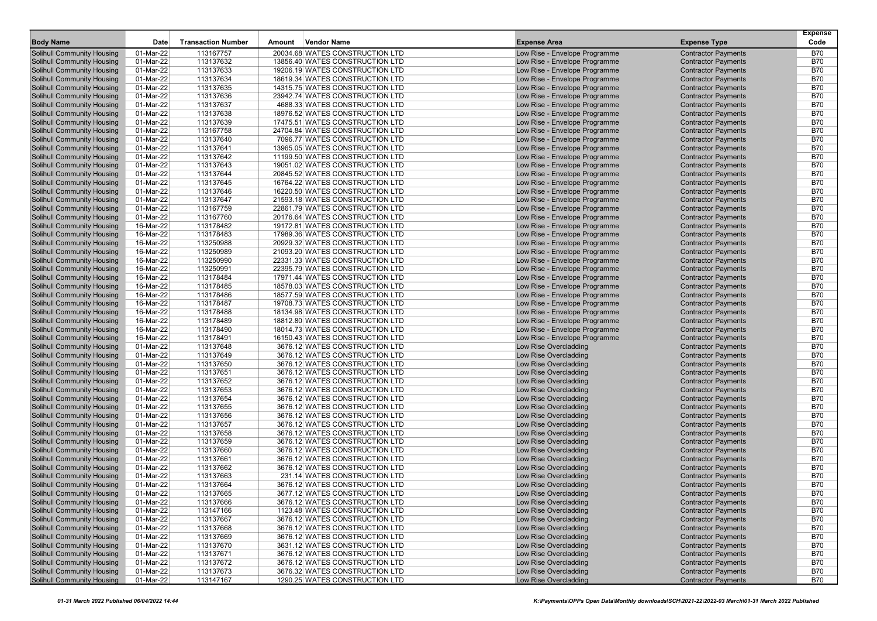|                                                                        |                        |                           |        |                                                                    |                                                                |                                                          | <b>Expense</b>           |
|------------------------------------------------------------------------|------------------------|---------------------------|--------|--------------------------------------------------------------------|----------------------------------------------------------------|----------------------------------------------------------|--------------------------|
| <b>Body Name</b>                                                       | Date                   | <b>Transaction Number</b> | Amount | <b>Vendor Name</b>                                                 | <b>Expense Area</b>                                            | <b>Expense Type</b>                                      | Code                     |
| <b>Solihull Community Housing</b>                                      | 01-Mar-22              | 113167757                 |        | 20034.68 WATES CONSTRUCTION LTD                                    | Low Rise - Envelope Programme                                  | <b>Contractor Payments</b>                               | <b>B70</b>               |
| <b>Solihull Community Housing</b>                                      | 01-Mar-22              | 113137632                 |        | 13856.40 WATES CONSTRUCTION LTD                                    | Low Rise - Envelope Programme                                  | <b>Contractor Payments</b>                               | <b>B70</b>               |
| <b>Solihull Community Housing</b><br><b>Solihull Community Housing</b> | 01-Mar-22<br>01-Mar-22 | 113137633<br>113137634    |        | 19206.19 WATES CONSTRUCTION LTD<br>18619.34 WATES CONSTRUCTION LTD | Low Rise - Envelope Programme<br>Low Rise - Envelope Programme | <b>Contractor Payments</b><br><b>Contractor Payments</b> | <b>B70</b><br><b>B70</b> |
| <b>Solihull Community Housing</b>                                      | 01-Mar-22              | 113137635                 |        | 14315.75 WATES CONSTRUCTION LTD                                    | Low Rise - Envelope Programme                                  | <b>Contractor Payments</b>                               | <b>B70</b>               |
| Solihull Community Housing                                             | 01-Mar-22              | 113137636                 |        | 23942.74 WATES CONSTRUCTION LTD                                    | Low Rise - Envelope Programme                                  | <b>Contractor Payments</b>                               | <b>B70</b>               |
| <b>Solihull Community Housing</b>                                      | 01-Mar-22              | 113137637                 |        | 4688.33 WATES CONSTRUCTION LTD                                     | Low Rise - Envelope Programme                                  | <b>Contractor Payments</b>                               | <b>B70</b>               |
| <b>Solihull Community Housing</b>                                      | 01-Mar-22              | 113137638                 |        | 18976.52 WATES CONSTRUCTION LTD                                    | Low Rise - Envelope Programme                                  | <b>Contractor Payments</b>                               | <b>B70</b>               |
| <b>Solihull Community Housing</b>                                      | 01-Mar-22              | 113137639                 |        | 17475.51 WATES CONSTRUCTION LTD                                    | Low Rise - Envelope Programme                                  | <b>Contractor Payments</b>                               | <b>B70</b>               |
| <b>Solihull Community Housing</b>                                      | 01-Mar-22              | 113167758                 |        | 24704.84 WATES CONSTRUCTION LTD                                    | Low Rise - Envelope Programme                                  | <b>Contractor Payments</b>                               | <b>B70</b>               |
| <b>Solihull Community Housing</b>                                      | 01-Mar-22              | 113137640                 |        | 7096.77 WATES CONSTRUCTION LTD                                     | Low Rise - Envelope Programme                                  | <b>Contractor Payments</b>                               | <b>B70</b>               |
| Solihull Community Housing                                             | 01-Mar-22              | 113137641                 |        | 13965.05 WATES CONSTRUCTION LTD                                    | Low Rise - Envelope Programme                                  | <b>Contractor Payments</b>                               | <b>B70</b>               |
| <b>Solihull Community Housing</b>                                      | 01-Mar-22              | 113137642                 |        | 11199.50 WATES CONSTRUCTION LTD                                    | Low Rise - Envelope Programme                                  | <b>Contractor Payments</b>                               | <b>B70</b>               |
| Solihull Community Housing                                             | 01-Mar-22              | 113137643                 |        | 19051.02 WATES CONSTRUCTION LTD                                    | Low Rise - Envelope Programme                                  | <b>Contractor Payments</b>                               | <b>B70</b>               |
| <b>Solihull Community Housing</b>                                      | 01-Mar-22              | 113137644                 |        | 20845.52 WATES CONSTRUCTION LTD                                    | Low Rise - Envelope Programme                                  | <b>Contractor Payments</b>                               | <b>B70</b>               |
| <b>Solihull Community Housing</b>                                      | 01-Mar-22              | 113137645                 |        | 16764.22 WATES CONSTRUCTION LTD                                    | Low Rise - Envelope Programme                                  | <b>Contractor Payments</b>                               | <b>B70</b>               |
| <b>Solihull Community Housing</b>                                      | 01-Mar-22              | 113137646                 |        | 16220.50 WATES CONSTRUCTION LTD                                    | Low Rise - Envelope Programme                                  | <b>Contractor Payments</b>                               | <b>B70</b>               |
| <b>Solihull Community Housing</b>                                      | 01-Mar-22              | 113137647                 |        | 21593.18 WATES CONSTRUCTION LTD                                    | Low Rise - Envelope Programme                                  | <b>Contractor Payments</b>                               | <b>B70</b>               |
| <b>Solihull Community Housing</b>                                      | 01-Mar-22              | 113167759                 |        | 22861.79 WATES CONSTRUCTION LTD                                    | Low Rise - Envelope Programme                                  | <b>Contractor Payments</b>                               | <b>B70</b>               |
| <b>Solihull Community Housing</b>                                      | 01-Mar-22              | 113167760                 |        | 20176.64 WATES CONSTRUCTION LTD                                    | Low Rise - Envelope Programme                                  | <b>Contractor Payments</b>                               | <b>B70</b>               |
| <b>Solihull Community Housing</b>                                      | 16-Mar-22              | 113178482                 |        | 19172.81 WATES CONSTRUCTION LTD                                    | Low Rise - Envelope Programme                                  | <b>Contractor Payments</b>                               | <b>B70</b>               |
| <b>Solihull Community Housing</b><br>Solihull Community Housing        | 16-Mar-22              | 113178483                 |        | 17989.36 WATES CONSTRUCTION LTD                                    | Low Rise - Envelope Programme<br>Low Rise - Envelope Programme | <b>Contractor Payments</b>                               | <b>B70</b>               |
|                                                                        | 16-Mar-22              | 113250988<br>113250989    |        | 20929.32 WATES CONSTRUCTION LTD                                    |                                                                | <b>Contractor Payments</b>                               | <b>B70</b><br><b>B70</b> |
| <b>Solihull Community Housing</b><br>Solihull Community Housing        | 16-Mar-22              | 113250990                 |        | 21093.20 WATES CONSTRUCTION LTD<br>22331.33 WATES CONSTRUCTION LTD | Low Rise - Envelope Programme                                  | <b>Contractor Payments</b>                               | <b>B70</b>               |
| <b>Solihull Community Housing</b>                                      | 16-Mar-22<br>16-Mar-22 | 113250991                 |        | 22395.79 WATES CONSTRUCTION LTD                                    | Low Rise - Envelope Programme<br>Low Rise - Envelope Programme | <b>Contractor Payments</b><br><b>Contractor Payments</b> | <b>B70</b>               |
| <b>Solihull Community Housing</b>                                      | 16-Mar-22              | 113178484                 |        | 17971.44 WATES CONSTRUCTION LTD                                    | Low Rise - Envelope Programme                                  | <b>Contractor Payments</b>                               | <b>B70</b>               |
| Solihull Community Housing                                             | 16-Mar-22              | 113178485                 |        | 18578.03 WATES CONSTRUCTION LTD                                    | Low Rise - Envelope Programme                                  | <b>Contractor Payments</b>                               | <b>B70</b>               |
| Solihull Community Housing                                             | 16-Mar-22              | 113178486                 |        | 18577.59 WATES CONSTRUCTION LTD                                    | Low Rise - Envelope Programme                                  | <b>Contractor Payments</b>                               | <b>B70</b>               |
| <b>Solihull Community Housing</b>                                      | 16-Mar-22              | 113178487                 |        | 19708.73 WATES CONSTRUCTION LTD                                    | Low Rise - Envelope Programme                                  | <b>Contractor Payments</b>                               | <b>B70</b>               |
| <b>Solihull Community Housing</b>                                      | 16-Mar-22              | 113178488                 |        | 18134.98 WATES CONSTRUCTION LTD                                    | Low Rise - Envelope Programme                                  | <b>Contractor Payments</b>                               | <b>B70</b>               |
| <b>Solihull Community Housing</b>                                      | 16-Mar-22              | 113178489                 |        | 18812.80 WATES CONSTRUCTION LTD                                    | Low Rise - Envelope Programme                                  | <b>Contractor Payments</b>                               | <b>B70</b>               |
| Solihull Community Housing                                             | 16-Mar-22              | 113178490                 |        | 18014.73 WATES CONSTRUCTION LTD                                    | Low Rise - Envelope Programme                                  | <b>Contractor Payments</b>                               | <b>B70</b>               |
| <b>Solihull Community Housing</b>                                      | 16-Mar-22              | 113178491                 |        | 16150.43 WATES CONSTRUCTION LTD                                    | Low Rise - Envelope Programme                                  | <b>Contractor Payments</b>                               | <b>B70</b>               |
| <b>Solihull Community Housing</b>                                      | 01-Mar-22              | 113137648                 |        | 3676.12 WATES CONSTRUCTION LTD                                     | Low Rise Overcladding                                          | <b>Contractor Payments</b>                               | <b>B70</b>               |
| <b>Solihull Community Housing</b>                                      | 01-Mar-22              | 113137649                 |        | 3676.12 WATES CONSTRUCTION LTD                                     | Low Rise Overcladding                                          | <b>Contractor Payments</b>                               | <b>B70</b>               |
| <b>Solihull Community Housing</b>                                      | 01-Mar-22              | 113137650                 |        | 3676.12 WATES CONSTRUCTION LTD                                     | Low Rise Overcladding                                          | <b>Contractor Payments</b>                               | <b>B70</b>               |
| <b>Solihull Community Housing</b>                                      | 01-Mar-22              | 113137651                 |        | 3676.12 WATES CONSTRUCTION LTD                                     | Low Rise Overcladding                                          | <b>Contractor Payments</b>                               | <b>B70</b>               |
| <b>Solihull Community Housing</b>                                      | 01-Mar-22              | 113137652                 |        | 3676.12 WATES CONSTRUCTION LTD                                     | Low Rise Overcladding                                          | <b>Contractor Payments</b>                               | <b>B70</b>               |
| <b>Solihull Community Housing</b>                                      | 01-Mar-22              | 113137653                 |        | 3676.12 WATES CONSTRUCTION LTD                                     | Low Rise Overcladding                                          | <b>Contractor Payments</b>                               | <b>B70</b>               |
| <b>Solihull Community Housing</b>                                      | 01-Mar-22              | 113137654                 |        | 3676.12 WATES CONSTRUCTION LTD                                     | Low Rise Overcladding                                          | <b>Contractor Payments</b>                               | <b>B70</b>               |
| <b>Solihull Community Housing</b>                                      | 01-Mar-22              | 113137655                 |        | 3676.12 WATES CONSTRUCTION LTD                                     | Low Rise Overcladding                                          | <b>Contractor Payments</b>                               | <b>B70</b>               |
| <b>Solihull Community Housing</b>                                      | 01-Mar-22              | 113137656                 |        | 3676.12 WATES CONSTRUCTION LTD                                     | Low Rise Overcladding                                          | <b>Contractor Payments</b>                               | <b>B70</b>               |
| <b>Solihull Community Housing</b><br>Solihull Community Housing        | 01-Mar-22              | 113137657                 |        | 3676.12 WATES CONSTRUCTION LTD<br>3676.12 WATES CONSTRUCTION LTD   | Low Rise Overcladding                                          | <b>Contractor Payments</b>                               | <b>B70</b><br><b>B70</b> |
| <b>Solihull Community Housing</b>                                      | 01-Mar-22<br>01-Mar-22 | 113137658<br>113137659    |        | 3676.12 WATES CONSTRUCTION LTD                                     | Low Rise Overcladding<br>Low Rise Overcladding                 | <b>Contractor Payments</b><br><b>Contractor Payments</b> | <b>B70</b>               |
| <b>Solihull Community Housing</b>                                      | 01-Mar-22              | 113137660                 |        | 3676.12 WATES CONSTRUCTION LTD                                     | Low Rise Overcladding                                          | <b>Contractor Payments</b>                               | <b>B70</b>               |
| <b>Solihull Community Housing</b>                                      | 01-Mar-22              | 113137661                 |        | 3676.12 WATES CONSTRUCTION LTD                                     | Low Rise Overcladding                                          | <b>Contractor Payments</b>                               | <b>B70</b>               |
| <b>Solihull Community Housing</b>                                      | 01-Mar-22              | 113137662                 |        | 3676.12 WATES CONSTRUCTION LTD                                     | Low Rise Overcladding                                          | <b>Contractor Payments</b>                               | <b>B70</b>               |
| <b>Solihull Community Housing</b>                                      | 01-Mar-22              | 113137663                 |        | 231.14 WATES CONSTRUCTION LTD                                      | Low Rise Overcladding                                          | <b>Contractor Payments</b>                               | <b>B70</b>               |
| <b>Solihull Community Housing</b>                                      | 01-Mar-22              | 113137664                 |        | 3676.12 WATES CONSTRUCTION LTD                                     | Low Rise Overcladding                                          | <b>Contractor Payments</b>                               | <b>B70</b>               |
| <b>Solihull Community Housing</b>                                      | 01-Mar-22              | 113137665                 |        | 3677.12 WATES CONSTRUCTION LTD                                     | Low Rise Overcladding                                          | <b>Contractor Payments</b>                               | <b>B70</b>               |
| <b>Solihull Community Housing</b>                                      | 01-Mar-22              | 113137666                 |        | 3676.12 WATES CONSTRUCTION LTD                                     | Low Rise Overcladding                                          | <b>Contractor Payments</b>                               | <b>B70</b>               |
| <b>Solihull Community Housing</b>                                      | 01-Mar-22              | 113147166                 |        | 1123.48 WATES CONSTRUCTION LTD                                     | Low Rise Overcladding                                          | <b>Contractor Payments</b>                               | <b>B70</b>               |
| <b>Solihull Community Housing</b>                                      | 01-Mar-22              | 113137667                 |        | 3676.12 WATES CONSTRUCTION LTD                                     | Low Rise Overcladding                                          | <b>Contractor Payments</b>                               | <b>B70</b>               |
| <b>Solihull Community Housing</b>                                      | 01-Mar-22              | 113137668                 |        | 3676.12 WATES CONSTRUCTION LTD                                     | Low Rise Overcladding                                          | <b>Contractor Payments</b>                               | <b>B70</b>               |
| <b>Solihull Community Housing</b>                                      | 01-Mar-22              | 113137669                 |        | 3676.12 WATES CONSTRUCTION LTD                                     | Low Rise Overcladding                                          | <b>Contractor Payments</b>                               | <b>B70</b>               |
| <b>Solihull Community Housing</b>                                      | 01-Mar-22              | 113137670                 |        | 3631.12 WATES CONSTRUCTION LTD                                     | Low Rise Overcladding                                          | <b>Contractor Payments</b>                               | <b>B70</b>               |
| <b>Solihull Community Housing</b>                                      | 01-Mar-22              | 113137671                 |        | 3676.12 WATES CONSTRUCTION LTD                                     | Low Rise Overcladding                                          | <b>Contractor Payments</b>                               | <b>B70</b>               |
| <b>Solihull Community Housing</b>                                      | 01-Mar-22              | 113137672                 |        | 3676.12 WATES CONSTRUCTION LTD                                     | Low Rise Overcladding                                          | <b>Contractor Payments</b>                               | <b>B70</b>               |
| <b>Solihull Community Housing</b>                                      | 01-Mar-22              | 113137673                 |        | 3676.32 WATES CONSTRUCTION LTD                                     | Low Rise Overcladding                                          | <b>Contractor Payments</b>                               | <b>B70</b>               |
| <b>Solihull Community Housing</b>                                      | 01-Mar-22              | 113147167                 |        | 1290.25 WATES CONSTRUCTION LTD                                     | Low Rise Overcladding                                          | <b>Contractor Payments</b>                               | <b>B70</b>               |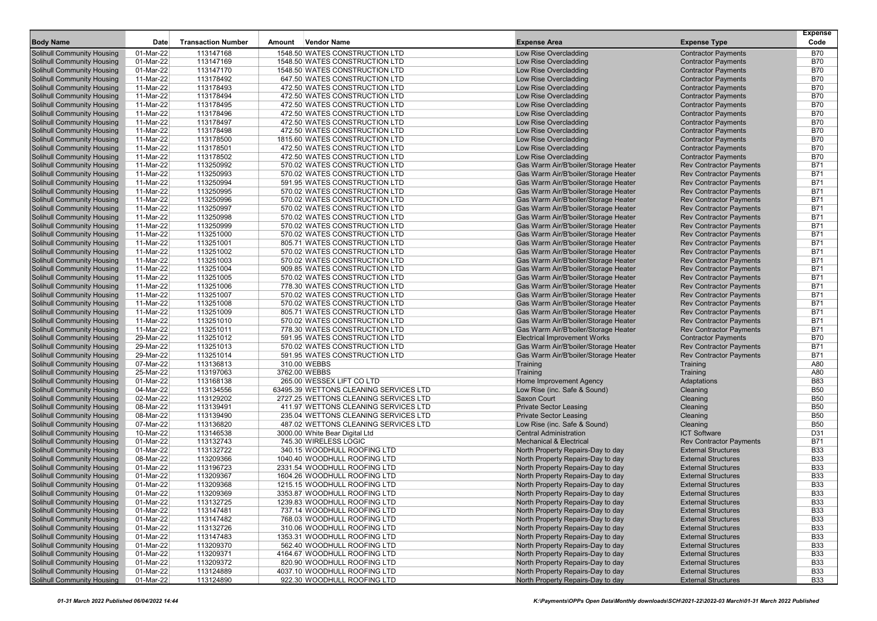|                                                                        |                        |                           |        |                                                                |                                                                              |                                                                  | <b>Expense</b>           |
|------------------------------------------------------------------------|------------------------|---------------------------|--------|----------------------------------------------------------------|------------------------------------------------------------------------------|------------------------------------------------------------------|--------------------------|
| <b>Body Name</b>                                                       | Date                   | <b>Transaction Number</b> | Amount | <b>Vendor Name</b>                                             | <b>Expense Area</b>                                                          | <b>Expense Type</b>                                              | Code                     |
| Solihull Community Housing                                             | 01-Mar-22              | 113147168                 |        | 1548.50 WATES CONSTRUCTION LTD                                 | Low Rise Overcladding                                                        | <b>Contractor Payments</b>                                       | <b>B70</b>               |
| <b>Solihull Community Housing</b>                                      | 01-Mar-22              | 113147169                 |        | 1548.50 WATES CONSTRUCTION LTD                                 | Low Rise Overcladding                                                        | <b>Contractor Payments</b>                                       | <b>B70</b>               |
| <b>Solihull Community Housing</b>                                      | 01-Mar-22              | 113147170                 |        | 1548.50 WATES CONSTRUCTION LTD                                 | Low Rise Overcladding                                                        | <b>Contractor Payments</b>                                       | <b>B70</b>               |
| <b>Solihull Community Housing</b>                                      | 11-Mar-22              | 113178492                 |        | 647.50 WATES CONSTRUCTION LTD                                  | Low Rise Overcladding                                                        | <b>Contractor Payments</b>                                       | <b>B70</b>               |
| <b>Solihull Community Housing</b>                                      | 11-Mar-22              | 113178493                 |        | 472.50 WATES CONSTRUCTION LTD                                  | Low Rise Overcladding                                                        | <b>Contractor Payments</b>                                       | <b>B70</b>               |
| <b>Solihull Community Housing</b>                                      | 11-Mar-22              | 113178494                 |        | 472.50 WATES CONSTRUCTION LTD                                  | Low Rise Overcladding                                                        | <b>Contractor Payments</b>                                       | <b>B70</b>               |
| <b>Solihull Community Housing</b>                                      | 11-Mar-22              | 113178495                 |        | 472.50 WATES CONSTRUCTION LTD                                  | Low Rise Overcladding                                                        | <b>Contractor Payments</b>                                       | <b>B70</b>               |
| <b>Solihull Community Housing</b>                                      | 11-Mar-22              | 113178496                 |        | 472.50 WATES CONSTRUCTION LTD                                  | Low Rise Overcladding                                                        | <b>Contractor Payments</b>                                       | <b>B70</b>               |
| <b>Solihull Community Housing</b>                                      | 11-Mar-22              | 113178497                 |        | 472.50 WATES CONSTRUCTION LTD                                  | Low Rise Overcladding                                                        | <b>Contractor Payments</b>                                       | <b>B70</b>               |
| <b>Solihull Community Housing</b>                                      | 11-Mar-22              | 113178498                 |        | 472.50 WATES CONSTRUCTION LTD                                  | Low Rise Overcladding                                                        | <b>Contractor Payments</b>                                       | <b>B70</b>               |
| <b>Solihull Community Housing</b>                                      | $11-Mar-22$            | 113178500                 |        | 1815.60 WATES CONSTRUCTION LTD                                 | Low Rise Overcladding                                                        | <b>Contractor Payments</b>                                       | <b>B70</b><br><b>B70</b> |
| <b>Solihull Community Housing</b>                                      | 11-Mar-22              | 113178501                 |        | 472.50 WATES CONSTRUCTION LTD                                  | Low Rise Overcladding<br>Low Rise Overcladding                               | <b>Contractor Payments</b>                                       | <b>B70</b>               |
| <b>Solihull Community Housing</b>                                      | 11-Mar-22              | 113178502                 |        | 472.50 WATES CONSTRUCTION LTD                                  |                                                                              | <b>Contractor Payments</b>                                       |                          |
| <b>Solihull Community Housing</b>                                      | 11-Mar-22              | 113250992                 |        | 570.02 WATES CONSTRUCTION LTD                                  | Gas Warm Air/B'boiler/Storage Heater                                         | <b>Rev Contractor Payments</b>                                   | <b>B71</b><br><b>B71</b> |
| <b>Solihull Community Housing</b><br><b>Solihull Community Housing</b> | 11-Mar-22              | 113250993<br>113250994    |        | 570.02 WATES CONSTRUCTION LTD                                  | Gas Warm Air/B'boiler/Storage Heater<br>Gas Warm Air/B'boiler/Storage Heater | <b>Rev Contractor Payments</b><br><b>Rev Contractor Payments</b> | <b>B71</b>               |
| <b>Solihull Community Housing</b>                                      | 11-Mar-22<br>11-Mar-22 | 113250995                 |        | 591.95 WATES CONSTRUCTION LTD<br>570.02 WATES CONSTRUCTION LTD | Gas Warm Air/B'boiler/Storage Heater                                         | <b>Rev Contractor Payments</b>                                   | <b>B71</b>               |
| <b>Solihull Community Housing</b>                                      | 11-Mar-22              | 113250996                 |        | 570.02 WATES CONSTRUCTION LTD                                  | Gas Warm Air/B'boiler/Storage Heater                                         | <b>Rev Contractor Payments</b>                                   | <b>B71</b>               |
| <b>Solihull Community Housing</b>                                      | 11-Mar-22              | 113250997                 |        | 570.02 WATES CONSTRUCTION LTD                                  | Gas Warm Air/B'boiler/Storage Heater                                         | <b>Rev Contractor Payments</b>                                   | <b>B71</b>               |
| <b>Solihull Community Housing</b>                                      | 11-Mar-22              | 113250998                 |        | 570.02 WATES CONSTRUCTION LTD                                  | Gas Warm Air/B'boiler/Storage Heater                                         | <b>Rev Contractor Payments</b>                                   | <b>B71</b>               |
| <b>Solihull Community Housing</b>                                      | 11-Mar-22              | 113250999                 |        | 570.02 WATES CONSTRUCTION LTD                                  | Gas Warm Air/B'boiler/Storage Heater                                         | <b>Rev Contractor Payments</b>                                   | <b>B71</b>               |
| <b>Solihull Community Housing</b>                                      | 11-Mar-22              | 113251000                 |        | 570.02 WATES CONSTRUCTION LTD                                  | Gas Warm Air/B'boiler/Storage Heater                                         | <b>Rev Contractor Payments</b>                                   | <b>B71</b>               |
| <b>Solihull Community Housing</b>                                      | 11-Mar-22              | 113251001                 |        | 805.71 WATES CONSTRUCTION LTD                                  | Gas Warm Air/B'boiler/Storage Heater                                         | <b>Rev Contractor Payments</b>                                   | <b>B71</b>               |
| <b>Solihull Community Housing</b>                                      | 11-Mar-22              | 113251002                 |        | 570.02 WATES CONSTRUCTION LTD                                  | Gas Warm Air/B'boiler/Storage Heater                                         | <b>Rev Contractor Payments</b>                                   | <b>B71</b>               |
| <b>Solihull Community Housing</b>                                      | 11-Mar-22              | 113251003                 |        | 570.02 WATES CONSTRUCTION LTD                                  | Gas Warm Air/B'boiler/Storage Heater                                         | <b>Rev Contractor Payments</b>                                   | <b>B71</b>               |
| <b>Solihull Community Housing</b>                                      | 11-Mar-22              | 113251004                 |        | 909.85 WATES CONSTRUCTION LTD                                  | Gas Warm Air/B'boiler/Storage Heater                                         | <b>Rev Contractor Payments</b>                                   | <b>B71</b>               |
| <b>Solihull Community Housing</b>                                      | 11-Mar-22              | 113251005                 |        | 570.02 WATES CONSTRUCTION LTD                                  | Gas Warm Air/B'boiler/Storage Heater                                         | <b>Rev Contractor Payments</b>                                   | <b>B71</b>               |
| <b>Solihull Community Housing</b>                                      | 11-Mar-22              | 113251006                 |        | 778.30 WATES CONSTRUCTION LTD                                  | Gas Warm Air/B'boiler/Storage Heater                                         | <b>Rev Contractor Payments</b>                                   | <b>B71</b>               |
| <b>Solihull Community Housing</b>                                      | 11-Mar-22              | 113251007                 |        | 570.02 WATES CONSTRUCTION LTD                                  | Gas Warm Air/B'boiler/Storage Heater                                         | <b>Rev Contractor Payments</b>                                   | <b>B71</b>               |
| <b>Solihull Community Housing</b>                                      | 11-Mar-22              | 113251008                 |        | 570.02 WATES CONSTRUCTION LTD                                  | Gas Warm Air/B'boiler/Storage Heater                                         | <b>Rev Contractor Payments</b>                                   | <b>B71</b>               |
| <b>Solihull Community Housing</b>                                      | 11-Mar-22              | 113251009                 |        | 805.71 WATES CONSTRUCTION LTD                                  | Gas Warm Air/B'boiler/Storage Heater                                         | <b>Rev Contractor Payments</b>                                   | <b>B71</b>               |
| <b>Solihull Community Housing</b>                                      | 11-Mar-22              | 113251010                 |        | 570.02 WATES CONSTRUCTION LTD                                  | Gas Warm Air/B'boiler/Storage Heater                                         | <b>Rev Contractor Payments</b>                                   | <b>B71</b>               |
| <b>Solihull Community Housing</b>                                      | 11-Mar-22              | 113251011                 |        | 778.30 WATES CONSTRUCTION LTD                                  | Gas Warm Air/B'boiler/Storage Heater                                         | <b>Rev Contractor Payments</b>                                   | <b>B71</b>               |
| <b>Solihull Community Housing</b>                                      | 29-Mar-22              | 113251012                 |        | 591.95 WATES CONSTRUCTION LTD                                  | <b>Electrical Improvement Works</b>                                          | <b>Contractor Payments</b>                                       | <b>B70</b>               |
| <b>Solihull Community Housing</b>                                      | 29-Mar-22              | 113251013                 |        | 570.02 WATES CONSTRUCTION LTD                                  | Gas Warm Air/B'boiler/Storage Heater                                         | <b>Rev Contractor Payments</b>                                   | <b>B71</b>               |
| <b>Solihull Community Housing</b>                                      | 29-Mar-22              | 113251014                 |        | 591.95 WATES CONSTRUCTION LTD                                  | Gas Warm Air/B'boiler/Storage Heater                                         | <b>Rev Contractor Payments</b>                                   | <b>B71</b>               |
| <b>Solihull Community Housing</b>                                      | 07-Mar-22              | 113136813                 |        | 310.00 WEBBS                                                   | Training                                                                     | Training                                                         | A80                      |
| <b>Solihull Community Housing</b>                                      | 25-Mar-22              | 113197063                 |        | 3762.00 WEBBS                                                  | Training                                                                     | Training                                                         | A80                      |
| <b>Solihull Community Housing</b>                                      | 01-Mar-22              | 113168138                 |        | 265.00 WESSEX LIFT CO LTD                                      | Home Improvement Agency                                                      | Adaptations                                                      | <b>B83</b>               |
| <b>Solihull Community Housing</b>                                      | 04-Mar-22              | 113134556                 |        | 63495.39 WETTONS CLEANING SERVICES LTD                         | Low Rise (inc. Safe & Sound)                                                 | Cleaning                                                         | <b>B50</b>               |
| <b>Solihull Community Housing</b>                                      | 02-Mar-22              | 113129202                 |        | 2727.25 WETTONS CLEANING SERVICES LTD                          | <b>Saxon Court</b>                                                           | Cleaning                                                         | <b>B50</b>               |
| <b>Solihull Community Housing</b>                                      | 08-Mar-22              | 113139491                 |        | 411.97 WETTONS CLEANING SERVICES LTD                           | <b>Private Sector Leasing</b>                                                | Cleaning                                                         | <b>B50</b>               |
| <b>Solihull Community Housing</b>                                      | 08-Mar-22              | 113139490                 |        | 235.04 WETTONS CLEANING SERVICES LTD                           | <b>Private Sector Leasing</b>                                                | Cleaning                                                         | <b>B50</b>               |
| <b>Solihull Community Housing</b>                                      | 07-Mar-22              | 113136820                 |        | 487.02 WETTONS CLEANING SERVICES LTD                           | Low Rise (inc. Safe & Sound)                                                 | Cleaning                                                         | <b>B50</b>               |
| <b>Solihull Community Housing</b>                                      | 10-Mar-22              | 113146538                 |        | 3000.00 White Bear Digital Ltd                                 | <b>Central Administration</b>                                                | <b>ICT Software</b>                                              | D31                      |
| <b>Solihull Community Housing</b>                                      | 01-Mar-22              | 113132743                 |        | 745.30 WIRELESS LOGIC                                          | <b>Mechanical &amp; Electrical</b>                                           | <b>Rev Contractor Payments</b>                                   | <b>B71</b>               |
| <b>Solihull Community Housing</b>                                      | 01-Mar-22              | 113132722                 |        | 340.15 WOODHULL ROOFING LTD                                    | North Property Repairs-Day to day                                            | <b>External Structures</b>                                       | <b>B33</b>               |
| <b>Solihull Community Housing</b>                                      | 08-Mar-22              | 113209366                 |        | 1040.40 WOODHULL ROOFING LTD                                   | North Property Repairs-Day to day                                            | <b>External Structures</b>                                       | <b>B33</b>               |
| <b>Solihull Community Housing</b>                                      | 01-Mar-22              | 113196723                 |        | 2331.54 WOODHULL ROOFING LTD                                   | North Property Repairs-Day to day                                            | <b>External Structures</b>                                       | <b>B33</b>               |
| <b>Solihull Community Housing</b>                                      | 01-Mar-22              | 113209367                 |        | 1604.26 WOODHULL ROOFING LTD                                   | North Property Repairs-Day to day                                            | <b>External Structures</b>                                       | <b>B33</b>               |
| <b>Solihull Community Housing</b>                                      | 01-Mar-22              | 113209368                 |        | 1215.15 WOODHULL ROOFING LTD                                   | North Property Repairs-Day to day                                            | <b>External Structures</b>                                       | <b>B33</b>               |
| Solihull Community Housing                                             | 01-Mar-22              | 113209369                 |        | 3353.87 WOODHULL ROOFING LTD                                   | North Property Repairs-Day to day                                            | <b>External Structures</b>                                       | <b>B33</b>               |
| Solihull Community Housing                                             | 01-Mar-22              | 113132725                 |        | 1239.83 WOODHULL ROOFING LTD                                   | North Property Repairs-Day to day                                            | <b>External Structures</b>                                       | <b>B33</b>               |
| <b>Solihull Community Housing</b>                                      | 01-Mar-22              | 113147481                 |        | 737.14 WOODHULL ROOFING LTD                                    | North Property Repairs-Day to day                                            | <b>External Structures</b>                                       | <b>B33</b>               |
| <b>Solihull Community Housing</b>                                      | 01-Mar-22              | 113147482                 |        | 768.03 WOODHULL ROOFING LTD                                    | North Property Repairs-Day to day                                            | <b>External Structures</b>                                       | <b>B33</b>               |
| <b>Solihull Community Housing</b>                                      | 01-Mar-22<br>01-Mar-22 | 113132726                 |        | 310.06 WOODHULL ROOFING LTD                                    | North Property Repairs-Day to day                                            | <b>External Structures</b>                                       | <b>B33</b>               |
| Solihull Community Housing<br><b>Solihull Community Housing</b>        |                        | 113147483                 |        | 1353.31 WOODHULL ROOFING LTD<br>562.40 WOODHULL ROOFING LTD    | North Property Repairs-Day to day                                            | <b>External Structures</b>                                       | <b>B33</b><br><b>B33</b> |
| Solihull Community Housing                                             | 01-Mar-22<br>01-Mar-22 | 113209370<br>113209371    |        | 4164.67 WOODHULL ROOFING LTD                                   | North Property Repairs-Day to day<br>North Property Repairs-Day to day       | <b>External Structures</b><br><b>External Structures</b>         |                          |
| <b>Solihull Community Housing</b>                                      |                        | 113209372                 |        | 820.90 WOODHULL ROOFING LTD                                    | North Property Repairs-Day to day                                            | <b>External Structures</b>                                       | <b>B33</b><br><b>B33</b> |
| <b>Solihull Community Housing</b>                                      | 01-Mar-22<br>01-Mar-22 | 113124889                 |        | 4037.10 WOODHULL ROOFING LTD                                   | North Property Repairs-Day to day                                            | <b>External Structures</b>                                       | <b>B33</b>               |
| Solihull Community Housing                                             | 01-Mar-22              | 113124890                 |        | 922.30 WOODHULL ROOFING LTD                                    | North Property Repairs-Day to day                                            | <b>External Structures</b>                                       | <b>B33</b>               |
|                                                                        |                        |                           |        |                                                                |                                                                              |                                                                  |                          |